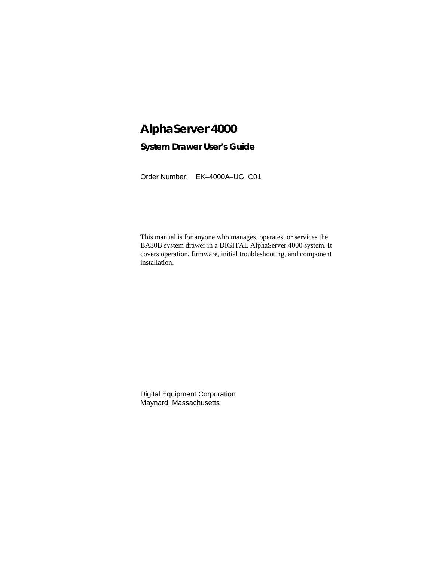# **AlphaServer 4000**

# **System Drawer User's Guide**

Order Number: EK–4000A–UG. C01

This manual is for anyone who manages, operates, or services the BA30B system drawer in a DIGITAL AlphaServer 4000 system. It covers operation, firmware, initial troubleshooting, and component installation.

Digital Equipment Corporation Maynard, Massachusetts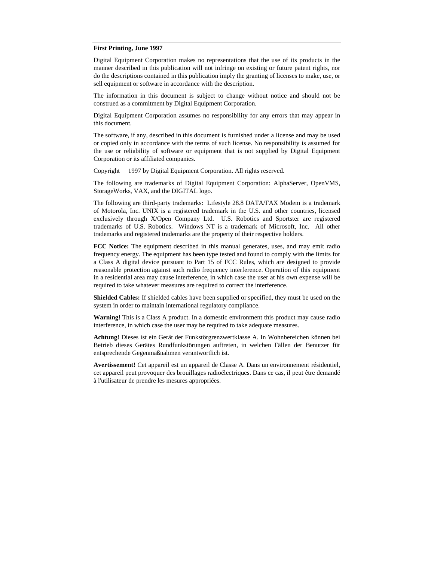#### **First Printing, June 1997**

Digital Equipment Corporation makes no representations that the use of its products in the manner described in this publication will not infringe on existing or future patent rights, nor do the descriptions contained in this publication imply the granting of licenses to make, use, or sell equipment or software in accordance with the description.

The information in this document is subject to change without notice and should not be construed as a commitment by Digital Equipment Corporation.

Digital Equipment Corporation assumes no responsibility for any errors that may appear in this document.

The software, if any, described in this document is furnished under a license and may be used or copied only in accordance with the terms of such license. No responsibility is assumed for the use or reliability of software or equipment that is not supplied by Digital Equipment Corporation or its affiliated companies.

Copyright © 1997 by Digital Equipment Corporation. All rights reserved.

The following are trademarks of Digital Equipment Corporation: AlphaServer, OpenVMS, StorageWorks, VAX, and the DIGITAL logo.

The following are third-party trademarks: Lifestyle 28.8 DATA/FAX Modem is a trademark of Motorola, Inc. UNIX is a registered trademark in the U.S. and other countries, licensed exclusively through X/Open Company Ltd. U.S. Robotics and Sportster are registered trademarks of U.S. Robotics. Windows NT is a trademark of Microsoft, Inc. All other trademarks and registered trademarks are the property of their respective holders.

**FCC Notice:** The equipment described in this manual generates, uses, and may emit radio frequency energy. The equipment has been type tested and found to comply with the limits for a Class A digital device pursuant to Part 15 of FCC Rules, which are designed to provide reasonable protection against such radio frequency interference. Operation of this equipment in a residential area may cause interference, in which case the user at his own expense will be required to take whatever measures are required to correct the interference.

**Shielded Cables:** If shielded cables have been supplied or specified, they must be used on the system in order to maintain international regulatory compliance.

**Warning!** This is a Class A product. In a domestic environment this product may cause radio interference, in which case the user may be required to take adequate measures.

**Achtung!** Dieses ist ein Gerät der Funkstörgrenzwertklasse A. In Wohnbereichen können bei Betrieb dieses Gerätes Rundfunkstörungen auftreten, in welchen Fällen der Benutzer für entsprechende Gegenmaßnahmen verantwortlich ist.

**Avertissement!** Cet appareil est un appareil de Classe A. Dans un environnement résidentiel, cet appareil peut provoquer des brouillages radioélectriques. Dans ce cas, il peut être demandé à l'utilisateur de prendre les mesures appropriées.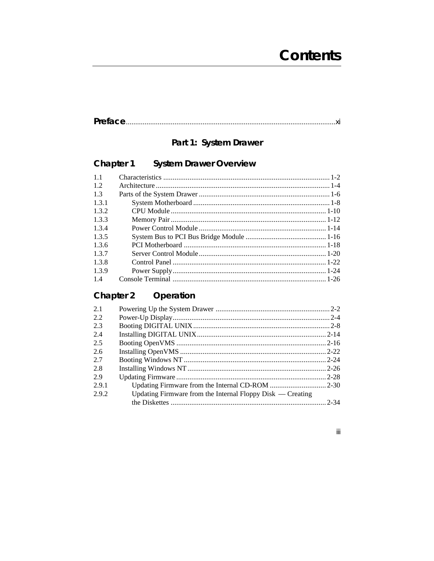# 

# Part 1: System Drawer

#### Chapter 1 **System Drawer Overview**

| 11    |  |
|-------|--|
| 1.2   |  |
| 1.3   |  |
| 1.3.1 |  |
| 1.3.2 |  |
| 1.3.3 |  |
| 1.3.4 |  |
| 1.3.5 |  |
| 1.3.6 |  |
| 1.3.7 |  |
| 1.3.8 |  |
| 1.3.9 |  |
| 1.4   |  |

#### **Chapter 2** Operation

| 2.1   |                                                              |  |
|-------|--------------------------------------------------------------|--|
| 2.2   |                                                              |  |
| 2.3   |                                                              |  |
| 2.4   |                                                              |  |
| 2.5   |                                                              |  |
| 2.6   |                                                              |  |
| 2.7   |                                                              |  |
| 2.8   |                                                              |  |
| 2.9   |                                                              |  |
| 2.9.1 |                                                              |  |
| 2.9.2 | Updating Firmware from the Internal Floppy Disk $-$ Creating |  |
|       |                                                              |  |

### $\mathsf{iii}$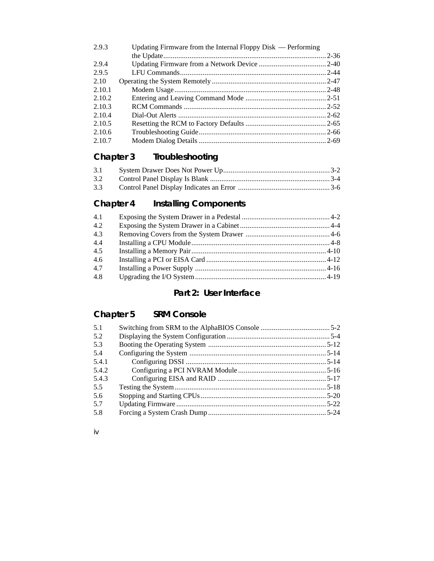| Updating Firmware from the Internal Floppy $Disk$ — Performing |  |
|----------------------------------------------------------------|--|
|                                                                |  |
|                                                                |  |
|                                                                |  |
|                                                                |  |
|                                                                |  |
|                                                                |  |
|                                                                |  |
|                                                                |  |
|                                                                |  |
|                                                                |  |
|                                                                |  |
|                                                                |  |

# **Chapter 3 Troubleshooting**

| 3.3 |  |
|-----|--|

# **Chapter 4 Installing Components**

| 4.1 |  |
|-----|--|
| 4.2 |  |
| 4.3 |  |
| 4.4 |  |
| 4.5 |  |
| 4.6 |  |
| 4.7 |  |
| 4.8 |  |

# **Part 2: User Interface**

# **Chapter 5 SRM Console**

| 5.1   |  |
|-------|--|
| 5.2   |  |
| 5.3   |  |
| 5.4   |  |
| 5.4.1 |  |
| 5.4.2 |  |
| 5.4.3 |  |
| 5.5   |  |
| 5.6   |  |
| 5.7   |  |
| 5.8   |  |

iv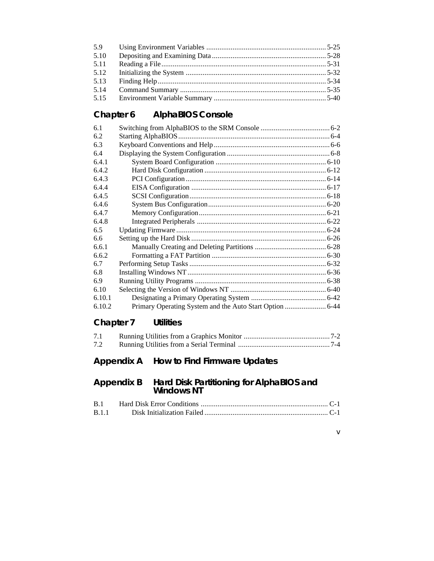| 5.9  |  |
|------|--|
| 5.10 |  |
| 5.11 |  |
| 5.12 |  |
| 5.13 |  |
| 5.14 |  |
| 5.15 |  |

# **Chapter 6 AlphaBIOS Console**

| 6.1    |  |
|--------|--|
| 6.2    |  |
| 6.3    |  |
| 6.4    |  |
| 6.4.1  |  |
| 6.4.2  |  |
| 6.4.3  |  |
| 6.4.4  |  |
| 6.4.5  |  |
| 6.4.6  |  |
| 6.4.7  |  |
| 6.4.8  |  |
| 6.5    |  |
| 6.6    |  |
| 6.6.1  |  |
| 6.6.2  |  |
| 6.7    |  |
| 6.8    |  |
| 6.9    |  |
| 6.10   |  |
| 6.10.1 |  |
| 6.10.2 |  |

# **Chapter 7 Utilities**

| 7.1 |  |
|-----|--|
| 7.2 |  |

# **Appendix A How to Find Firmware Updates**

### **Appendix B Hard Disk Partitioning for AlphaBIOS and Windows NT**

v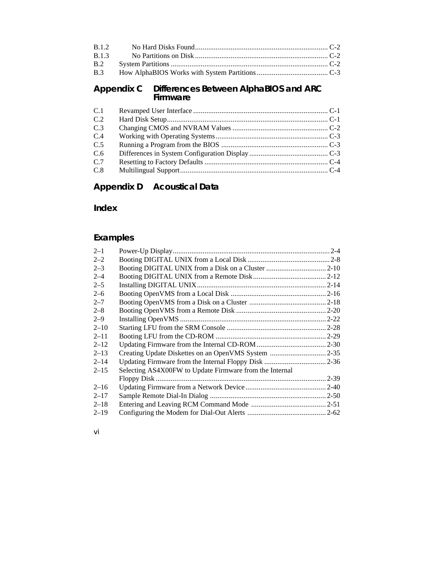### **Appendix C Differences Between AlphaBIOS and ARC Firmware**

| C.1 |  |
|-----|--|
| C.2 |  |
| C.3 |  |
| C.4 |  |
| C.5 |  |
| C.6 |  |
| C.7 |  |
| C.8 |  |

# **Appendix D Acoustical Data**

**Index**

# **Examples**

| $2 - 1$  |                                                         |  |
|----------|---------------------------------------------------------|--|
| $2 - 2$  |                                                         |  |
| $2 - 3$  |                                                         |  |
| $2 - 4$  |                                                         |  |
| $2 - 5$  |                                                         |  |
| $2 - 6$  |                                                         |  |
| $2 - 7$  |                                                         |  |
| $2 - 8$  |                                                         |  |
| $2 - 9$  |                                                         |  |
| $2 - 10$ |                                                         |  |
| $2 - 11$ |                                                         |  |
| $2 - 12$ |                                                         |  |
| $2 - 13$ |                                                         |  |
| $2 - 14$ |                                                         |  |
| $2 - 15$ | Selecting AS4X00FW to Update Firmware from the Internal |  |
|          |                                                         |  |
| $2 - 16$ |                                                         |  |
| $2 - 17$ |                                                         |  |
| $2 - 18$ |                                                         |  |
| $2 - 19$ |                                                         |  |

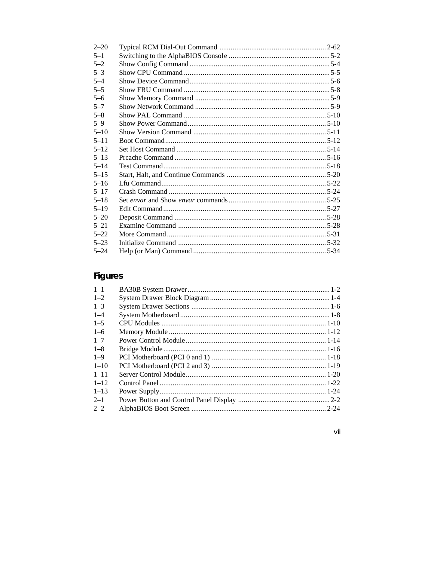| $2 - 20$ |  |
|----------|--|
| $5 - 1$  |  |
| $5 - 2$  |  |
| $5 - 3$  |  |
| $5 - 4$  |  |
| $5 - 5$  |  |
| $5 - 6$  |  |
| $5 - 7$  |  |
| $5 - 8$  |  |
| $5 - 9$  |  |
| $5 - 10$ |  |
| $5 - 11$ |  |
| $5 - 12$ |  |
| $5 - 13$ |  |
| $5 - 14$ |  |
| $5 - 15$ |  |
| $5 - 16$ |  |
| $5 - 17$ |  |
| $5 - 18$ |  |
| $5 - 19$ |  |
| $5 - 20$ |  |
| $5 - 21$ |  |
| $5 - 22$ |  |
| $5 - 23$ |  |
| $5 - 24$ |  |
|          |  |

# Figures

vii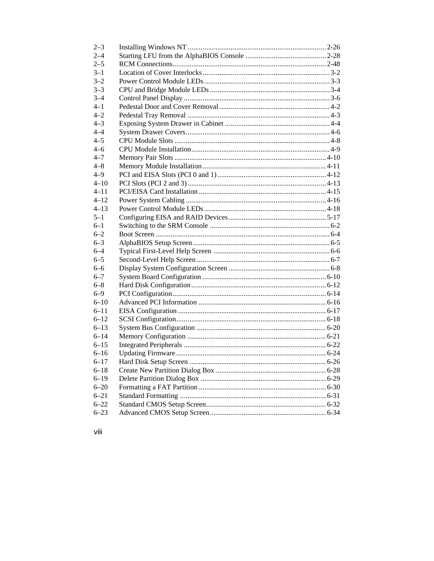| $2 - 3$  |  |
|----------|--|
| $2 - 4$  |  |
| $2 - 5$  |  |
| $3 - 1$  |  |
| $3 - 2$  |  |
| $3 - 3$  |  |
| $3 - 4$  |  |
| $4 - 1$  |  |
| $4 - 2$  |  |
| $4 - 3$  |  |
| $4 - 4$  |  |
| $4 - 5$  |  |
| $4 - 6$  |  |
| $4 - 7$  |  |
| $4 - 8$  |  |
| $4 - 9$  |  |
| $4 - 10$ |  |
| $4 - 11$ |  |
| $4 - 12$ |  |
| $4 - 13$ |  |
| $5 - 1$  |  |
| $6 - 1$  |  |
| $6 - 2$  |  |
| $6 - 3$  |  |
| $6 - 4$  |  |
| $6 - 5$  |  |
| $6 - 6$  |  |
| $6 - 7$  |  |
| $6 - 8$  |  |
| $6 - 9$  |  |
| $6 - 10$ |  |
| $6 - 11$ |  |
| $6 - 12$ |  |
| $6 - 13$ |  |
| $6 - 14$ |  |
| $6 - 15$ |  |
| $6 - 16$ |  |
| $6 - 17$ |  |
| $6 - 18$ |  |
| $6 - 19$ |  |
| $6 - 20$ |  |
| $6 - 21$ |  |
| $6 - 22$ |  |
| $6 - 23$ |  |
|          |  |

viii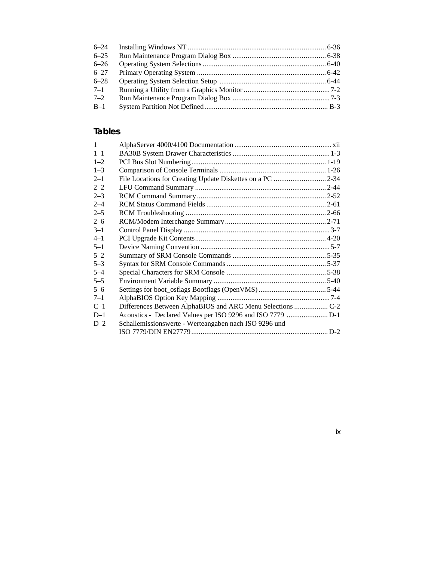| $6 - 24$ |  |
|----------|--|
| $6 - 25$ |  |
| $6 - 26$ |  |
| $6 - 27$ |  |
| $6 - 28$ |  |
| $7 - 1$  |  |
| $7 - 2$  |  |
| $B-1$    |  |

# **Tables**

| $\mathbf{1}$ |                                                           |  |
|--------------|-----------------------------------------------------------|--|
| $1 - 1$      |                                                           |  |
| $1 - 2$      |                                                           |  |
| $1 - 3$      |                                                           |  |
| $2 - 1$      | File Locations for Creating Update Diskettes on a PC 2-34 |  |
| $2 - 2$      |                                                           |  |
| $2 - 3$      |                                                           |  |
| $2 - 4$      |                                                           |  |
| $2 - 5$      |                                                           |  |
| $2 - 6$      |                                                           |  |
| $3 - 1$      |                                                           |  |
| $4 - 1$      |                                                           |  |
| $5 - 1$      |                                                           |  |
| $5 - 2$      |                                                           |  |
| $5 - 3$      |                                                           |  |
| $5 - 4$      |                                                           |  |
| $5 - 5$      |                                                           |  |
| $5 - 6$      |                                                           |  |
| $7 - 1$      |                                                           |  |
| $C-1$        |                                                           |  |
| $D-1$        |                                                           |  |
| $D-2$        | Schallemissionswerte - Werteangaben nach ISO 9296 und     |  |
|              |                                                           |  |

# ix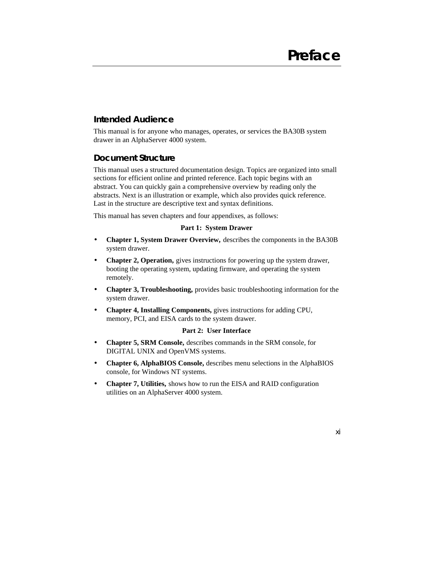xi

### **Intended Audience**

This manual is for anyone who manages, operates, or services the BA30B system drawer in an AlphaServer 4000 system.

### **Document Structure**

This manual uses a structured documentation design. Topics are organized into small sections for efficient online and printed reference. Each topic begins with an abstract. You can quickly gain a comprehensive overview by reading only the abstracts. Next is an illustration or example, which also provides quick reference. Last in the structure are descriptive text and syntax definitions.

This manual has seven chapters and four appendixes, as follows:

#### **Part 1: System Drawer**

- **Chapter 1, System Drawer Overview,** describes the components in the BA30B system drawer.
- **Chapter 2, Operation,** gives instructions for powering up the system drawer, booting the operating system, updating firmware, and operating the system remotely.
- **Chapter 3, Troubleshooting,** provides basic troubleshooting information for the system drawer.
- **Chapter 4, Installing Components,** gives instructions for adding CPU, memory, PCI, and EISA cards to the system drawer.

#### **Part 2: User Interface**

- **Chapter 5, SRM Console,** describes commands in the SRM console, for DIGITAL UNIX and OpenVMS systems.
- **Chapter 6, AlphaBIOS Console,** describes menu selections in the AlphaBIOS console, for Windows NT systems.
- **Chapter 7, Utilities,** shows how to run the EISA and RAID configuration utilities on an AlphaServer 4000 system.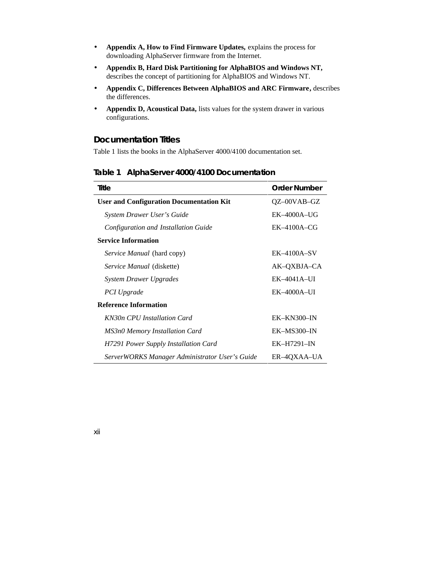- **Appendix A, How to Find Firmware Updates,** explains the process for downloading AlphaServer firmware from the Internet.
- **Appendix B, Hard Disk Partitioning for AlphaBIOS and Windows NT,** describes the concept of partitioning for AlphaBIOS and Windows NT.
- **Appendix C, Differences Between AlphaBIOS and ARC Firmware,** describes the differences.
- **Appendix D, Acoustical Data,** lists values for the system drawer in various configurations.

#### **Documentation Titles**

Table 1 lists the books in the AlphaServer 4000/4100 documentation set.

| Title                                           | <b>Order Number</b> |
|-------------------------------------------------|---------------------|
| <b>User and Configuration Documentation Kit</b> | $QZ$ –00VAB–GZ      |
| System Drawer User's Guide                      | $EK-4000A-UG$       |
| Configuration and Installation Guide            | $EK-4100A-CG$       |
| <b>Service Information</b>                      |                     |
| <i>Service Manual</i> (hard copy)               | $EK-4100A-SV$       |
| <i>Service Manual</i> (diskette)                | AK-QXBJA-CA         |
| <b>System Drawer Upgrades</b>                   | $EK-4041A-UI$       |
| PCI Upgrade                                     | $EK-4000A-UI$       |
| <b>Reference Information</b>                    |                     |
| KN30n CPU Installation Card                     | $EK-KN300-N$        |
| <b>MS3n0 Memory Installation Card</b>           | $EK-MS300-N$        |
| H7291 Power Supply Installation Card            | $EK-H7291-N$        |
| ServerWORKS Manager Administrator User's Guide  | ER-4QXAA-UA         |

#### **Table 1 AlphaServer 4000/4100 Documentation**

xii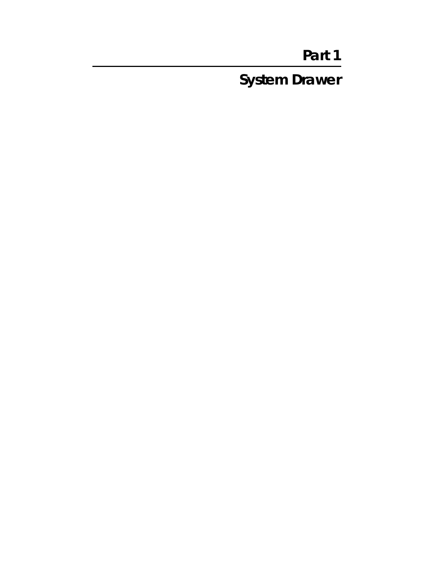# **Part 1**

**System Drawer**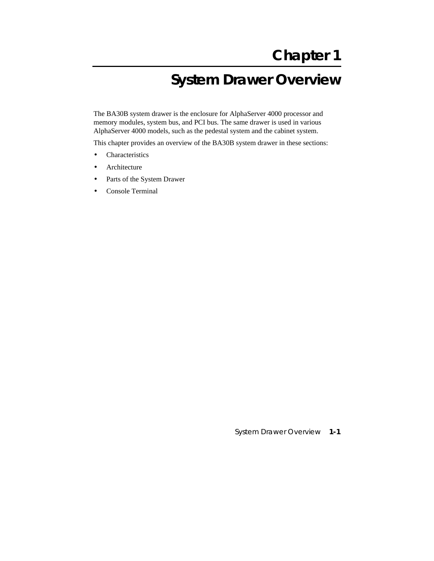# **System Drawer Overview**

The BA30B system drawer is the enclosure for AlphaServer 4000 processor and memory modules, system bus, and PCI bus. The same drawer is used in various AlphaServer 4000 models, such as the pedestal system and the cabinet system.

This chapter provides an overview of the BA30B system drawer in these sections:

- Characteristics
- **Architecture**
- Parts of the System Drawer
- Console Terminal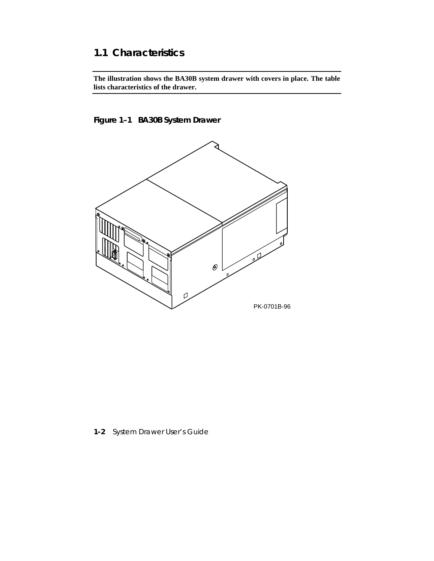# **1.1 Characteristics**

**The illustration shows the BA30B system drawer with covers in place. The table lists characteristics of the drawer.**

### **Figure 1–1 BA30B System Drawer**



**1-2** System Drawer User's Guide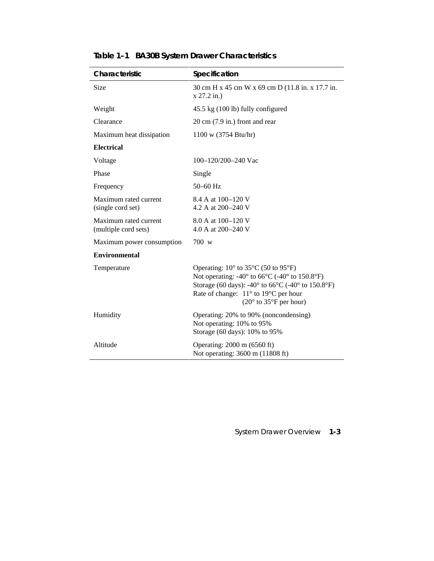| Characteristic                                | Specification                                                                                                                                                                                                                                                                                                                                       |  |
|-----------------------------------------------|-----------------------------------------------------------------------------------------------------------------------------------------------------------------------------------------------------------------------------------------------------------------------------------------------------------------------------------------------------|--|
| Size                                          | 30 cm H x 45 cm W x 69 cm D (11.8 in. x 17.7 in.<br>$x 27.2$ in.)                                                                                                                                                                                                                                                                                   |  |
| Weight                                        | 45.5 kg (100 lb) fully configured                                                                                                                                                                                                                                                                                                                   |  |
| Clearance                                     | $20 \text{ cm}$ (7.9 in.) front and rear                                                                                                                                                                                                                                                                                                            |  |
| Maximum heat dissipation                      | 1100 w (3754 Btu/hr)                                                                                                                                                                                                                                                                                                                                |  |
| <b>Electrical</b>                             |                                                                                                                                                                                                                                                                                                                                                     |  |
| Voltage                                       | 100-120/200-240 Vac                                                                                                                                                                                                                                                                                                                                 |  |
| Phase                                         | Single                                                                                                                                                                                                                                                                                                                                              |  |
| Frequency                                     | 50-60 Hz                                                                                                                                                                                                                                                                                                                                            |  |
| Maximum rated current<br>(single cord set)    | 8.4 A at 100–120 V<br>4.2 A at 200–240 V                                                                                                                                                                                                                                                                                                            |  |
| Maximum rated current<br>(multiple cord sets) | 8.0 A at 100–120 V<br>4.0 A at 200–240 V                                                                                                                                                                                                                                                                                                            |  |
| Maximum power consumption                     | 700 w                                                                                                                                                                                                                                                                                                                                               |  |
| <b>Environmental</b>                          |                                                                                                                                                                                                                                                                                                                                                     |  |
| Temperature                                   | Operating: $10^{\circ}$ to 35 $^{\circ}$ C (50 to 95 $^{\circ}$ F)<br>Not operating: -40 $\degree$ to 66 $\degree$ C (-40 $\degree$ to 150.8 $\degree$ F)<br>Storage (60 days): -40 $\degree$ to 66 $\degree$ C (-40 $\degree$ to 150.8 $\degree$ F)<br>Rate of change: $11^{\circ}$ to 19 $^{\circ}$ C per hour<br>$(20^{\circ}$ to 35°F per hour) |  |
| Humidity                                      | Operating: 20% to 90% (noncondensing)<br>Not operating: 10% to 95%<br>Storage (60 days): 10% to 95%                                                                                                                                                                                                                                                 |  |
| Altitude                                      | Operating: 2000 m (6560 ft)<br>Not operating: 3600 m (11808 ft)                                                                                                                                                                                                                                                                                     |  |

**Table 1–1 BA30B System Drawer Characteristics**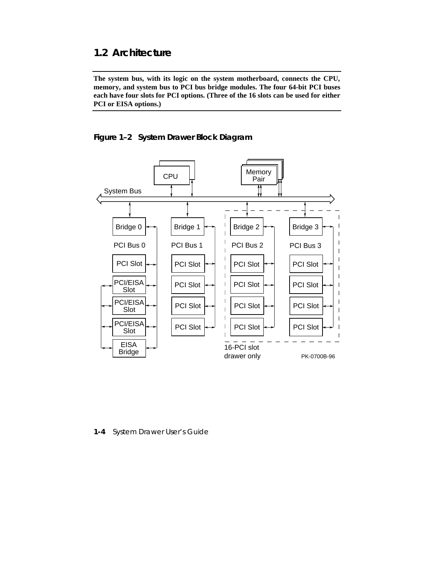# **1.2 Architecture**

**The system bus, with its logic on the system motherboard, connects the CPU, memory, and system bus to PCI bus bridge modules. The four 64-bit PCI buses each have four slots for PCI options. (Three of the 16 slots can be used for either PCI or EISA options.)**

**Figure 1–2 System Drawer Block Diagram**



**1-4** System Drawer User's Guide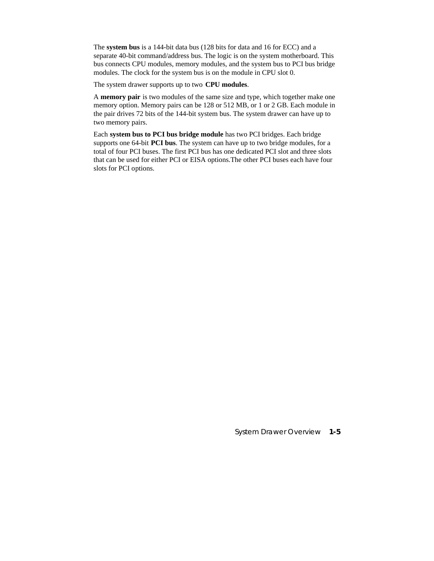The **system bus** is a 144-bit data bus (128 bits for data and 16 for ECC) and a separate 40-bit command/address bus. The logic is on the system motherboard. This bus connects CPU modules, memory modules, and the system bus to PCI bus bridge modules. The clock for the system bus is on the module in CPU slot 0.

The system drawer supports up to two **CPU modules**.

A **memory pair** is two modules of the same size and type, which together make one memory option. Memory pairs can be 128 or 512 MB, or 1 or 2 GB. Each module in the pair drives 72 bits of the 144-bit system bus. The system drawer can have up to two memory pairs.

Each **system bus to PCI bus bridge module** has two PCI bridges. Each bridge supports one 64-bit **PCI bus**. The system can have up to two bridge modules, for a total of four PCI buses. The first PCI bus has one dedicated PCI slot and three slots that can be used for either PCI or EISA options.The other PCI buses each have four slots for PCI options.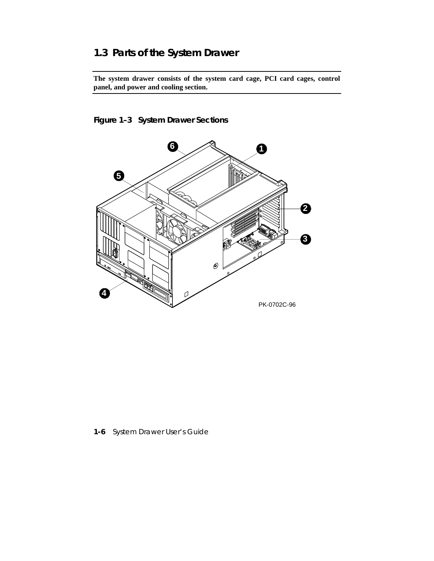# **1.3 Parts of the System Drawer**

**The system drawer consists of the system card cage, PCI card cages, control panel, and power and cooling section.**

### **Figure 1–3 System Drawer Sections**



**1-6** System Drawer User's Guide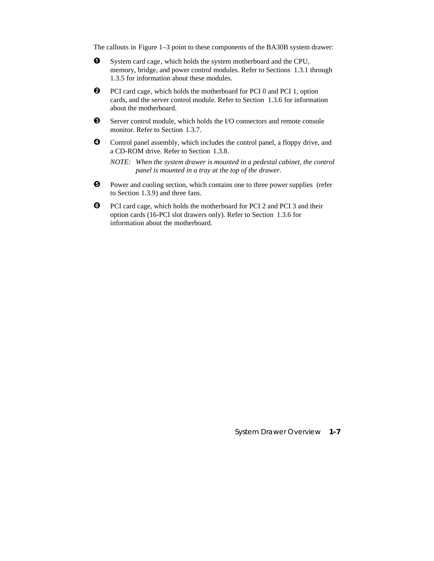The callouts in Figure 1–3 point to these components of the BA30B system drawer:

- $\bullet$  System card cage, which holds the system motherboard and the CPU, memory, bridge, and power control modules. Refer to Sections 1.3.1 through 1.3.5 for information about these modules.
- **2** PCI card cage, which holds the motherboard for PCI 0 and PCI 1, option cards, and the server control module. Refer to Section 1.3.6 for information about the motherboard.
- $\bullet$  Server control module, which holds the I/O connectors and remote console monitor. Refer to Section 1.3.7.
- $\bullet$  Control panel assembly, which includes the control panel, a floppy drive, and a CD-ROM drive. Refer to Section 1.3.8.

*NOTE: When the system drawer is mounted in a pedestal cabinet, the control panel is mounted in a tray at the top of the drawer.*

- ¶ Power and cooling section, which contains one to three power supplies (refer to Section 1.3.9) and three fans.
- · PCI card cage, which holds the motherboard for PCI 2 and PCI 3 and their option cards (16-PCI slot drawers only). Refer to Section 1.3.6 for information about the motherboard.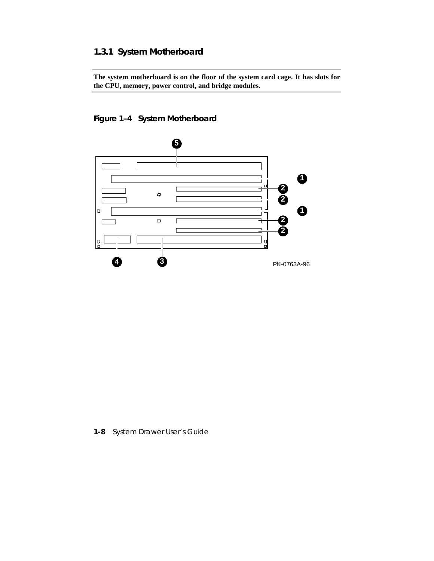# **1.3.1 System Motherboard**

**The system motherboard is on the floor of the system card cage. It has slots for the CPU, memory, power control, and bridge modules.**

# **Figure 1–4 System Motherboard**



**1-8** System Drawer User's Guide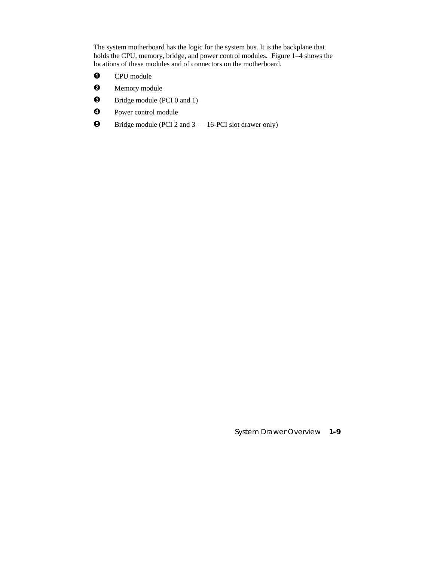The system motherboard has the logic for the system bus. It is the backplane that holds the CPU, memory, bridge, and power control modules. Figure 1–4 shows the locations of these modules and of connectors on the motherboard.

- **O** CPU module
- **2** Memory module
- $\bullet$  Bridge module (PCI 0 and 1)
- **4** Power control module
- $\bullet$  Bridge module (PCI 2 and 3  $-$  16-PCI slot drawer only)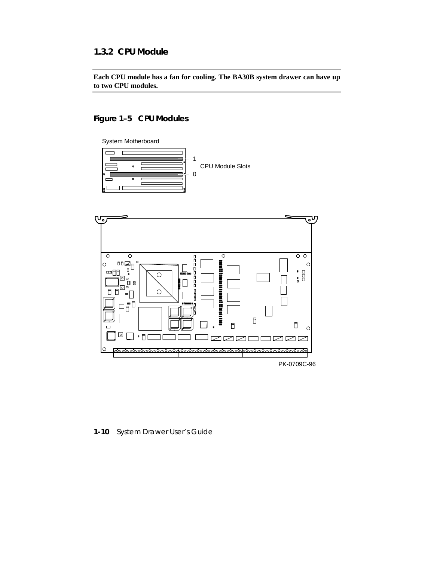### **1.3.2 CPU Module**

**Each CPU module has a fan for cooling. The BA30B system drawer can have up to two CPU modules.**

### **Figure 1–5 CPU Modules**



**1-10** System Drawer User's Guide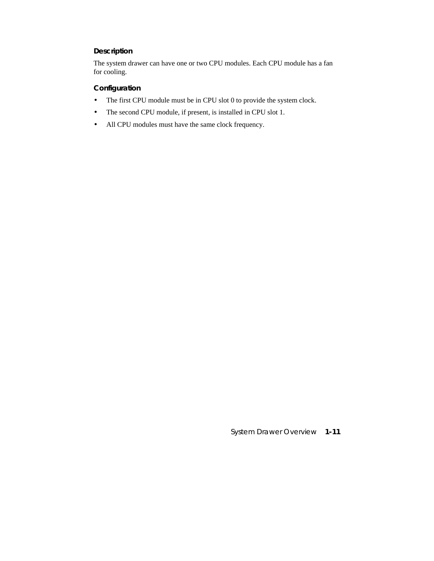#### **Description**

The system drawer can have one or two CPU modules. Each CPU module has a fan for cooling.

#### **Configuration**

- The first CPU module must be in CPU slot 0 to provide the system clock.
- The second CPU module, if present, is installed in CPU slot 1.
- All CPU modules must have the same clock frequency.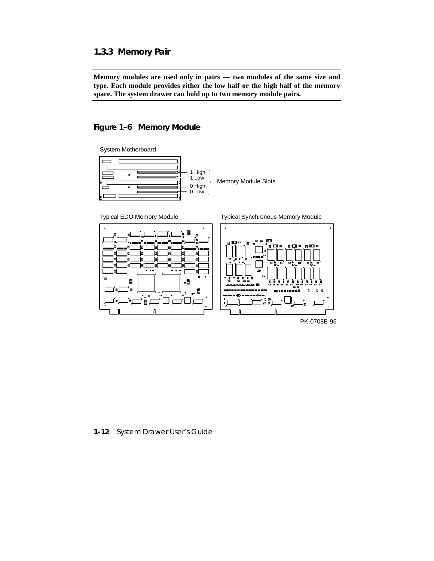### **1.3.3 Memory Pair**

**Memory modules are used only in pairs — two modules of the same size and type. Each module provides either the low half or the high half of the memory space. The system drawer can hold up to two memory module pairs.**

#### **Figure 1–6 Memory Module**

System Motherboard





PK-0708B-96

**1-12** System Drawer User's Guide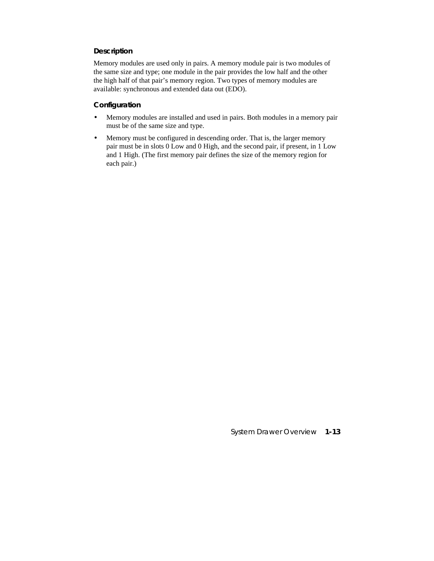#### **Description**

Memory modules are used only in pairs. A memory module pair is two modules of the same size and type; one module in the pair provides the low half and the other the high half of that pair's memory region. Two types of memory modules are available: synchronous and extended data out (EDO).

#### **Configuration**

- Memory modules are installed and used in pairs. Both modules in a memory pair must be of the same size and type.
- Memory must be configured in descending order. That is, the larger memory pair must be in slots 0 Low and 0 High, and the second pair, if present, in 1 Low and 1 High. (The first memory pair defines the size of the memory region for each pair.)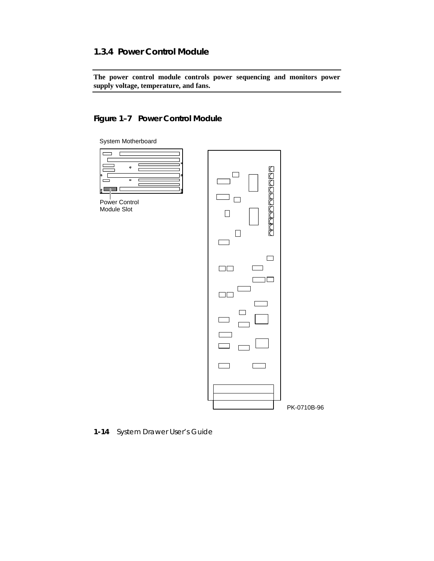### **1.3.4 Power Control Module**

**The power control module controls power sequencing and monitors power supply voltage, temperature, and fans.**

# **Figure 1–7 Power Control Module**





**1-14** System Drawer User's Guide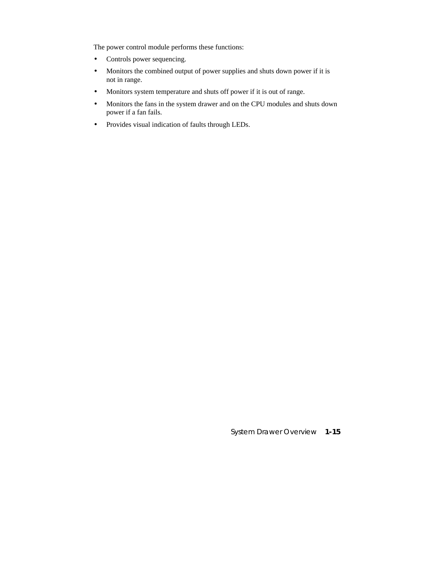The power control module performs these functions:

- Controls power sequencing.
- Monitors the combined output of power supplies and shuts down power if it is not in range.
- Monitors system temperature and shuts off power if it is out of range.
- Monitors the fans in the system drawer and on the CPU modules and shuts down power if a fan fails.
- Provides visual indication of faults through LEDs.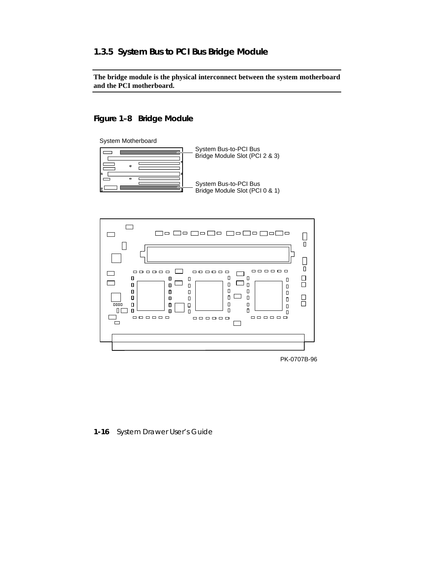### **1.3.5 System Bus to PCI Bus Bridge Module**

**The bridge module is the physical interconnect between the system motherboard and the PCI motherboard.**

### **Figure 1–8 Bridge Module**







PK-0707B-96

#### **1-16** System Drawer User's Guide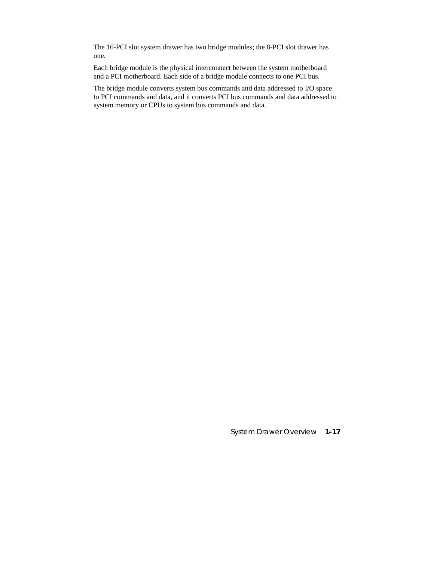The 16-PCI slot system drawer has two bridge modules; the 8-PCI slot drawer has one.

Each bridge module is the physical interconnect between the system motherboard and a PCI motherboard. Each side of a bridge module connects to one PCI bus.

The bridge module converts system bus commands and data addressed to I/O space to PCI commands and data, and it converts PCI bus commands and data addressed to system memory or CPUs to system bus commands and data.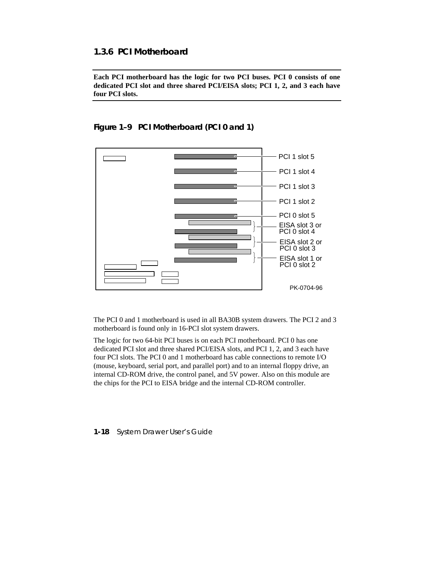### **1.3.6 PCI Motherboard**

**Each PCI motherboard has the logic for two PCI buses. PCI 0 consists of one dedicated PCI slot and three shared PCI/EISA slots; PCI 1, 2, and 3 each have four PCI slots.**



**Figure 1–9 PCI Motherboard (PCI 0 and 1)**

The PCI 0 and 1 motherboard is used in all BA30B system drawers. The PCI 2 and 3 motherboard is found only in 16-PCI slot system drawers.

The logic for two 64-bit PCI buses is on each PCI motherboard. PCI 0 has one dedicated PCI slot and three shared PCI/EISA slots, and PCI 1, 2, and 3 each have four PCI slots. The PCI 0 and 1 motherboard has cable connections to remote I/O (mouse, keyboard, serial port, and parallel port) and to an internal floppy drive, an internal CD-ROM drive, the control panel, and 5V power. Also on this module are the chips for the PCI to EISA bridge and the internal CD-ROM controller.

**1-18** System Drawer User's Guide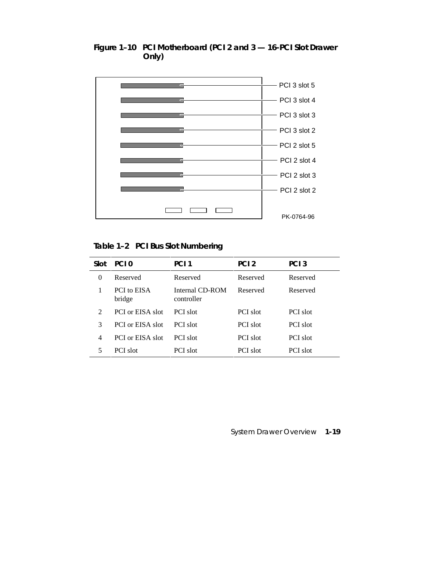

**Figure 1–10 PCI Motherboard (PCI 2 and 3 — 16-PCI Slot Drawer Only)**

**Table 1–2 PCI Bus Slot Numbering**

| Slot                        | PCI <sub>0</sub>             | PCI <sub>1</sub>              | PCI <sub>2</sub> | PCI <sub>3</sub> |
|-----------------------------|------------------------------|-------------------------------|------------------|------------------|
| 0                           | Reserved                     | Reserved                      | Reserved         | Reserved         |
|                             | <b>PCI</b> to EISA<br>bridge | Internal CD-ROM<br>controller | Reserved         | Reserved         |
| $\mathcal{D}_{\mathcal{L}}$ | PCI or EISA slot             | PCI slot                      | PCI slot         | PCI slot         |
| 3                           | PCI or EISA slot             | PCI slot                      | <b>PCI</b> slot  | <b>PCI</b> slot  |
| $\overline{4}$              | PCI or EISA slot             | PCI slot                      | PCI slot         | <b>PCI</b> slot  |
| 5                           | <b>PCI</b> slot              | <b>PCI</b> slot               | <b>PCI</b> slot  | <b>PCI</b> slot  |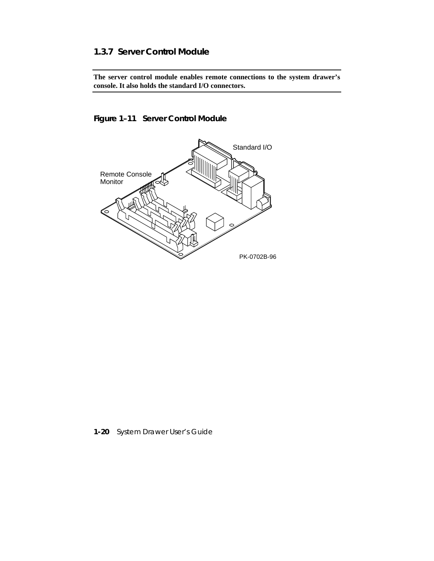### **1.3.7 Server Control Module**

**The server control module enables remote connections to the system drawer's console. It also holds the standard I/O connectors.**

# **Figure 1–11 Server Control Module**



**1-20** System Drawer User's Guide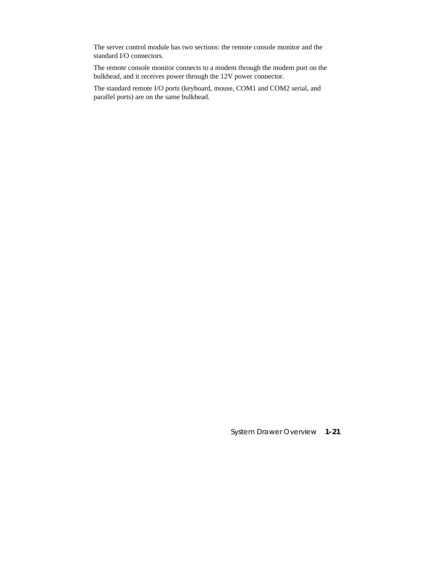The server control module has two sections: the remote console monitor and the standard I/O connectors.

The remote console monitor connects to a modem through the modem port on the bulkhead, and it receives power through the 12V power connector.

The standard remote I/O ports (keyboard, mouse, COM1 and COM2 serial, and parallel ports) are on the same bulkhead.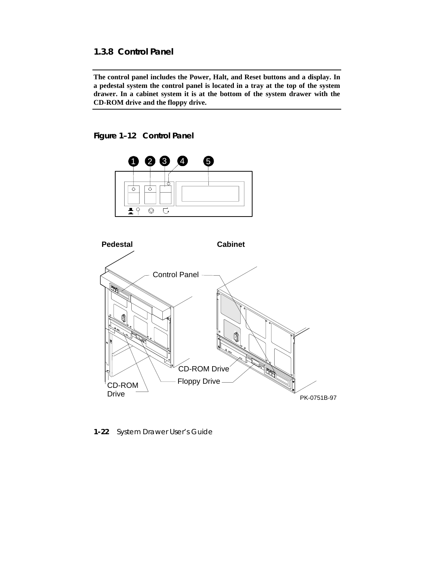### **1.3.8 Control Panel**

**The control panel includes the Power, Halt, and Reset buttons and a display. In a pedestal system the control panel is located in a tray at the top of the system drawer. In a cabinet system it is at the bottom of the system drawer with the CD-ROM drive and the floppy drive.**

### **Figure 1–12 Control Panel**



**1-22** System Drawer User's Guide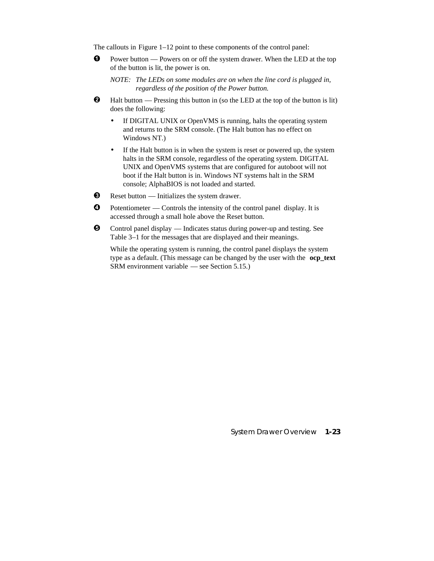The callouts in Figure 1–12 point to these components of the control panel:

- $\bullet$  Power button Powers on or off the system drawer. When the LED at the top of the button is lit, the power is on.
	- *NOTE: The LEDs on some modules are on when the line cord is plugged in, regardless of the position of the Power button.*
- $\bullet$  Halt button Pressing this button in (so the LED at the top of the button is lit) does the following:
	- If DIGITAL UNIX or OpenVMS is running, halts the operating system and returns to the SRM console. (The Halt button has no effect on Windows NT.)
	- If the Halt button is in when the system is reset or powered up, the system halts in the SRM console, regardless of the operating system. DIGITAL UNIX and OpenVMS systems that are configured for autoboot will not boot if the Halt button is in. Windows NT systems halt in the SRM console; AlphaBIOS is not loaded and started.
- $\odot$  Reset button Initializes the system drawer.
- $\bullet$  Potentiometer Controls the intensity of the control panel display. It is accessed through a small hole above the Reset button.
- $\Theta$  Control panel display Indicates status during power-up and testing. See Table 3–1 for the messages that are displayed and their meanings.

While the operating system is running, the control panel displays the system type as a default. (This message can be changed by the user with the **ocp\_text** SRM environment variable — see Section 5.15.)

System Drawer Overview **1-23**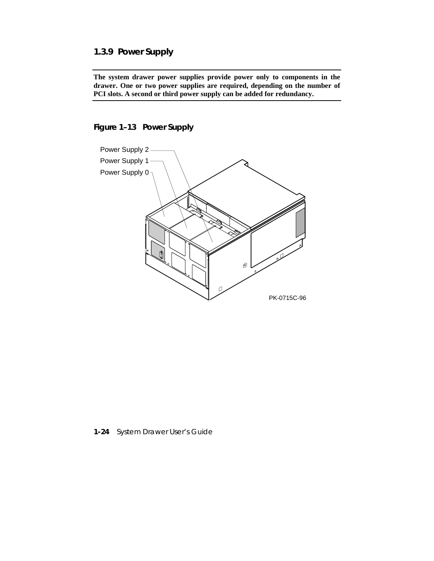# **1.3.9 Power Supply**

**The system drawer power supplies provide power only to components in the drawer. One or two power supplies are required, depending on the number of PCI slots. A second or third power supply can be added for redundancy.**

**Figure 1–13 Power Supply**



**1-24** System Drawer User's Guide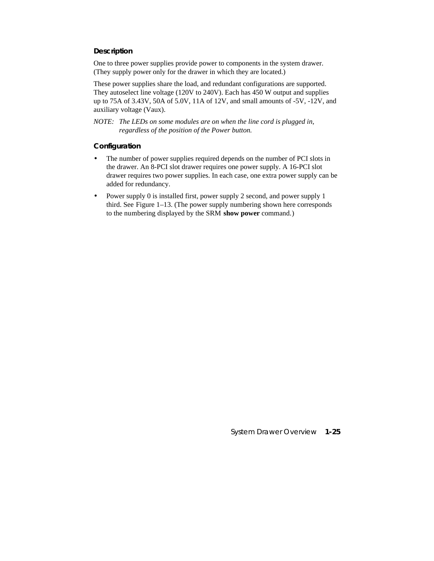#### **Description**

One to three power supplies provide power to components in the system drawer. (They supply power only for the drawer in which they are located.)

These power supplies share the load, and redundant configurations are supported. They autoselect line voltage (120V to 240V). Each has 450 W output and supplies up to 75A of 3.43V, 50A of 5.0V, 11A of 12V, and small amounts of -5V, -12V, and auxiliary voltage (Vaux).

*NOTE: The LEDs on some modules are on when the line cord is plugged in, regardless of the position of the Power button.*

#### **Configuration**

- The number of power supplies required depends on the number of PCI slots in the drawer. An 8-PCI slot drawer requires one power supply. A 16-PCI slot drawer requires two power supplies. In each case, one extra power supply can be added for redundancy.
- Power supply 0 is installed first, power supply 2 second, and power supply 1 third. See Figure 1–13. (The power supply numbering shown here corresponds to the numbering displayed by the SRM **show power** command.)

System Drawer Overview **1-25**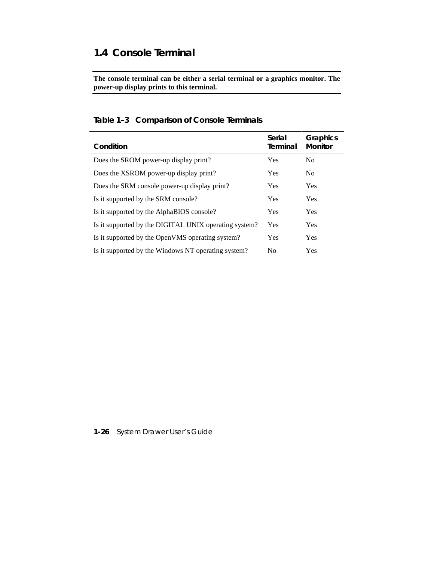# **1.4 Console Terminal**

**The console terminal can be either a serial terminal or a graphics monitor. The power-up display prints to this terminal.**

| Condition                                             | Serial<br>Terminal | Graphics<br><b>Monitor</b> |
|-------------------------------------------------------|--------------------|----------------------------|
| Does the SROM power-up display print?                 | Yes                | N <sub>0</sub>             |
| Does the XSROM power-up display print?                | Yes                | N <sub>0</sub>             |
| Does the SRM console power-up display print?          | Yes                | Yes                        |
| Is it supported by the SRM console?                   | Yes                | <b>Yes</b>                 |
| Is it supported by the AlphaBIOS console?             | Yes                | Yes                        |
| Is it supported by the DIGITAL UNIX operating system? | Yes                | <b>Yes</b>                 |
| Is it supported by the OpenVMS operating system?      | Yes                | <b>Yes</b>                 |
| Is it supported by the Windows NT operating system?   | N <sub>0</sub>     | Yes                        |

## **Table 1–3 Comparison of Console Terminals**

**1-26** System Drawer User's Guide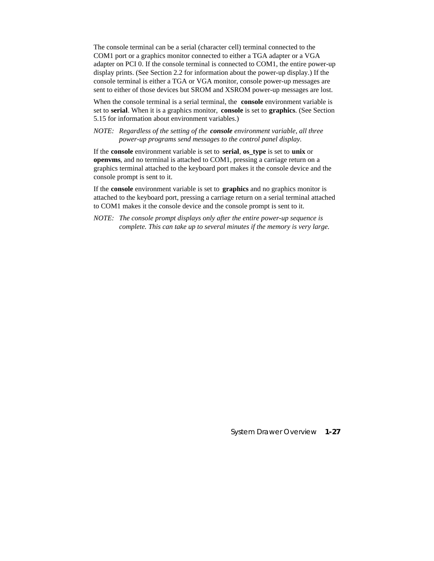The console terminal can be a serial (character cell) terminal connected to the COM1 port or a graphics monitor connected to either a TGA adapter or a VGA adapter on PCI 0. If the console terminal is connected to COM1, the entire power-up display prints. (See Section 2.2 for information about the power-up display.) If the console terminal is either a TGA or VGA monitor, console power-up messages are sent to either of those devices but SROM and XSROM power-up messages are lost.

When the console terminal is a serial terminal, the **console** environment variable is set to **serial**. When it is a graphics monitor, **console** is set to **graphics**. (See Section 5.15 for information about environment variables.)

*NOTE: Regardless of the setting of the console environment variable, all three power-up programs send messages to the control panel display.*

If the **console** environment variable is set to **serial**, **os\_type** is set to **unix** or **openvms**, and no terminal is attached to COM1, pressing a carriage return on a graphics terminal attached to the keyboard port makes it the console device and the console prompt is sent to it.

If the **console** environment variable is set to **graphics** and no graphics monitor is attached to the keyboard port, pressing a carriage return on a serial terminal attached to COM1 makes it the console device and the console prompt is sent to it.

*NOTE: The console prompt displays only after the entire power-up sequence is complete. This can take up to several minutes if the memory is very large.*

System Drawer Overview **1-27**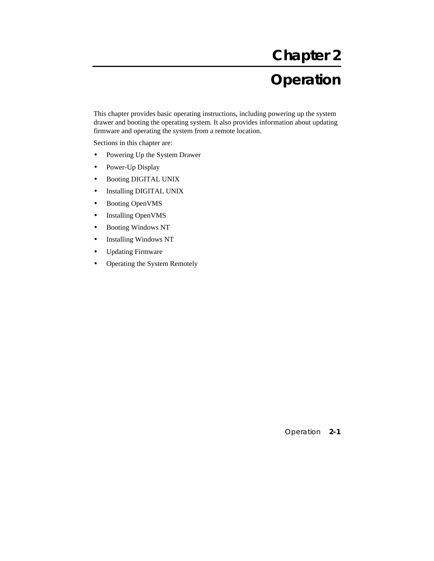# **Chapter 2 Operation**

This chapter provides basic operating instructions, including powering up the system drawer and booting the operating system. It also provides information about updating firmware and operating the system from a remote location.

Sections in this chapter are:

- Powering Up the System Drawer
- Power-Up Display
- Booting DIGITAL UNIX
- Installing DIGITAL UNIX
- Booting OpenVMS
- Installing OpenVMS
- Booting Windows NT
- Installing Windows NT
- Updating Firmware
- Operating the System Remotely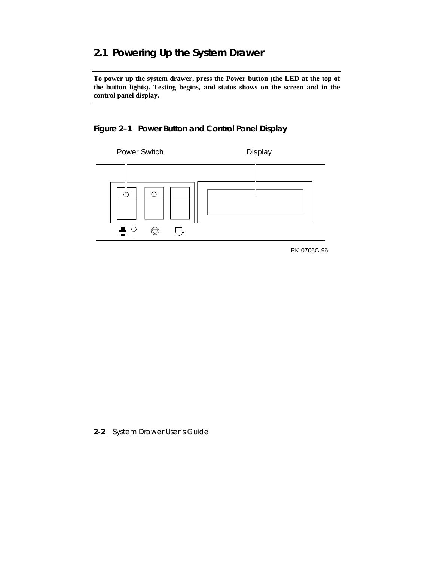# **2.1 Powering Up the System Drawer**

**To power up the system drawer, press the Power button (the LED at the top of the button lights). Testing begins, and status shows on the screen and in the control panel display.**

## **Figure 2–1 Power Button and Control Panel Display**



PK-0706C-96

**2-2** System Drawer User's Guide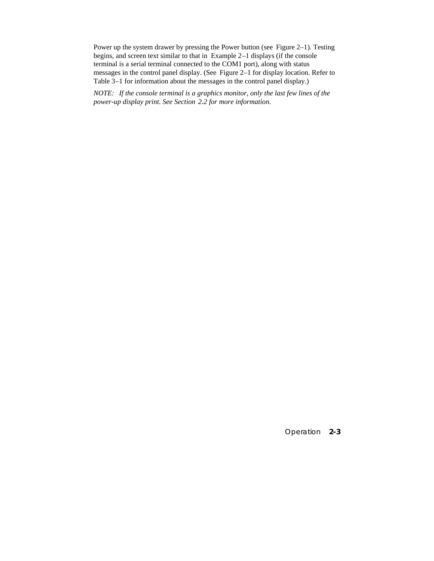Power up the system drawer by pressing the Power button (see Figure 2–1). Testing begins, and screen text similar to that in Example 2–1 displays (if the console terminal is a serial terminal connected to the COM1 port), along with status messages in the control panel display. (See Figure 2–1 for display location. Refer to Table 3–1 for information about the messages in the control panel display.)

*NOTE: If the console terminal is a graphics monitor, only the last few lines of the power-up display print. See Section 2.2 for more information.*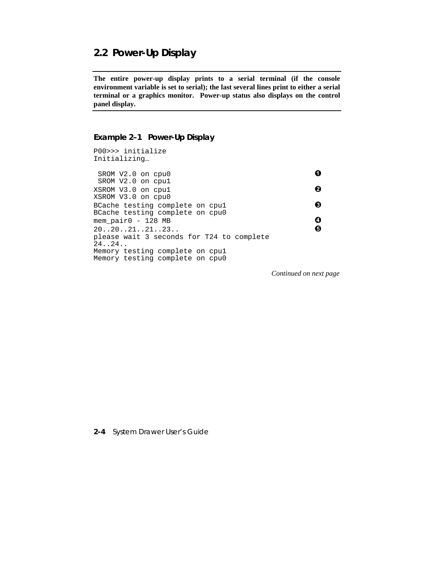# **2.2 Power-Up Display**

**The entire power-up display prints to a serial terminal (if the console environment variable is set to serial); the last several lines print to either a serial terminal or a graphics monitor. Power-up status also displays on the control panel display.**

#### **Example 2–1 Power-Up Display**

P00>>> initialize Initializing…  $SROM V2.0$  on cpu0  $\bullet$  SROM V2.0 on cpu1  $XSROM$  V3.0 on cpu1  $\bigcirc$ XSROM V3.0 on cpu0 BCache testing complete on  $cpu1$   $\qquad \qquad \bullet$ BCache testing complete on cpu0 mem\_pair0 - 128 MB<br>20..20..21..21..23.  $20..20..21..21..23..$ please wait 3 seconds for T24 to complete 24..24.. Memory testing complete on cpu1 Memory testing complete on cpu0

*Continued on next page*

**2-4** System Drawer User's Guide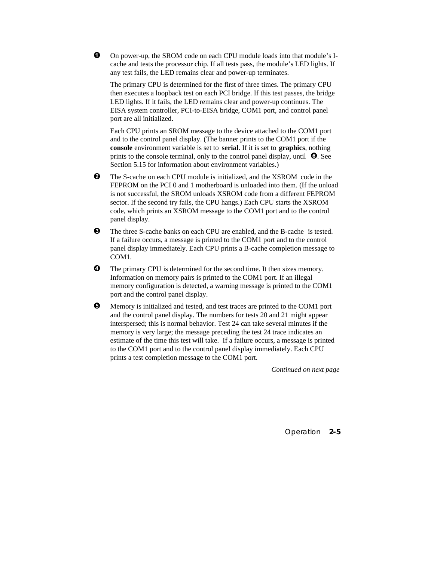$\bullet$  On power-up, the SROM code on each CPU module loads into that module's Icache and tests the processor chip. If all tests pass, the module's LED lights. If any test fails, the LED remains clear and power-up terminates.

The primary CPU is determined for the first of three times. The primary CPU then executes a loopback test on each PCI bridge. If this test passes, the bridge LED lights. If it fails, the LED remains clear and power-up continues. The EISA system controller, PCI-to-EISA bridge, COM1 port, and control panel port are all initialized.

Each CPU prints an SROM message to the device attached to the COM1 port and to the control panel display. (The banner prints to the COM1 port if the **console** environment variable is set to **serial**. If it is set to **graphics**, nothing prints to the console terminal, only to the control panel display, until  $\bullet$ . See Section 5.15 for information about environment variables.)

- **2** The S-cache on each CPU module is initialized, and the XSROM code in the FEPROM on the PCI 0 and 1 motherboard is unloaded into them. (If the unload is not successful, the SROM unloads XSROM code from a different FEPROM sector. If the second try fails, the CPU hangs.) Each CPU starts the XSROM code, which prints an XSROM message to the COM1 port and to the control panel display.
- $\bullet$  The three S-cache banks on each CPU are enabled, and the B-cache is tested. If a failure occurs, a message is printed to the COM1 port and to the control panel display immediately. Each CPU prints a B-cache completion message to COM1.
- $\bullet$  The primary CPU is determined for the second time. It then sizes memory. Information on memory pairs is printed to the COM1 port. If an illegal memory configuration is detected, a warning message is printed to the COM1 port and the control panel display.
- $\Theta$  Memory is initialized and tested, and test traces are printed to the COM1 port and the control panel display. The numbers for tests 20 and 21 might appear interspersed; this is normal behavior. Test 24 can take several minutes if the memory is very large; the message preceding the test 24 trace indicates an estimate of the time this test will take. If a failure occurs, a message is printed to the COM1 port and to the control panel display immediately. Each CPU prints a test completion message to the COM1 port.

*Continued on next page*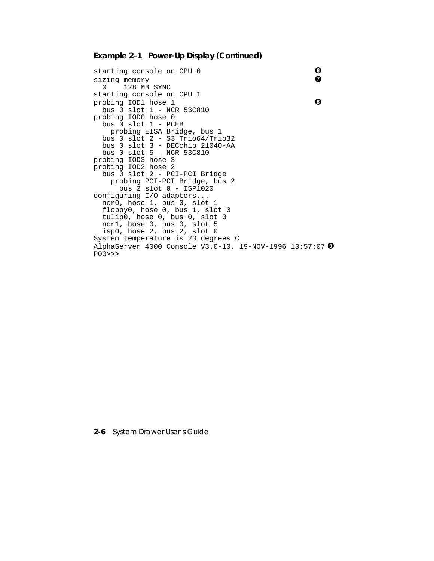#### **Example 2–1 Power-Up Display (Continued)**

```
starting console on CPU 0 0 o sizing memory 0 o
sizing memory
   0 128 MB SYNC
starting console on CPU 1
\mathbf  p probing IOD1 hose 1 \mathbf 0 bus 0 slot 1 - NCR 53C810
probing IOD0 hose 0
   bus 0 slot 1 - PCEB
    probing EISA Bridge, bus 1
 bus 0 slot 2 - S3 Trio64/Trio32
 bus 0 slot 3 - DECchip 21040-AA
 bus 0 slot 5 - NCR 53C810
probing IOD3 hose 3
probing IOD2 hose 2
   bus 0 slot 2 - PCI-PCI Bridge
     probing PCI-PCI Bridge, bus 2
      bus 2 slot 0 - ISP1020
configuring I/O adapters...
   ncr0, hose 1, bus 0, slot 1
   floppy0, hose 0, bus 1, slot 0
   tulip0, hose 0, bus 0, slot 3
 ncr1, hose 0, bus 0, slot 5
 isp0, hose 2, bus 2, slot 0
System temperature is 23 degrees C
AlphaServer 4000 Console V3.0-10, 19-NOV-1996 13:57:07 <sup>0</sup>
P00>>>
```
**2-6** System Drawer User's Guide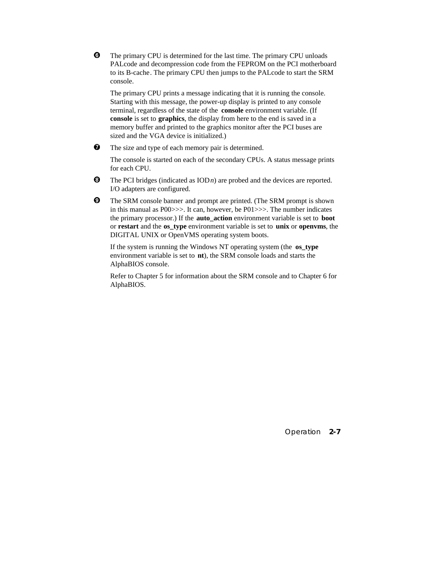· The primary CPU is determined for the last time. The primary CPU unloads PALcode and decompression code from the FEPROM on the PCI motherboard to its B-cache. The primary CPU then jumps to the PALcode to start the SRM console.

The primary CPU prints a message indicating that it is running the console. Starting with this message, the power-up display is printed to any console terminal, regardless of the state of the **console** environment variable. (If **console** is set to **graphics**, the display from here to the end is saved in a memory buffer and printed to the graphics monitor after the PCI buses are sized and the VGA device is initialized.)

 $\bullet$  The size and type of each memory pair is determined.

The console is started on each of the secondary CPUs. A status message prints for each CPU.

- $\Theta$  The PCI bridges (indicated as  $\text{IOD}n$ ) are probed and the devices are reported. I/O adapters are configured.
- º The SRM console banner and prompt are printed. (The SRM prompt is shown in this manual as P00>>>. It can, however, be P01>>>. The number indicates the primary processor.) If the **auto\_action** environment variable is set to **boot** or **restart** and the **os\_type** environment variable is set to **unix** or **openvms**, the DIGITAL UNIX or OpenVMS operating system boots.

If the system is running the Windows NT operating system (the **os\_type** environment variable is set to **nt**), the SRM console loads and starts the AlphaBIOS console.

Refer to Chapter 5 for information about the SRM console and to Chapter 6 for AlphaBIOS.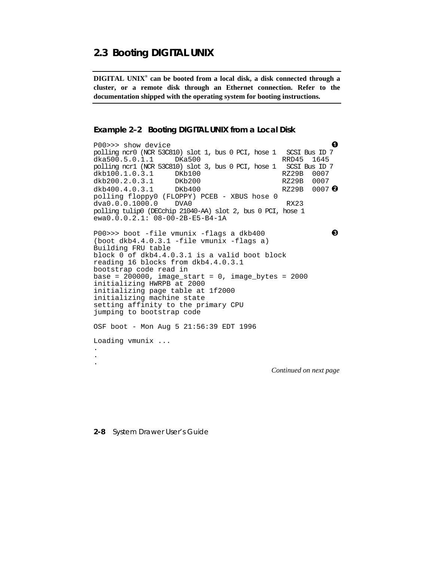# **2.3 Booting DIGITAL UNIX**

**DIGITAL UNIX® can be booted from a local disk, a disk connected through a cluster, or a remote disk through an Ethernet connection. Refer to the documentation shipped with the operating system for booting instructions.**

```
Example 2–2 Booting DIGITAL UNIX from a Local Disk
```
P00>>> show device<br>polling ncr0 (NCR 53C810) slot 1, bus 0 PCI, hose 1 SCSI Bus ID 7 polling ncr0 (NCR 53C810) slot 1, bus 0 PCI, hose 1 SCSI Bus ID 7 dka500.5.0.1.1 DKa500 RRD45 1645<br>polling ncrl (NCR 53C810) slot 3, bus 0 PCI, hose 1 SCSI Bus ID 7 polling ncr1 (NCR 53C810) slot 3, bus 0 PCI, hose 1 SCSI Bus ID dkb100.1.0.3.1 DKb100 dkb100.1.0.3.1 dkb200.2.0.3.1 DKb200 RZ29B 0007  $dkb400.4.0.3.1$  DKb400  $RZ29B$  0007  $\Theta$ polling floppy0 (FLOPPY) PCEB - XBUS hose 0 dva0.0.0.1000.0 DVA0 RX23 polling tulip0 (DECchip 21040-AA) slot 2, bus 0 PCI, hose 1 ewa0.0.0.2.1: 08-00-2B-E5-B4-1A  $P00 \rightarrow \gt{}$  boot -file vmunix -flags a dkb400  $\bullet$ (boot dkb4.4.0.3.1 -file vmunix -flags a) Building FRU table block 0 of dkb4.4.0.3.1 is a valid boot block reading 16 blocks from dkb4.4.0.3.1 bootstrap code read in  $base = 200000$ ,  $image\_start = 0$ ,  $image\_bytes = 2000$ initializing HWRPB at 2000 initializing page table at 1f2000 initializing machine state setting affinity to the primary CPU jumping to bootstrap code OSF boot - Mon Aug 5 21:56:39 EDT 1996 Loading vmunix ... . . . *Continued on next page*

**2-8** System Drawer User's Guide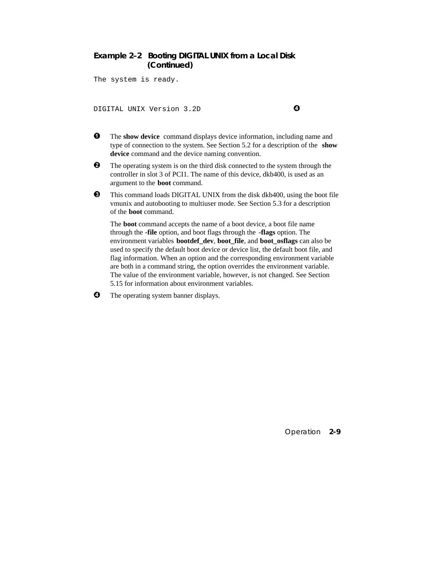### **Example 2–2 Booting DIGITAL UNIX from a Local Disk (Continued)**

The system is ready.

DIGITAL UNIX Version 3.2D **0** 

- $\bullet$  The **show device** command displays device information, including name and type of connection to the system. See Section 5.2 for a description of the **show device** command and the device naming convention.
- $\bullet$  The operating system is on the third disk connected to the system through the controller in slot 3 of PCI1. The name of this device, dkb400, is used as an argument to the **boot** command.
- $\bullet$  This command loads DIGITAL UNIX from the disk dkb400, using the boot file vmunix and autobooting to multiuser mode. See Section 5.3 for a description of the **boot** command.

The **boot** command accepts the name of a boot device, a boot file name through the **-file** option, and boot flags through the **-flags** option. The environment variables **bootdef\_dev**, **boot\_file**, and **boot\_osflags** can also be used to specify the default boot device or device list, the default boot file, and flag information. When an option and the corresponding environment variable are both in a command string, the option overrides the environment variable. The value of the environment variable, however, is not changed. See Section 5.15 for information about environment variables.

**4** The operating system banner displays.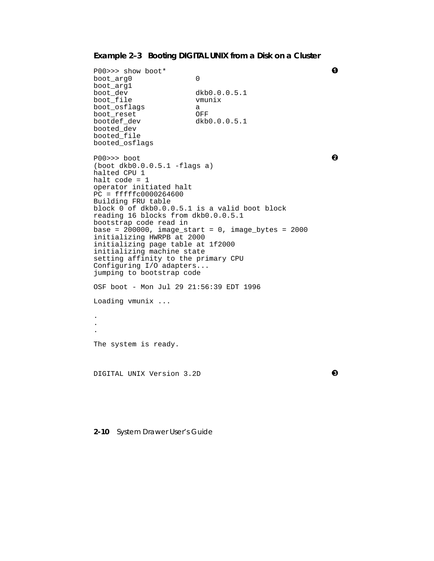# **Example 2–3 Booting DIGITAL UNIX from a Disk on a Cluster**

| P00>>> show boot*                                                                                                                                                                                                                                                                                                                                                                                                                                                               |                                                         | O |
|---------------------------------------------------------------------------------------------------------------------------------------------------------------------------------------------------------------------------------------------------------------------------------------------------------------------------------------------------------------------------------------------------------------------------------------------------------------------------------|---------------------------------------------------------|---|
| boot_arg0<br>boot_arg1<br>boot_dev<br>boot_file<br>boot_osflags<br>boot_reset<br>bootdef dev<br>booted_dev<br>booted_file<br>booted_osflags                                                                                                                                                                                                                                                                                                                                     | 0<br>dkb0.0.0.5.1<br>vmunix<br>a<br>OFF<br>dkb0.0.0.5.1 |   |
| $PO0>>$ boot<br>$(boot dkb0.0.0.5.1 -flags a)$<br>halted CPU 1<br>halt code = $1$<br>operator initiated halt<br>$PC = ffffc0000264600$<br>Building FRU table<br>block 0 of dkb0.0.0.5.1 is a valid boot block<br>reading 16 blocks from dkb0.0.0.5.1<br>bootstrap code read in<br>initializing HWRPB at 2000<br>initializing page table at 1f2000<br>initializing machine state<br>setting affinity to the primary CPU<br>Configuring I/O adapters<br>jumping to bootstrap code | base = $200000$ , image_start = 0, image_bytes = $2000$ | ค |
| OSF boot - Mon Jul 29 21:56:39 EDT 1996                                                                                                                                                                                                                                                                                                                                                                                                                                         |                                                         |   |
| Loading $v$ munix                                                                                                                                                                                                                                                                                                                                                                                                                                                               |                                                         |   |
|                                                                                                                                                                                                                                                                                                                                                                                                                                                                                 |                                                         |   |
|                                                                                                                                                                                                                                                                                                                                                                                                                                                                                 |                                                         |   |
| The system is ready.                                                                                                                                                                                                                                                                                                                                                                                                                                                            |                                                         |   |
| DIGITAL UNIX Version 3.2D                                                                                                                                                                                                                                                                                                                                                                                                                                                       |                                                         | ❸ |

**2-10** System Drawer User's Guide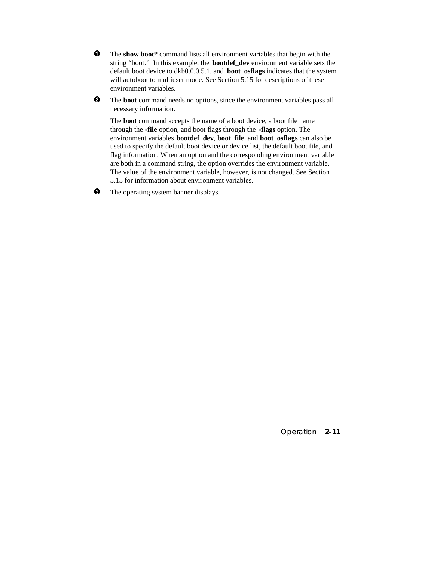- $\bullet$  The show boot\* command lists all environment variables that begin with the string "boot." In this example, the **bootdef\_dev** environment variable sets the default boot device to dkb0.0.0.5.1, and **boot\_osflags** indicates that the system will autoboot to multiuser mode. See Section 5.15 for descriptions of these environment variables.
- **2** The **boot** command needs no options, since the environment variables pass all necessary information.

The **boot** command accepts the name of a boot device, a boot file name through the **-file** option, and boot flags through the **-flags** option. The environment variables **bootdef\_dev**, **boot\_file**, and **boot\_osflags** can also be used to specify the default boot device or device list, the default boot file, and flag information. When an option and the corresponding environment variable are both in a command string, the option overrides the environment variable. The value of the environment variable, however, is not changed. See Section 5.15 for information about environment variables.

 $\bullet$  The operating system banner displays.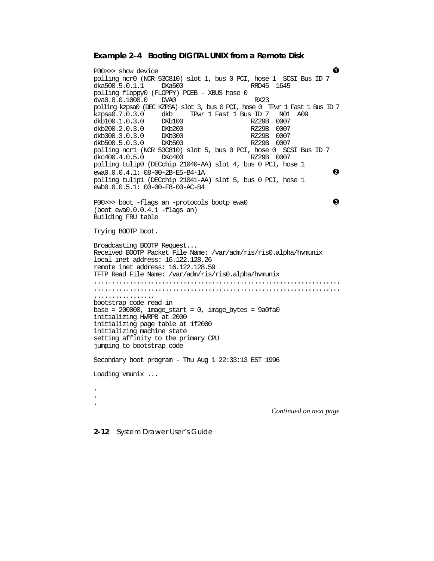#### **Example 2–4 Booting DIGITAL UNIX from a Remote Disk**

P00>>> show device polling ncr0 (NCR 53C810) slot 1, bus 0 PCI, hose 1 SCSI Bus ID 7 dka500.5.0.1.1 polling floppy0 (FLOPPY) PCEB - XBUS hose 0 dva0.0.0.1000.0 DVA0 RX23 polling kzpsa0 (DEC KZPSA) slot 3, bus 0 PCI, hose 0 TPwr 1 Fast 1 Bus ID 7 kzpsa0.7.0.3.0 dkb TPwr 1 Fast 1 Bus ID 7 N01 A09 dkb100.1.0.3.0 DKb100 RZ29B 0007 dkb200.2.0.3.0 DKb200 RZ29B 0007 dkb300.3.0.3.0 DKb300 RZ29B 0007 dkb500.5.0.3.0 polling ncr1 (NCR 53C810) slot 5, bus 0 PCI, hose 0 SCSI Bus ID 7  $dkc400.4.0.5.0$  DK $c400$ polling tulip0 (DECchip 21040-AA) slot 4, bus 0 PCI, hose 1  $e$ wa $0.0.0.4.1: 08-00-2B-E5-B4-1A$   $\odot$ polling tulip1 (DECchip 21041-AA) slot 5, bus 0 PCI, hose 1 ewb0.0.0.5.1: 00-00-F8-00-AC-B4 P00>>> boot -flags an -protocols bootp ewa0 ´ (boot ewa0.0.0.4.1 -flags an) Building FRU table Trying BOOTP boot. Broadcasting BOOTP Request... Received BOOTP Packet File Name: /var/adm/ris/ris0.alpha/hvmunix local inet address: 16.122.128.26 remote inet address: 16.122.128.59 TFTP Read File Name: /var/adm/ris/ris0.alpha/hvmunix ..................................................................... ..................................................................... ................. bootstrap code read in  $base = 200000$ , image\_start = 0, image\_bytes =  $9a0fa0$ initializing HWRPB at 2000 initializing page table at 1f2000 initializing machine state setting affinity to the primary CPU jumping to bootstrap code Secondary boot program - Thu Aug 1 22:33:13 EST 1996 Loading vmunix ... . . . *Continued on next page*

**2-12** System Drawer User's Guide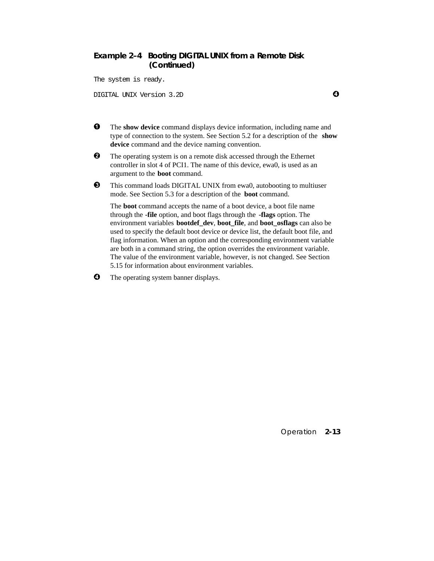#### **Example 2–4 Booting DIGITAL UNIX from a Remote Disk (Continued)**

The system is ready.

DIGITAL UNIX Version 3.2D µ

 $\bullet$  The **show device** command displays device information, including name and type of connection to the system. See Section 5.2 for a description of the **show device** command and the device naming convention.

- **2** The operating system is on a remote disk accessed through the Ethernet controller in slot 4 of PCI1. The name of this device, ewa0, is used as an argument to the **boot** command.
- $\bullet$  This command loads DIGITAL UNIX from ewa0, autobooting to multiuser mode. See Section 5.3 for a description of the **boot** command.

The **boot** command accepts the name of a boot device, a boot file name through the **-file** option, and boot flags through the **-flags** option. The environment variables **bootdef\_dev**, **boot\_file**, and **boot\_osflags** can also be used to specify the default boot device or device list, the default boot file, and flag information. When an option and the corresponding environment variable are both in a command string, the option overrides the environment variable. The value of the environment variable, however, is not changed. See Section 5.15 for information about environment variables.

 $\bullet$  The operating system banner displays.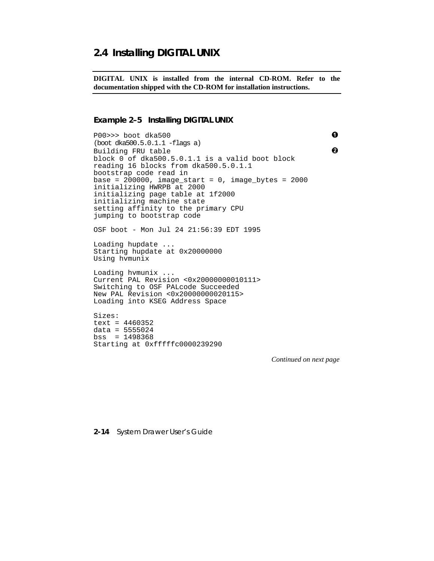# **2.4 Installing DIGITAL UNIX**

**DIGITAL UNIX is installed from the internal CD-ROM. Refer to the documentation shipped with the CD-ROM for installation instructions.**

#### **Example 2–5 Installing DIGITAL UNIX**

P00>>> boot dka500 ² (boot dka500.5.0.1.1 -flags a) Building FRU table **3** block 0 of dka500.5.0.1.1 is a valid boot block reading 16 blocks from dka500.5.0.1.1 bootstrap code read in base =  $200000$ , image\_start =  $0$ , image\_bytes =  $2000$ initializing HWRPB at 2000 initializing page table at 1f2000 initializing machine state setting affinity to the primary CPU jumping to bootstrap code OSF boot - Mon Jul 24 21:56:39 EDT 1995 Loading hupdate ... Starting hupdate at 0x20000000 Using hvmunix Loading hvmunix ... Current PAL Revision <0x20000000010111> Switching to OSF PALcode Succeeded New PAL Revision <0x20000000020115> Loading into KSEG Address Space Sizes: text = 4460352 data = 5555024 bss = 1498368 Starting at 0xfffffc0000239290

*Continued on next page*

**2-14** System Drawer User's Guide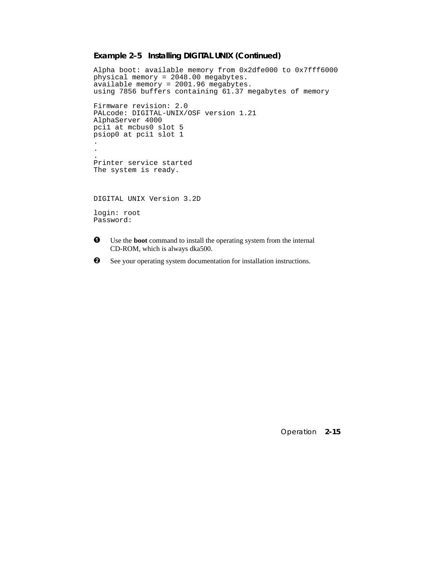#### **Example 2–5 Installing DIGITAL UNIX (Continued)**

```
Alpha boot: available memory from 0x2dfe000 to 0x7fff6000
physical memory = 2048.00 megabytes.
available memory = 2001.96 megabytes.
using 7856 buffers containing 61.37 megabytes of memory
Firmware revision: 2.0
PALcode: DIGITAL-UNIX/OSF version 1.21
AlphaServer 4000
pci1 at mcbus0 slot 5
psiop0 at pci1 slot 1
.
.
.
Printer service started
The system is ready.
DIGITAL UNIX Version 3.2D
login: root
Password:
\bullet Use the boot command to install the operating system from the internal
```
- CD-ROM, which is always dka500.
- $\odot$  See your operating system documentation for installation instructions.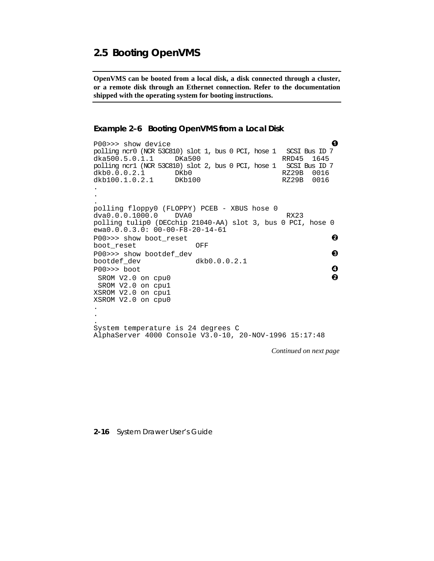# **2.5 Booting OpenVMS**

**OpenVMS can be booted from a local disk, a disk connected through a cluster, or a remote disk through an Ethernet connection. Refer to the documentation shipped with the operating system for booting instructions.**

```
Example 2–6 Booting OpenVMS from a Local Disk
```
P00>>> show device<br>polling ncr0 (NCR 53C810) slot 1, bus 0 PCI, hose 1 SCSI Bus ID 7 polling ncr0 (NCR 53C810) slot 1, bus 0 PCI, hose 1 SCSI Bus ID 7 dka500.5.0.1.1 polling ncr1 (NCR 53C810) slot 2, bus 0 PCI, hose 1 SCSI Bus ID 7 dkb0.0.0.2.1 DKb0 RZ29B 0016<br>dkb100.1.0.2.1 DKb100 RZ29B 0016 dkb100.1.0.2.1 . . . polling floppy0 (FLOPPY) PCEB - XBUS hose 0<br>dva0.0.0.1000.0 DVA0 dva0.0.0.1000.0 DVA0 RX23 polling tulip0 (DECchip 21040-AA) slot 3, bus 0 PCI, hose 0 ewa0.0.0.3.0: 00-00-F8-20-14-61 P00>>> show boot\_reset  $\bullet$ boot\_reset OFF P00>>> show bootdef\_dev ´ bootdef\_dev dkb0.0.0.2.1  $PO0>>>$  boot  $Q$  $SROM V2.0$  on cpu0  $\bigcirc$  SROM V2.0 on cpu1 XSROM V2.0 on cpu1 XSROM V2.0 on cpu0 . . . System temperature is 24 degrees C AlphaServer 4000 Console V3.0-10, 20-NOV-1996 15:17:48

*Continued on next page*

#### **2-16** System Drawer User's Guide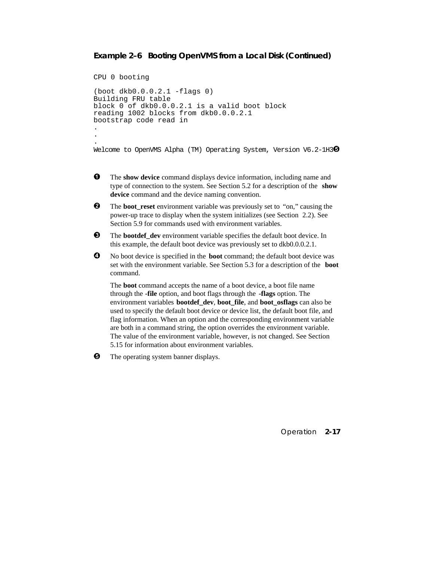#### **Example 2–6 Booting OpenVMS from a Local Disk (Continued)**

```
CPU 0 booting
(boot dkb0.0.0.2.1 -flags 0)
Building FRU table
block 0 of dkb0.0.0.2.1 is a valid boot block
reading 1002 blocks from dkb0.0.0.2.1
bootstrap code read in
.
.
.
Welcome to OpenVMS Alpha (TM) Operating System, Version V6.2-1H3\bullet
```
- $\bullet$  The show device command displays device information, including name and type of connection to the system. See Section 5.2 for a description of the **show device** command and the device naming convention.
- **2** The **boot\_reset** environment variable was previously set to "on," causing the power-up trace to display when the system initializes (see Section 2.2). See Section 5.9 for commands used with environment variables.
- $\Theta$  The **bootdef** dev environment variable specifies the default boot device. In this example, the default boot device was previously set to dkb0.0.0.2.1.
- $\bullet$  No boot device is specified in the **boot** command; the default boot device was set with the environment variable. See Section 5.3 for a description of the **boot** command.

The **boot** command accepts the name of a boot device, a boot file name through the **-file** option, and boot flags through the **-flags** option. The environment variables **bootdef\_dev**, **boot\_file**, and **boot\_osflags** can also be used to specify the default boot device or device list, the default boot file, and flag information. When an option and the corresponding environment variable are both in a command string, the option overrides the environment variable. The value of the environment variable, however, is not changed. See Section 5.15 for information about environment variables.

 $\Theta$  The operating system banner displays.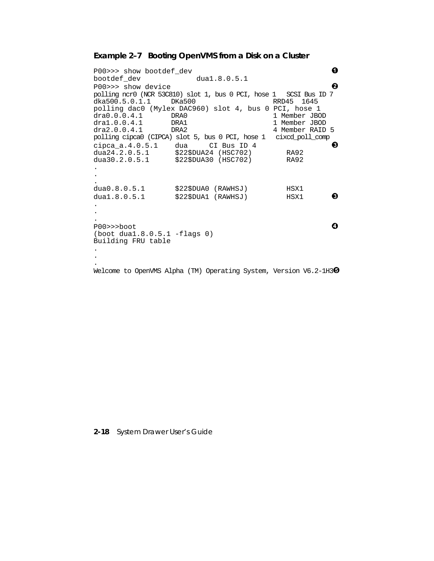#### **Example 2–7 Booting OpenVMS from a Disk on a Cluster**

 $P00 \rightarrow \rightarrow$  show bootdef\_dev  $dual.8.0.5.1$   $Q$ bootdef\_dev P00>>> show device **a** polling ncr0 (NCR 53C810) slot 1, bus 0 PCI, hose 1 SCSI Bus ID 7 dka500.5.0.1.1 polling dac0 (Mylex DAC960) slot 4, bus 0 PCI, hose 1 1 Member JBOD dra1.0.0.4.1 DRA1 1 Member JBOD dra2.0.0.4.1 DRA2 4 Member RAID 5 polling cipca0 (CIPCA) slot 5, bus 0 PCI, hose 1 cixcd\_poll\_comp  $\frac{1}{2}$  cipca\_a.4.0.5.1 dua CI Bus ID 4<br>dua24.2.0.5.1 \$22\$DUA24 (HSC702) RA92 dua24.2.0.5.1 \$22\$DUA24 (HSC702) RA92<br>dua30.2.0.5.1 \$22\$DUA30 (HSC702) RA92  $$22$DUA30 (HSC702)$ . . . dua0.8.0.5.1 \$22\$DUA0 (RAWHSJ) HSX1  $dual.8.0.5.1$   $$22$DUAL (RAWHSJ)$   $HSX1$   $\bigodot$ . . . P00>>>boot **0** (boot dua1.8.0.5.1 -flags 0) Building FRU table . . .

Welcome to OpenVMS Alpha (TM) Operating System, Version V6.2-1H3<sup>0</sup>

**2-18** System Drawer User's Guide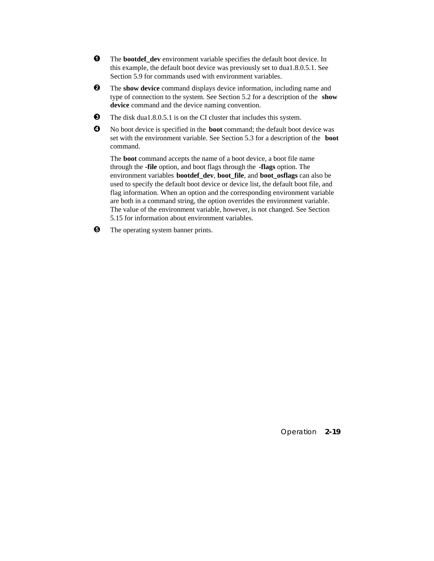- $\bullet$  The **bootdef** dev environment variable specifies the default boot device. In this example, the default boot device was previously set to dua1.8.0.5.1. See Section 5.9 for commands used with environment variables.
- **2** The show device command displays device information, including name and type of connection to the system. See Section 5.2 for a description of the **show device** command and the device naming convention.
- $\bullet$  The disk dua1.8.0.5.1 is on the CI cluster that includes this system.
- µ No boot device is specified in the **boot** command; the default boot device was set with the environment variable. See Section 5.3 for a description of the **boot** command.

The **boot** command accepts the name of a boot device, a boot file name through the **-file** option, and boot flags through the **-flags** option. The environment variables **bootdef\_dev**, **boot\_file**, and **boot\_osflags** can also be used to specify the default boot device or device list, the default boot file, and flag information. When an option and the corresponding environment variable are both in a command string, the option overrides the environment variable. The value of the environment variable, however, is not changed. See Section 5.15 for information about environment variables.

 $\Theta$  The operating system banner prints.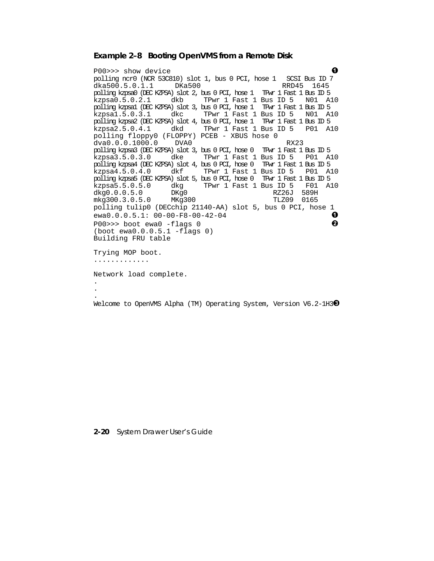#### **Example 2–8 Booting OpenVMS from a Remote Disk**

P00>>> show device<br>polling ncr0 (NCR 53C810) slot 1, bus 0 PCI, hose 1 SCSI Bus ID 7 polling ncr0 (NCR 53C810) slot 1, bus 0 PCI, hose 1 SCSI Bus ID 7 dka500.5.0.1.1 DKa500 polling kzpsa0 (DEC KZPSA) slot 2, bus 0 PCI, hose 1 TPwr 1 Fast 1 Bus ID 5 TPwr 1 Fast 1 Bus ID 5 N01 A10 polling kzpsa1 (DEC KZPSA) slot 3, bus 0 PCI, hose 1 TPwr 1 Fast 1 Bus ID 5 TPwr 1 Fast 1 Bus ID 5 N01 A10 polling kzpsa2 (DEC KZPSA) slot 4, bus 0 PCI, hose 1 TPwr 1 Fast 1 Bus ID 5 TPwr 1 Fast 1 Bus ID 5 P01 A10 polling floppy0 (FLOPPY) PCEB - XBUS hose 0<br>dva0.0.0.1000.0 DVA0 dva0.0.0.1000.0 DVA0 RX23 polling kzpsa3 (DEC KZPSA) slot 3, bus 0 PCI, hose 0 TPwr 1 Fast 1 Bus ID 5 kzpsa3.5.0.3.0 dke TPwr 1 Fast 1 Bus ID 5 P01 A10 polling kzpsa4 (DEC KZPSA) slot 4, bus 0 PCI, hose 0 TPwr 1 Fast 1 Bus ID 5 kzpsa4.5.0.4.0 dkf TPwr 1 Fast 1 Bus ID 5 P01 A10 polling kzpsa5 (DEC KZPSA) slot 5, bus 0 PCI, hose 0 TPwr 1 Fast 1 Bus ID 5 kzpsa5.5.0.5.0 dkg TPwr 1 Fast 1 Bus ID 5 F01 A10 dkg0.0.0.5.0 DKg0 RZ26J 589H mkg300.3.0.5.0 MKg300 polling tulip0 (DECchip 21140-AA) slot 5, bus 0 PCI, hose 1  $ewa0.0.0.5.1: 00-00-F8-00-42-04$   $\bullet$  $P00 \rightarrow \rightarrow$  boot ewa $0$  -flags  $0$ (boot ewa0.0.0.5.1 -flags 0) Building FRU table Trying MOP boot. ............. Network load complete. . .

Welcome to OpenVMS Alpha (TM) Operating System, Version V6.2-1H3<sup>6</sup>

**2-20** System Drawer User's Guide

.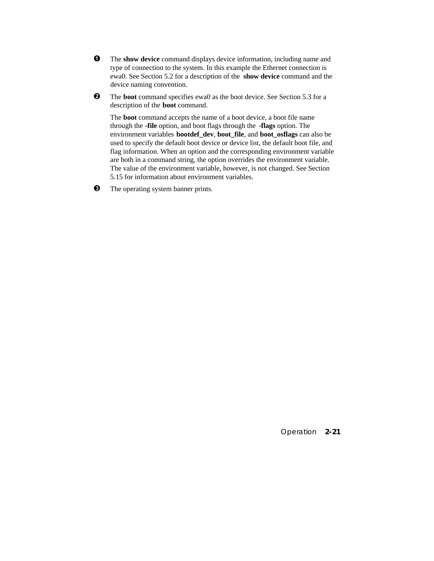- $\bullet$  The **show device** command displays device information, including name and type of connection to the system. In this example the Ethernet connection is ewa0. See Section 5.2 for a description of the **show device** command and the device naming convention.
- **2** The **boot** command specifies ewa0 as the boot device. See Section 5.3 for a description of the **boot** command.

The **boot** command accepts the name of a boot device, a boot file name through the **-file** option, and boot flags through the **-flags** option. The environment variables **bootdef\_dev**, **boot\_file**, and **boot\_osflags** can also be used to specify the default boot device or device list, the default boot file, and flag information. When an option and the corresponding environment variable are both in a command string, the option overrides the environment variable. The value of the environment variable, however, is not changed. See Section 5.15 for information about environment variables.

 $\Theta$  The operating system banner prints.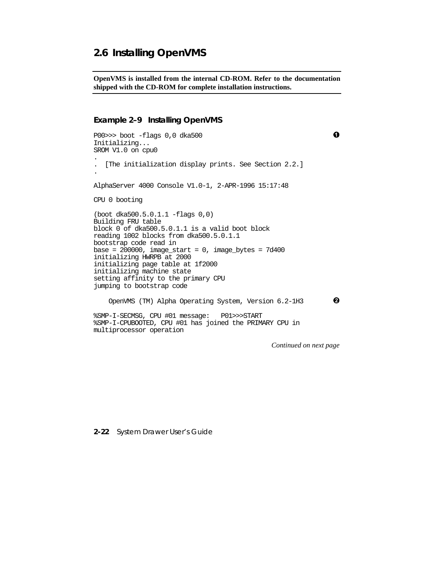# **2.6 Installing OpenVMS**

**OpenVMS is installed from the internal CD-ROM. Refer to the documentation shipped with the CD-ROM for complete installation instructions.**

#### **Example 2–9 Installing OpenVMS**

```
P00>>> boot -flags 0,0 dka500 ²
Initializing...
SROM V1.0 on cpu0
.
. [The initialization display prints. See Section 2.2.]
.
AlphaServer 4000 Console V1.0-1, 2-APR-1996 15:17:48
CPU 0 booting
(boot dka500.5.0.1.1 -flags 0,0)
Building FRU table
block 0 of dka500.5.0.1.1 is a valid boot block
reading 1002 blocks from dka500.5.0.1.1
bootstrap code read in
base = 200000, image start = 0, image bytes = 7d400initializing HWRPB at 2000
initializing page table at 1f2000
initializing machine state
setting affinity to the primary CPU
jumping to bootstrap code
   OpenVMS (TM) Alpha Operating System, Version 6.2-1H3 \bullet%SMP-I-SECMSG, CPU #01 message: P01>>>START
%SMP-I-CPUBOOTED, CPU #01 has joined the PRIMARY CPU in
multiprocessor operation
                                              Continued on next page
```
**2-22** System Drawer User's Guide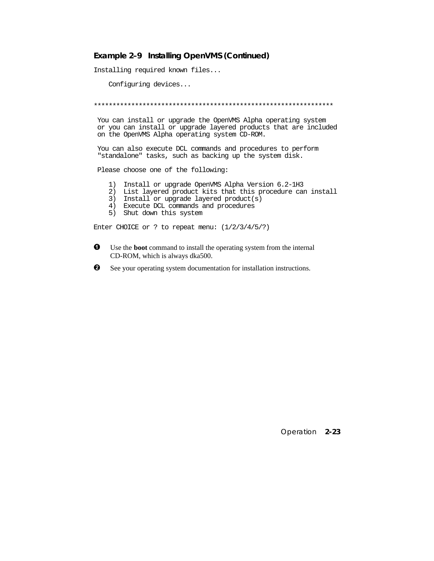#### **Example 2–9 Installing OpenVMS (Continued)**

Installing required known files...

Configuring devices...

\*\*\*\*\*\*\*\*\*\*\*\*\*\*\*\*\*\*\*\*\*\*\*\*\*\*\*\*\*\*\*\*\*\*\*\*\*\*\*\*\*\*\*\*\*\*\*\*\*\*\*\*\*\*\*\*\*\*\*\*\*\*\*\*

 You can install or upgrade the OpenVMS Alpha operating system or you can install or upgrade layered products that are included on the OpenVMS Alpha operating system CD-ROM.

 You can also execute DCL commands and procedures to perform "standalone" tasks, such as backing up the system disk.

Please choose one of the following:

- 1) Install or upgrade OpenVMS Alpha Version 6.2-1H3
- 2) List layered product kits that this procedure can install
- 3) Install or upgrade layered product(s)
- 4) Execute DCL commands and procedures
- 5) Shut down this system

Enter CHOICE or ? to repeat menu: (1/2/3/4/5/?)

- $\bullet$  Use the **boot** command to install the operating system from the internal CD-ROM, which is always dka500.
- $\bullet$  See your operating system documentation for installation instructions.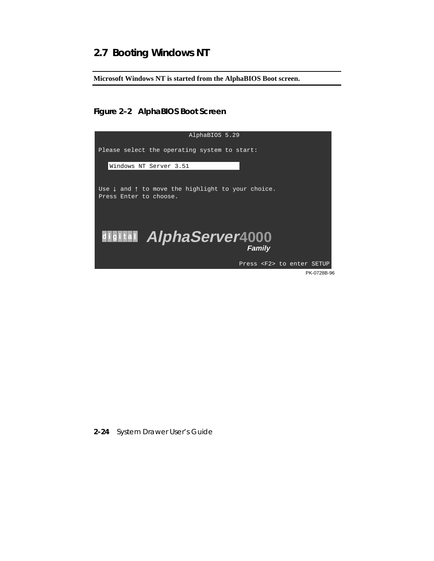# **2.7 Booting Windows NT**

**Microsoft Windows NT is started from the AlphaBIOS Boot screen.**

## **Figure 2–2 AlphaBIOS Boot Screen**



**2-24** System Drawer User's Guide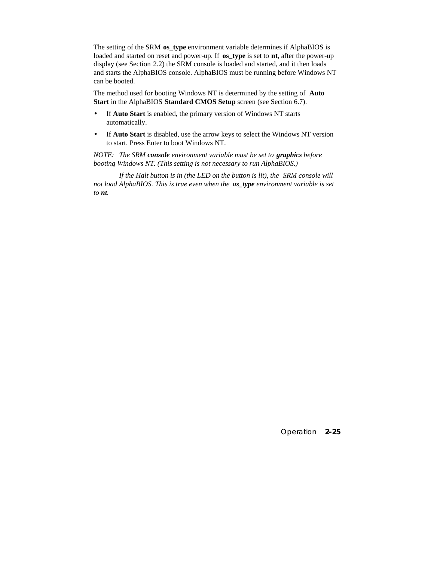The setting of the SRM **os\_type** environment variable determines if AlphaBIOS is loaded and started on reset and power-up. If **os** type is set to **nt**, after the power-up display (see Section 2.2) the SRM console is loaded and started, and it then loads and starts the AlphaBIOS console. AlphaBIOS must be running before Windows NT can be booted.

The method used for booting Windows NT is determined by the setting of **Auto Start** in the AlphaBIOS **Standard CMOS Setup** screen (see Section 6.7).

- If **Auto Start** is enabled, the primary version of Windows NT starts automatically.
- If **Auto Start** is disabled, use the arrow keys to select the Windows NT version to start. Press Enter to boot Windows NT.

*NOTE: The SRM console environment variable must be set to graphics before booting Windows NT. (This setting is not necessary to run AlphaBIOS.)*

*If the Halt button is in (the LED on the button is lit), the SRM console will not load AlphaBIOS. This is true even when the os\_type environment variable is set to nt.*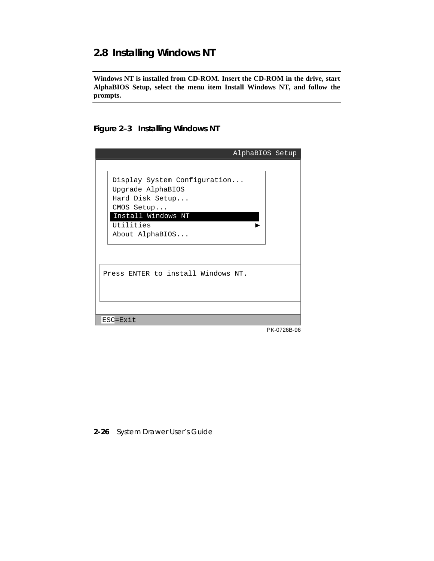# **2.8 Installing Windows NT**

**Windows NT is installed from CD-ROM. Insert the CD-ROM in the drive, start AlphaBIOS Setup, select the menu item Install Windows NT, and follow the prompts.**

## **Figure 2–3 Installing Windows NT**

|                                                                                                                                          | AlphaBIOS Setup |
|------------------------------------------------------------------------------------------------------------------------------------------|-----------------|
|                                                                                                                                          |                 |
| Display System Configuration<br>Upgrade AlphaBIOS<br>Hard Disk Setup<br>CMOS Setup<br>Install Windows NT<br>Utilities<br>About AlphaBIOS |                 |
| Press ENTER to install Windows NT.                                                                                                       |                 |
| ESC=Exit                                                                                                                                 |                 |
|                                                                                                                                          | PK-0726B-96     |

#### **2-26** System Drawer User's Guide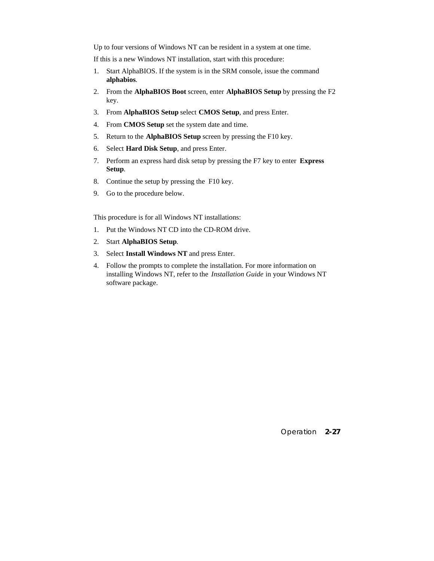Up to four versions of Windows NT can be resident in a system at one time.

If this is a new Windows NT installation, start with this procedure:

- 1. Start AlphaBIOS. If the system is in the SRM console, issue the command **alphabios**.
- 2. From the **AlphaBIOS Boot** screen, enter **AlphaBIOS Setup** by pressing the F2 key.
- 3. From **AlphaBIOS Setup** select **CMOS Setup**, and press Enter.
- 4. From **CMOS Setup** set the system date and time.
- 5. Return to the **AlphaBIOS Setup** screen by pressing the F10 key.
- 6. Select **Hard Disk Setup**, and press Enter.
- 7. Perform an express hard disk setup by pressing the F7 key to enter **Express Setup**.
- 8. Continue the setup by pressing the F10 key.
- 9. Go to the procedure below.

This procedure is for all Windows NT installations:

- 1. Put the Windows NT CD into the CD-ROM drive.
- 2. Start **AlphaBIOS Setup**.
- 3. Select **Install Windows NT** and press Enter.
- 4. Follow the prompts to complete the installation. For more information on installing Windows NT, refer to the *Installation Guide* in your Windows NT software package.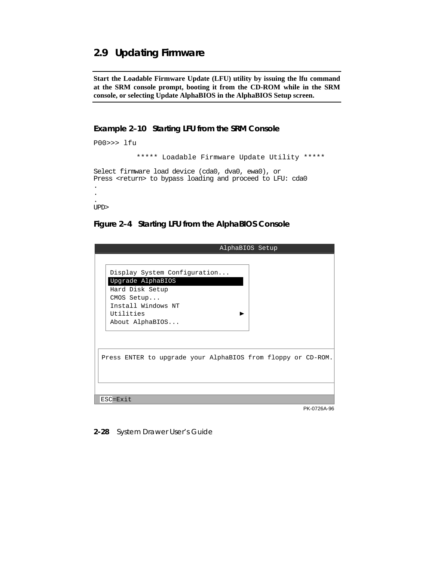# **2.9 Updating Firmware**

**Start the Loadable Firmware Update (LFU) utility by issuing the lfu command at the SRM console prompt, booting it from the CD-ROM while in the SRM console, or selecting Update AlphaBIOS in the AlphaBIOS Setup screen.**

#### **Example 2–10 Starting LFU from the SRM Console**

```
P00>>> lfu
            ***** Loadable Firmware Update Utility *****
Select firmware load device (cda0, dva0, ewa0), or
Press <return> to bypass loading and proceed to LFU: cda0
.
.
.
UPD>
```
#### **Figure 2–4 Starting LFU from the AlphaBIOS Console**

| AlphaBIOS Setup                                              |             |
|--------------------------------------------------------------|-------------|
|                                                              |             |
| Display System Configuration                                 |             |
| Upgrade AlphaBIOS                                            |             |
| Hard Disk Setup                                              |             |
| CMOS Setup                                                   |             |
| Install Windows NT                                           |             |
| Utilities                                                    |             |
| About AlphaBIOS                                              |             |
|                                                              |             |
|                                                              |             |
| Press ENTER to upgrade your AlphaBIOS from floppy or CD-ROM. |             |
|                                                              |             |
|                                                              |             |
|                                                              |             |
| ESC=Exit                                                     |             |
|                                                              | PK-0726A-96 |

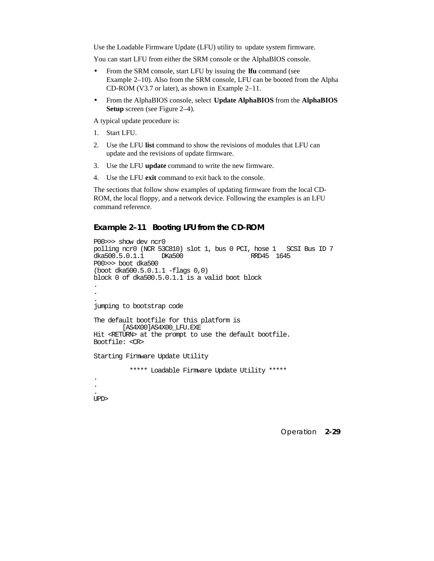Use the Loadable Firmware Update (LFU) utility to update system firmware.

You can start LFU from either the SRM console or the AlphaBIOS console.

- From the SRM console, start LFU by issuing the **lfu** command (see Example 2–10). Also from the SRM console, LFU can be booted from the Alpha CD-ROM (V3.7 or later), as shown in Example 2–11.
- From the AlphaBIOS console, select **Update AlphaBIOS** from the **AlphaBIOS Setup** screen (see Figure 2–4).

A typical update procedure is:

- 1. Start LFU.
- 2. Use the LFU **list** command to show the revisions of modules that LFU can update and the revisions of update firmware.
- 3. Use the LFU **update** command to write the new firmware.
- 4. Use the LFU **exit** command to exit back to the console.

The sections that follow show examples of updating firmware from the local CD-ROM, the local floppy, and a network device. Following the examples is an LFU command reference.

#### **Example 2–11 Booting LFU from the CD-ROM**

```
P00>>> show dev ncr0
polling ncr0 (NCR 53C810) slot 1, bus 0 PCI, hose 1 SCSI Bus ID 7
dka500.5.0.1.1P00>>> boot dka500
(boot dka500.5.0.1.1 -flags 0,0)
block 0 of dka500.5.0.1.1 is a valid boot block
.
.
.
jumping to bootstrap code
The default bootfile for this platform is
         [AS4X00]AS4X00_LFU.EXE
Hit <RETURN> at the prompt to use the default bootfile.
Bootfile: <CR>
Starting Firmware Update Utility
           ***** Loadable Firmware Update Utility *****
```
. UPD>

. .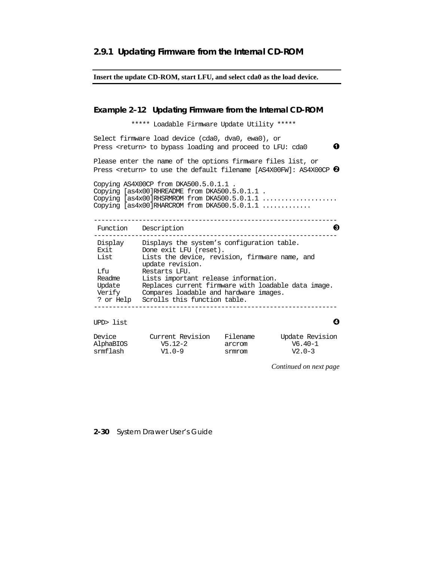#### **Insert the update CD-ROM, start LFU, and select cda0 as the load device.**

#### **Example 2–12 Updating Firmware from the Internal CD-ROM**

\*\*\*\*\* Loadable Firmware Update Utility \*\*\*\*\*

Select firmware load device (cda0, dva0, ewa0), or Press <return> to bypass loading and proceed to LFU: cda0  $\bullet$ 

Please enter the name of the options firmware files list, or Press <return> to use the default filename [AS4X00FW]: AS4X00CP  $\Theta$ 

Copying AS4X00CP from DKA500.5.0.1.1 . Copying [as4x00]RHREADME from DKA500.5.0.1.1 . Copying [as4x00]RHSRMROM from DKA500.5.0.1.1 ..................... Copying [as4x00]RHARCROM from DKA500.5.0.1.1 .............

| Function                                       | Description                                                                                                                                                                                                |  |
|------------------------------------------------|------------------------------------------------------------------------------------------------------------------------------------------------------------------------------------------------------------|--|
| Display<br>Exit<br>List                        | Displays the system's configuration table.<br>Done exit LFU (reset).<br>Lists the device, revision, firmware name, and                                                                                     |  |
| Lfu<br>Readme<br>Update<br>Verify<br>? or Help | update revision.<br>Restarts LFU.<br>Lists important release information.<br>Replaces current firmware with loadable data image.<br>Compares loadable and hardware images.<br>Scrolls this function table. |  |
|                                                |                                                                                                                                                                                                            |  |

UPD> list  $\bullet$ 

| Device    | Current Revision | Filename | Update Revision |
|-----------|------------------|----------|-----------------|
| AlphaBIOS | V5.12-2          | arcrom   | V6.40-1         |
| srmflash  | $V1.0-9$         | srmrom   | $V2.0-3$        |

*Continued on next page*

#### **2-30** System Drawer User's Guide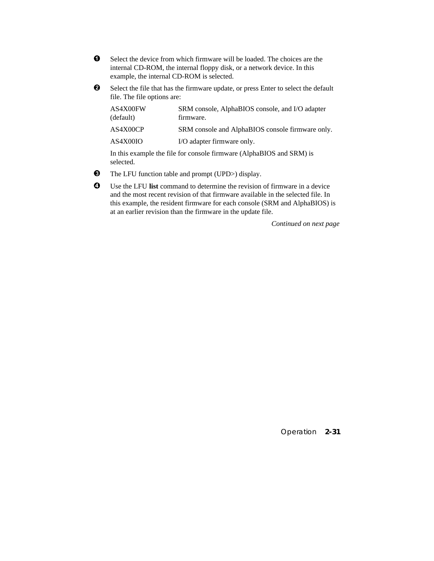- $\bullet$  Select the device from which firmware will be loaded. The choices are the internal CD-ROM, the internal floppy disk, or a network device. In this example, the internal CD-ROM is selected.
- $\bullet$  Select the file that has the firmware update, or press Enter to select the default file. The file options are:

| AS4X00FW<br>(default) | SRM console, AlphaBIOS console, and I/O adapter<br>firmware.                               |
|-----------------------|--------------------------------------------------------------------------------------------|
| AS4X00CP              | SRM console and AlphaBIOS console firmware only.                                           |
| AS4X00IO              | I/O adapter firmware only.                                                                 |
|                       | In this example the file for console firmwore $(\Lambda \text{lnb} \otimes \text{RIN})$ is |

In this example the file for console firmware (AlphaBIOS and SRM) is selected.

- $\bullet$  The LFU function table and prompt (UPD>) display.
- µ Use the LFU **list** command to determine the revision of firmware in a device and the most recent revision of that firmware available in the selected file. In this example, the resident firmware for each console (SRM and AlphaBIOS) is at an earlier revision than the firmware in the update file.

*Continued on next page*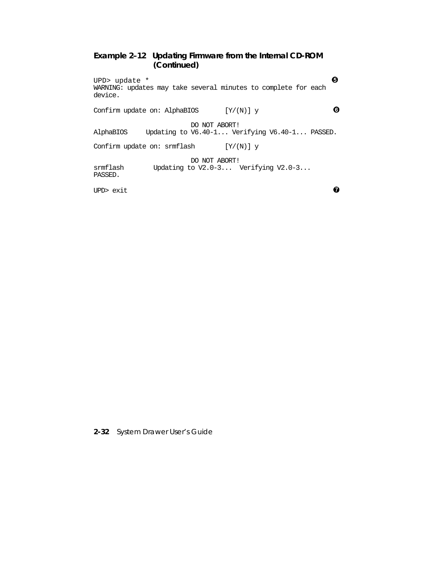# **Example 2–12 Updating Firmware from the Internal CD-ROM (Continued)**

UPD> update  $*$   $\qquad \qquad \bullet$ WARNING: updates may take several minutes to complete for each device. Confirm update on: AlphaBIOS  $[Y/(N)]$  y  $\qquad \qquad \bullet$ DO NOT ABORT!<br>AlphaBIOS Updating to V6.40-1... Ve Updating to V6.40-1... Verifying V6.40-1... PASSED. Confirm update on: srmflash  $[Y/(N)]$  y

DO NOT ABORT!<br>srmflash Updating to V2.0-3... \ Updating to  $V2.0-3...$  Verifying  $V2.0-3...$ PASSED.

UPD> exit  $\bullet$ 

**2-32** System Drawer User's Guide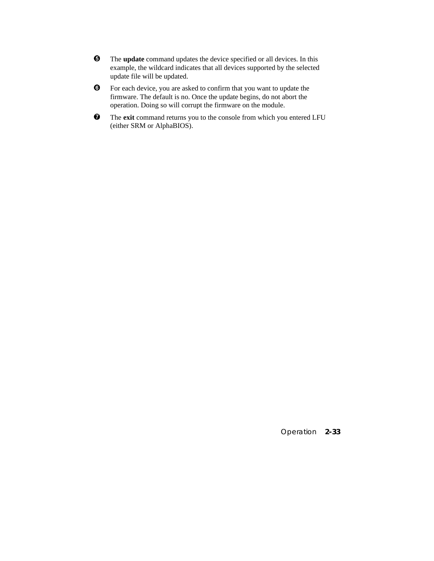- $\Theta$  The **update** command updates the device specified or all devices. In this example, the wildcard indicates that all devices supported by the selected update file will be updated.
- · For each device, you are asked to confirm that you want to update the firmware. The default is no. Once the update begins, do not abort the operation. Doing so will corrupt the firmware on the module.
- $\bullet$  The exit command returns you to the console from which you entered LFU (either SRM or AlphaBIOS).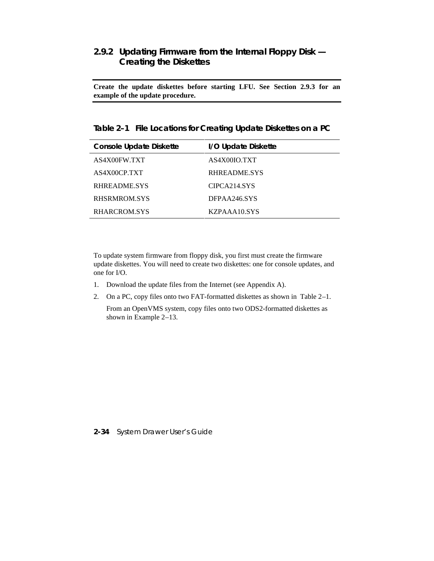# **2.9.2 Updating Firmware from the Internal Floppy Disk — Creating the Diskettes**

**Create the update diskettes before starting LFU. See Section 2.9.3 for an example of the update procedure.**

**Table 2–1 File Locations for Creating Update Diskettes on a PC**

| <b>Console Update Diskette</b> | I/O Update Diskette |
|--------------------------------|---------------------|
| AS4X00FW.TXT                   | AS4X00IO.TXT        |
| AS4X00CP.TXT                   | RHREADME.SYS        |
| RHREADME.SYS                   | CIPCA214.SYS        |
| RHSRMROM.SYS                   | DFPAA246.SYS        |
| RHARCROM.SYS                   | KZPAAA10.SYS        |

To update system firmware from floppy disk, you first must create the firmware update diskettes. You will need to create two diskettes: one for console updates, and one for I/O.

- 1. Download the update files from the Internet (see Appendix A).
- 2. On a PC, copy files onto two FAT-formatted diskettes as shown in Table 2–1.

 From an OpenVMS system, copy files onto two ODS2-formatted diskettes as shown in Example 2–13.

#### **2-34** System Drawer User's Guide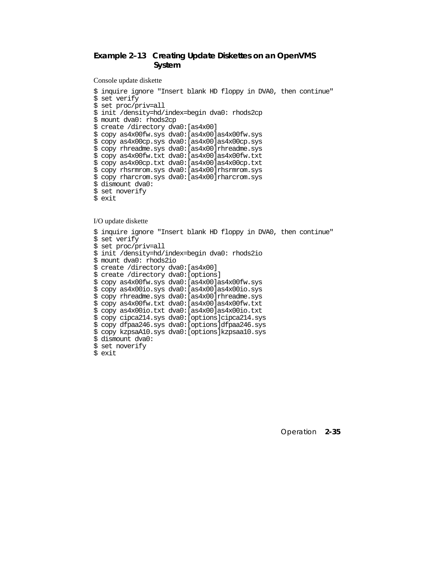# **Example 2–13 Creating Update Diskettes on an OpenVMS System**

Console update diskette

```
$ inquire ignore "Insert blank HD floppy in DVA0, then continue"
$ set verify
$ set proc/priv=all
$ init /density=hd/index=begin dva0: rhods2cp
$ mount dva0: rhods2cp
$ create /directory dva0:[as4x00]
$ copy as4x00fw.sys dva0:[as4x00]as4x00fw.sys
$ copy as4x00cp.sys dva0:[as4x00]as4x00cp.sys
$ copy rhreadme.sys dva0:[as4x00]rhreadme.sys
$ copy as4x00fw.txt dva0:[as4x00]as4x00fw.txt
$ copy as4x00cp.txt dva0:[as4x00]as4x00cp.txt
$ copy rhsrmrom.sys dva0:[as4x00]rhsrmrom.sys
$ copy rharcrom.sys dva0:[as4x00]rharcrom.sys
$ dismount dva0:
$ set noverify
$ exit
```
#### I/O update diskette

```
$ inquire ignore "Insert blank HD floppy in DVA0, then continue"
$ set verify
$ set proc/priv=all
$ init /density=hd/index=begin dva0: rhods2io
$ mount dva0: rhods2io
$ create /directory dva0:[as4x00]
$ create /directory dva0:[options]
$ copy as4x00fw.sys dva0:[as4x00]as4x00fw.sys
$ copy as4x00io.sys dva0:[as4x00]as4x00io.sys
$ copy rhreadme.sys dva0:[as4x00]rhreadme.sys
$ copy as4x00fw.txt dva0:[as4x00]as4x00fw.txt
$ copy as4x00io.txt dva0:[as4x00]as4x00io.txt
$ copy cipca214.sys dva0:[options]cipca214.sys
$ copy dfpaa246.sys dva0:[options]dfpaa246.sys
$ copy kzpsaA10.sys dva0:[options]kzpsaa10.sys
$ dismount dva0:
$ set noverify
$ exit
```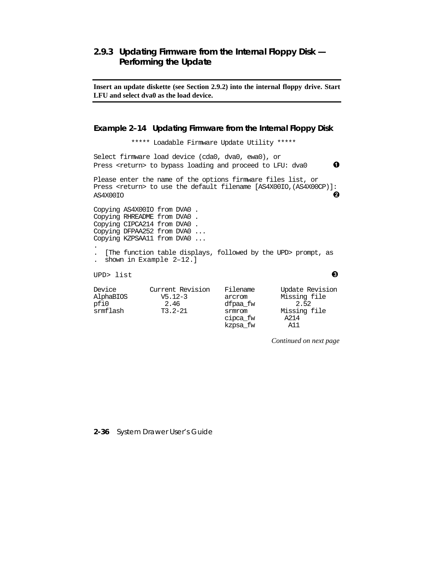# **2.9.3 Updating Firmware from the Internal Floppy Disk — Performing the Update**

**Insert an update diskette (see Section 2.9.2) into the internal floppy drive. Start LFU and select dva0 as the load device.**

#### **Example 2–14 Updating Firmware from the Internal Floppy Disk**

 \*\*\*\*\* Loadable Firmware Update Utility \*\*\*\*\* Select firmware load device (cda0, dva0, ewa0), or Press <return> to bypass loading and proceed to LFU: dva0  $\bullet$ Please enter the name of the options firmware files list, or Press <return> to use the default filename [AS4X00IO,(AS4X00CP)]: AS4X00IO ³ Copying AS4X00IO from DVA0 . Copying RHREADME from DVA0 . Copying CIPCA214 from DVA0 . Copying DFPAA252 from DVA0 ... Copying KZPSAA11 from DVA0 ... . . [The function table displays, followed by the UPD> prompt, as . shown in Example 2–12.] UPD> list  $\qquad \qquad \bullet$ 

| Device    | Current Revision | Filename | Update Revision |
|-----------|------------------|----------|-----------------|
| AlphaBIOS | $V5.12-3$        | arcrom   | Missing file    |
| pfi0      | 2.46             | dfpaa fw | 2.52            |
| srmflash  | $T3.2 - 21$      | srmrom   | Missing file    |
|           |                  | cipca_fw | A214            |
|           |                  | kzpsa fw | A11             |

*Continued on next page*

**2-36** System Drawer User's Guide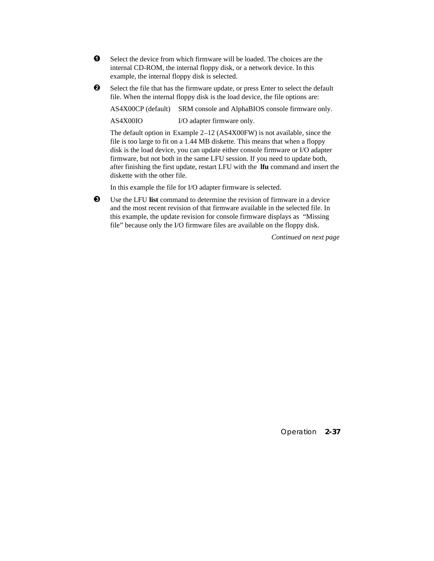- $\bullet$  Select the device from which firmware will be loaded. The choices are the internal CD-ROM, the internal floppy disk, or a network device. In this example, the internal floppy disk is selected.
- $\bullet$  Select the file that has the firmware update, or press Enter to select the default file. When the internal floppy disk is the load device, the file options are:

AS4X00CP (default) SRM console and AlphaBIOS console firmware only.

AS4X00IO I/O adapter firmware only.

The default option in Example 2–12 (AS4X00FW) is not available, since the file is too large to fit on a 1.44 MB diskette. This means that when a floppy disk is the load device, you can update either console firmware or I/O adapter firmware, but not both in the same LFU session. If you need to update both, after finishing the first update, restart LFU with the **lfu** command and insert the diskette with the other file.

In this example the file for I/O adapter firmware is selected.

´ Use the LFU **list** command to determine the revision of firmware in a device and the most recent revision of that firmware available in the selected file. In this example, the update revision for console firmware displays as "Missing file" because only the I/O firmware files are available on the floppy disk.

*Continued on next page*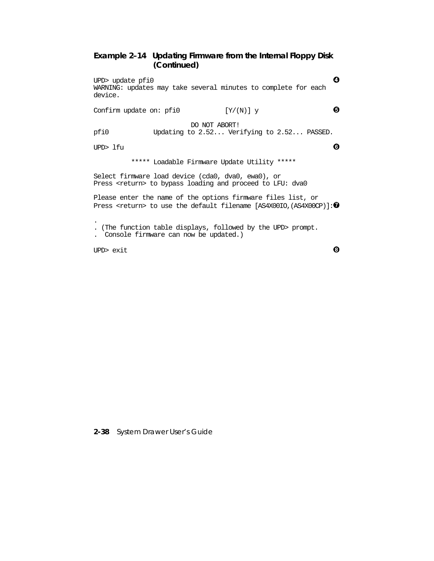# **Example 2–14 Updating Firmware from the Internal Floppy Disk (Continued)**

UPD> update  $pfi0$   $\bullet$ WARNING: updates may take several minutes to complete for each device.

Confirm update on: pfi0  $[Y/(N)]$  y  $\qquad \qquad \bullet$ 

DO NOT ABORT!<br>pfi0 Updating to 2.52... Ver Updating to 2.52... Verifying to 2.52... PASSED.

UPD> lfu  $\qquad \qquad \bullet$ 

\*\*\*\*\* Loadable Firmware Update Utility \*\*\*\*\*

Select firmware load device (cda0, dva0, ewa0), or Press <return> to bypass loading and proceed to LFU: dva0

Please enter the name of the options firmware files list, or Press <return> to use the default filename [AS4X00IO, (AS4X00CP)]:  $\bullet$ 

. . (The function table displays, followed by the UPD> prompt.

. Console firmware can now be updated.)

UPD> exit  $\qquad \qquad \bullet$ 

**2-38** System Drawer User's Guide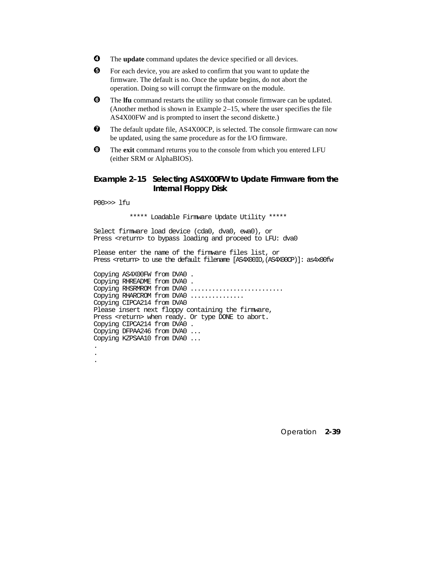- $\bullet$  The **update** command updates the device specified or all devices.
- $\Theta$  For each device, you are asked to confirm that you want to update the firmware. The default is no. Once the update begins, do not abort the operation. Doing so will corrupt the firmware on the module.
- **<sup>6</sup>** The **lfu** command restarts the utility so that console firmware can be updated. (Another method is shown in Example 2–15, where the user specifies the file AS4X00FW and is prompted to insert the second diskette.)
- $\bullet$  The default update file, AS4X00CP, is selected. The console firmware can now be updated, using the same procedure as for the I/O firmware.
- $\Theta$  The exit command returns you to the console from which you entered LFU (either SRM or AlphaBIOS).

## **Example 2–15 Selecting AS4X00FW to Update Firmware from the Internal Floppy Disk**

P00>>> lfu

. . \*\*\*\*\* Loadable Firmware Update Utility \*\*\*\*\*

Select firmware load device (cda0, dva0, ewa0), or Press <return> to bypass loading and proceed to LFU: dva0

Please enter the name of the firmware files list, or Press <return> to use the default filename [AS4X00IO,(AS4X00CP)]: as4x00fw

Copying AS4X00FW from DVA0 . Copying RHREADME from DVA0 . Copying RHSRMROM from DVA0 .......................... Copying RHARCROM from DVA0 .............. Copying CIPCA214 from DVA0 Please insert next floppy containing the firmware, Press <return> when ready. Or type DONE to abort. Copying CIPCA214 from DVA0 . Copying DFPAA246 from DVA0 ... Copying KZPSAA10 from DVA0 ... .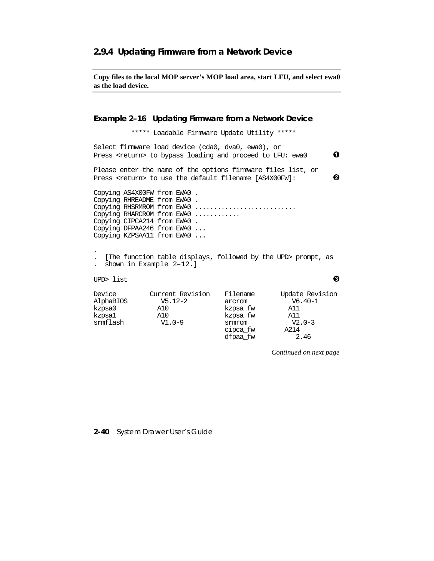## **2.9.4 Updating Firmware from a Network Device**

**Copy files to the local MOP server's MOP load area, start LFU, and select ewa0 as the load device.**

### **Example 2–16 Updating Firmware from a Network Device**

\*\*\*\*\* Loadable Firmware Update Utility \*\*\*\*\*

Select firmware load device (cda0, dva0, ewa0), or Press <return> to bypass loading and proceed to LFU: ewa0  $\qquad \qquad \bullet$ Please enter the name of the options firmware files list, or Press <return> to use the default filename  $[$ AS4X00FW]: Copying AS4X00FW from EWA0 . Copying RHREADME from EWA0 . Copying RHSRMROM from EWA0 ........................... Copying RHARCROM from EWA0 ............ Copying CIPCA214 from EWA0 . Copying DFPAA246 from EWA0 ... Copying KZPSAA11 from EWA0 ... . . [The function table displays, followed by the UPD> prompt, as . shown in Example 2–12.] UPD> list  $\qquad \qquad \bullet$ Device Current Revision Filename Update Revision AlphaBIOS V5.12-2 arcrom V6.40-1

| Device    | Current Revision | Filename | Update Revision |
|-----------|------------------|----------|-----------------|
| AlphaBIOS | $V5.12 - 2$      | arcrom   | $V6.40-1$       |
| kzpsa0    | A10              | kzpsa_fw | A11             |
| kzpsa1    | A10              | kzpsa fw | A11             |
| srmflash  | $V1.0-9$         | srmrom   | $V2.0-3$        |
|           |                  | cipca_fw | A214            |
|           |                  | dfpaa fw | 2.46            |

*Continued on next page*

#### **2-40** System Drawer User's Guide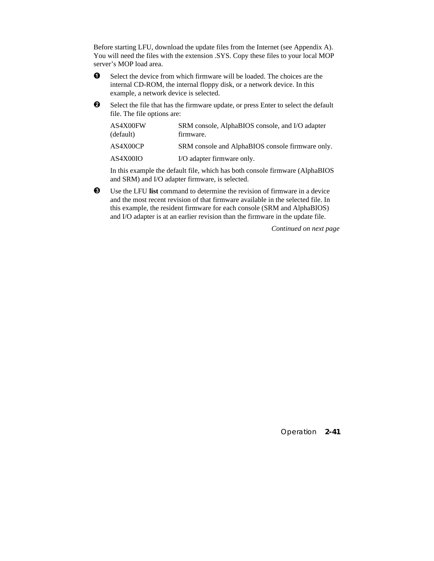Before starting LFU, download the update files from the Internet (see Appendix A). You will need the files with the extension .SYS. Copy these files to your local MOP server's MOP load area.

- $\bullet$  Select the device from which firmware will be loaded. The choices are the internal CD-ROM, the internal floppy disk, or a network device. In this example, a network device is selected.
- $\odot$  Select the file that has the firmware update, or press Enter to select the default file. The file options are:

| AS4X00FW<br>(default) | SRM console, AlphaBIOS console, and I/O adapter<br>firmware. |
|-----------------------|--------------------------------------------------------------|
| AS4X00CP              | SRM console and AlphaBIOS console firmware only.             |
| AS4X00IO              | I/O adapter firmware only.                                   |

In this example the default file, which has both console firmware (AlphaBIOS and SRM) and I/O adapter firmware, is selected.

´ Use the LFU **list** command to determine the revision of firmware in a device and the most recent revision of that firmware available in the selected file. In this example, the resident firmware for each console (SRM and AlphaBIOS) and I/O adapter is at an earlier revision than the firmware in the update file.

*Continued on next page*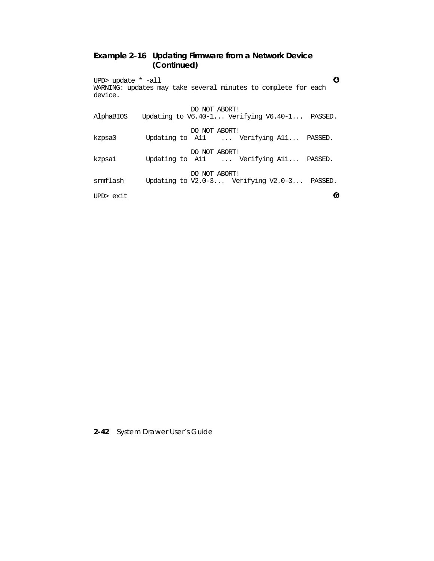# **Example 2–16 Updating Firmware from a Network Device (Continued)**

UPD> update  $*$  -all  $\bullet$ WARNING: updates may take several minutes to complete for each device.

| AlphaBIOS | DO NOT ABORT!<br>Updating to $V6.40-1$ Verifying $V6.40-1$ PASSED. |
|-----------|--------------------------------------------------------------------|
| kzpsa0    | DO NOT ABORT!<br>Updating to All  Verifying All PASSED.            |
| kzpsa1    | DO NOT ABORT!<br>Updating to All  Verifying All PASSED.            |
| srmflash  | DO NOT ABORT!<br>Updating to V2.0-3 Verifying V2.0-3 PASSED.       |
| UPD> exit |                                                                    |

**2-42** System Drawer User's Guide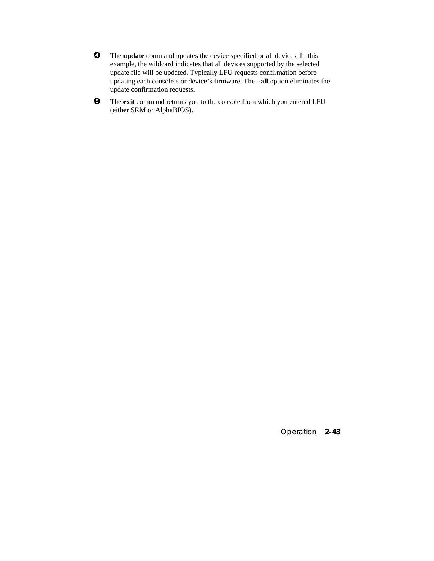- $\bullet$  The **update** command updates the device specified or all devices. In this example, the wildcard indicates that all devices supported by the selected update file will be updated. Typically LFU requests confirmation before updating each console's or device's firmware. The **-all** option eliminates the update confirmation requests.
- $\Theta$  The **exit** command returns you to the console from which you entered LFU (either SRM or AlphaBIOS).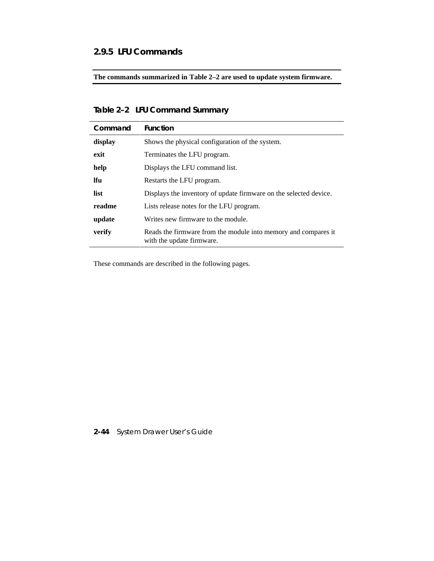# **2.9.5 LFU Commands**

**The commands summarized in Table 2–2 are used to update system firmware.**

# **Table 2–2 LFU Command Summary**

| Command    | <b>Function</b>                                                                             |  |
|------------|---------------------------------------------------------------------------------------------|--|
| display    | Shows the physical configuration of the system.                                             |  |
| exit       | Terminates the LFU program.                                                                 |  |
| help       | Displays the LFU command list.                                                              |  |
| <b>Ifu</b> | Restarts the LFU program.                                                                   |  |
| list       | Displays the inventory of update firmware on the selected device.                           |  |
| readme     | Lists release notes for the LFU program.                                                    |  |
| update     | Writes new firmware to the module.                                                          |  |
| verify     | Reads the firmware from the module into memory and compares it<br>with the update firmware. |  |

These commands are described in the following pages.

# **2-44** System Drawer User's Guide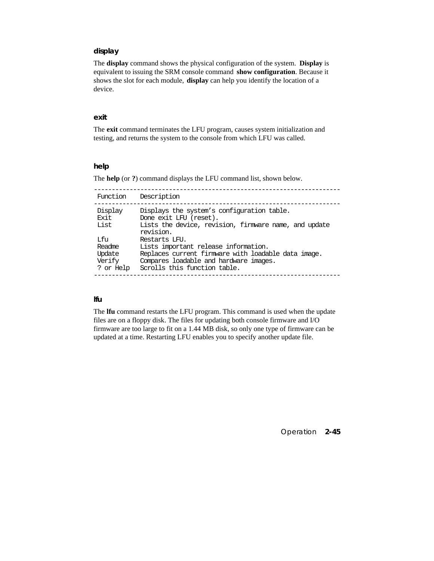### **display**

The **display** command shows the physical configuration of the system. **Display** is equivalent to issuing the SRM console command **show configuration**. Because it shows the slot for each module, **display** can help you identify the location of a device.

#### **exit**

The **exit** command terminates the LFU program, causes system initialization and testing, and returns the system to the console from which LFU was called.

#### **help**

The **help** (or **?**) command displays the LFU command list, shown below.

| Function                                        | Description                                                                                                                                                                            |
|-------------------------------------------------|----------------------------------------------------------------------------------------------------------------------------------------------------------------------------------------|
| Display<br>Exit<br>List                         | Displays the system's configuration table.<br>Done exit LFU (reset).<br>Lists the device, revision, firmware name, and update<br>revision.                                             |
| Tifu<br>Readme<br>Update<br>Verify<br>? or Help | Restarts LFU.<br>Lists important release information.<br>Replaces current firmware with loadable data image.<br>Compares loadable and hardware images.<br>Scrolls this function table. |

## **lfu**

The **lfu** command restarts the LFU program. This command is used when the update files are on a floppy disk. The files for updating both console firmware and I/O firmware are too large to fit on a 1.44 MB disk, so only one type of firmware can be updated at a time. Restarting LFU enables you to specify another update file.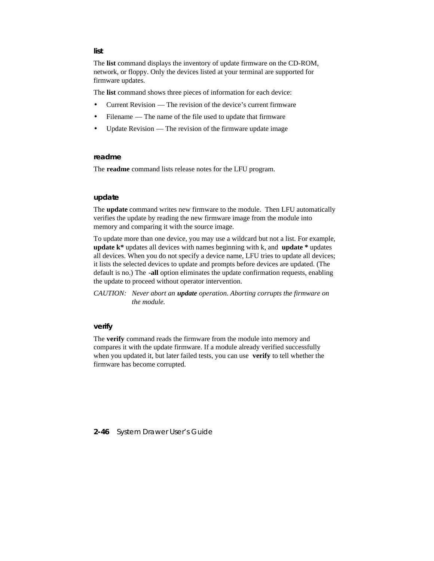The **list** command displays the inventory of update firmware on the CD-ROM, network, or floppy. Only the devices listed at your terminal are supported for firmware updates.

The **list** command shows three pieces of information for each device:

- Current Revision The revision of the device's current firmware
- Filename The name of the file used to update that firmware
- Update Revision The revision of the firmware update image

#### **readme**

The **readme** command lists release notes for the LFU program.

#### **update**

The **update** command writes new firmware to the module. Then LFU automatically verifies the update by reading the new firmware image from the module into memory and comparing it with the source image.

To update more than one device, you may use a wildcard but not a list. For example, **update k\*** updates all devices with names beginning with k, and **update \*** updates all devices. When you do not specify a device name, LFU tries to update all devices; it lists the selected devices to update and prompts before devices are updated. (The default is no.) The **-all** option eliminates the update confirmation requests, enabling the update to proceed without operator intervention.

*CAUTION: Never abort an update operation. Aborting corrupts the firmware on the module.*

#### **verify**

The **verify** command reads the firmware from the module into memory and compares it with the update firmware. If a module already verified successfully when you updated it, but later failed tests, you can use **verify** to tell whether the firmware has become corrupted.

**2-46** System Drawer User's Guide

#### **list**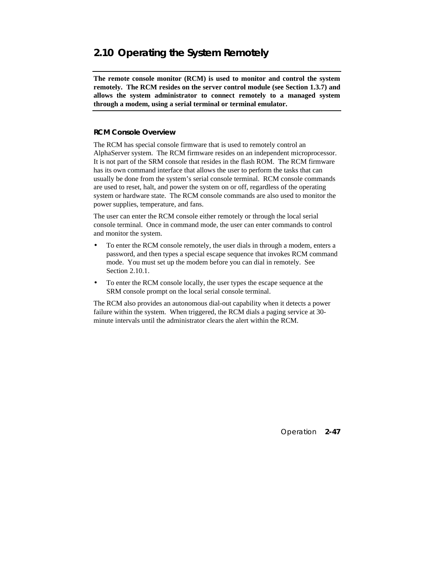# **2.10 Operating the System Remotely**

**The remote console monitor (RCM) is used to monitor and control the system remotely. The RCM resides on the server control module (see Section 1.3.7) and allows the system administrator to connect remotely to a managed system through a modem, using a serial terminal or terminal emulator.**

### **RCM Console Overview**

The RCM has special console firmware that is used to remotely control an AlphaServer system. The RCM firmware resides on an independent microprocessor. It is not part of the SRM console that resides in the flash ROM. The RCM firmware has its own command interface that allows the user to perform the tasks that can usually be done from the system's serial console terminal. RCM console commands are used to reset, halt, and power the system on or off, regardless of the operating system or hardware state. The RCM console commands are also used to monitor the power supplies, temperature, and fans.

The user can enter the RCM console either remotely or through the local serial console terminal. Once in command mode, the user can enter commands to control and monitor the system.

- To enter the RCM console remotely, the user dials in through a modem, enters a password, and then types a special escape sequence that invokes RCM command mode. You must set up the modem before you can dial in remotely. See Section 2.10.1.
- To enter the RCM console locally, the user types the escape sequence at the SRM console prompt on the local serial console terminal.

The RCM also provides an autonomous dial-out capability when it detects a power failure within the system. When triggered, the RCM dials a paging service at 30 minute intervals until the administrator clears the alert within the RCM.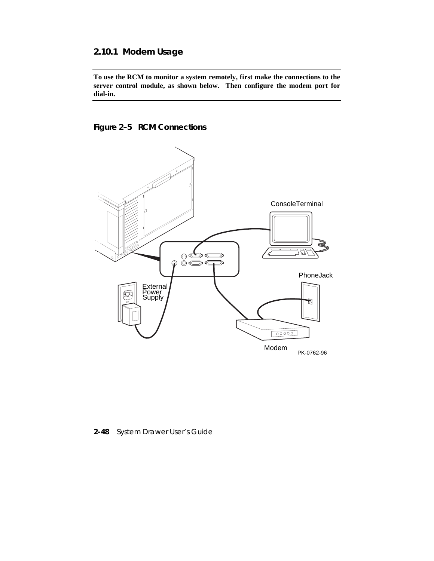# **2.10.1 Modem Usage**

**To use the RCM to monitor a system remotely, first make the connections to the server control module, as shown below. Then configure the modem port for dial-in.**

# **Figure 2–5 RCM Connections**



**2-48** System Drawer User's Guide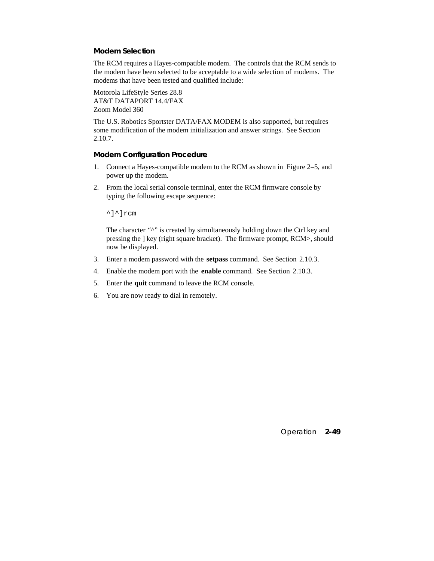## **Modem Selection**

The RCM requires a Hayes-compatible modem. The controls that the RCM sends to the modem have been selected to be acceptable to a wide selection of modems. The modems that have been tested and qualified include:

Motorola LifeStyle Series 28.8 AT&T DATAPORT 14.4/FAX Zoom Model 360

The U.S. Robotics Sportster DATA/FAX MODEM is also supported, but requires some modification of the modem initialization and answer strings. See Section 2.10.7.

#### **Modem Configuration Procedure**

- 1. Connect a Hayes-compatible modem to the RCM as shown in Figure 2–5, and power up the modem.
- 2. From the local serial console terminal, enter the RCM firmware console by typing the following escape sequence:

^]^]rcm

The character "^" is created by simultaneously holding down the Ctrl key and pressing the ] key (right square bracket). The firmware prompt, RCM>, should now be displayed.

- 3. Enter a modem password with the **setpass** command. See Section 2.10.3.
- 4. Enable the modem port with the **enable** command. See Section 2.10.3.
- 5. Enter the **quit** command to leave the RCM console.
- 6. You are now ready to dial in remotely.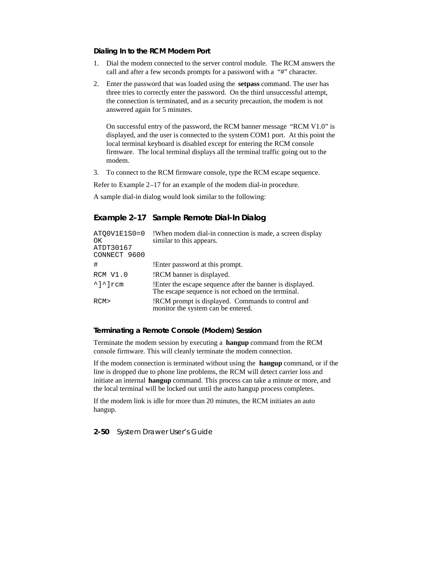#### **Dialing In to the RCM Modem Port**

- 1. Dial the modem connected to the server control module. The RCM answers the call and after a few seconds prompts for a password with a "#" character.
- 2. Enter the password that was loaded using the **setpass** command. The user has three tries to correctly enter the password. On the third unsuccessful attempt, the connection is terminated, and as a security precaution, the modem is not answered again for 5 minutes.

On successful entry of the password, the RCM banner message "RCM V1.0" is displayed, and the user is connected to the system COM1 port. At this point the local terminal keyboard is disabled except for entering the RCM console firmware. The local terminal displays all the terminal traffic going out to the modem.

3. To connect to the RCM firmware console, type the RCM escape sequence.

Refer to Example 2–17 for an example of the modem dial-in procedure.

A sample dial-in dialog would look similar to the following:

## **Example 2–17 Sample Remote Dial-In Dialog**

| ATOOV1E1S0=0<br>OK<br>ATDT30167<br>CONNECT 9600 | !When modem dial-in connection is made, a screen display<br>similar to this appears.                             |
|-------------------------------------------------|------------------------------------------------------------------------------------------------------------------|
| #                                               | !Enter password at this prompt.                                                                                  |
| RCM V1.0                                        | !RCM banner is displayed.                                                                                        |
| $\text{1}$ cm                                   | ! Enter the escape sequence after the banner is displayed.<br>The escape sequence is not echoed on the terminal. |
| RCM                                             | !RCM prompt is displayed. Commands to control and<br>monitor the system can be entered.                          |

#### **Terminating a Remote Console (Modem) Session**

Terminate the modem session by executing a **hangup** command from the RCM console firmware. This will cleanly terminate the modem connection.

If the modem connection is terminated without using the **hangup** command, or if the line is dropped due to phone line problems, the RCM will detect carrier loss and initiate an internal **hangup** command. This process can take a minute or more, and the local terminal will be locked out until the auto hangup process completes.

If the modem link is idle for more than 20 minutes, the RCM initiates an auto hangup.

**2-50** System Drawer User's Guide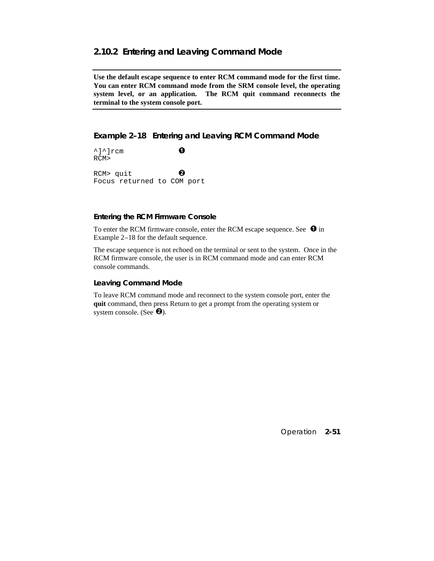## **2.10.2 Entering and Leaving Command Mode**

**Use the default escape sequence to enter RCM command mode for the first time. You can enter RCM command mode from the SRM console level, the operating system level, or an application. The RCM quit command reconnects the terminal to the system console port.**

# **Example 2–18 Entering and Leaving RCM Command Mode**

 $\uparrow$ ] $\uparrow$ ]rcm  $\bullet$ RCM> RCM> quit  $\bullet$ Focus returned to COM port

#### **Entering the RCM Firmware Console**

To enter the RCM firmware console, enter the RCM escape sequence. See  $\bullet$  in Example 2–18 for the default sequence.

The escape sequence is not echoed on the terminal or sent to the system. Once in the RCM firmware console, the user is in RCM command mode and can enter RCM console commands.

#### **Leaving Command Mode**

To leave RCM command mode and reconnect to the system console port, enter the **quit** command, then press Return to get a prompt from the operating system or system console. (See  $\Theta$ ).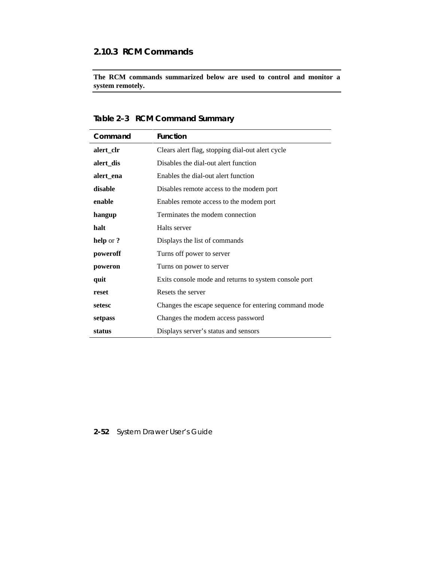# **2.10.3 RCM Commands**

**The RCM commands summarized below are used to control and monitor a system remotely.**

| Table 2-3 RCM Command Summary |  |
|-------------------------------|--|
|                               |  |

| Command   | <b>Function</b>                                       |
|-----------|-------------------------------------------------------|
| alert_clr | Clears alert flag, stopping dial-out alert cycle      |
| alert_dis | Disables the dial-out alert function                  |
| alert_ena | Enables the dial-out alert function                   |
| disable   | Disables remote access to the modem port              |
| enable    | Enables remote access to the modem port               |
| hangup    | Terminates the modem connection                       |
| halt      | Halts server                                          |
| help or?  | Displays the list of commands                         |
| poweroff  | Turns off power to server                             |
| poweron   | Turns on power to server                              |
| quit      | Exits console mode and returns to system console port |
| reset     | Resets the server                                     |
| setesc    | Changes the escape sequence for entering command mode |
| setpass   | Changes the modem access password                     |
| status    | Displays server's status and sensors                  |

# **2-52** System Drawer User's Guide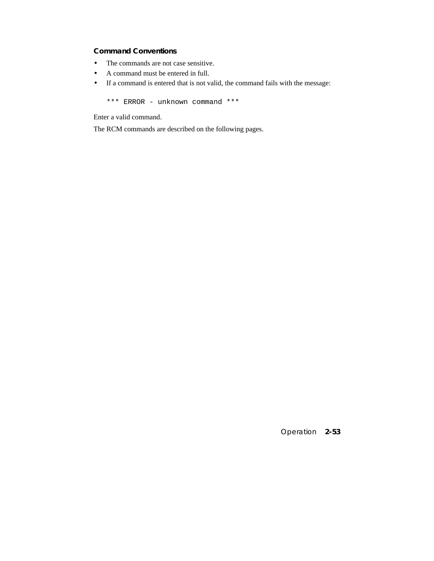# **Command Conventions**

- The commands are not case sensitive.
- A command must be entered in full.
- If a command is entered that is not valid, the command fails with the message:

\*\*\* ERROR - unknown command \*\*\*

Enter a valid command.

The RCM commands are described on the following pages.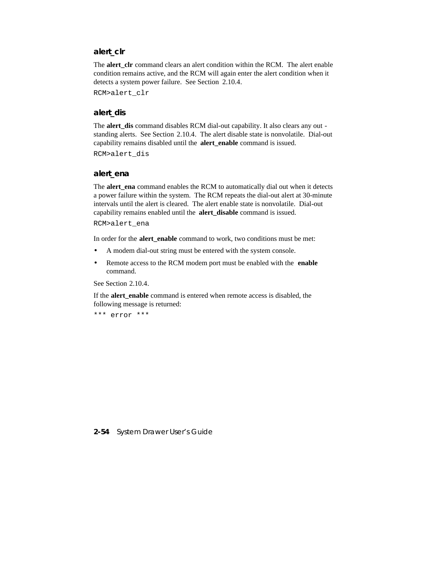## **alert\_clr**

The **alert\_clr** command clears an alert condition within the RCM. The alert enable condition remains active, and the RCM will again enter the alert condition when it detects a system power failure. See Section 2.10.4.

RCM>alert\_clr

## **alert\_dis**

The **alert\_dis** command disables RCM dial-out capability. It also clears any out standing alerts. See Section 2.10.4. The alert disable state is nonvolatile. Dial-out capability remains disabled until the **alert\_enable** command is issued.

RCM>alert\_dis

#### **alert\_ena**

The **alert\_ena** command enables the RCM to automatically dial out when it detects a power failure within the system. The RCM repeats the dial-out alert at 30-minute intervals until the alert is cleared. The alert enable state is nonvolatile. Dial-out capability remains enabled until the **alert\_disable** command is issued.

RCM>alert\_ena

In order for the **alert** enable command to work, two conditions must be met:

- A modem dial-out string must be entered with the system console.
- Remote access to the RCM modem port must be enabled with the **enable** command.

See Section 2.10.4.

If the **alert\_enable** command is entered when remote access is disabled, the following message is returned:

\*\*\* error \*\*\*

**2-54** System Drawer User's Guide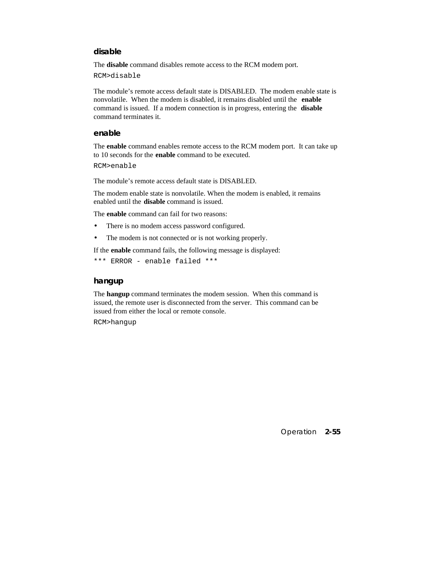## **disable**

The **disable** command disables remote access to the RCM modem port.

RCM>disable

The module's remote access default state is DISABLED. The modem enable state is nonvolatile. When the modem is disabled, it remains disabled until the **enable** command is issued. If a modem connection is in progress, entering the **disable** command terminates it.

### **enable**

The **enable** command enables remote access to the RCM modem port. It can take up to 10 seconds for the **enable** command to be executed.

```
RCM>enable
```
The module's remote access default state is DISABLED.

The modem enable state is nonvolatile. When the modem is enabled, it remains enabled until the **disable** command is issued.

The **enable** command can fail for two reasons:

- There is no modem access password configured.
- The modem is not connected or is not working properly.

If the **enable** command fails, the following message is displayed:

```
*** ERROR - enable failed ***
```
#### **hangup**

The **hangup** command terminates the modem session. When this command is issued, the remote user is disconnected from the server. This command can be issued from either the local or remote console.

RCM>hangup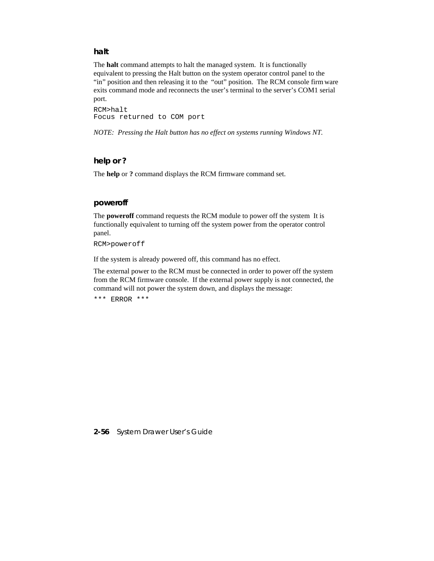## **halt**

The **halt** command attempts to halt the managed system. It is functionally equivalent to pressing the Halt button on the system operator control panel to the "in" position and then releasing it to the "out" position. The RCM console firm ware exits command mode and reconnects the user's terminal to the server's COM1 serial port.

RCM>halt Focus returned to COM port

*NOTE: Pressing the Halt button has no effect on systems running Windows NT.*

## **help or ?**

The **help** or **?** command displays the RCM firmware command set.

### **poweroff**

The **poweroff** command requests the RCM module to power off the system It is functionally equivalent to turning off the system power from the operator control panel.

RCM>poweroff

If the system is already powered off, this command has no effect.

The external power to the RCM must be connected in order to power off the system from the RCM firmware console. If the external power supply is not connected, the command will not power the system down, and displays the message:

\*\*\* ERROR \*\*\*

**2-56** System Drawer User's Guide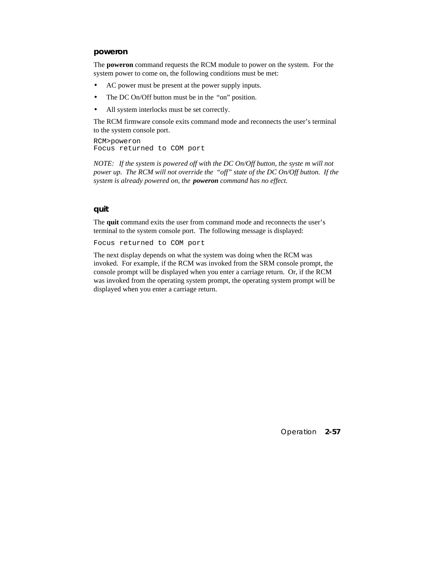#### **poweron**

The **poweron** command requests the RCM module to power on the system. For the system power to come on, the following conditions must be met:

- AC power must be present at the power supply inputs.
- The DC On/Off button must be in the "on" position.
- All system interlocks must be set correctly.

The RCM firmware console exits command mode and reconnects the user's terminal to the system console port.

RCM>poweron Focus returned to COM port

*NOTE: If the system is powered off with the DC On/Off button, the syste m will not power up. The RCM will not override the "off" state of the DC On/Off button. If the system is already powered on, the poweron command has no effect.*

#### **quit**

The **quit** command exits the user from command mode and reconnects the user's terminal to the system console port. The following message is displayed:

Focus returned to COM port

The next display depends on what the system was doing when the RCM was invoked. For example, if the RCM was invoked from the SRM console prompt, the console prompt will be displayed when you enter a carriage return. Or, if the RCM was invoked from the operating system prompt, the operating system prompt will be displayed when you enter a carriage return.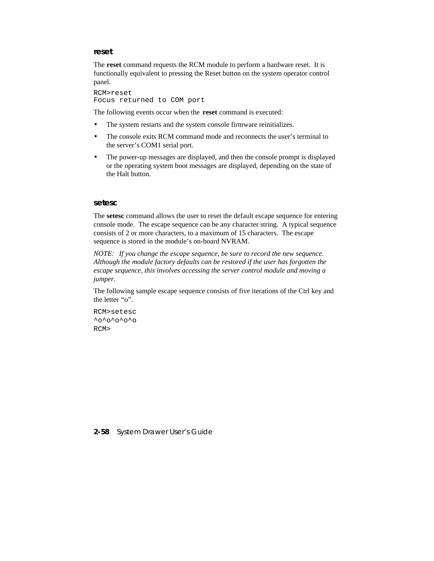#### **reset**

The **reset** command requests the RCM module to perform a hardware reset. It is functionally equivalent to pressing the Reset button on the system operator control panel.

RCM>reset Focus returned to COM port

The following events occur when the **reset** command is executed:

- The system restarts and the system console firmware reinitializes.
- The console exits RCM command mode and reconnects the user's terminal to the server's COM1 serial port.
- The power-up messages are displayed, and then the console prompt is displayed or the operating system boot messages are displayed, depending on the state of the Halt button.

#### **setesc**

The **setesc** command allows the user to reset the default escape sequence for entering console mode. The escape sequence can be any character string. A typical sequence consists of 2 or more characters, to a maximum of 15 characters. The escape sequence is stored in the module's on-board NVRAM.

*NOTE: If you change the escape sequence, be sure to record the new sequence. Although the module factory defaults can be restored if the user has forgotten the escape sequence, this involves accessing the server control module and moving a jumper.*

The following sample escape sequence consists of five iterations of the Ctrl key and the letter "o".

RCM>setesc  $\textdegree$ <sup> $\textdegree$ o $\textdegree$ o $\textdegree$ o $\textdegree$ o</sup> RCM>

**2-58** System Drawer User's Guide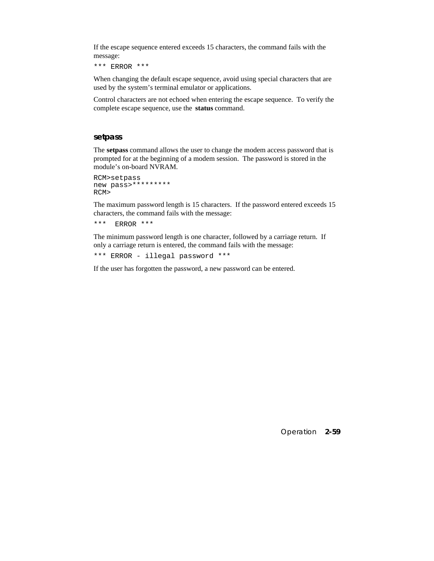If the escape sequence entered exceeds 15 characters, the command fails with the message:

\*\*\* ERROR \*\*\*

When changing the default escape sequence, avoid using special characters that are used by the system's terminal emulator or applications.

Control characters are not echoed when entering the escape sequence. To verify the complete escape sequence, use the **status** command.

#### **setpass**

The **setpass** command allows the user to change the modem access password that is prompted for at the beginning of a modem session. The password is stored in the module's on-board NVRAM.

```
RCM>setpass
new pass>*********
RCM>
```
The maximum password length is 15 characters. If the password entered exceeds 15 characters, the command fails with the message:

```
*** ERROR ***
```
The minimum password length is one character, followed by a carriage return. If only a carriage return is entered, the command fails with the message:

\*\*\* ERROR - illegal password \*\*\*

If the user has forgotten the password, a new password can be entered.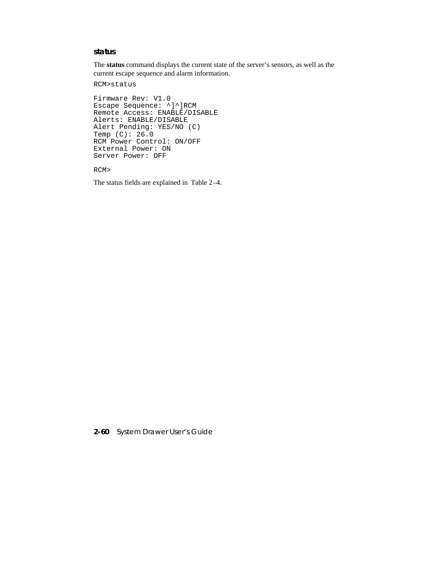### **status**

The **status** command displays the current state of the server's sensors, as well as the current escape sequence and alarm information.

RCM>status

```
Firmware Rev: V1.0
Escape Sequence: ^]^]RCM
Remote Access: ENABLE/DISABLE
Alerts: ENABLE/DISABLE
Alert Pending: YES/NO (C)
Temp (C): 26.0
RCM Power Control: ON/OFF
External Power: ON
Server Power: OFF
```
RCM>

The status fields are explained in Table 2–4.

**2-60** System Drawer User's Guide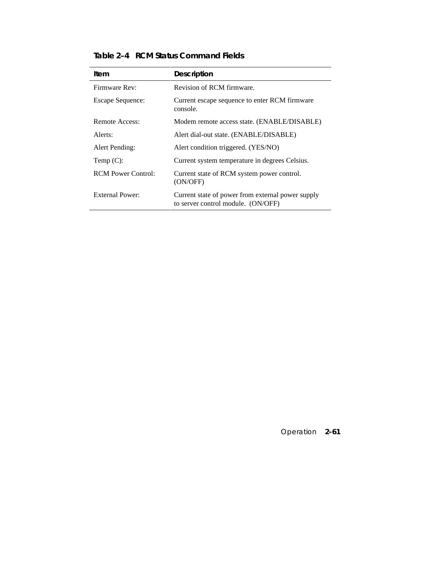| Item                      | <b>Description</b>                                                                      |
|---------------------------|-----------------------------------------------------------------------------------------|
| Firmware Rev:             | Revision of RCM firmware.                                                               |
| <b>Escape Sequence:</b>   | Current escape sequence to enter RCM firmware<br>console.                               |
| Remote Access:            | Modem remote access state. (ENABLE/DISABLE)                                             |
| Alerts:                   | Alert dial-out state. (ENABLE/DISABLE)                                                  |
| Alert Pending:            | Alert condition triggered. (YES/NO)                                                     |
| Temp $(C)$ :              | Current system temperature in degrees Celsius.                                          |
| <b>RCM Power Control:</b> | Current state of RCM system power control.<br>(ON/OFF)                                  |
| External Power:           | Current state of power from external power supply<br>to server control module. (ON/OFF) |

**Table 2–4 RCM Status Command Fields**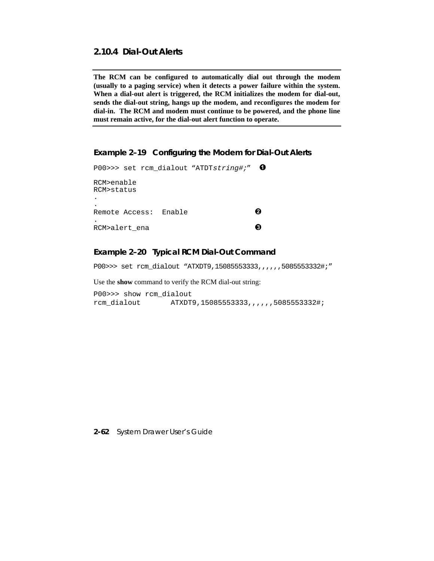# **2.10.4 Dial-Out Alerts**

**The RCM can be configured to automatically dial out through the modem (usually to a paging service) when it detects a power failure within the system. When a dial-out alert is triggered, the RCM initializes the modem for dial-out, sends the dial-out string, hangs up the modem, and reconfigures the modem for dial-in. The RCM and modem must continue to be powered, and the phone line must remain active, for the dial-out alert function to operate.**

#### **Example 2–19 Configuring the Modem for Dial-Out Alerts**

P00>>> set rcm\_dialout "ATDTstring#;"  $\bullet$ RCM>enable RCM>status . . Remote Access: Enable  $\bullet$ . RCM>alert ena **O** 

### **Example 2–20 Typical RCM Dial-Out Command**

P00>>> set rcm\_dialout "ATXDT9,15085553333,,,,,,,5085553332#;"

Use the **show** command to verify the RCM dial-out string:

P00>>> show rcm\_dialout rcm\_dialout ATXDT9,15085553333,,,,,,5085553332#;

**2-62** System Drawer User's Guide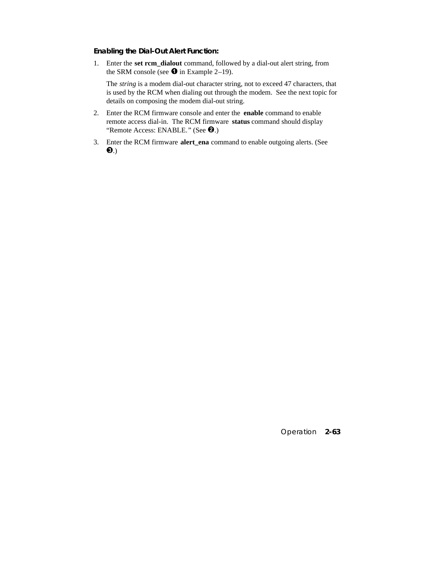### **Enabling the Dial-Out Alert Function:**

1. Enter the **set rcm\_dialout** command, followed by a dial-out alert string, from the SRM console (see  $\bullet$  in Example 2–19).

 The *string* is a modem dial-out character string, not to exceed 47 characters, that is used by the RCM when dialing out through the modem. See the next topic for details on composing the modem dial-out string.

- 2. Enter the RCM firmware console and enter the **enable** command to enable remote access dial-in. The RCM firmware **status** command should display "Remote Access: ENABLE." (See <sup>2</sup>.)
- 3. Enter the RCM firmware **alert\_ena** command to enable outgoing alerts. (See  $\mathbf{e}$ .)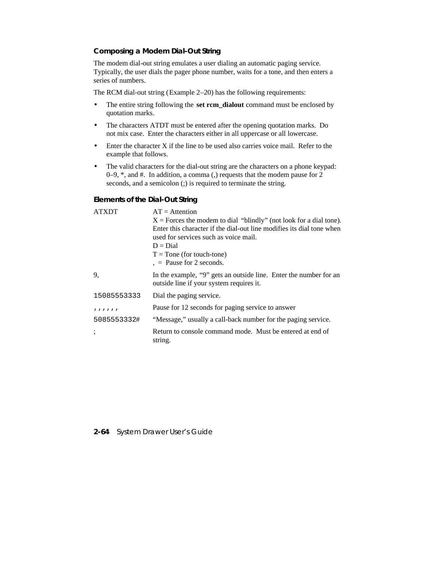### **Composing a Modem Dial-Out String**

The modem dial-out string emulates a user dialing an automatic paging service. Typically, the user dials the pager phone number, waits for a tone, and then enters a series of numbers.

The RCM dial-out string (Example 2–20) has the following requirements:

- The entire string following the **set rcm\_dialout** command must be enclosed by quotation marks.
- The characters ATDT must be entered after the opening quotation marks. Do not mix case. Enter the characters either in all uppercase or all lowercase.
- Enter the character X if the line to be used also carries voice mail. Refer to the example that follows.
- The valid characters for the dial-out string are the characters on a phone keypad: 0–9, \*, and #. In addition, a comma (,) requests that the modem pause for 2 seconds, and a semicolon (;) is required to terminate the string.

#### **Elements of the Dial-Out String**

| <b>ATXDT</b> | $AT =$ Attention                                                                                               |  |
|--------------|----------------------------------------------------------------------------------------------------------------|--|
|              | $X =$ Forces the modem to dial "blindly" (not look for a dial tone).                                           |  |
|              | Enter this character if the dial-out line modifies its dial tone when<br>used for services such as voice mail. |  |
|              |                                                                                                                |  |
|              | $D = Dial$                                                                                                     |  |
|              | $T =$ Tone (for touch-tone)                                                                                    |  |
|              | $, =$ Pause for 2 seconds.                                                                                     |  |
| 9.           | In the example, "9" gets an outside line. Enter the number for an<br>outside line if your system requires it.  |  |
| 15085553333  | Dial the paging service.                                                                                       |  |
| 111111       | Pause for 12 seconds for paging service to answer                                                              |  |
| 5085553332#  | "Message," usually a call-back number for the paging service.                                                  |  |
|              | Return to console command mode. Must be entered at end of<br>string.                                           |  |

#### **2-64** System Drawer User's Guide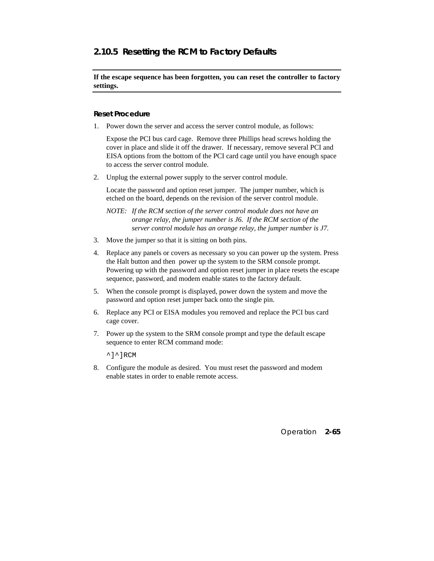# **2.10.5 Resetting the RCM to Factory Defaults**

**If the escape sequence has been forgotten, you can reset the controller to factory settings.**

### **Reset Procedure**

1. Power down the server and access the server control module, as follows:

Expose the PCI bus card cage. Remove three Phillips head screws holding the cover in place and slide it off the drawer. If necessary, remove several PCI and EISA options from the bottom of the PCI card cage until you have enough space to access the server control module.

2. Unplug the external power supply to the server control module.

 Locate the password and option reset jumper. The jumper number, which is etched on the board, depends on the revision of the server control module.

*NOTE: If the RCM section of the server control module does not have an orange relay, the jumper number is J6. If the RCM section of the server control module has an orange relay, the jumper number is J7.*

- 3. Move the jumper so that it is sitting on both pins.
- 4. Replace any panels or covers as necessary so you can power up the system. Press the Halt button and then power up the system to the SRM console prompt. Powering up with the password and option reset jumper in place resets the escape sequence, password, and modem enable states to the factory default.
- 5. When the console prompt is displayed, power down the system and move the password and option reset jumper back onto the single pin.
- 6. Replace any PCI or EISA modules you removed and replace the PCI bus card cage cover.
- 7. Power up the system to the SRM console prompt and type the default escape sequence to enter RCM command mode:

 $^{\wedge}$ ] $^{\wedge}$ ]RCM

8. Configure the module as desired. You must reset the password and modem enable states in order to enable remote access.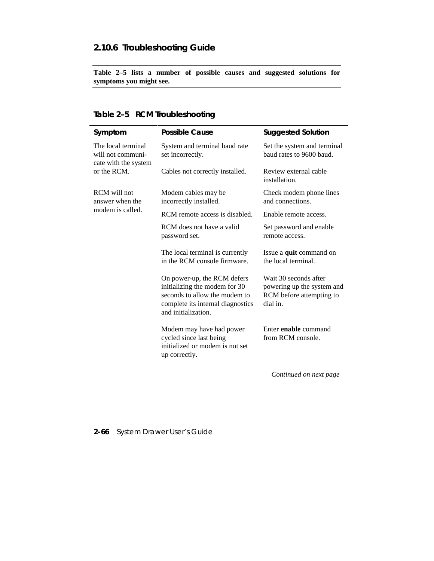# **2.10.6 Troubleshooting Guide**

**Table 2–5 lists a number of possible causes and suggested solutions for symptoms you might see.**

# **Table 2–5 RCM Troubleshooting**

| Symptom                                                         | <b>Possible Cause</b>                                                                                                                                     | <b>Suggested Solution</b>                                                                   |
|-----------------------------------------------------------------|-----------------------------------------------------------------------------------------------------------------------------------------------------------|---------------------------------------------------------------------------------------------|
| The local terminal<br>will not communi-<br>cate with the system | System and terminal baud rate<br>set incorrectly.                                                                                                         | Set the system and terminal<br>baud rates to 9600 baud.                                     |
| or the RCM.                                                     | Cables not correctly installed.                                                                                                                           | Review external cable<br>installation.                                                      |
| RCM will not<br>answer when the<br>modem is called.             | Modem cables may be<br>incorrectly installed.                                                                                                             | Check modem phone lines<br>and connections.                                                 |
|                                                                 | RCM remote access is disabled.                                                                                                                            | Enable remote access.                                                                       |
|                                                                 | RCM does not have a valid<br>password set.                                                                                                                | Set password and enable<br>remote access.                                                   |
|                                                                 | The local terminal is currently<br>in the RCM console firmware.                                                                                           | Issue a quit command on<br>the local terminal.                                              |
|                                                                 | On power-up, the RCM defers<br>initializing the modem for 30<br>seconds to allow the modem to<br>complete its internal diagnostics<br>and initialization. | Wait 30 seconds after<br>powering up the system and<br>RCM before attempting to<br>dial in. |
|                                                                 | Modem may have had power<br>cycled since last being<br>initialized or modem is not set<br>up correctly.                                                   | Enter <b>enable</b> command<br>from RCM console.                                            |

*Continued on next page*

# **2-66** System Drawer User's Guide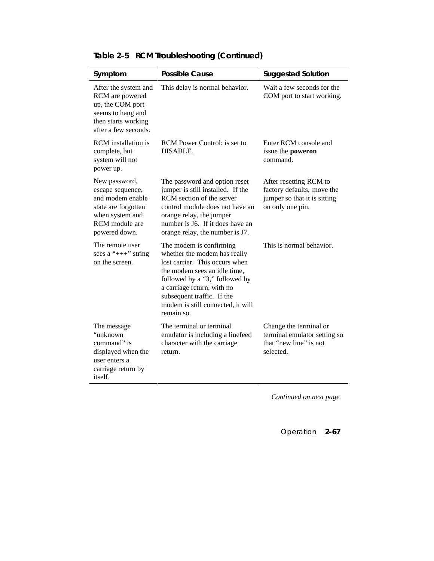| Symptom                                                                                                                            | <b>Possible Cause</b>                                                                                                                                                                                                                                                      | <b>Suggested Solution</b>                                                                                |
|------------------------------------------------------------------------------------------------------------------------------------|----------------------------------------------------------------------------------------------------------------------------------------------------------------------------------------------------------------------------------------------------------------------------|----------------------------------------------------------------------------------------------------------|
| After the system and<br>RCM are powered<br>up, the COM port<br>seems to hang and<br>then starts working<br>after a few seconds.    | This delay is normal behavior.                                                                                                                                                                                                                                             | Wait a few seconds for the<br>COM port to start working.                                                 |
| <b>RCM</b> installation is<br>complete, but<br>system will not<br>power up.                                                        | RCM Power Control: is set to<br>DISABLE.                                                                                                                                                                                                                                   | Enter RCM console and<br>issue the poweron<br>command.                                                   |
| New password,<br>escape sequence,<br>and modem enable<br>state are forgotten<br>when system and<br>RCM module are<br>powered down. | The password and option reset<br>jumper is still installed. If the<br>RCM section of the server<br>control module does not have an<br>orange relay, the jumper<br>number is J6. If it does have an<br>orange relay, the number is J7.                                      | After resetting RCM to<br>factory defaults, move the<br>jumper so that it is sitting<br>on only one pin. |
| The remote user<br>sees a " $++$ " string<br>on the screen.                                                                        | The modem is confirming<br>whether the modem has really<br>lost carrier. This occurs when<br>the modem sees an idle time,<br>followed by a "3," followed by<br>a carriage return, with no<br>subsequent traffic. If the<br>modem is still connected, it will<br>remain so. | This is normal behavior.                                                                                 |
| The message<br>"unknown<br>command" is<br>displayed when the<br>user enters a<br>carriage return by<br>itself.                     | The terminal or terminal<br>emulator is including a linefeed<br>character with the carriage<br>return.                                                                                                                                                                     | Change the terminal or<br>terminal emulator setting so<br>that "new line" is not<br>selected.            |

## **Table 2–5 RCM Troubleshooting (Continued)**

*Continued on next page*

Operation **2-67**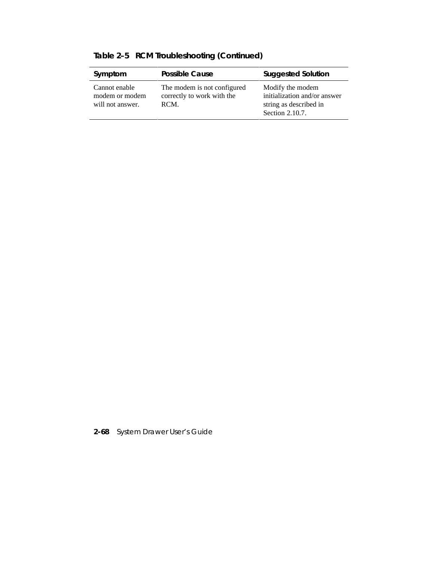| Symptom                                             | <b>Possible Cause</b>                                             | <b>Suggested Solution</b>                                                                     |
|-----------------------------------------------------|-------------------------------------------------------------------|-----------------------------------------------------------------------------------------------|
| Cannot enable<br>modem or modem<br>will not answer. | The modem is not configured<br>correctly to work with the<br>RCM. | Modify the modem<br>initialization and/or answer<br>string as described in<br>Section 2.10.7. |

**Table 2–5 RCM Troubleshooting (Continued)**

**2-68** System Drawer User's Guide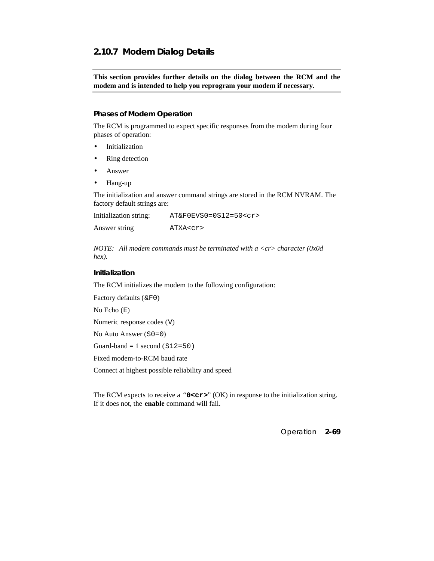## **2.10.7 Modem Dialog Details**

**This section provides further details on the dialog between the RCM and the modem and is intended to help you reprogram your modem if necessary.**

### **Phases of Modem Operation**

The RCM is programmed to expect specific responses from the modem during four phases of operation:

- Initialization
- Ring detection
- Answer
- Hang-up

The initialization and answer command strings are stored in the RCM NVRAM. The factory default strings are:

Initialization string: AT&F0EVS0=0S12=50<cr> Answer string ATXA<cr>

*NOTE: All modem commands must be terminated with a <cr> character (0x0d hex).*

#### **Initialization**

The RCM initializes the modem to the following configuration:

Factory defaults (&F0)

No Echo (E)

Numeric response codes (V)

No Auto Answer (S0=0)

Guard-band  $= 1$  second (S12=50)

Fixed modem-to-RCM baud rate

Connect at highest possible reliability and speed

The RCM expects to receive a "**0<cr>**" (OK) in response to the initialization string. If it does not, the **enable** command will fail.

Operation **2-69**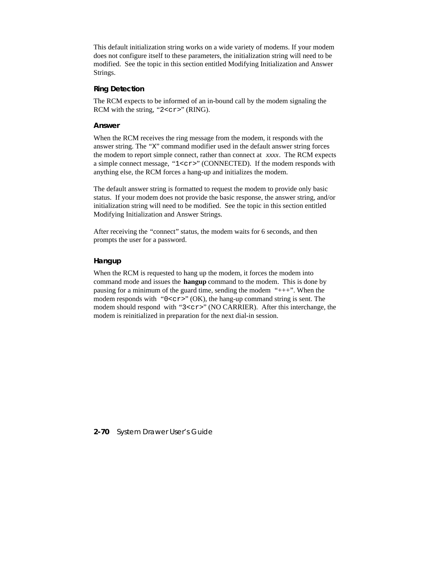This default initialization string works on a wide variety of modems. If your modem does not configure itself to these parameters, the initialization string will need to be modified. See the topic in this section entitled Modifying Initialization and Answer Strings.

### **Ring Detection**

The RCM expects to be informed of an in-bound call by the modem signaling the RCM with the string, " $2 < c r$ " (RING).

#### **Answer**

When the RCM receives the ring message from the modem, it responds with the answer string. The "X" command modifier used in the default answer string forces the modem to report simple connect, rather than connect at *xxxx*. The RCM expects a simple connect message, "1<cr>" (CONNECTED). If the modem responds with anything else, the RCM forces a hang-up and initializes the modem.

The default answer string is formatted to request the modem to provide only basic status. If your modem does not provide the basic response, the answer string, and/or initialization string will need to be modified. See the topic in this section entitled Modifying Initialization and Answer Strings.

After receiving the "connect" status, the modem waits for 6 seconds, and then prompts the user for a password.

### **Hangup**

When the RCM is requested to hang up the modem, it forces the modem into command mode and issues the **hangup** command to the modem. This is done by pausing for a minimum of the guard time, sending the modem "+++". When the modem responds with " $0 < cr$ " (OK), the hang-up command string is sent. The modem should respond with "3<cr>" (NO CARRIER). After this interchange, the modem is reinitialized in preparation for the next dial-in session.

**2-70** System Drawer User's Guide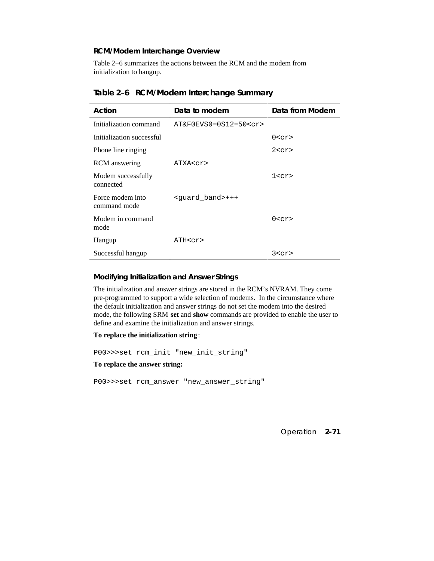## **RCM/Modem Interchange Overview**

Table 2–6 summarizes the actions between the RCM and the modem from initialization to hangup.

| Action                           | Data to modem               | Data from Modem |
|----------------------------------|-----------------------------|-----------------|
| Initialization command           | AT&F0EVS0=0S12=50 <cr></cr> |                 |
| Initialization successful        |                             | 0 < c r         |
| Phone line ringing               |                             | 2 < c r         |
| <b>RCM</b> answering             | ATXA <cr></cr>              |                 |
| Modem successfully<br>connected  |                             | 1 < c r         |
| Force modem into<br>command mode | <quard band="">+++</quard>  |                 |
| Modem in command<br>mode         |                             | 0 < c r         |
| Hangup                           | ATH <cr></cr>               |                 |
| Successful hangup                |                             | 3 < c r         |

## **Table 2–6 RCM/Modem Interchange Summary**

### **Modifying Initialization and Answer Strings**

The initialization and answer strings are stored in the RCM's NVRAM. They come pre-programmed to support a wide selection of modems. In the circumstance where the default initialization and answer strings do not set the modem into the desired mode, the following SRM **set** and **show** commands are provided to enable the user to define and examine the initialization and answer strings.

### **To replace the initialization string**:

P00>>>set rcm\_init "new\_init\_string"

**To replace the answer string:**

P00>>>set rcm\_answer "new\_answer\_string"

Operation **2-71**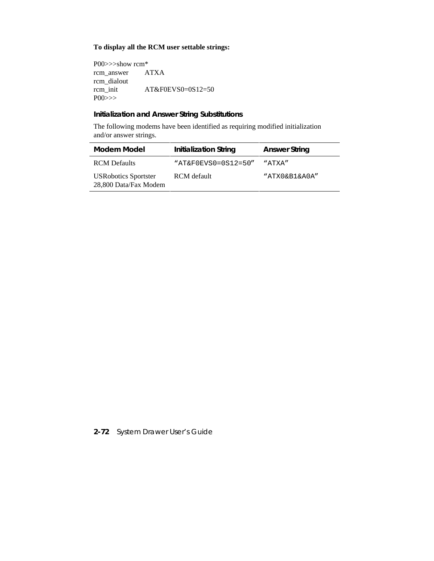## **To display all the RCM user settable strings:**

P00>>>show rcm\* rcm\_answer ATXA rcm\_dialout<br>rcm\_init AT&F0EVS0=0S12=50 P00>>>

## **Initialization and Answer String Substitutions**

The following modems have been identified as requiring modified initialization and/or answer strings.

| Modem Model                                          | <b>Initialization String</b> | <b>Answer String</b> |
|------------------------------------------------------|------------------------------|----------------------|
| <b>RCM</b> Defaults                                  | $"AT&F0EVS0=0S12=50"$        | "ATXA"               |
| <b>USRobotics Sportster</b><br>28,800 Data/Fax Modem | RCM default                  | "ATXO&B1&AOA"        |

**2-72** System Drawer User's Guide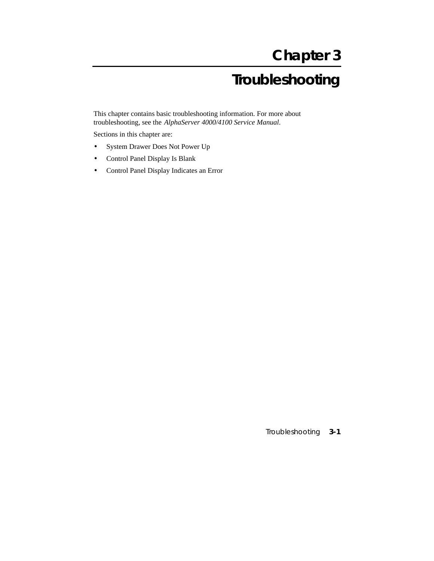# **Chapter 3**

# **Troubleshooting**

This chapter contains basic troubleshooting information. For more about troubleshooting, see the *AlphaServer 4000/4100 Service Manual.*

Sections in this chapter are:

- System Drawer Does Not Power Up
- Control Panel Display Is Blank
- Control Panel Display Indicates an Error

Troubleshooting **3-1**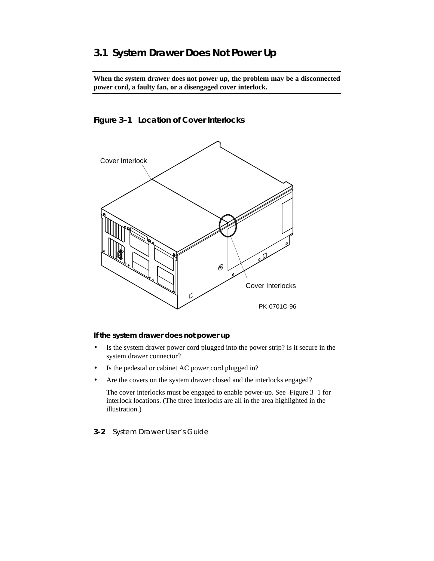## **3.1 System Drawer Does Not Power Up**

**When the system drawer does not power up, the problem may be a disconnected power cord, a faulty fan, or a disengaged cover interlock.**

## **Figure 3–1 Location of Cover Interlocks**



### **If the system drawer does not power up**

- Is the system drawer power cord plugged into the power strip? Is it secure in the system drawer connector?
- Is the pedestal or cabinet AC power cord plugged in?
- Are the covers on the system drawer closed and the interlocks engaged?

The cover interlocks must be engaged to enable power-up. See Figure 3–1 for interlock locations. (The three interlocks are all in the area highlighted in the illustration.)

**3-2** System Drawer User's Guide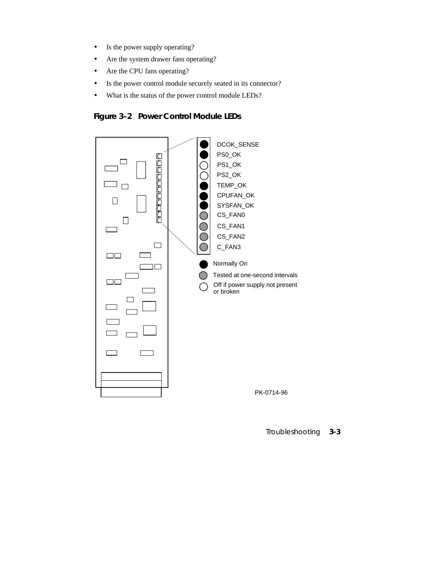- Is the power supply operating?
- Are the system drawer fans operating?
- Are the CPU fans operating?
- Is the power control module securely seated in its connector?
- What is the status of the power control module LEDs?

**Figure 3–2 Power Control Module LEDs**



Troubleshooting **3-3**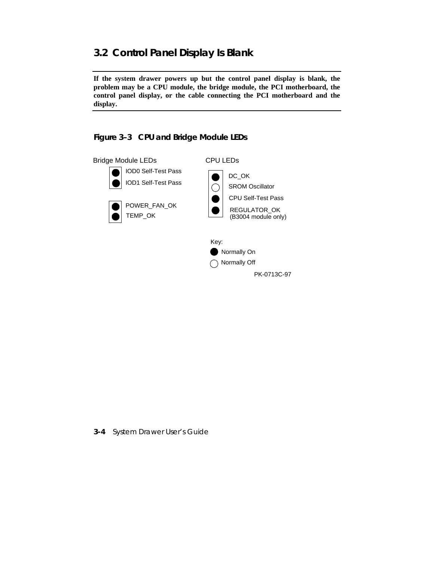## **3.2 Control Panel Display Is Blank**

**If the system drawer powers up but the control panel display is blank, the problem may be a CPU module, the bridge module, the PCI motherboard, the control panel display, or the cable connecting the PCI motherboard and the display.**



**3-4** System Drawer User's Guide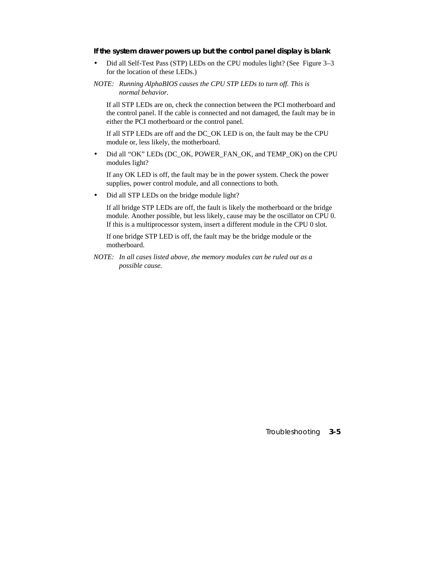#### **If the system drawer powers up but the control panel display is blank**

- Did all Self-Test Pass (STP) LEDs on the CPU modules light? (See Figure 3–3 for the location of these LEDs.)
- *NOTE: Running AlphaBIOS causes the CPU STP LEDs to turn off. This is normal behavior.*

If all STP LEDs are on, check the connection between the PCI motherboard and the control panel. If the cable is connected and not damaged, the fault may be in either the PCI motherboard or the control panel.

If all STP LEDs are off and the DC\_OK LED is on, the fault may be the CPU module or, less likely, the motherboard.

• Did all "OK" LEDs (DC\_OK, POWER\_FAN\_OK, and TEMP\_OK) on the CPU modules light?

If any OK LED is off, the fault may be in the power system. Check the power supplies, power control module, and all connections to both.

• Did all STP LEDs on the bridge module light?

If all bridge STP LEDs are off, the fault is likely the motherboard or the bridge module. Another possible, but less likely, cause may be the oscillator on CPU 0. If this is a multiprocessor system, insert a different module in the CPU 0 slot.

If one bridge STP LED is off, the fault may be the bridge module or the motherboard.

*NOTE: In all cases listed above, the memory modules can be ruled out as a possible cause.*

Troubleshooting **3-5**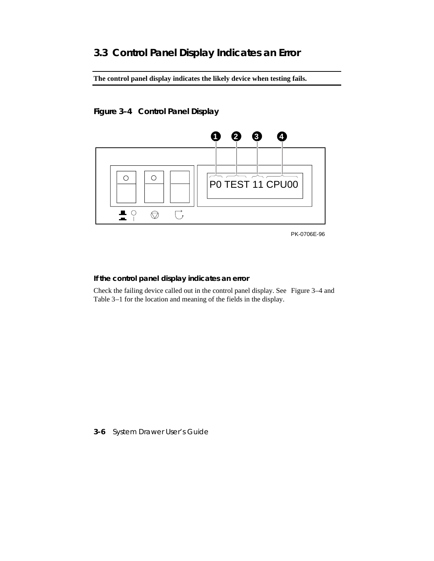## **3.3 Control Panel Display Indicates an Error**

**The control panel display indicates the likely device when testing fails.**

## **Figure 3–4 Control Panel Display**



PK-0706E-96

### **If the control panel display indicates an error**

Check the failing device called out in the control panel display. See Figure 3–4 and Table 3–1 for the location and meaning of the fields in the display.

**3-6** System Drawer User's Guide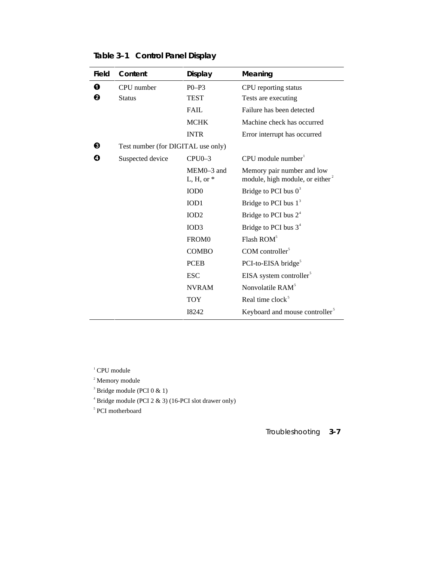| <b>Field</b> | Content                            | <b>Display</b>         | Meaning                                                                   |
|--------------|------------------------------------|------------------------|---------------------------------------------------------------------------|
| $\bf{0}$     | CPU number                         | $P0-P3$                | CPU reporting status                                                      |
| ❷            | <b>Status</b>                      | TEST                   | Tests are executing                                                       |
|              |                                    | <b>FAIL</b>            | Failure has been detected                                                 |
|              |                                    | <b>MCHK</b>            | Machine check has occurred                                                |
|              |                                    | <b>INTR</b>            | Error interrupt has occurred                                              |
| ❸            | Test number (for DIGITAL use only) |                        |                                                                           |
| ø            | Suspected device                   | $CPU0-3$               | $CPU$ module number                                                       |
|              |                                    | MEM0-3 and<br>L, H, or | Memory pair number and low<br>module, high module, or either <sup>2</sup> |
|              |                                    | IOD <sub>0</sub>       | Bridge to PCI bus $0^3$                                                   |
|              |                                    | IOD <sub>1</sub>       | Bridge to PCI bus $13$                                                    |
|              |                                    | IOD2                   | Bridge to PCI bus $24$                                                    |
|              |                                    | IOD <sub>3</sub>       | Bridge to PCI bus $34$                                                    |
|              |                                    | FROM <sub>0</sub>      | Flash ROM <sup>5</sup>                                                    |
|              |                                    | <b>COMBO</b>           | COM controller $5$                                                        |
|              |                                    | <b>PCEB</b>            | PCI-to-EISA bridge <sup>5</sup>                                           |
|              |                                    | <b>ESC</b>             | EISA system controller <sup>5</sup>                                       |
|              |                                    | <b>NVRAM</b>           | Nonvolatile RAM <sup>5</sup>                                              |
|              |                                    | <b>TOY</b>             | Real time clock <sup>5</sup>                                              |
|              |                                    | I8242                  | Keyboard and mouse controller <sup>5</sup>                                |

**Table 3–1 Control Panel Display**

<sup>1</sup> CPU module

<sup>2</sup> Memory module

<sup>3</sup> Bridge module (PCI 0 & 1)

4 Bridge module (PCI 2 & 3) (16-PCI slot drawer only)

5 PCI motherboard

Troubleshooting **3-7**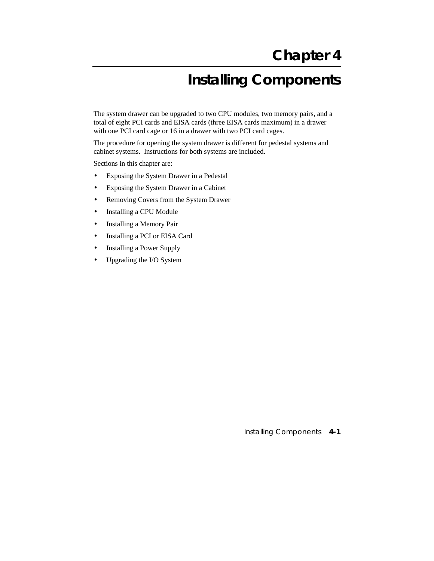# **Installing Components**

The system drawer can be upgraded to two CPU modules, two memory pairs, and a total of eight PCI cards and EISA cards (three EISA cards maximum) in a drawer with one PCI card cage or 16 in a drawer with two PCI card cages.

The procedure for opening the system drawer is different for pedestal systems and cabinet systems. Instructions for both systems are included.

Sections in this chapter are:

- Exposing the System Drawer in a Pedestal
- Exposing the System Drawer in a Cabinet
- Removing Covers from the System Drawer
- Installing a CPU Module
- Installing a Memory Pair
- Installing a PCI or EISA Card
- Installing a Power Supply
- Upgrading the I/O System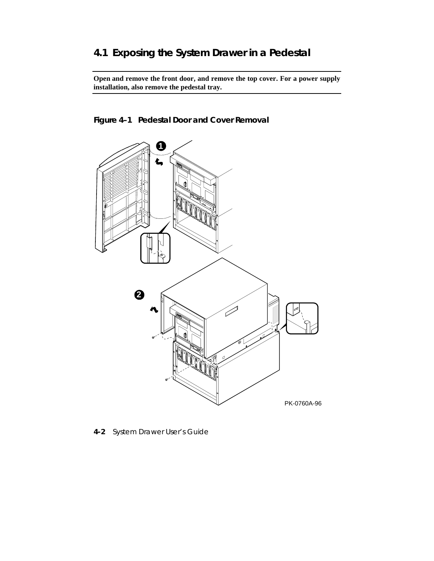## **4.1 Exposing the System Drawer in a Pedestal**

**Open and remove the front door, and remove the top cover. For a power supply installation, also remove the pedestal tray.**

**Figure 4–1 Pedestal Door and Cover Removal**



**4-2** System Drawer User's Guide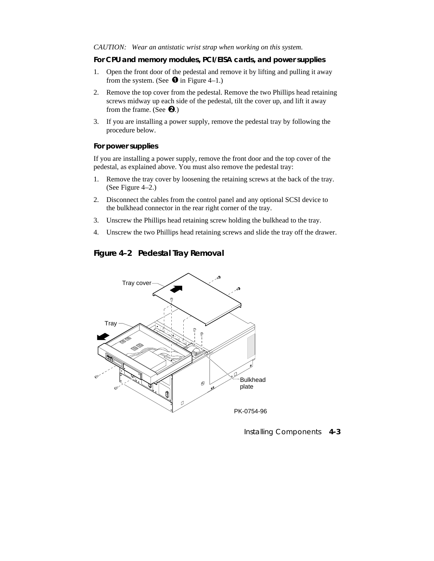#### *CAUTION: Wear an antistatic wrist strap when working on this system.*

### **For CPU and memory modules, PCI/EISA cards, and power supplies**

- 1. Open the front door of the pedestal and remove it by lifting and pulling it away from the system. (See  $\bullet$  in Figure 4–1.)
- 2. Remove the top cover from the pedestal. Remove the two Phillips head retaining screws midway up each side of the pedestal, tilt the cover up, and lift it away from the frame. (See  $\Theta$ .)
- 3. If you are installing a power supply, remove the pedestal tray by following the procedure below.

#### **For power supplies**

If you are installing a power supply, remove the front door and the top cover of the pedestal, as explained above. You must also remove the pedestal tray:

- 1. Remove the tray cover by loosening the retaining screws at the back of the tray. (See Figure 4–2.)
- 2. Disconnect the cables from the control panel and any optional SCSI device to the bulkhead connector in the rear right corner of the tray.
- 3. Unscrew the Phillips head retaining screw holding the bulkhead to the tray.
- 4. Unscrew the two Phillips head retaining screws and slide the tray off the drawer.

## **Figure 4–2 Pedestal Tray Removal**

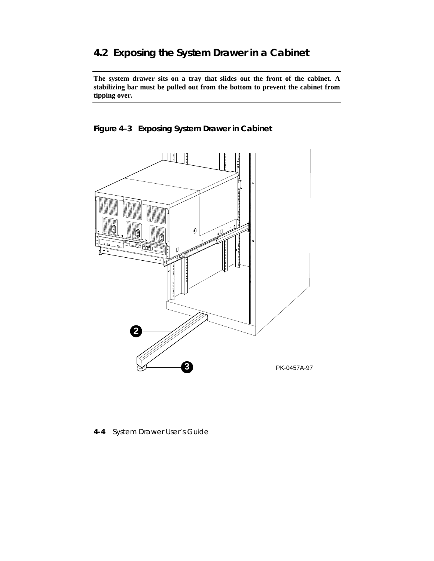## **4.2 Exposing the System Drawer in a Cabinet**

**The system drawer sits on a tray that slides out the front of the cabinet. A stabilizing bar must be pulled out from the bottom to prevent the cabinet from tipping over.**

**Figure 4–3 Exposing System Drawer in Cabinet**



**4-4** System Drawer User's Guide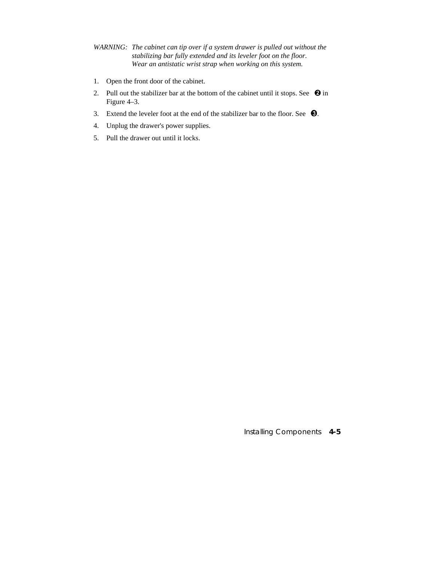- *WARNING: The cabinet can tip over if a system drawer is pulled out without the stabilizing bar fully extended and its leveler foot on the floor. Wear an antistatic wrist strap when working on this system.*
- 1. Open the front door of the cabinet.
- 2. Pull out the stabilizer bar at the bottom of the cabinet until it stops. See  $\bigcirc$  in Figure 4–3.
- 3. Extend the leveler foot at the end of the stabilizer bar to the floor. See  $\bullet$ .
- 4. Unplug the drawer's power supplies.
- 5. Pull the drawer out until it locks.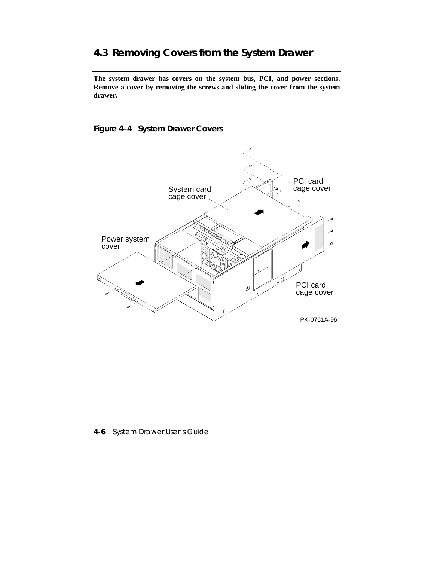## **4.3 Removing Covers from the System Drawer**

**The system drawer has covers on the system bus, PCI, and power sections. Remove a cover by removing the screws and sliding the cover from the system drawer.**

## **Figure 4–4 System Drawer Covers**



**4-6** System Drawer User's Guide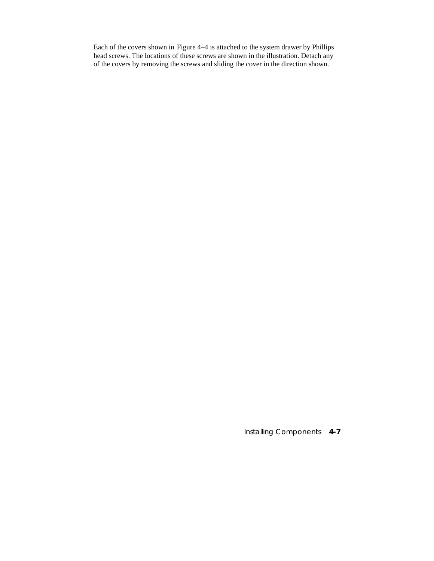Each of the covers shown in Figure 4–4 is attached to the system drawer by Phillips head screws. The locations of these screws are shown in the illustration. Detach any of the covers by removing the screws and sliding the cover in the direction shown.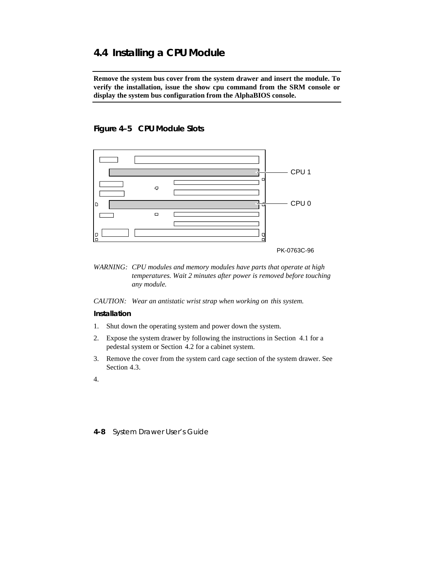## **4.4 Installing a CPU Module**

**Remove the system bus cover from the system drawer and insert the module. To verify the installation, issue the show cpu command from the SRM console or display the system bus configuration from the AlphaBIOS console.**

## **Figure 4–5 CPU Module Slots**



*WARNING: CPU modules and memory modules have parts that operate at high temperatures. Wait 2 minutes after power is removed before touching any module.*

*CAUTION: Wear an antistatic wrist strap when working on this system.*

#### **Installation**

- 1. Shut down the operating system and power down the system.
- 2. Expose the system drawer by following the instructions in Section 4.1 for a pedestal system or Section 4.2 for a cabinet system.
- 3. Remove the cover from the system card cage section of the system drawer. See Section 4.3.
- 4.

**<sup>4-8</sup>** System Drawer User's Guide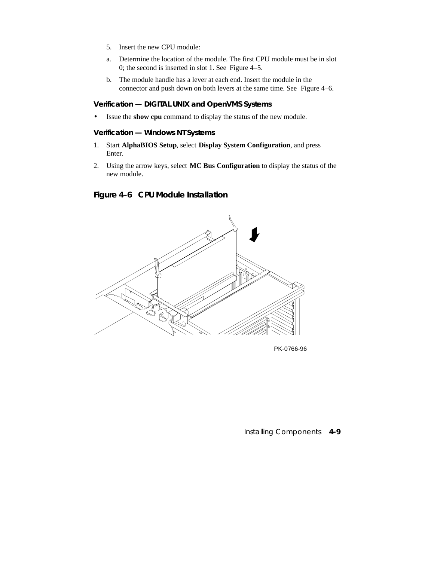- 5. Insert the new CPU module:
- a. Determine the location of the module. The first CPU module must be in slot 0; the second is inserted in slot 1. See Figure 4–5.
- b. The module handle has a lever at each end. Insert the module in the connector and push down on both levers at the same time. See Figure 4–6.

#### **Verification — DIGITAL UNIX and OpenVMS Systems**

• Issue the **show cpu** command to display the status of the new module.

### **Verification — Windows NT Systems**

- 1. Start **AlphaBIOS Setup**, select **Display System Configuration**, and press Enter.
- 2. Using the arrow keys, select **MC Bus Configuration** to display the status of the new module.

## **Figure 4–6 CPU Module Installation**



PK-0766-96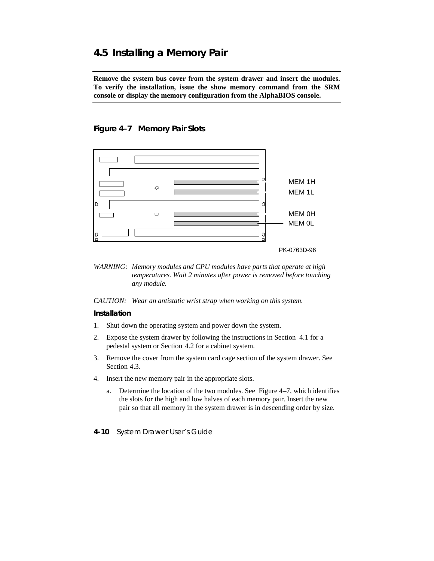## **4.5 Installing a Memory Pair**

**Remove the system bus cover from the system drawer and insert the modules. To verify the installation, issue the show memory command from the SRM console or display the memory configuration from the AlphaBIOS console.**

## **Figure 4–7 Memory Pair Slots**



*WARNING: Memory modules and CPU modules have parts that operate at high temperatures. Wait 2 minutes after power is removed before touching any module.*

*CAUTION: Wear an antistatic wrist strap when working on this system.*

### **Installation**

- 1. Shut down the operating system and power down the system.
- 2. Expose the system drawer by following the instructions in Section 4.1 for a pedestal system or Section 4.2 for a cabinet system.
- 3. Remove the cover from the system card cage section of the system drawer. See Section 4.3.
- 4. Insert the new memory pair in the appropriate slots.
	- a. Determine the location of the two modules. See Figure 4–7, which identifies the slots for the high and low halves of each memory pair. Insert the new pair so that all memory in the system drawer is in descending order by size.
- **4-10** System Drawer User's Guide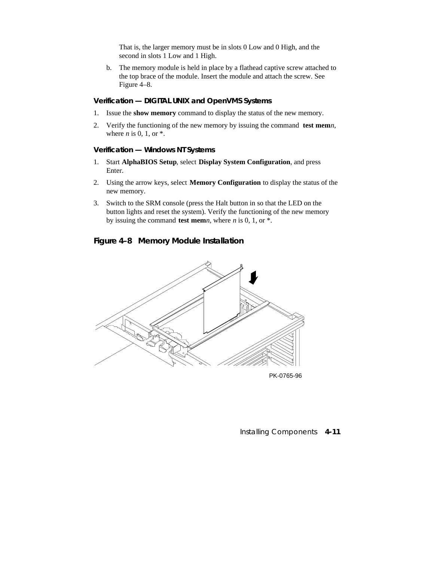That is, the larger memory must be in slots 0 Low and 0 High, and the second in slots 1 Low and 1 High.

b. The memory module is held in place by a flathead captive screw attached to the top brace of the module. Insert the module and attach the screw. See Figure 4–8.

## **Verification — DIGITAL UNIX and OpenVMS Systems**

- 1. Issue the **show memory** command to display the status of the new memory.
- 2. Verify the functioning of the new memory by issuing the command **test mem***n*, where *n* is 0, 1, or \*.

#### **Verification — Windows NT Systems**

- 1. Start **AlphaBIOS Setup**, select **Display System Configuration**, and press Enter.
- 2. Using the arrow keys, select **Memory Configuration** to display the status of the new memory.
- 3. Switch to the SRM console (press the Halt button in so that the LED on the button lights and reset the system). Verify the functioning of the new memory by issuing the command **test mem***n*, where *n* is 0, 1, or \*.

## **Figure 4–8 Memory Module Installation**



PK-0765-96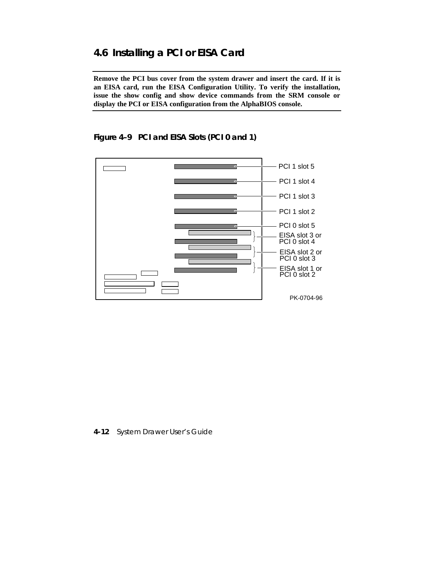## **4.6 Installing a PCI or EISA Card**

**Remove the PCI bus cover from the system drawer and insert the card. If it is an EISA card, run the EISA Configuration Utility. To verify the installation, issue the show config and show device commands from the SRM console or display the PCI or EISA configuration from the AlphaBIOS console.**

**Figure 4–9 PCI and EISA Slots (PCI 0 and 1)**



**4-12** System Drawer User's Guide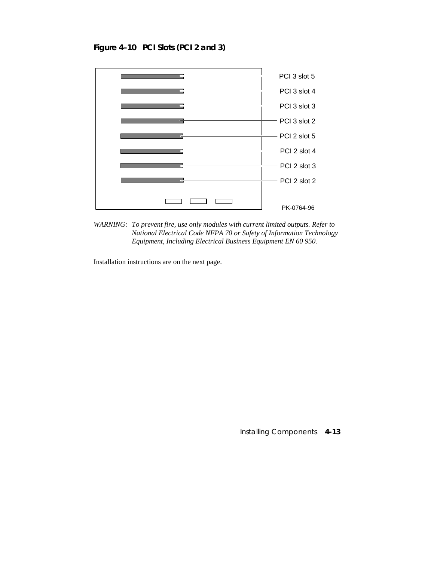**Figure 4–10 PCI Slots (PCI 2 and 3)**



*WARNING: To prevent fire, use only modules with current limited outputs. Refer to National Electrical Code NFPA 70 or Safety of Information Technology Equipment, Including Electrical Business Equipment EN 60 950.*

Installation instructions are on the next page.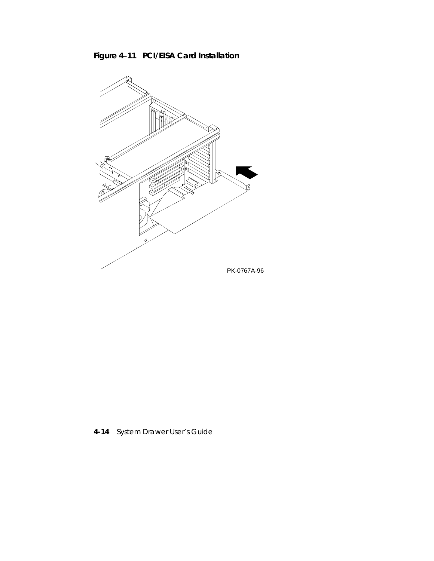



**4-14** System Drawer User's Guide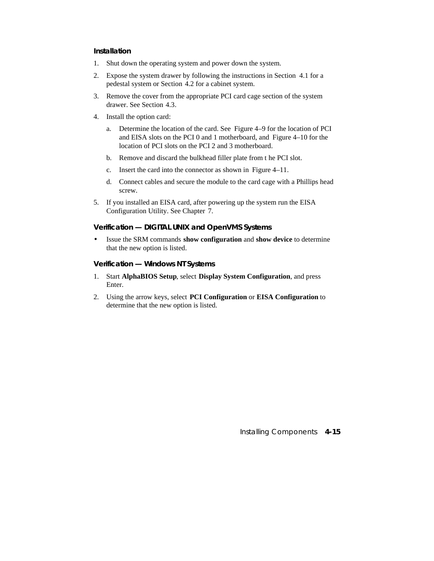#### **Installation**

- 1. Shut down the operating system and power down the system.
- 2. Expose the system drawer by following the instructions in Section 4.1 for a pedestal system or Section 4.2 for a cabinet system.
- 3. Remove the cover from the appropriate PCI card cage section of the system drawer. See Section 4.3.
- 4. Install the option card:
	- a. Determine the location of the card. See Figure 4–9 for the location of PCI and EISA slots on the PCI 0 and 1 motherboard, and Figure 4–10 for the location of PCI slots on the PCI 2 and 3 motherboard.
	- b. Remove and discard the bulkhead filler plate from t he PCI slot.
	- c. Insert the card into the connector as shown in Figure 4–11.
	- d. Connect cables and secure the module to the card cage with a Phillips head screw.
- 5. If you installed an EISA card, after powering up the system run the EISA Configuration Utility. See Chapter 7.

### **Verification — DIGITAL UNIX and OpenVMS Systems**

• Issue the SRM commands **show configuration** and **show device** to determine that the new option is listed.

#### **Verification — Windows NT Systems**

- 1. Start **AlphaBIOS Setup**, select **Display System Configuration**, and press Enter.
- 2. Using the arrow keys, select **PCI Configuration** or **EISA Configuration** to determine that the new option is listed.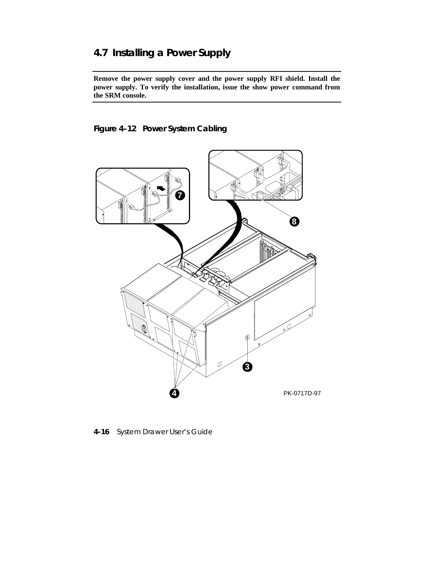## **4.7 Installing a Power Supply**

**Remove the power supply cover and the power supply RFI shield. Install the power supply. To verify the installation, issue the show power command from the SRM console.**

**Figure 4–12 Power System Cabling**



**4-16** System Drawer User's Guide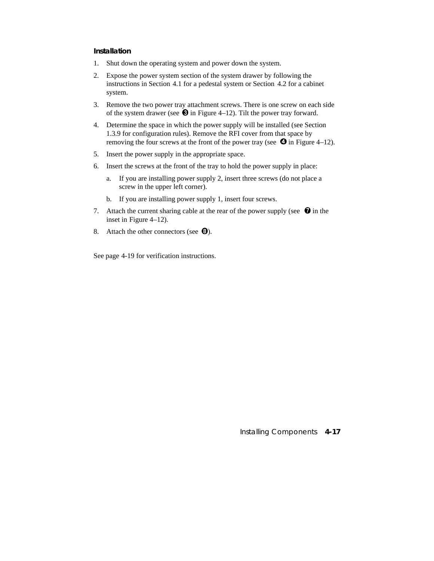## **Installation**

- 1. Shut down the operating system and power down the system.
- 2. Expose the power system section of the system drawer by following the instructions in Section 4.1 for a pedestal system or Section 4.2 for a cabinet system.
- 3. Remove the two power tray attachment screws. There is one screw on each side of the system drawer (see  $\bullet$  in Figure 4–12). Tilt the power tray forward.
- 4. Determine the space in which the power supply will be installed (see Section 1.3.9 for configuration rules). Remove the RFI cover from that space by removing the four screws at the front of the power tray (see  $\bullet$  in Figure 4–12).
- 5. Insert the power supply in the appropriate space.
- 6. Insert the screws at the front of the tray to hold the power supply in place:
	- a. If you are installing power supply 2, insert three screws (do not place a screw in the upper left corner).
	- b. If you are installing power supply 1, insert four screws.
- 7. Attach the current sharing cable at the rear of the power supply (see  $\bullet$  in the inset in Figure 4–12).
- 8. Attach the other connectors (see  $\mathbf{\Theta}$ ).

See page 4-19 for verification instructions.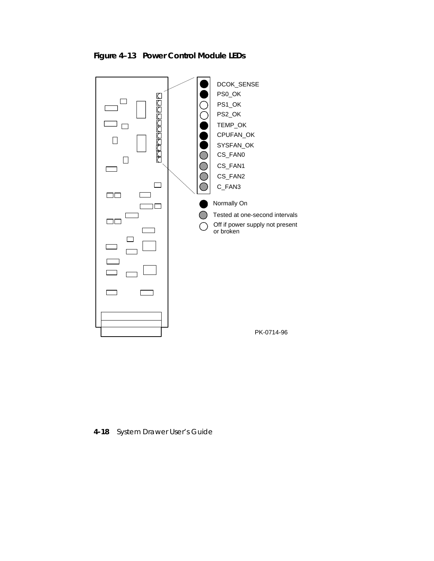

**Figure 4–13 Power Control Module LEDs**

**4-18** System Drawer User's Guide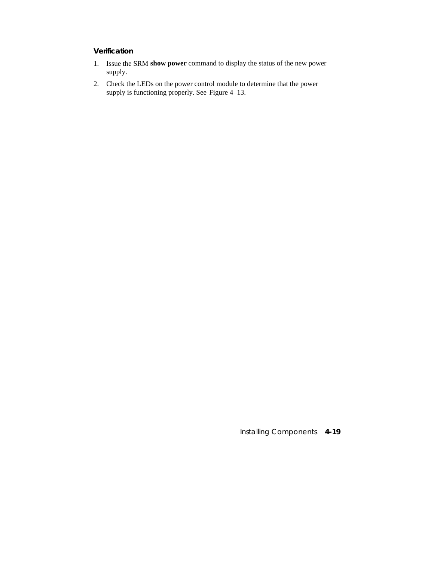## **Verification**

- 1. Issue the SRM **show power** command to display the status of the new power supply.
- 2. Check the LEDs on the power control module to determine that the power supply is functioning properly. See Figure 4–13.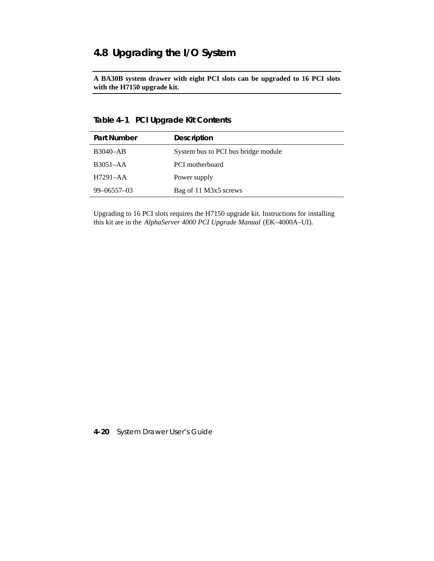## **4.8 Upgrading the I/O System**

**A BA30B system drawer with eight PCI slots can be upgraded to 16 PCI slots with the H7150 upgrade kit.**

## **Table 4–1 PCI Upgrade Kit Contents**

| <b>Part Number</b> | <b>Description</b>                  |
|--------------------|-------------------------------------|
| <b>B3040-AB</b>    | System bus to PCI bus bridge module |
| $B3051 - AA$       | <b>PCI</b> motherboard              |
| $H7291 - AA$       | Power supply                        |
| $99 - 06557 - 03$  | Bag of 11 M3x5 screws               |

Upgrading to 16 PCI slots requires the H7150 upgrade kit. Instructions for installing this kit are in the *AlphaServer 4000 PCI Upgrade Manual* (EK–4000A–UI).

**4-20** System Drawer User's Guide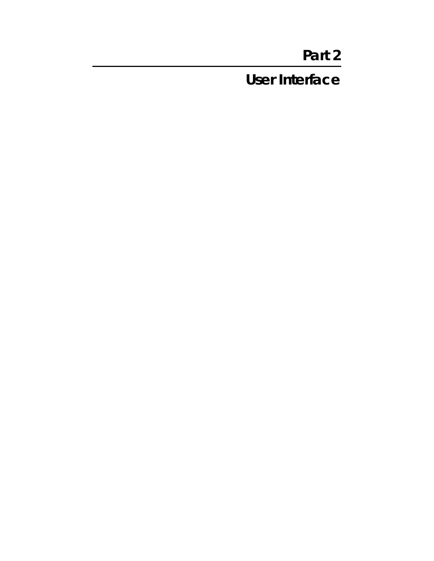# **Part 2**

**User Interface**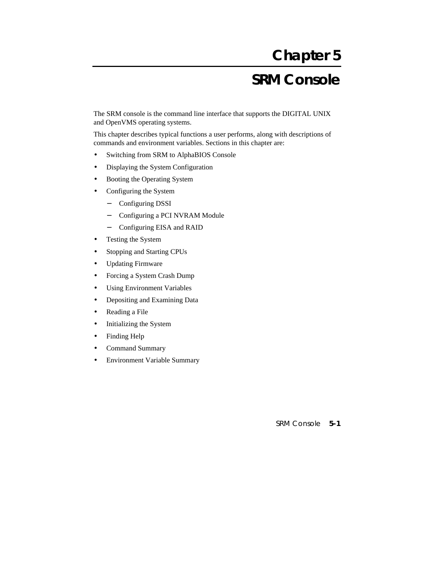# **Chapter 5**

# **SRM Console**

The SRM console is the command line interface that supports the DIGITAL UNIX and OpenVMS operating systems.

This chapter describes typical functions a user performs, along with descriptions of commands and environment variables. Sections in this chapter are:

- Switching from SRM to AlphaBIOS Console
- Displaying the System Configuration
- Booting the Operating System
- Configuring the System
	- − Configuring DSSI
	- − Configuring a PCI NVRAM Module
	- − Configuring EISA and RAID
- Testing the System
- Stopping and Starting CPUs
- Updating Firmware
- Forcing a System Crash Dump
- Using Environment Variables
- Depositing and Examining Data
- Reading a File
- Initializing the System
- Finding Help
- Command Summary
- Environment Variable Summary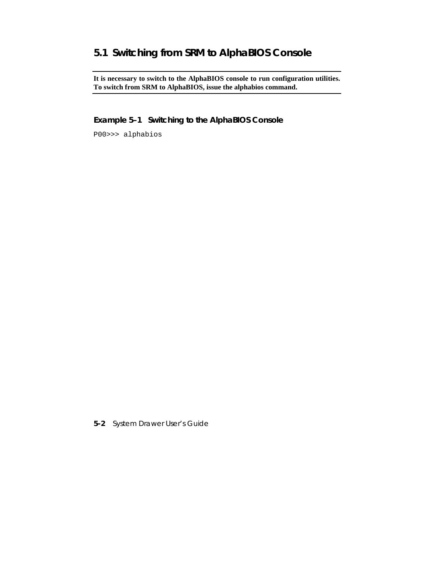# **5.1 Switching from SRM to AlphaBIOS Console**

**It is necessary to switch to the AlphaBIOS console to run configuration utilities. To switch from SRM to AlphaBIOS, issue the alphabios command.**

**Example 5–1 Switching to the AlphaBIOS Console**

P00>>> alphabios

**5-2** System Drawer User's Guide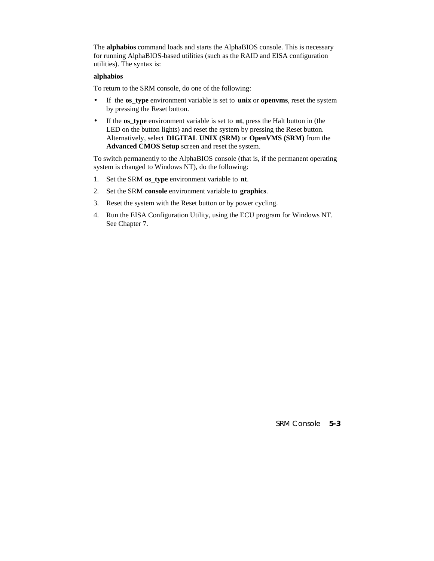The **alphabios** command loads and starts the AlphaBIOS console. This is necessary for running AlphaBIOS-based utilities (such as the RAID and EISA configuration utilities). The syntax is:

#### **alphabios**

To return to the SRM console, do one of the following:

- If the **os\_type** environment variable is set to **unix** or **openvms**, reset the system by pressing the Reset button.
- If the **os\_type** environment variable is set to **nt**, press the Halt button in (the LED on the button lights) and reset the system by pressing the Reset button. Alternatively, select **DIGITAL UNIX (SRM)** or **OpenVMS (SRM)** from the **Advanced CMOS Setup** screen and reset the system.

To switch permanently to the AlphaBIOS console (that is, if the permanent operating system is changed to Windows NT), do the following:

- 1. Set the SRM **os\_type** environment variable to **nt**.
- 2. Set the SRM **console** environment variable to **graphics**.
- 3. Reset the system with the Reset button or by power cycling.
- 4. Run the EISA Configuration Utility, using the ECU program for Windows NT. See Chapter 7.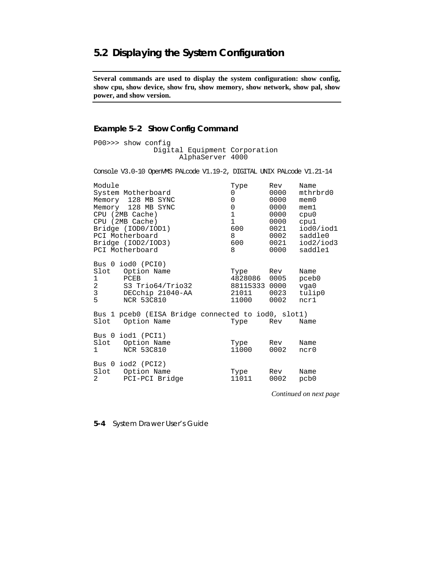# **5.2 Displaying the System Configuration**

**Several commands are used to display the system configuration: show config, show cpu, show device, show fru, show memory, show network, show pal, show power, and show version.**

### **Example 5–2 Show Config Command**

P00>>> show config Digital Equipment Corporation AlphaServer 4000

Console V3.0-10 OpenVMS PALcode V1.19-2, DIGITAL UNIX PALcode V1.21-14

| Module<br>CPU (2MB Cache)<br>CPU (2MB Cache)<br>PCI Motherboard<br>PCI Motherboard | System Motherboard<br>Memory 128 MB SYNC<br>Memory 128 MB SYNC<br>Bridge (IOD0/IOD1)<br>Bridge (IOD2/IOD3) | Type<br>0<br>0<br>$\mathsf 0$<br>$\mathbf{1}$<br>$\mathbf{1}$<br>600<br>8<br>600<br>8 | Rev<br>0000<br>0000<br>0000<br>0000<br>0000<br>0021<br>0002<br>0021<br>0000 | Name<br>mthrbrd0<br>$m$ em $0$<br>$m$ em $1$<br>cpu0<br>cpu1<br>iod0/iod1<br>saddle0<br>iod2/iod3<br>saddle1 |
|------------------------------------------------------------------------------------|------------------------------------------------------------------------------------------------------------|---------------------------------------------------------------------------------------|-----------------------------------------------------------------------------|--------------------------------------------------------------------------------------------------------------|
| 1<br>$\overline{2}$<br>3<br>5                                                      | Bus 0 iod0 (PCI0)<br>Slot Option Name<br>PCEB<br>S3 Trio64/Trio32<br>DECchip 21040-AA<br>NCR 53C810        | Type<br>4828086 0005<br>88115333 0000<br>21011<br>11000                               | Rev<br>0023<br>0002                                                         | Name<br>pceb0<br>vqa0<br>tulip0<br>ncr1                                                                      |
|                                                                                    | Bus 1 pceb0 (EISA Bridge connected to iod0, slot1)<br>Slot Option Name                                     | Type                                                                                  | Rev                                                                         | Name                                                                                                         |
| $\mathbf{1}$                                                                       | Bus 0 iod1 (PCI1)<br>Slot Option Name<br><b>NCR 53C810</b>                                                 | Type<br>11000                                                                         | Rev<br>0002                                                                 | Name<br>ncr0                                                                                                 |
| $\overline{2}$                                                                     | Bus $0$ iod $2$ (PCI $2$ )<br>Slot Option Name<br>PCI-PCI Bridge                                           | Type<br>11011                                                                         | Rev<br>0002                                                                 | Name<br>pcb0                                                                                                 |

*Continued on next page*

**5-4** System Drawer User's Guide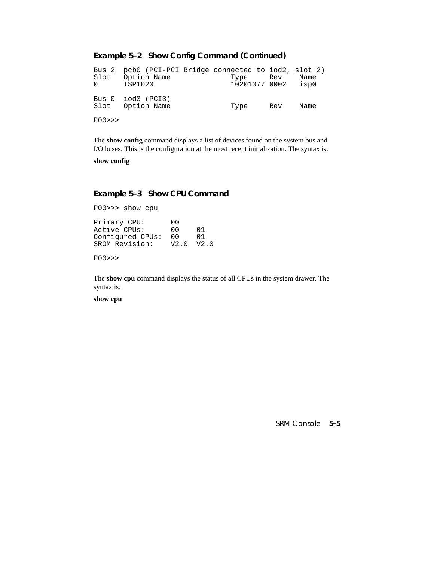#### **Example 5–2 Show Config Command (Continued)**

Bus 2 pcb0 (PCI-PCI Bridge connected to iod2, slot 2)<br>Slot 0ption Name Type Rev Name Option Name Type Rev Name<br>ISP1020 10201077 0002 isp0 0 ISP1020 10201077 0002 Bus 0 iod3 (PCI3) Slot Option Name Type Rev Name P00>>>

The **show config** command displays a list of devices found on the system bus and I/O buses. This is the configuration at the most recent initialization. The syntax is:

**show config**

#### **Example 5–3 Show CPU Command**

P00>>> show cpu Primary CPU: 00<br>Active CPUs: 00 Active CPUs: 00 01<br>Configured CPUs: 00 01 Configured CPUs: 00 01<br>SROM Revision: V2.0 V2.0 SROM Revision:

P00>>>

The **show cpu** command displays the status of all CPUs in the system drawer. The syntax is:

**show cpu**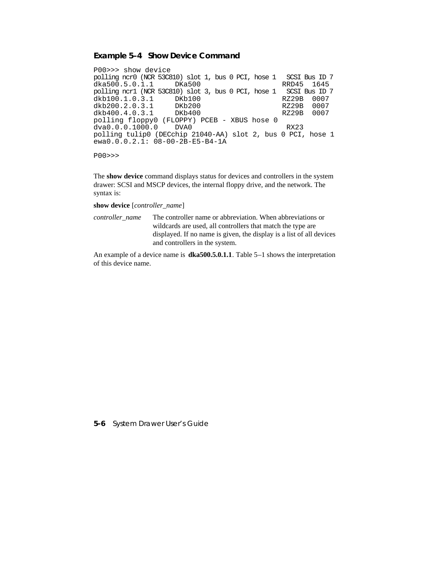#### **Example 5–4 Show Device Command**

P00>>> show device polling ncr0 (NCR 53C810) slot 1, bus 0 PCI, hose 1 SCSI Bus ID 7 dka500.5.0.1.1 DKa500 RRD45 1645 polling ncr1 (NCR 53C810) slot 3, bus 0 PCI, hose 1 SCSI Bus ID 7 dkb100.1.0.3.1 DKb100 RZ29B 0007 dkb200.2.0.3.1 DKb200 RZ29B 0007 dkb400.4.0.3.1 DKb400 RZ29B 0007 polling floppy0 (FLOPPY) PCEB - XBUS hose 0<br>dva0.0.0.1000.0 DVA0 dva0.0.0.1000.0 DVA0 RX23 polling tulip0 (DECchip 21040-AA) slot 2, bus 0 PCI, hose 1 ewa0.0.0.2.1: 08-00-2B-E5-B4-1A

P00>>>

The **show device** command displays status for devices and controllers in the system drawer: SCSI and MSCP devices, the internal floppy drive, and the network. The syntax is:

**show device** [*controller\_name*]

*controller\_name* The controller name or abbreviation. When abbreviations or wildcards are used, all controllers that match the type are displayed. If no name is given, the display is a list of all devices and controllers in the system.

An example of a device name is **dka500.5.0.1.1**. Table 5–1 shows the interpretation of this device name.

**5-6** System Drawer User's Guide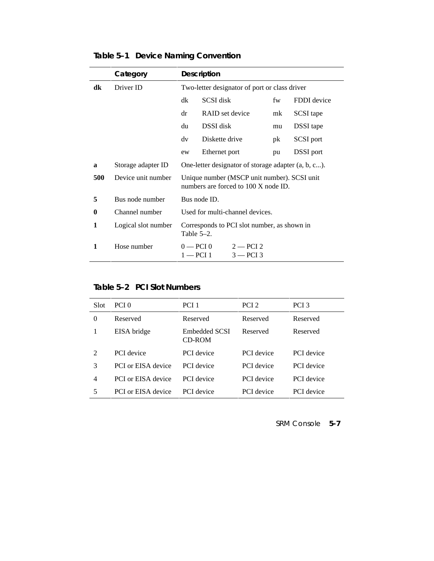|                  | Category            |                                                                                     | <b>Description</b>                                         |    |             |
|------------------|---------------------|-------------------------------------------------------------------------------------|------------------------------------------------------------|----|-------------|
| dk               | Driver ID           | Two-letter designator of port or class driver                                       |                                                            |    |             |
|                  |                     | dk                                                                                  | SCSI disk                                                  | fw | FDDI device |
|                  |                     | dr                                                                                  | RAID set device                                            | mk | SCSI tape   |
|                  |                     | du                                                                                  | DSSI disk                                                  | mu | DSSI tape   |
|                  |                     | dv                                                                                  | Diskette drive                                             | pk | SCSI port   |
|                  |                     | ew                                                                                  | Ethernet port                                              | pu | DSSI port   |
| a                | Storage adapter ID  | One-letter designator of storage adapter (a, b, c).                                 |                                                            |    |             |
| 500              | Device unit number  | Unique number (MSCP unit number). SCSI unit<br>numbers are forced to 100 X node ID. |                                                            |    |             |
| 5                | Bus node number     | Bus node ID.                                                                        |                                                            |    |             |
| $\boldsymbol{0}$ | Channel number      | Used for multi-channel devices.                                                     |                                                            |    |             |
| 1                | Logical slot number | Table $5-2$ .                                                                       | Corresponds to PCI slot number, as shown in                |    |             |
| 1                | Hose number         |                                                                                     | $0 - PCI$ $0$<br>$2 - PCI$ 2<br>$1 - PCI$ 1<br>$3 - PCI$ 3 |    |             |

**Table 5–1 Device Naming Convention**

## **Table 5–2 PCI Slot Numbers**

| Slot                        | PCI 0                     | PCI <sub>1</sub>               | PCI <sub>2</sub>  | PCI <sub>3</sub>  |
|-----------------------------|---------------------------|--------------------------------|-------------------|-------------------|
| $\theta$                    | Reserved                  | Reserved                       | Reserved          | Reserved          |
|                             | EISA bridge               | Embedded SCSI<br><b>CD-ROM</b> | Reserved          | Reserved          |
| $\mathcal{D}_{\mathcal{L}}$ | <b>PCI</b> device         | <b>PCI</b> device              | <b>PCI</b> device | <b>PCI</b> device |
| 3                           | <b>PCI</b> or EISA device | <b>PCI</b> device              | <b>PCI</b> device | <b>PCI</b> device |
| 4                           | <b>PCI</b> or EISA device | <b>PCI</b> device              | <b>PCI</b> device | <b>PCI</b> device |
| 5                           | <b>PCI</b> or EISA device | <b>PCI</b> device              | <b>PCI</b> device | PCI device        |
|                             |                           |                                |                   |                   |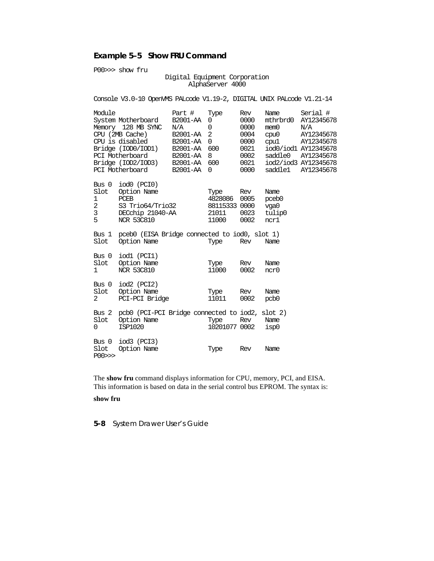# **Example 5–5 Show FRU Command**

P00>>> show fru

#### Digital Equipment Corporation AlphaServer 4000

|                                       | Console V3.0-10 OpenVMS PALcode V1.19-2, DIGITAL UNIX PALcode V1.21-14                                                                                                             |                                                                           |                                                                         |                                                                     |                                                                |                                                                                                                                       |
|---------------------------------------|------------------------------------------------------------------------------------------------------------------------------------------------------------------------------------|---------------------------------------------------------------------------|-------------------------------------------------------------------------|---------------------------------------------------------------------|----------------------------------------------------------------|---------------------------------------------------------------------------------------------------------------------------------------|
| Module                                | System Motherboard<br>Memory 128 MB SYNC<br>CPU (2MB Cache)<br>CPU is disabled<br>Bridge (IOD0/IOD1) B2001-AA<br>PCI Motherboard<br>Bridge (IOD2/IOD3)<br>PCI Motherboard B2001-AA | Part #<br>B2001-AA<br>N/A<br>B2001-AA<br>B2001-AA<br>B2001-AA<br>B2001-AA | Type<br>0<br>$\mathbf 0$<br>$\overline{2}$<br>0<br>600<br>8<br>600<br>0 | Rev<br>0000<br>0000<br>0004<br>0000<br>0021<br>0002<br>0021<br>0000 | Name<br>mthrbrd0<br>mem0<br>cpu0<br>cpu1<br>saddle0<br>saddle1 | Serial #<br>AY12345678<br>N/A<br>AY12345678<br>AY12345678<br>iod0/iod1 AY12345678<br>AY12345678<br>iod2/iod3 AY12345678<br>AY12345678 |
| Slot<br>1<br>$\overline{c}$<br>3<br>5 | Bus $0 \mod 0$ (PCI $0$ )<br>Option Name<br>PCEB<br>S3 Trio64/Trio32<br>DECchip 21040-AA<br><b>NCR 53C810</b>                                                                      |                                                                           | Type<br>4828086<br>88115333 0000<br>21011<br>11000                      | Rev<br>0005<br>0023<br>0002                                         | Name<br>pceb <sub>0</sub><br>vga0<br>tulip0<br>ncr1            |                                                                                                                                       |
| Bus 1<br>Slot                         | pceb0 (EISA Bridge connected to iod0, slot 1)<br>Option Name                                                                                                                       |                                                                           | Type                                                                    | Rev                                                                 | Name                                                           |                                                                                                                                       |
| Bus 0<br>Slot<br>1                    | iodl (PCI1)<br>Option Name<br><b>NCR 53C810</b>                                                                                                                                    |                                                                           | Type<br>11000                                                           | Rev<br>0002                                                         | Name<br>ncr0                                                   |                                                                                                                                       |
| Bus 0<br>Slot<br>2                    | iod2 (PCI2)<br>Option Name<br>PCI-PCI Bridge                                                                                                                                       |                                                                           | Type<br>11011                                                           | Rev<br>0002                                                         | Name<br>pcb0                                                   |                                                                                                                                       |
| Bus 2<br>Slot<br>0                    | pcb0 (PCI-PCI Bridge connected to iod2, slot 2)<br>Option Name<br>ISP1020                                                                                                          |                                                                           | Type<br>10201077 0002                                                   | Rev                                                                 | Name<br>isp0                                                   |                                                                                                                                       |
| Slot<br>P00>>                         | Bus $0 \mod 3$ (PCI3)<br>Option Name                                                                                                                                               |                                                                           | Type                                                                    | Rev                                                                 | Name                                                           |                                                                                                                                       |

The **show fru** command displays information for CPU, memory, PCI, and EISA. This information is based on data in the serial control bus EPROM. The syntax is:

#### **show fru**

**5-8** System Drawer User's Guide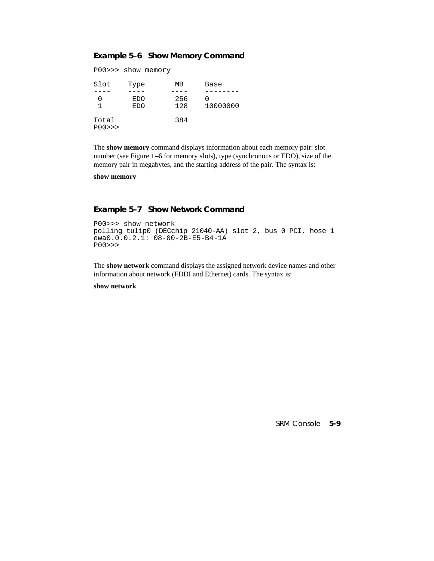# **Example 5–6 Show Memory Command**

```
P00>>> show memory
```

| Slot            | Type              | MВ         | Base     |
|-----------------|-------------------|------------|----------|
|                 | EDO<br><b>EDO</b> | 256<br>128 | 10000000 |
| Total<br>POO >> |                   | 384        |          |

The **show memory** command displays information about each memory pair: slot number (see Figure 1–6 for memory slots), type (synchronous or EDO), size of the memory pair in megabytes, and the starting address of the pair. The syntax is:

**show memory**

#### **Example 5–7 Show Network Command**

```
P00>>> show network
polling tulip0 (DECchip 21040-AA) slot 2, bus 0 PCI, hose 1
ewa0.0.0.2.1: 08-00-2B-E5-B4-1A
P00>>>
```
The **show network** command displays the assigned network device names and other information about network (FDDI and Ethernet) cards. The syntax is:

#### **show network**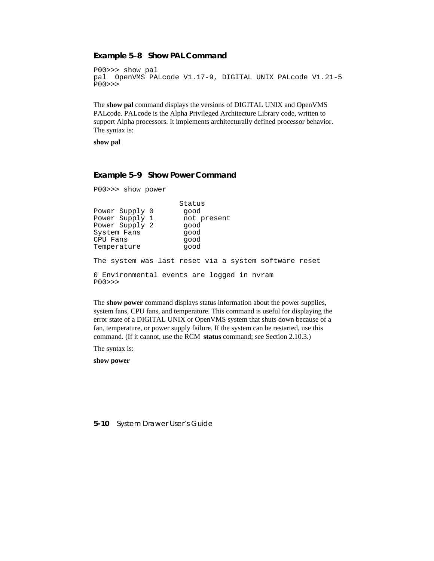#### **Example 5–8 Show PAL Command**

```
P00>>> show pal
pal OpenVMS PALcode V1.17-9, DIGITAL UNIX PALcode V1.21-5
P00>>>
```
The **show pal** command displays the versions of DIGITAL UNIX and OpenVMS PALcode. PALcode is the Alpha Privileged Architecture Library code, written to support Alpha processors. It implements architecturally defined processor behavior. The syntax is:

**show pal**

#### **Example 5–9 Show Power Command**

```
P00>>> show power
                  Status<br>good
Power Supply 0 good<br>
Power Supply 1 not present
Power Supply 1
Power Supply 2 good
System Fans good
CPU Fans good
Temperature good
The system was last reset via a system software reset
0 Environmental events are logged in nvram
P00>>>
```
The **show power** command displays status information about the power supplies, system fans, CPU fans, and temperature. This command is useful for displaying the error state of a DIGITAL UNIX or OpenVMS system that shuts down because of a fan, temperature, or power supply failure. If the system can be restarted, use this command. (If it cannot, use the RCM **status** command; see Section 2.10.3.)

The syntax is:

**show power**

**5-10** System Drawer User's Guide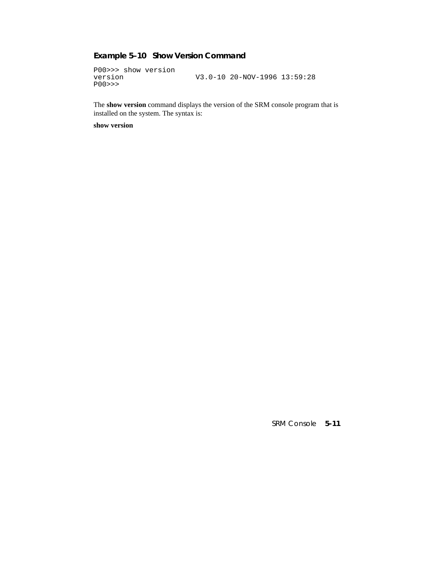# **Example 5–10 Show Version Command**

P00>>> show version version V3.0-10 20-NOV-1996 13:59:28 P00>>>

The **show version** command displays the version of the SRM console program that is installed on the system. The syntax is:

**show version**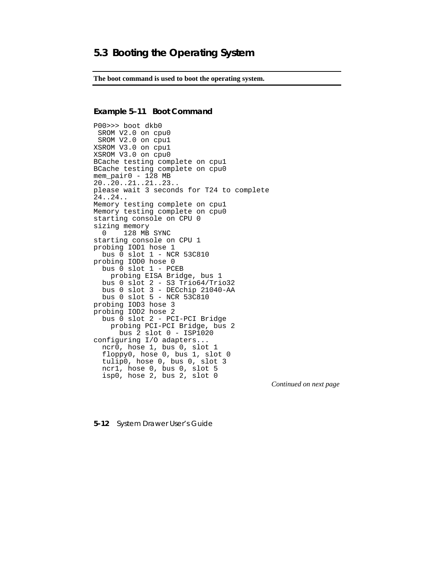**The boot command is used to boot the operating system.**

#### **Example 5–11 Boot Command**

P00>>> boot dkb0 SROM V2.0 on cpu0 SROM V2.0 on cpu1 XSROM V3.0 on cpu1 XSROM V3.0 on cpu0 BCache testing complete on cpu1 BCache testing complete on cpu0 mem\_pair0 - 128 MB 20..20..21..21..23.. please wait 3 seconds for T24 to complete 24..24.. Memory testing complete on cpu1 Memory testing complete on cpu0 starting console on CPU 0 sizing memory 0 128 MB SYNC starting console on CPU 1 probing IOD1 hose 1 bus 0 slot 1 - NCR 53C810 probing IOD0 hose 0 bus 0 slot 1 - PCEB probing EISA Bridge, bus 1 bus 0 slot 2 - S3 Trio64/Trio32 bus 0 slot 3 - DECchip 21040-AA bus 0 slot 5 - NCR 53C810 probing IOD3 hose 3 probing IOD2 hose 2 bus 0 slot 2 - PCI-PCI Bridge probing PCI-PCI Bridge, bus 2 bus 2 slot 0 - ISP1020 configuring I/O adapters... ncr0, hose 1, bus 0, slot 1 floppy0, hose 0, bus 1, slot 0 tulip0, hose 0, bus 0, slot 3 ncr1, hose 0, bus 0, slot 5 isp0, hose 2, bus 2, slot 0

*Continued on next page*

**5-12** System Drawer User's Guide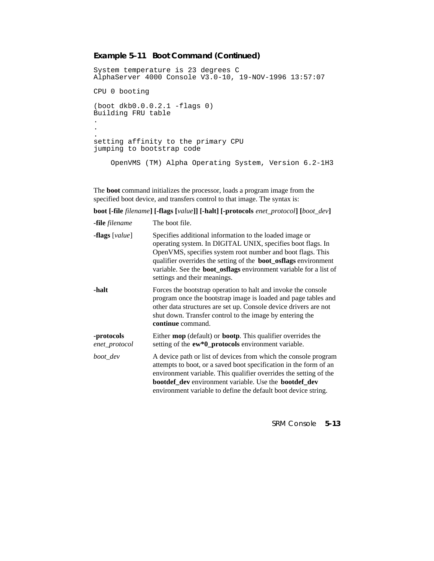# **Example 5–11 Boot Command (Continued)**

```
System temperature is 23 degrees C
AlphaServer 4000 Console V3.0-10, 19-NOV-1996 13:57:07
CPU 0 booting
(boot dkb0.0.0.2.1 -flags 0)
Building FRU table
.
.
.
setting affinity to the primary CPU
jumping to bootstrap code
     OpenVMS (TM) Alpha Operating System, Version 6.2-1H3
```
The **boot** command initializes the processor, loads a program image from the specified boot device, and transfers control to that image. The syntax is:

**boot [-file** *filename***] [-flags [***value***]] [-halt] [-protocols** *enet\_protocol***] [***boot\_dev***]**

| <b>-file</b> filename          | The boot file.                                                                                                                                                                                                                                                                                                                                                             |
|--------------------------------|----------------------------------------------------------------------------------------------------------------------------------------------------------------------------------------------------------------------------------------------------------------------------------------------------------------------------------------------------------------------------|
| <b>-flags</b> [ <i>value</i> ] | Specifies additional information to the loaded image or<br>operating system. In DIGITAL UNIX, specifies boot flags. In<br>OpenVMS, specifies system root number and boot flags. This<br>qualifier overrides the setting of the <b>boot_osflags</b> environment<br>variable. See the <b>boot_osflags</b> environment variable for a list of<br>settings and their meanings. |
| -halt                          | Forces the bootstrap operation to halt and invoke the console<br>program once the bootstrap image is loaded and page tables and<br>other data structures are set up. Console device drivers are not<br>shut down. Transfer control to the image by entering the<br>continue command.                                                                                       |
| -protocols<br>enet_protocol    | Either <b>mop</b> (default) or <b>bootp</b> . This qualifier overrides the<br>setting of the ew*0_protocols environment variable.                                                                                                                                                                                                                                          |
| boot_dev                       | A device path or list of devices from which the console program<br>attempts to boot, or a saved boot specification in the form of an<br>environment variable. This qualifier overrides the setting of the<br>bootdef_dev environment variable. Use the bootdef_dev<br>environment variable to define the default boot device string.                                       |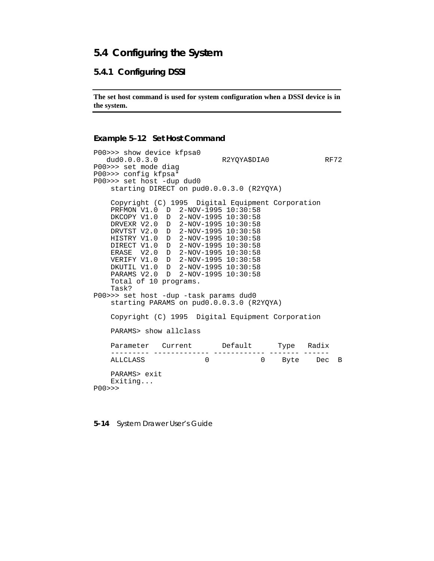# **5.4 Configuring the System**

### **5.4.1 Configuring DSSI**

**The set host command is used for system configuration when a DSSI device is in the system.**

#### **Example 5–12 Set Host Command**

```
P00>>> show device kfpsa0
   dud0.0.0.3.0 R2YQYA$DIA0 RF72
P00>>> set mode diag
P00>>> config kfpsa*
P00>>> set host -dup dud0
    starting DIRECT on pud0.0.0.3.0 (R2YQYA)
    Copyright (C) 1995 Digital Equipment Corporation
 PRFMON V1.0 D 2-NOV-1995 10:30:58
 DKCOPY V1.0 D 2-NOV-1995 10:30:58
 DRVEXR V2.0 D 2-NOV-1995 10:30:58
 DRVTST V2.0 D 2-NOV-1995 10:30:58
 HISTRY V1.0 D 2-NOV-1995 10:30:58
    DIRECT V1.0 D 2-NOV-1995 10:30:58
    ERASE V2.0 D 2-NOV-1995 10:30:58
    VERIFY V1.0 D 2-NOV-1995 10:30:58
 DKUTIL V1.0 D 2-NOV-1995 10:30:58
 PARAMS V2.0 D 2-NOV-1995 10:30:58
    Total of 10 programs.
    Task?
P00>>> set host -dup -task params dud0
    starting PARAMS on pud0.0.0.3.0 (R2YQYA)
    Copyright (C) 1995 Digital Equipment Corporation
    PARAMS> show allclass
   Parameter Current Default Type Radix
    --------- ------------- ------------ ------- ------
   ALLCLASS 0 0 Byte Dec B
    PARAMS> exit
    Exiting...
P00>>>
```
#### **5-14** System Drawer User's Guide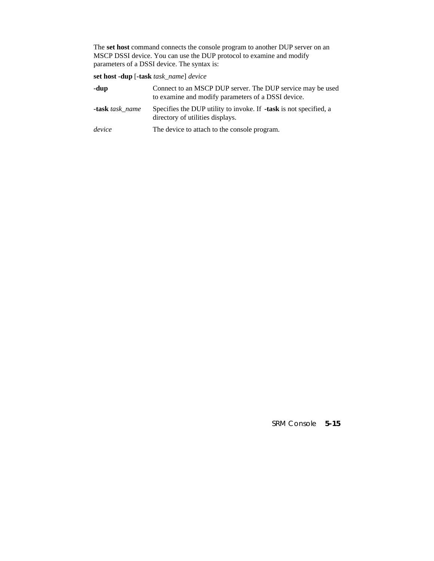The **set host** command connects the console program to another DUP server on an MSCP DSSI device. You can use the DUP protocol to examine and modify parameters of a DSSI device. The syntax is:

**set host -dup** [**-task** *task\_name*] *device*

| -dup                   | Connect to an MSCP DUP server. The DUP service may be used<br>to examine and modify parameters of a DSSI device. |
|------------------------|------------------------------------------------------------------------------------------------------------------|
| <b>-task</b> task name | Specifies the DUP utility to invoke. If <b>-task</b> is not specified, a<br>directory of utilities displays.     |
| device                 | The device to attach to the console program.                                                                     |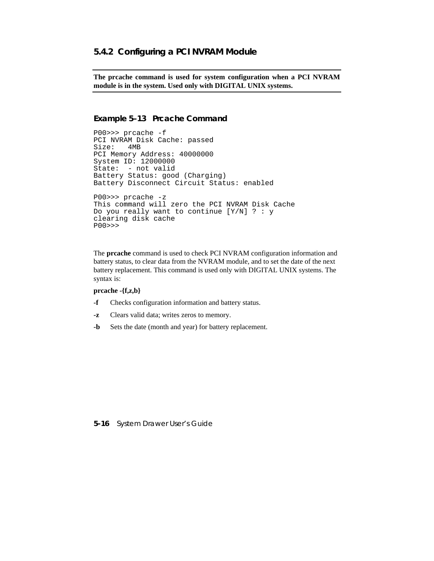#### **5.4.2 Configuring a PCI NVRAM Module**

**The prcache command is used for system configuration when a PCI NVRAM module is in the system. Used only with DIGITAL UNIX systems.**

#### **Example 5–13 Prcache Command**

```
P00>>> prcache -f
PCI NVRAM Disk Cache: passed
Size: 4MB
PCI Memory Address: 40000000
System ID: 12000000
State: - not valid
Battery Status: good (Charging)
Battery Disconnect Circuit Status: enabled
P00>>> prcache -z
This command will zero the PCI NVRAM Disk Cache
Do you really want to continue [Y/N] ? : y
clearing disk cache
P00>>>
```
The **prcache** command is used to check PCI NVRAM configuration information and battery status, to clear data from the NVRAM module, and to set the date of the next battery replacement. This command is used only with DIGITAL UNIX systems. The syntax is:

#### **prcache -{f,z,b}**

- **-f** Checks configuration information and battery status.
- **-z** Clears valid data; writes zeros to memory.
- **-b** Sets the date (month and year) for battery replacement.

#### **5-16** System Drawer User's Guide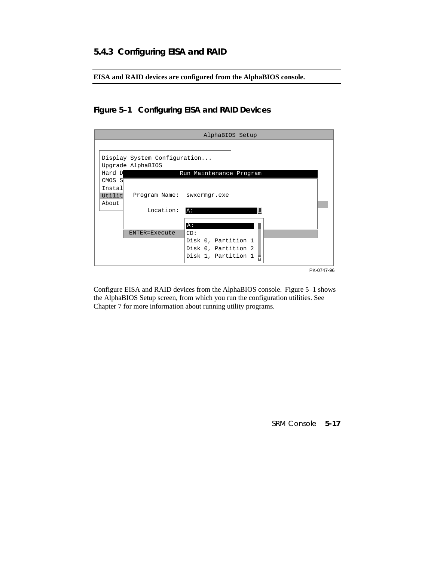# **5.4.3 Configuring EISA and RAID**

**EISA and RAID devices are configured from the AlphaBIOS console.**

# **Figure 5–1 Configuring EISA and RAID Devices**

| AlphaBIOS Setup                                                                                                                                                                                                                                                                   |  |
|-----------------------------------------------------------------------------------------------------------------------------------------------------------------------------------------------------------------------------------------------------------------------------------|--|
| Display System Configuration<br>Upgrade AlphaBIOS<br>Hard D<br>Run Maintenance Program<br>CMOS S<br>Instal<br>Utilit<br>Program Name: swxcrmgr.exe<br>About<br>Location:<br>A:<br>A:<br>ENTER=Execute<br>CD:<br>Disk 0, Partition 1<br>Disk 0, Partition 2<br>Disk 1, Partition 1 |  |
| PK-0747-96                                                                                                                                                                                                                                                                        |  |

Configure EISA and RAID devices from the AlphaBIOS console. Figure 5–1 shows the AlphaBIOS Setup screen, from which you run the configuration utilities. See Chapter 7 for more information about running utility programs.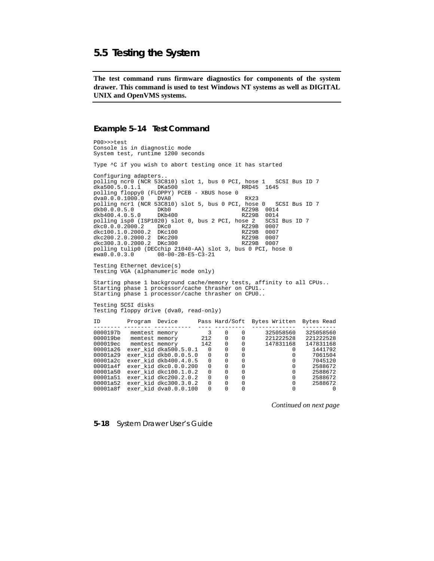### **5.5 Testing the System**

**The test command runs firmware diagnostics for components of the system drawer. This command is used to test Windows NT systems as well as DIGITAL UNIX and OpenVMS systems.**

#### **Example 5–14 Test Command**

P00>>>test Console is in diagnostic mode System test, runtime 1200 seconds Type ^C if you wish to abort testing once it has started Configuring adapters.. polling ncr0 (NCR 53C810) slot 1, bus 0 PCI, hose 1 SCSI Bus ID 7 dka500.5.0.1.1 DKa500 RRD45 1645  $dka500.5.0.1.1$ polling floppy0 (FLOPPY) PCEB - XBUS hose 0 dva0.0.0.1000.0 DVA0 dva0.0.0.1000.0 DVA0 RX23 polling ncr1 (NCR 53C810) slot 5, bus 0 PCI, hose 0 SCSI Bus ID 7 dkb0.0.0.5.0 DKb0 RX29B 0014<br>dkb400.4.0.5.0 DKb0 RZ29B 0014<br>dkb400.4.0.5.0 DKb400 RZ29B 0014 dkb400.4.0.5.0 DKb400 RZ29B 0014<br>polling isp0 (ISP1020) slot 0, bus 2 PCI, hose 2 SCSI Bus ID 7 polling isp0 (ISP1020) slot 0, bus 2 PCI, hose 2 SCSI<br>dkc0.0.0.2000.2 DKc0 RZ29B 0007 dkc0.0.0.2000.2 DKc0 RZ29B 0007<br>dkc100.1.0.2000.2 DKc100 RZ29B 0007 dkc100.1.0.2000.2 DKc100 RZ29B 0007 dkc200.2.0.2000.2 DKc200 RZ29B 0007 dkc300.3.0.2000.2 DKc300 RZ29B 0007 polling tulip0 (DECchip 21040-AA) slot 3, bus 0 PCI, hose 0<br>ewa0.0.0.3.0 08-00-2B-E5-C3-21  $08 - 00 - 2B - E5 - C3 - 21$ Testing Ethernet device(s) Testing VGA (alphanumeric mode only) Starting phase 1 background cache/memory tests, affinity to all CPUs.. Starting phase 1 processor/cache thrasher on CPU1.. Starting phase 1 processor/cache thrasher on CPU0.. Testing SCSI disks Testing floppy drive (dva0, read-only) ID Program Device Pass Hard/Soft Bytes Written Bytes Read -------- -------- ----------- ---- --------- ------------- ----------  $\begin{tabular}{cccccc} 0000197b & members & members & 3 & 0 & 0 & 325058560 & 325058560 \\ 000019b e & members & members & 212 & 0 & 0 & 221222528 & 221222528 \\ 000019b e & members & means & 142 & 0 & 0 & 147831168 & 147831168 \\ 00001a2 & e x e r_k id dk 500.5.0.1 & 0 & 0 & 0 & 0 & 14417931 \\ 00001a29 & e x e r_k id dk 00.0.$ 

*Continued on next page*

**5-18** System Drawer User's Guide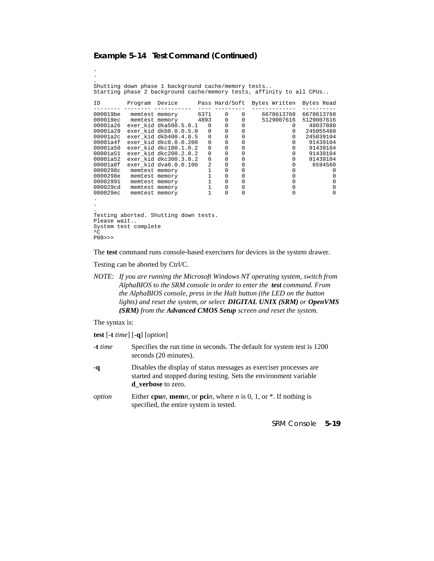#### **Example 5–14 Test Command (Continued)**

. . Shutting down phase 1 background cache/memory tests.. Starting phase 2 background cache/memory tests, affinity to all CPUs.. ID Program Device Pass Hard/Soft Bytes Written Bytes Read -------- -------- ----------- ---- --------- ------------- ---------- 000019be memtest memory 6371 0 0 6678613760 6678613760 000019ec memtest memory 4893 0 0 5129007616 5129007616 00001a26 exer\_kid dka500.5.0.1 0 0 0 0 48037888 00001a29 exer\_kid dkb0.0.0.5.0 0 0 0 0 245055488 00001a2c exer\_kid dkb400.4.0.5 0 0 0 0 245039104 00001a4f exer\_kid dkc0.0.0.200 0 0 0 0 91439104 00001a50 exer\_kid dkc100.1.0.2 0 0 0 0 91439104 00001a51 exer\_kid dkc200.2.0.2 0 0 0 0 91439104 00001a52 exer\_kid dkc300.3.0.2 0 0 0 0 91439104 00001a8f exer\_kid dva0.0.0.100 2 0 0 0 6594560 0000298c memtest memory 1 0 0 0 0 0000298e memtest memory 1 0 0 0 0 00002991 memtest memory 1 0 0 0 0 000029cd memtest memory 1 0 0 0 0 000029ec memtest memory 1 0 0 0 0 . . . Testing aborted. Shutting down tests. Please wait.. System test complete  $\overline{C}$ 

```
P00>>>
```
.

The **test** command runs console-based exercisers for devices in the system drawer.

Testing can be aborted by Ctrl/C.

*NOTE: If you are running the Microsoft Windows NT operating system, switch from AlphaBIOS to the SRM console in order to enter the test command. From the AlphaBIOS console, press in the Halt button (the LED on the button lights) and reset the system, or select DIGITAL UNIX (SRM) or OpenVMS (SRM) from the Advanced CMOS Setup screen and reset the system.*

The syntax is:

**test** [**-t** *time*] [**-q**] [*option*]

| $-t$ time | Specifies the run time in seconds. The default for system test is 1200<br>seconds (20 minutes).                                                                      |
|-----------|----------------------------------------------------------------------------------------------------------------------------------------------------------------------|
| -a        | Disables the display of status messages as exerciser processes are<br>started and stopped during testing. Sets the environment variable<br><b>d</b> verbose to zero. |
| option    | Either cpun, memn, or pcin, where n is 0, 1, or $*$ . If nothing is<br>specified, the entire system is tested.                                                       |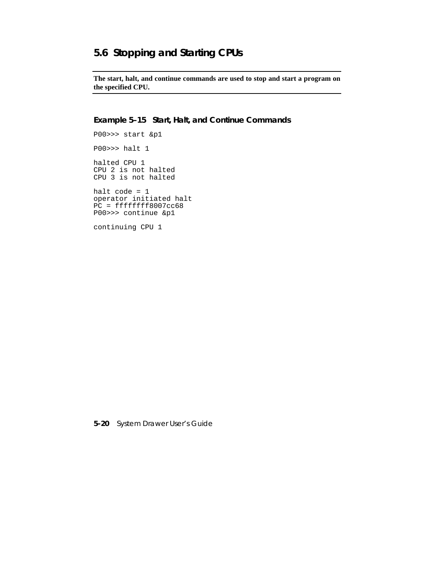# **5.6 Stopping and Starting CPUs**

**The start, halt, and continue commands are used to stop and start a program on the specified CPU.**

**Example 5–15 Start, Halt, and Continue Commands**

P00>>> start &p1 P00>>> halt 1 halted CPU 1 CPU 2 is not halted CPU 3 is not halted halt code = 1 operator initiated halt  $PC = ffffffff8007cc68$ 

continuing CPU 1

P00>>> continue &p1

**5-20** System Drawer User's Guide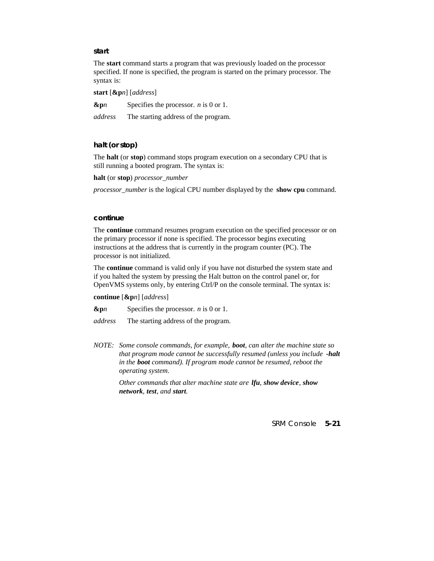#### **start**

The **start** command starts a program that was previously loaded on the processor specified. If none is specified, the program is started on the primary processor. The syntax is:

**start** [**&p***n*] [*address*]

**&p***n* Specifies the processor. *n* is 0 or 1.

*address* The starting address of the program.

#### **halt (or stop)**

The **halt** (or **stop**) command stops program execution on a secondary CPU that is still running a booted program. The syntax is:

**halt** (or **stop**) *processor\_number*

*processor\_number* is the logical CPU number displayed by the **show cpu** command.

#### **continue**

The **continue** command resumes program execution on the specified processor or on the primary processor if none is specified. The processor begins executing instructions at the address that is currently in the program counter (PC). The processor is not initialized.

The **continue** command is valid only if you have not disturbed the system state and if you halted the system by pressing the Halt button on the control panel or, for OpenVMS systems only, by entering Ctrl/P on the console terminal. The syntax is:

**continue** [**&p***n*] [*address*]

**&p***n* Specifies the processor. *n* is 0 or 1.

*address* The starting address of the program.

*NOTE: Some console commands, for example, boot, can alter the machine state so that program mode cannot be successfully resumed (unless you include -halt in the boot command). If program mode cannot be resumed, reboot the operating system.*

> *Other commands that alter machine state are lfu, show device, show network, test, and start.*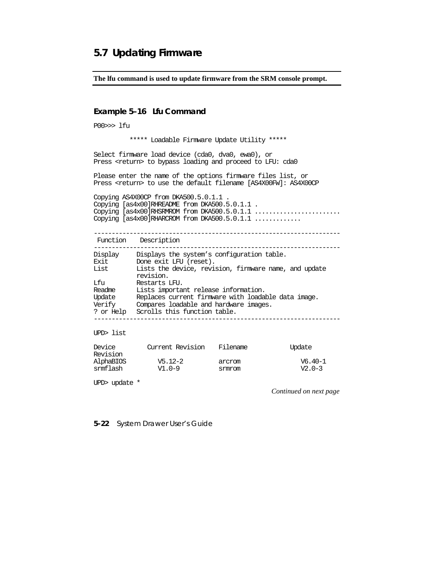# **5.7 Updating Firmware**

**The lfu command is used to update firmware from the SRM console prompt.**

#### **Example 5–16 Lfu Command**

P00>>> lfu

\*\*\*\*\* Loadable Firmware Update Utility \*\*\*\*\*

Select firmware load device (cda0, dva0, ewa0), or Press <return> to bypass loading and proceed to LFU: cda0

Please enter the name of the options firmware files list, or Press <return> to use the default filename [AS4X00FW]: AS4X00CP

Copying AS4X00CP from DKA500.5.0.1.1 . Copying [as4x00]RHREADME from DKA500.5.0.1.1 . Copying [as4x00]RHSRMROM from DKA500.5.0.1.1 ........................ Copying [as4x00]RHARCROM from DKA500.5.0.1.1 .............

---------------------------------------------------------------------

| Function | Description |
|----------|-------------|
|----------|-------------|

| Display             | Displays the system's configuration table.                             |
|---------------------|------------------------------------------------------------------------|
| Exit                | Done exit LFU (reset).                                                 |
| List                | Lists the device, revision, firmware name, and update<br>revision.     |
| Lfu                 | Restarts LFU.                                                          |
| Readme              | Lists important release information.                                   |
| Update              | Replaces current firmware with loadable data image.                    |
| Verify<br>? or Help | Compares loadable and hardware images.<br>Scrolls this function table. |
|                     |                                                                        |

UPD> list

| Device<br>Revision | Current Revision | Filename | Update    |
|--------------------|------------------|----------|-----------|
| AlphaBIOS          | $V5.12 - 2$      | arcrom   | $V6.40-1$ |
| srmflash           | $V1.0-9$         | srmrom   | $V2.0-3$  |

UPD> update \*

*Continued on next page*

**5-22** System Drawer User's Guide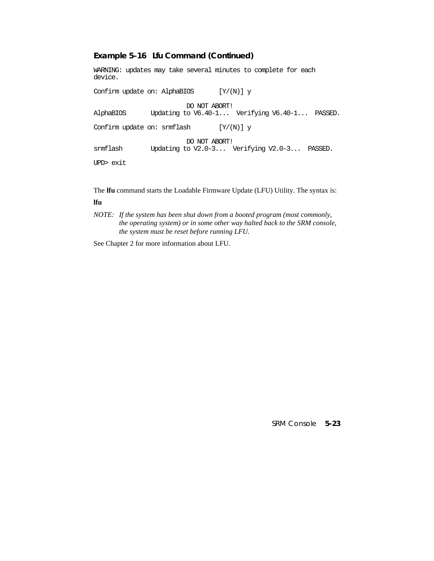#### **Example 5–16 Lfu Command (Continued)**

WARNING: updates may take several minutes to complete for each device. Confirm update on: AlphaBIOS  $[Y/(N)]$  y DO NOT ABORT!<br>AlphaBIOS Updating to V6.40-1... Updating to V6.40-1... Verifying V6.40-1... PASSED. Confirm update on: srmflash  $[Y/(N)]$  y DO NOT ABORT!<br>Fig. 1.1.0-3... Updating to V2.0-3... Updating to V2.0-3... Verifying V2.0-3... PASSED. UPD> exit

The **lfu** command starts the Loadable Firmware Update (LFU) Utility. The syntax is: **lfu**

*NOTE: If the system has been shut down from a booted program (most commonly, the operating system) or in some other way halted back to the SRM console, the system must be reset before running LFU.*

See Chapter 2 for more information about LFU.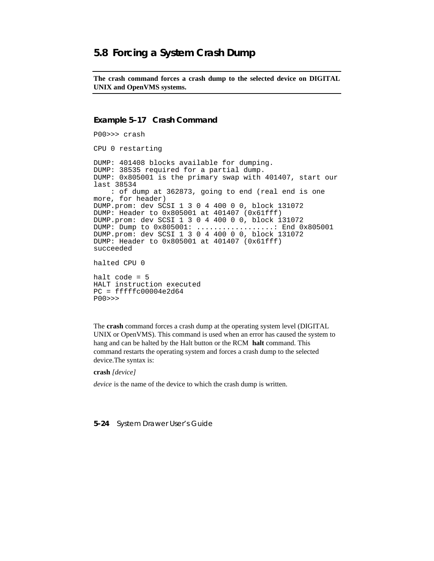# **5.8 Forcing a System Crash Dump**

**The crash command forces a crash dump to the selected device on DIGITAL UNIX and OpenVMS systems.**

#### **Example 5–17 Crash Command**

```
P00>>> crash
CPU 0 restarting
DUMP: 401408 blocks available for dumping.
DUMP: 38535 required for a partial dump.
DUMP: 0x805001 is the primary swap with 401407, start our
last 38534
    : of dump at 362873, going to end (real end is one
more, for header)
DUMP.prom: dev SCSI 1 3 0 4 400 0 0, block 131072
DUMP: Header to 0x805001 at 401407 (0x61fff)
DUMP.prom: dev SCSI 1 3 0 4 400 0 0, block 131072
DUMP: Dump to 0x805001: ..................: End 0x805001
DUMP.prom: dev SCSI 1 3 0 4 400 0 0, block 131072
DUMP: Header to 0x805001 at 401407 (0x61fff)
succeeded
halted CPU 0
halt code = 5
HALT instruction executed
PC = fffffc00004e2d64P00>>>
```
The **crash** command forces a crash dump at the operating system level (DIGITAL UNIX or OpenVMS). This command is used when an error has caused the system to hang and can be halted by the Halt button or the RCM **halt** command. This command restarts the operating system and forces a crash dump to the selected device.The syntax is:

#### **crash** *[device]*

*device* is the name of the device to which the crash dump is written.

#### **5-24** System Drawer User's Guide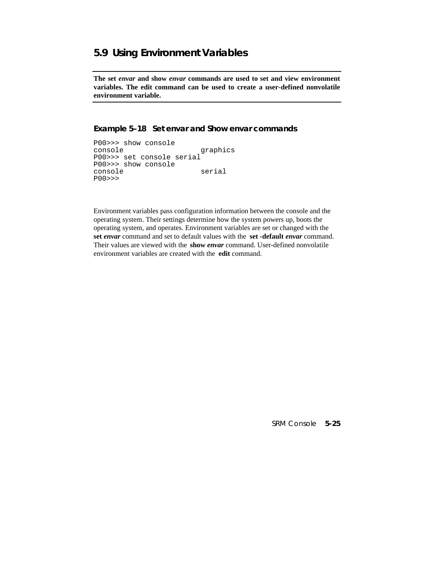# **5.9 Using Environment Variables**

**The set** *envar* **and show** *envar* **commands are used to set and view environment variables. The edit command can be used to create a user-defined nonvolatile environment variable.**

#### **Example 5–18 Set** *envar* **and Show** *envar* **commands**

```
P00>>> show console
                     graphics
P00>>> set console serial
P00>>> show console
console serial
P00>>>
```
Environment variables pass configuration information between the console and the operating system. Their settings determine how the system powers up, boots the operating system, and operates. Environment variables are set or changed with the **set** *envar* command and set to default values with the **set -default** *envar* command. Their values are viewed with the **show** *envar* command. User-defined nonvolatile environment variables are created with the **edit** command.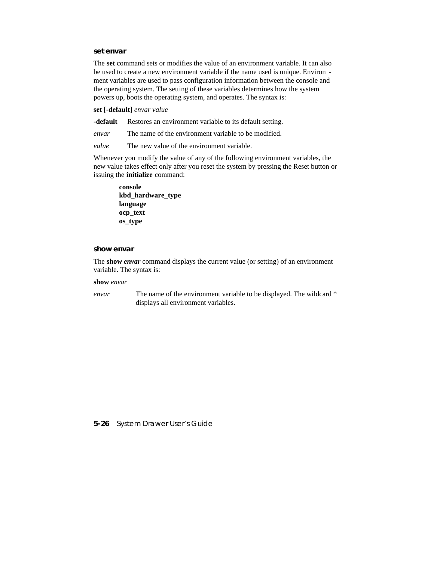#### **set** *envar*

The **set** command sets or modifies the value of an environment variable. It can also be used to create a new environment variable if the name used is unique. Environ ment variables are used to pass configuration information between the console and the operating system. The setting of these variables determines how the system powers up, boots the operating system, and operates. The syntax is:

**set** [**-default**] *envar value*

**-default** Restores an environment variable to its default setting.

*envar* The name of the environment variable to be modified.

*value* The new value of the environment variable.

Whenever you modify the value of any of the following environment variables, the new value takes effect only after you reset the system by pressing the Reset button or issuing the **initialize** command:

**console kbd\_hardware\_type language ocp\_text os\_type**

#### **show** *envar*

The **show** *envar* command displays the current value (or setting) of an environment variable. The syntax is:

#### **show** *envar*

*envar* The name of the environment variable to be displayed. The wildcard \* displays all environment variables.

**5-26** System Drawer User's Guide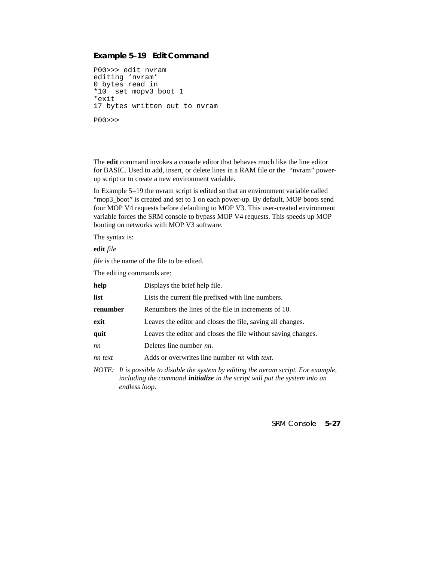#### **Example 5–19 Edit Command**

```
P00>>> edit nvram
editing 'nvram'
0 bytes read in
*10 set mopv3_boot 1
*exit
17 bytes written out to nvram
P00>>>
```
The **edit** command invokes a console editor that behaves much like the line editor for BASIC. Used to add, insert, or delete lines in a RAM file or the "nvram" powerup script or to create a new environment variable.

In Example 5–19 the nvram script is edited so that an environment variable called "mop3 boot" is created and set to 1 on each power-up. By default, MOP boots send four MOP V4 requests before defaulting to MOP V3. This user-created environment variable forces the SRM console to bypass MOP V4 requests. This speeds up MOP booting on networks with MOP V3 software.

The syntax is:

**edit** *file*

*file* is the name of the file to be edited.

The editing commands are:

| help     | Displays the brief help file.                                                                                                                                                                          |
|----------|--------------------------------------------------------------------------------------------------------------------------------------------------------------------------------------------------------|
| list     | Lists the current file prefixed with line numbers.                                                                                                                                                     |
| renumber | Renumbers the lines of the file in increments of 10.                                                                                                                                                   |
| exit     | Leaves the editor and closes the file, saving all changes.                                                                                                                                             |
| quit     | Leaves the editor and closes the file without saving changes.                                                                                                                                          |
| nn       | Deletes line number nn.                                                                                                                                                                                |
| nn text  | Adds or overwrites line number nn with text.                                                                                                                                                           |
|          | NOTE: It is possible to disable the system by editing the nyram script. For example,<br>the district of the common of the bigged of the context of the control of the control of the control of the co |

*including the command initialize in the script will put the system into an endless loop.*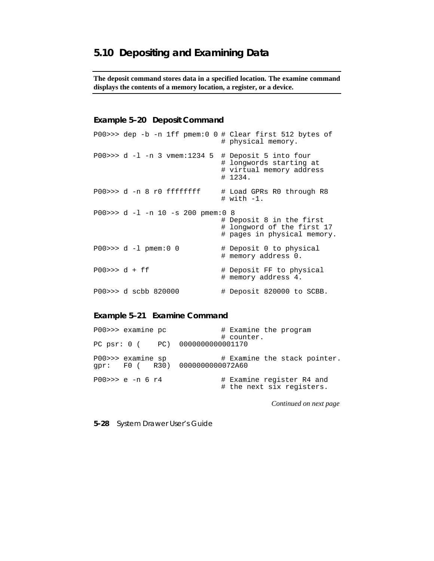**The deposit command stores data in a specified location. The examine command displays the contents of a memory location, a register, or a device.**

#### **Example 5–20 Deposit Command**

|                 |                                         | $P00 \rightarrow \rightarrow$ dep -b -n lff pmem:0 0 # Clear first 512 bytes of<br># physical memory. |
|-----------------|-----------------------------------------|-------------------------------------------------------------------------------------------------------|
|                 | $P00 \gg 0$ d -1 -n 3 vmem:1234 5       | # Deposit 5 into four<br># lonqwords starting at<br># virtual memory address<br># 1234.               |
|                 | $P00 \rightarrow > d - n 8 r0$ ffffffff | # Load GPRs R0 through R8<br>$# with -1.$                                                             |
|                 | P00>>> $d -1 -n 10 -s 200$ pmem:0 8     | # Deposit 8 in the first<br># longword of the first 17<br># pages in physical memory.                 |
|                 | $P00 >> d - 1$ pmem: 0 0                | # Deposit 0 to physical<br># memory address 0.                                                        |
| $PO0 >> d + ff$ |                                         | # Deposit FF to physical<br># memory address 4.                                                       |
|                 | P00>>> d scbb 820000                    | # Deposit 820000 to SCBB.                                                                             |

### **Example 5–21 Examine Command**

| P00>>> examine pc                                   | # Examine the program<br># counter.                    |
|-----------------------------------------------------|--------------------------------------------------------|
| PC psr: 0 ( PC) 0000000000001170                    |                                                        |
| P00>>> examine sp<br>gpr: F0 (R30) 0000000000072A60 | # Examine the stack pointer.                           |
| $P00 >> e - n 6 r4$                                 | # Examine register R4 and<br># the next six registers. |

*Continued on next page*

**5-28** System Drawer User's Guide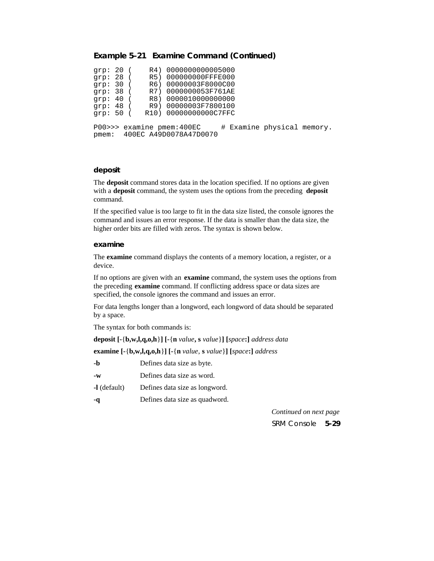#### **Example 5–21 Examine Command (Continued)**

| qrp: 20 ( |  | R4) 0000000000005000         |                            |  |
|-----------|--|------------------------------|----------------------------|--|
| grp: 28 ( |  | R5) 000000000FFFE000         |                            |  |
| qrp: 30 ( |  | R6) 00000003F8000C00         |                            |  |
| qrp: 38 ( |  | R7) 0000000053F761AE         |                            |  |
| qrp: 40 ( |  | R8) 0000010000000000         |                            |  |
| qrp: 48 ( |  | R9) 00000003F7800100         |                            |  |
| qrp: 50 ( |  | R10) 00000000000C7FFC        |                            |  |
|           |  |                              |                            |  |
|           |  | P00>>> examine pmem:400EC    | # Examine physical memory. |  |
|           |  | pmem: 400EC A49D0078A47D0070 |                            |  |
|           |  |                              |                            |  |

#### **deposit**

The **deposit** command stores data in the location specified. If no options are given with a **deposit** command, the system uses the options from the preceding **deposit** command.

If the specified value is too large to fit in the data size listed, the console ignores the command and issues an error response. If the data is smaller than the data size, the higher order bits are filled with zeros. The syntax is shown below.

#### **examine**

The **examine** command displays the contents of a memory location, a register, or a device.

If no options are given with an **examine** command, the system uses the options from the preceding **examine** command. If conflicting address space or data sizes are specified, the console ignores the command and issues an error.

For data lengths longer than a longword, each longword of data should be separated by a space.

The syntax for both commands is:

**deposit [-**{**b,w,l,q,o,h**}**] [-**{**n** *value***, s** *value*}**] [***space***:]** *address data*

**examine [-**{**b,w,l,q,o,h**}**] [-**{**n** *value*, **s** *value*}**] [***space***:]** *address*

| -b             | Defines data size as byte.     |
|----------------|--------------------------------|
| $-W$           | Defines data size as word.     |
| $-1$ (default) | Defines data size as longword. |

**-q** Defines data size as quadword.

SRM Console **5-29** *Continued on next page*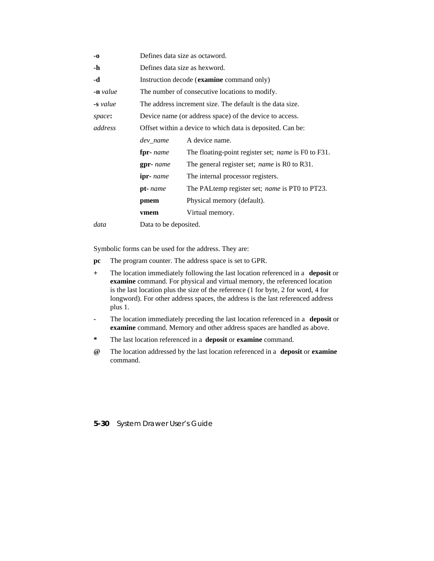| -0                  | Defines data size as octaword. |                                                            |  |  |
|---------------------|--------------------------------|------------------------------------------------------------|--|--|
| -h                  |                                | Defines data size as hexword.                              |  |  |
| -d                  |                                | Instruction decode (examine command only)                  |  |  |
| $\mathbf{-n}$ value |                                | The number of consecutive locations to modify.             |  |  |
| -s value            |                                | The address increment size. The default is the data size.  |  |  |
| space:              |                                | Device name (or address space) of the device to access.    |  |  |
| address             |                                | Offset within a device to which data is deposited. Can be: |  |  |
|                     | dev name                       | A device name.                                             |  |  |
|                     | fpr- <i>name</i>               | The floating-point register set; <i>name</i> is F0 to F31. |  |  |
|                     | $gpr$ - name                   | The general register set; <i>name</i> is R0 to R31.        |  |  |
|                     | $i$ pr- <i>name</i>            | The internal processor registers.                          |  |  |
|                     | pt-name                        | The PALtemp register set; name is PT0 to PT23.             |  |  |
|                     | pmem                           | Physical memory (default).                                 |  |  |
|                     | vmem                           | Virtual memory.                                            |  |  |
| data                | Data to be deposited.          |                                                            |  |  |

Symbolic forms can be used for the address. They are:

- **pc** The program counter. The address space is set to GPR.
- **+** The location immediately following the last location referenced in a **deposit** or **examine** command. For physical and virtual memory, the referenced location is the last location plus the size of the reference (1 for byte, 2 for word, 4 for longword). For other address spaces, the address is the last referenced address plus 1.
- **-** The location immediately preceding the last location referenced in a **deposit** or **examine** command. Memory and other address spaces are handled as above.
- **\*** The last location referenced in a **deposit** or **examine** command.
- **@** The location addressed by the last location referenced in a **deposit** or **examine** command.

#### **5-30** System Drawer User's Guide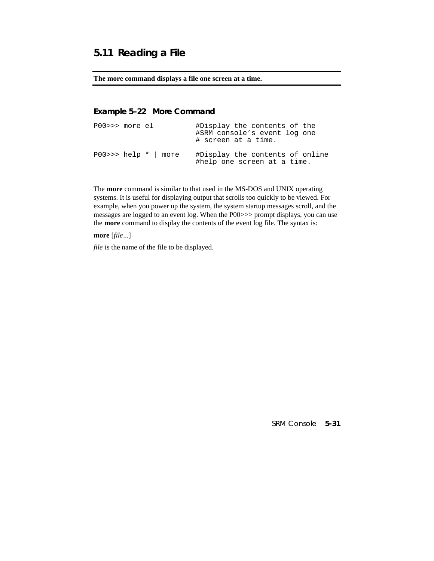# **5.11 Reading a File**

#### **The more command displays a file one screen at a time.**

## **Example 5–22 More Command**

| PO0>>>moreel |                                | #Display the contents of the<br>#SRM console's event log one<br># screen at a time. |  |
|--------------|--------------------------------|-------------------------------------------------------------------------------------|--|
|              | $P00 \gg \text{help} *   more$ | #Display the contents of online<br>#help one screen at a time.                      |  |

The **more** command is similar to that used in the MS-DOS and UNIX operating systems. It is useful for displaying output that scrolls too quickly to be viewed. For example, when you power up the system, the system startup messages scroll, and the messages are logged to an event log. When the P00>>> prompt displays, you can use the **more** command to display the contents of the event log file. The syntax is:

**more** [*file*...]

*file* is the name of the file to be displayed.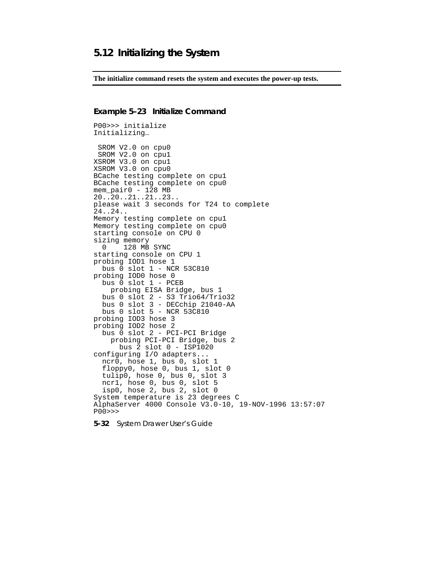### **5.12 Initializing the System**

**The initialize command resets the system and executes the power-up tests.**

```
Example 5–23 Initialize Command
```
P00>>> initialize Initializing… SROM V2.0 on cpu0 SROM V2.0 on cpu1 XSROM V3.0 on cpu1 XSROM V3.0 on cpu0 BCache testing complete on cpu1 BCache testing complete on cpu0 mem\_pair0 - 128 MB 20..20..21..21..23.. please wait 3 seconds for T24 to complete 24..24.. Memory testing complete on cpu1 Memory testing complete on cpu0 starting console on CPU 0 sizing memory 0 128 MB SYNC starting console on CPU 1 probing IOD1 hose 1 bus 0 slot 1 - NCR 53C810 probing IOD0 hose 0 bus 0 slot 1 - PCEB probing EISA Bridge, bus 1 bus 0 slot 2 - S3 Trio64/Trio32 bus 0 slot 3 - DECchip 21040-AA bus 0 slot 5 - NCR 53C810 probing IOD3 hose 3 probing IOD2 hose 2 bus 0 slot 2 - PCI-PCI Bridge probing PCI-PCI Bridge, bus 2 bus 2 slot 0 - ISP1020 configuring I/O adapters... ncr0, hose 1, bus 0, slot 1 floppy0, hose 0, bus 1, slot 0 tulip0, hose 0, bus 0, slot 3 ncr1, hose 0, bus 0, slot 5 isp0, hose 2, bus 2, slot 0 System temperature is 23 degrees C AlphaServer 4000 Console V3.0-10, 19-NOV-1996 13:57:07 P00>>>

**5-32** System Drawer User's Guide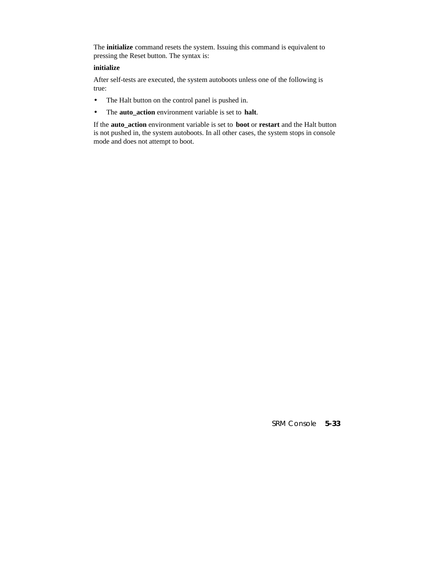The **initialize** command resets the system. Issuing this command is equivalent to pressing the Reset button. The syntax is:

#### **initialize**

After self-tests are executed, the system autoboots unless one of the following is true:

- The Halt button on the control panel is pushed in.
- The **auto\_action** environment variable is set to **halt**.

If the **auto\_action** environment variable is set to **boot** or **restart** and the Halt button is not pushed in, the system autoboots. In all other cases, the system stops in console mode and does not attempt to boot.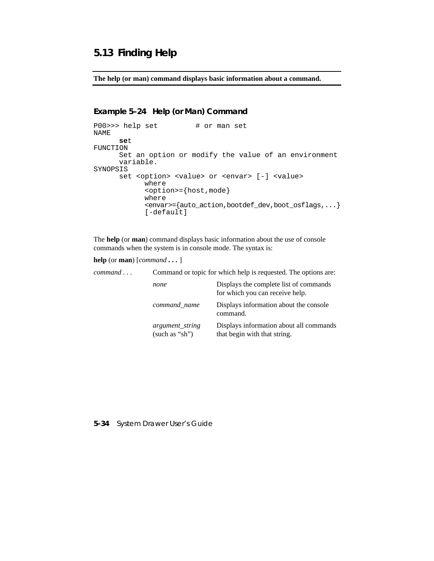# **5.13 Finding Help**

**The help (or man) command displays basic information about a command.**

#### **Example 5–24 Help (or Man) Command**

```
P00>>> help set # or man set
NAME
      set
FUNCTION
      Set an option or modify the value of an environment
      variable.
SYNOPSIS
      set <option> <value> or <envar> [-] <value>
            where
            <option>={host,mode}
            where
            <envar>={auto_action,bootdef_dev,boot_osflags,...}
            [-default]
```
The **help** (or **man**) command displays basic information about the use of console commands when the system is in console mode. The syntax is:

**help** (or **man**) [*command* **. . .** ]

| command | Command or topic for which help is requested. The options are: |                                                                           |  |
|---------|----------------------------------------------------------------|---------------------------------------------------------------------------|--|
|         | none                                                           | Displays the complete list of commands<br>for which you can receive help. |  |
|         | command name                                                   | Displays information about the console<br>command.                        |  |
|         | <i>argument string</i><br>(such as "sh")                       | Displays information about all commands<br>that begin with that string.   |  |

#### **5-34** System Drawer User's Guide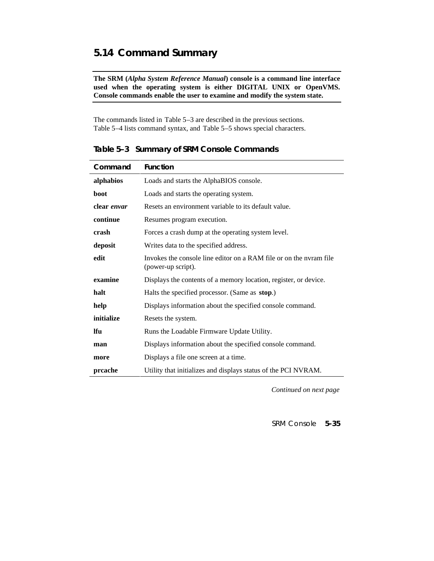# **5.14 Command Summary**

**The SRM (***Alpha System Reference Manual***) console is a command line interface used when the operating system is either DIGITAL UNIX or OpenVMS. Console commands enable the user to examine and modify the system state.**

The commands listed in Table 5–3 are described in the previous sections. Table 5–4 lists command syntax, and Table 5–5 shows special characters.

| Command     | <b>Function</b>                                                                          |
|-------------|------------------------------------------------------------------------------------------|
| alphabios   | Loads and starts the AlphaBIOS console.                                                  |
| boot        | Loads and starts the operating system.                                                   |
| clear envar | Resets an environment variable to its default value.                                     |
| continue    | Resumes program execution.                                                               |
| crash       | Forces a crash dump at the operating system level.                                       |
| deposit     | Writes data to the specified address.                                                    |
| edit        | Invokes the console line editor on a RAM file or on the nyram file<br>(power-up script). |
| examine     | Displays the contents of a memory location, register, or device.                         |
| halt        | Halts the specified processor. (Same as stop.)                                           |
| help        | Displays information about the specified console command.                                |
| initialize  | Resets the system.                                                                       |
| <b>Ifu</b>  | Runs the Loadable Firmware Update Utility.                                               |
| man         | Displays information about the specified console command.                                |
| more        | Displays a file one screen at a time.                                                    |
| prcache     | Utility that initializes and displays status of the PCI NVRAM.                           |

**Table 5–3 Summary of SRM Console Commands**

*Continued on next page*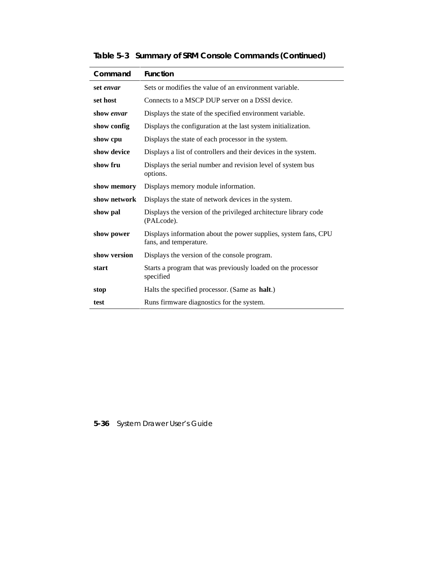| Command      | <b>Function</b>                                                                           |
|--------------|-------------------------------------------------------------------------------------------|
| set envar    | Sets or modifies the value of an environment variable.                                    |
| set host     | Connects to a MSCP DUP server on a DSSI device.                                           |
| show envar   | Displays the state of the specified environment variable.                                 |
| show config  | Displays the configuration at the last system initialization.                             |
| show cpu     | Displays the state of each processor in the system.                                       |
| show device  | Displays a list of controllers and their devices in the system.                           |
| show fru     | Displays the serial number and revision level of system bus<br>options.                   |
| show memory  | Displays memory module information.                                                       |
| show network | Displays the state of network devices in the system.                                      |
| show pal     | Displays the version of the privileged architecture library code<br>(PALcode).            |
| show power   | Displays information about the power supplies, system fans, CPU<br>fans, and temperature. |
| show version | Displays the version of the console program.                                              |
| start        | Starts a program that was previously loaded on the processor<br>specified                 |
| stop         | Halts the specified processor. (Same as <b>halt</b> .)                                    |
| test         | Runs firmware diagnostics for the system.                                                 |

**Table 5–3 Summary of SRM Console Commands (Continued)**

# **5-36** System Drawer User's Guide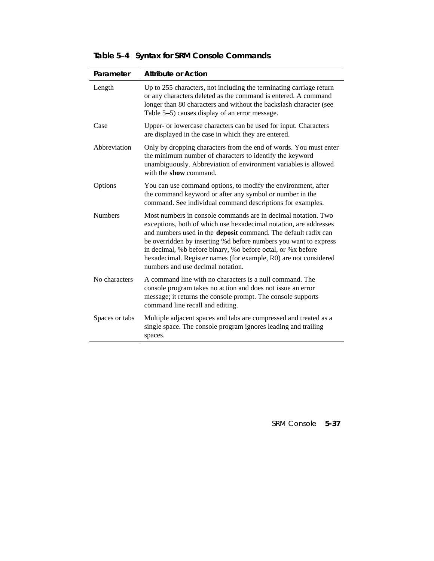| Parameter      | <b>Attribute or Action</b>                                                                                                                                                                                                                                                                                                                                                                                                                       |
|----------------|--------------------------------------------------------------------------------------------------------------------------------------------------------------------------------------------------------------------------------------------------------------------------------------------------------------------------------------------------------------------------------------------------------------------------------------------------|
| Length         | Up to 255 characters, not including the terminating carriage return<br>or any characters deleted as the command is entered. A command<br>longer than 80 characters and without the backslash character (see<br>Table 5–5) causes display of an error message.                                                                                                                                                                                    |
| Case           | Upper- or lowercase characters can be used for input. Characters<br>are displayed in the case in which they are entered.                                                                                                                                                                                                                                                                                                                         |
| Abbreviation   | Only by dropping characters from the end of words. You must enter<br>the minimum number of characters to identify the keyword<br>unambiguously. Abbreviation of environment variables is allowed<br>with the show command.                                                                                                                                                                                                                       |
| Options        | You can use command options, to modify the environment, after<br>the command keyword or after any symbol or number in the<br>command. See individual command descriptions for examples.                                                                                                                                                                                                                                                          |
| <b>Numbers</b> | Most numbers in console commands are in decimal notation. Two<br>exceptions, both of which use hexadecimal notation, are addresses<br>and numbers used in the deposit command. The default radix can<br>be overridden by inserting %d before numbers you want to express<br>in decimal, %b before binary, %o before octal, or %x before<br>hexadecimal. Register names (for example, R0) are not considered<br>numbers and use decimal notation. |
| No characters  | A command line with no characters is a null command. The<br>console program takes no action and does not issue an error<br>message; it returns the console prompt. The console supports<br>command line recall and editing.                                                                                                                                                                                                                      |
| Spaces or tabs | Multiple adjacent spaces and tabs are compressed and treated as a<br>single space. The console program ignores leading and trailing<br>spaces.                                                                                                                                                                                                                                                                                                   |

# **Table 5–4 Syntax for SRM Console Commands**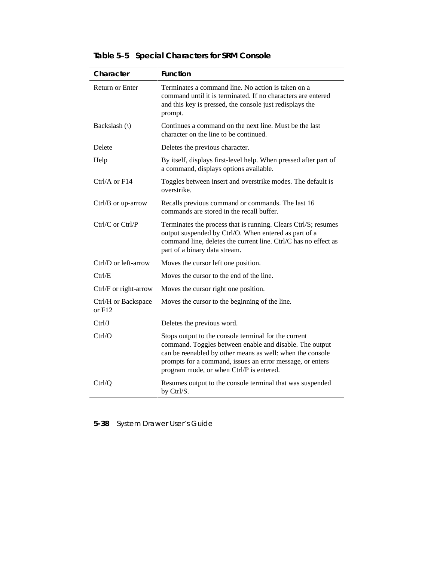| Character                       | <b>Function</b>                                                                                                                                                                                                                                                                       |
|---------------------------------|---------------------------------------------------------------------------------------------------------------------------------------------------------------------------------------------------------------------------------------------------------------------------------------|
| <b>Return or Enter</b>          | Terminates a command line. No action is taken on a<br>command until it is terminated. If no characters are entered<br>and this key is pressed, the console just redisplays the<br>prompt.                                                                                             |
| Backslash $\langle \rangle$     | Continues a command on the next line. Must be the last<br>character on the line to be continued.                                                                                                                                                                                      |
| Delete                          | Deletes the previous character.                                                                                                                                                                                                                                                       |
| Help                            | By itself, displays first-level help. When pressed after part of<br>a command, displays options available.                                                                                                                                                                            |
| Ctrl/A or F14                   | Toggles between insert and overstrike modes. The default is<br>overstrike.                                                                                                                                                                                                            |
| Ctrl/B or up-arrow              | Recalls previous command or commands. The last 16<br>commands are stored in the recall buffer.                                                                                                                                                                                        |
| $Ctrl/C$ or $Ctrl/P$            | Terminates the process that is running. Clears Ctrl/S; resumes<br>output suspended by Ctrl/O. When entered as part of a<br>command line, deletes the current line. Ctrl/C has no effect as<br>part of a binary data stream.                                                           |
| Ctrl/D or left-arrow            | Moves the cursor left one position.                                                                                                                                                                                                                                                   |
| Ctrl/E                          | Moves the cursor to the end of the line.                                                                                                                                                                                                                                              |
| Ctrl/F or right-arrow           | Moves the cursor right one position.                                                                                                                                                                                                                                                  |
| Ctrl/H or Backspace<br>or $F12$ | Moves the cursor to the beginning of the line.                                                                                                                                                                                                                                        |
| Ctrl/J                          | Deletes the previous word.                                                                                                                                                                                                                                                            |
| Ctrl/O                          | Stops output to the console terminal for the current<br>command. Toggles between enable and disable. The output<br>can be reenabled by other means as well: when the console<br>prompts for a command, issues an error message, or enters<br>program mode, or when Ctrl/P is entered. |
| Ctrl/Q                          | Resumes output to the console terminal that was suspended<br>by Ctrl/S.                                                                                                                                                                                                               |

# **Table 5–5 Special Characters for SRM Console**

# **5-38** System Drawer User's Guide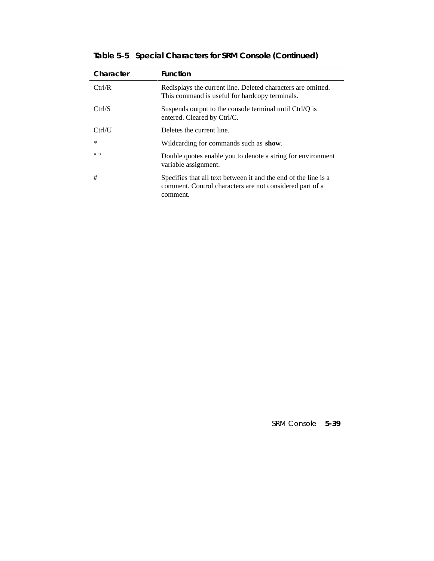| Character                           | <b>Function</b>                                                                                                                         |
|-------------------------------------|-----------------------------------------------------------------------------------------------------------------------------------------|
| Ctrl/R                              | Redisplays the current line. Deleted characters are omitted.<br>This command is useful for hardcopy terminals.                          |
| Ctrl/S                              | Suspends output to the console terminal until Ctrl/Q is<br>entered. Cleared by Ctrl/C.                                                  |
| Ctrl / U                            | Deletes the current line.                                                                                                               |
| $\ast$                              | Wildcarding for commands such as <b>show</b> .                                                                                          |
| $^{\prime\prime}$ $^{\prime\prime}$ | Double quotes enable you to denote a string for environment<br>variable assignment.                                                     |
| #                                   | Specifies that all text between it and the end of the line is a<br>comment. Control characters are not considered part of a<br>comment. |

**Table 5–5 Special Characters for SRM Console (Continued)**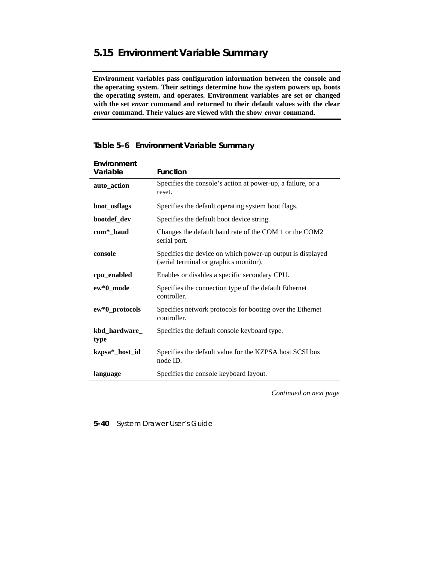# **5.15 Environment Variable Summary**

**Environment variables pass configuration information between the console and the operating system. Their settings determine how the system powers up, boots the operating system, and operates. Environment variables are set or changed with the set** *envar* **command and returned to their default values with the clear** *envar* **command. Their values are viewed with the show** *envar* **command.**

| Environment<br>Variable | <b>Function</b>                                                                                      |
|-------------------------|------------------------------------------------------------------------------------------------------|
| auto_action             | Specifies the console's action at power-up, a failure, or a<br>reset.                                |
| boot_osflags            | Specifies the default operating system boot flags.                                                   |
| bootdef_dev             | Specifies the default boot device string.                                                            |
| com*_baud               | Changes the default baud rate of the COM 1 or the COM2<br>serial port.                               |
| console                 | Specifies the device on which power-up output is displayed<br>(serial terminal or graphics monitor). |
| cpu_enabled             | Enables or disables a specific secondary CPU.                                                        |
| ew*0_mode               | Specifies the connection type of the default Ethernet<br>controller.                                 |
| ew*0_protocols          | Specifies network protocols for booting over the Ethernet<br>controller.                             |
| kbd_hardware_<br>type   | Specifies the default console keyboard type.                                                         |
| kzpsa*_host_id          | Specifies the default value for the KZPSA host SCSI bus<br>node ID.                                  |
| language                | Specifies the console keyboard layout.                                                               |

# **Table 5–6 Environment Variable Summary**

*Continued on next page*

**5-40** System Drawer User's Guide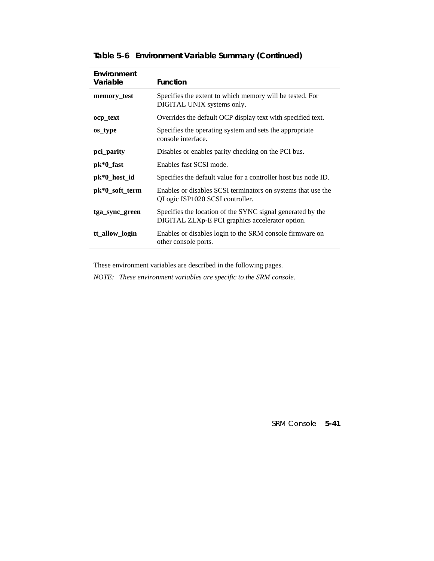| Environment<br>Variable | <b>Function</b>                                                                                               |
|-------------------------|---------------------------------------------------------------------------------------------------------------|
| memory test             | Specifies the extent to which memory will be tested. For<br>DIGITAL UNIX systems only.                        |
| ocp_text                | Overrides the default OCP display text with specified text.                                                   |
| os_type                 | Specifies the operating system and sets the appropriate<br>console interface.                                 |
| pci_parity              | Disables or enables parity checking on the PCI bus.                                                           |
| $pk*0_fast$             | Enables fast SCSI mode.                                                                                       |
| pk*0_host_id            | Specifies the default value for a controller host bus node ID.                                                |
| pk*0_soft_term          | Enables or disables SCSI terminators on systems that use the<br>QLogic ISP1020 SCSI controller.               |
| tga_sync_green          | Specifies the location of the SYNC signal generated by the<br>DIGITAL ZLXp-E PCI graphics accelerator option. |
| tt_allow_login          | Enables or disables login to the SRM console firmware on<br>other console ports.                              |

# **Table 5–6 Environment Variable Summary (Continued)**

These environment variables are described in the following pages.

*NOTE: These environment variables are specific to the SRM console.*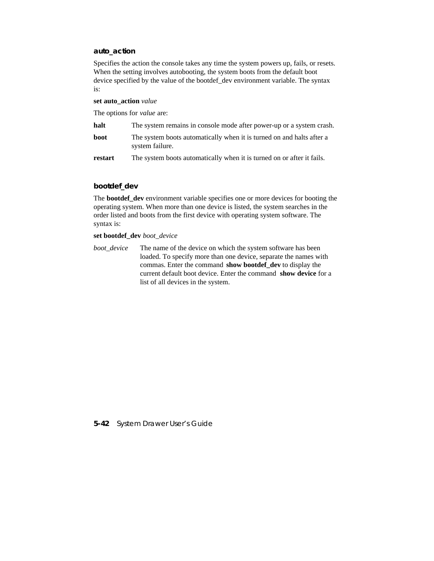### **auto\_action**

Specifies the action the console takes any time the system powers up, fails, or resets. When the setting involves autobooting, the system boots from the default boot device specified by the value of the bootdef\_dev environment variable. The syntax is:

#### **set auto\_action** *value*

The options for *value* are:

| halt    | The system remains in console mode after power-up or a system crash.                     |
|---------|------------------------------------------------------------------------------------------|
| boot    | The system boots automatically when it is turned on and halts after a<br>system failure. |
| restart | The system boots automatically when it is turned on or after it fails.                   |

#### **bootdef\_dev**

The **bootdef\_dev** environment variable specifies one or more devices for booting the operating system. When more than one device is listed, the system searches in the order listed and boots from the first device with operating system software. The syntax is:

#### **set bootdef\_dev** *boot\_device*

*boot\_device* The name of the device on which the system software has been loaded. To specify more than one device, separate the names with commas. Enter the command **show bootdef\_dev** to display the current default boot device. Enter the command **show device** for a list of all devices in the system.

#### **5-42** System Drawer User's Guide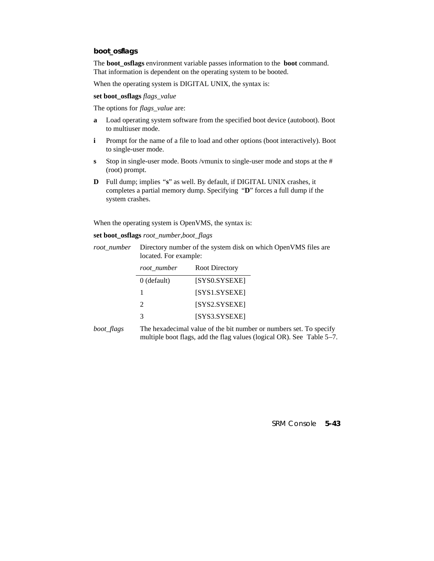### **boot\_osflags**

The **boot\_osflags** environment variable passes information to the **boot** command. That information is dependent on the operating system to be booted.

When the operating system is DIGITAL UNIX, the syntax is:

**set boot\_osflags** *flags\_value*

The options for *flags\_value* are:

- **a** Load operating system software from the specified boot device (autoboot). Boot to multiuser mode.
- **i** Prompt for the name of a file to load and other options (boot interactively). Boot to single-user mode.
- **s** Stop in single-user mode. Boots /vmunix to single-user mode and stops at the # (root) prompt.
- **D** Full dump; implies "**s**" as well. By default, if DIGITAL UNIX crashes, it completes a partial memory dump. Specifying "**D**" forces a full dump if the system crashes.

When the operating system is OpenVMS, the syntax is:

**set boot\_osflags** *root\_number,boot\_flags*

*root\_number* Directory number of the system disk on which OpenVMS files are located. For example:

| root_number                 | <b>Root Directory</b> |
|-----------------------------|-----------------------|
| $0$ (default)               | [SYS0.SYSEXE]         |
| ı                           | [SYS1.SYSEXE]         |
| $\mathcal{D}_{\mathcal{L}}$ | [SYS2.SYSEXE]         |
| 2                           | [SYS3.SYSEXE]         |

*boot flags* The hexadecimal value of the bit number or numbers set. To specify multiple boot flags, add the flag values (logical OR). See Table 5–7.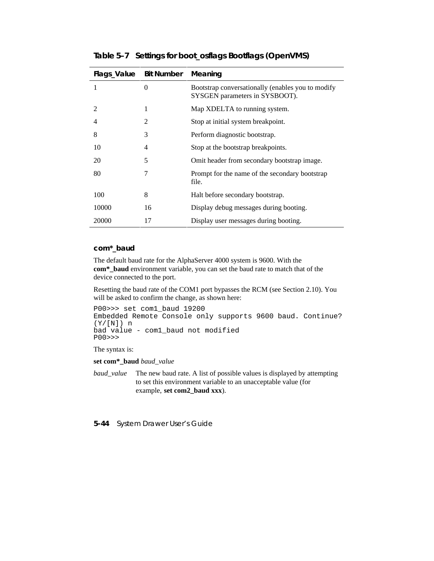| Flags_Value    | <b>Bit Number</b> | Meaning                                                                             |
|----------------|-------------------|-------------------------------------------------------------------------------------|
| 1              | $\theta$          | Bootstrap conversationally (enables you to modify<br>SYSGEN parameters in SYSBOOT). |
| $\mathfrak{D}$ | 1                 | Map XDELTA to running system.                                                       |
| 4              | 2                 | Stop at initial system breakpoint.                                                  |
| 8              | 3                 | Perform diagnostic bootstrap.                                                       |
| 10             | 4                 | Stop at the bootstrap breakpoints.                                                  |
| 20             | 5                 | Omit header from secondary bootstrap image.                                         |
| 80             | 7                 | Prompt for the name of the secondary bootstrap<br>file.                             |
| 100            | 8                 | Halt before secondary bootstrap.                                                    |
| 10000          | 16                | Display debug messages during booting.                                              |
| 20000          | 17                | Display user messages during booting.                                               |

**Table 5–7 Settings for boot\_osflags Bootflags (OpenVMS)**

#### **com\*\_baud**

The default baud rate for the AlphaServer 4000 system is 9600. With the **com\*\_baud** environment variable, you can set the baud rate to match that of the device connected to the port.

Resetting the baud rate of the COM1 port bypasses the RCM (see Section 2.10). You will be asked to confirm the change, as shown here:

```
P00>>> set com1_baud 19200
Embedded Remote Console only supports 9600 baud. Continue?
(Y/[N]) n
bad value - com1_baud not modified
P00>>>
```
The syntax is:

**set com\*\_baud** *baud\_value*

*baud\_value* The new baud rate. A list of possible values is displayed by attempting to set this environment variable to an unacceptable value (for example, **set com2\_baud xxx**).

**5-44** System Drawer User's Guide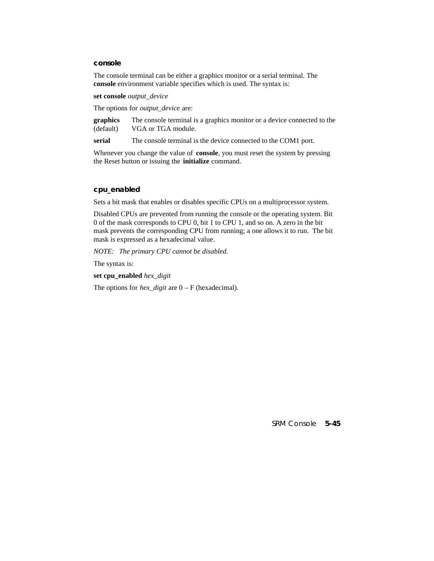#### **console**

The console terminal can be either a graphics monitor or a serial terminal. The **console** environment variable specifies which is used. The syntax is:

**set console** *output\_device*

The options for *output\_device* are:

**graphics** (default) The console terminal is a graphics monitor or a device connected to the VGA or TGA module.

serial The console terminal is the device connected to the COM1 port.

Whenever you change the value of **console**, you must reset the system by pressing the Reset button or issuing the **initialize** command.

#### **cpu\_enabled**

Sets a bit mask that enables or disables specific CPUs on a multiprocessor system.

Disabled CPUs are prevented from running the console or the operating system. Bit 0 of the mask corresponds to CPU 0, bit 1 to CPU 1, and so on. A zero in the bit mask prevents the corresponding CPU from running; a one allows it to run. The bit mask is expressed as a hexadecimal value.

*NOTE: The primary CPU cannot be disabled.*

The syntax is:

**set cpu\_enabled** *hex\_digit*

The options for *hex\_digit* are 0 – F (hexadecimal).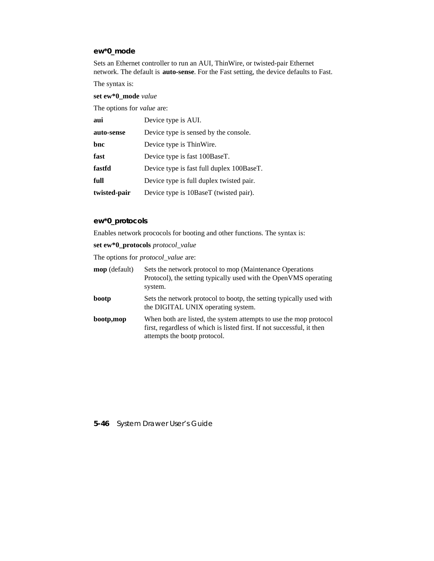### **ew\*0\_mode**

Sets an Ethernet controller to run an AUI, ThinWire, or twisted-pair Ethernet network. The default is **auto-sense**. For the Fast setting, the device defaults to Fast.

The syntax is:

**set ew\*0\_mode** *value*

The options for *value* are:

| aui          | Device type is AUI.                       |
|--------------|-------------------------------------------|
| auto-sense   | Device type is sensed by the console.     |
| bnc          | Device type is ThinWire.                  |
| fast         | Device type is fast 100BaseT.             |
| fastfd       | Device type is fast full duplex 100BaseT. |
| full         | Device type is full duplex twisted pair.  |
| twisted-pair | Device type is 10BaseT (twisted pair).    |

### **ew\*0\_protocols**

Enables network prococols for booting and other functions. The syntax is:

**set ew\*0\_protocols** *protocol\_value*

The options for *protocol\_value* are:

| <b>mop</b> (default) | Sets the network protocol to mop (Maintenance Operations<br>Protocol), the setting typically used with the OpenVMS operating<br>system.                                     |
|----------------------|-----------------------------------------------------------------------------------------------------------------------------------------------------------------------------|
| bootp                | Sets the network protocol to bootp, the setting typically used with<br>the DIGITAL UNIX operating system.                                                                   |
| bootp,mop            | When both are listed, the system attempts to use the mop protocol<br>first, regardless of which is listed first. If not successful, it then<br>attempts the bootp protocol. |

**5-46** System Drawer User's Guide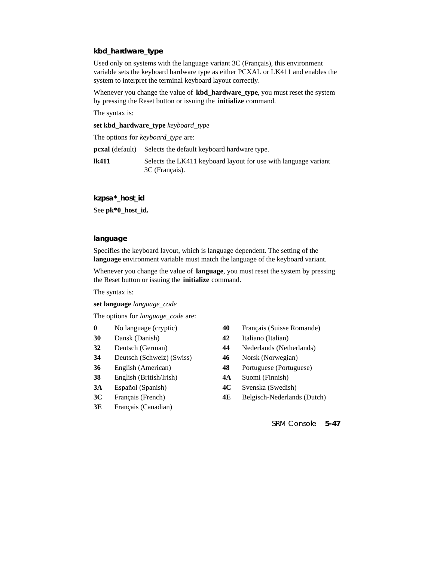### **kbd\_hardware\_type**

Used only on systems with the language variant 3C (Français), this environment variable sets the keyboard hardware type as either PCXAL or LK411 and enables the system to interpret the terminal keyboard layout correctly.

Whenever you change the value of **kbd\_hardware\_type**, you must reset the system by pressing the Reset button or issuing the **initialize** command.

The syntax is:

**set kbd\_hardware\_type** *keyboard\_type*

The options for *keyboard\_type* are:

**pcxal** (default) Selects the default keyboard hardware type.

**lk411** Selects the LK411 keyboard layout for use with language variant 3C (Français).

**kzpsa\*\_host\_id**

See **pk\*0\_host\_id.**

#### **language**

Specifies the keyboard layout, which is language dependent. The setting of the **language** environment variable must match the language of the keyboard variant.

Whenever you change the value of **language**, you must reset the system by pressing the Reset button or issuing the **initialize** command.

The syntax is:

**set language** *language\_code*

The options for *language\_code* are:

- 
- 
- 
- **34** Deutsch (Schweiz) (Swiss) **46** Norsk (Norwegian)
- 
- **38** English (British/Irish) **4A** Suomi (Finnish)
- 
- 
- **3E** Français (Canadian)
- **0** No language (cryptic) **40** Français (Suisse Romande)
- **30** Dansk (Danish) **42** Italiano (Italian)
- **32** Deutsch (German) **44** Nederlands (Netherlands)
	-
- **36** English (American) **48** Portuguese (Portuguese)
	-
- **3A** Español (Spanish) **4C** Svenska (Swedish)
- **3C** Français (French) **4E** Belgisch-Nederlands (Dutch)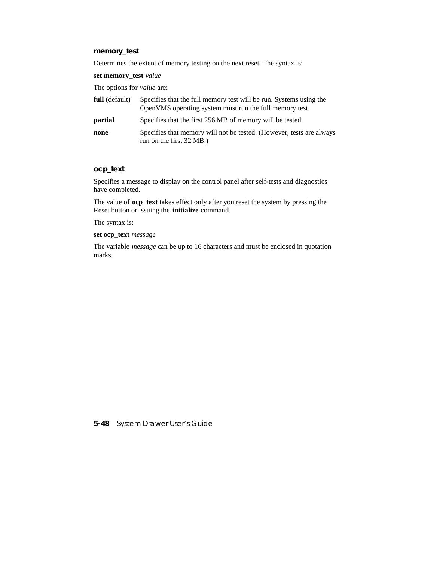### **memory\_test**

Determines the extent of memory testing on the next reset. The syntax is:

### **set memory\_test** *value*

The options for *value* are:

| full (default) | Specifies that the full memory test will be run. Systems using the<br>OpenVMS operating system must run the full memory test. |
|----------------|-------------------------------------------------------------------------------------------------------------------------------|
| partial        | Specifies that the first 256 MB of memory will be tested.                                                                     |
| none           | Specifies that memory will not be tested. (However, tests are always<br>run on the first 32 MB.)                              |

## **ocp\_text**

Specifies a message to display on the control panel after self-tests and diagnostics have completed.

The value of **ocp\_text** takes effect only after you reset the system by pressing the Reset button or issuing the **initialize** command.

The syntax is:

#### **set ocp\_text** *message*

The variable *message* can be up to 16 characters and must be enclosed in quotation marks.

**5-48** System Drawer User's Guide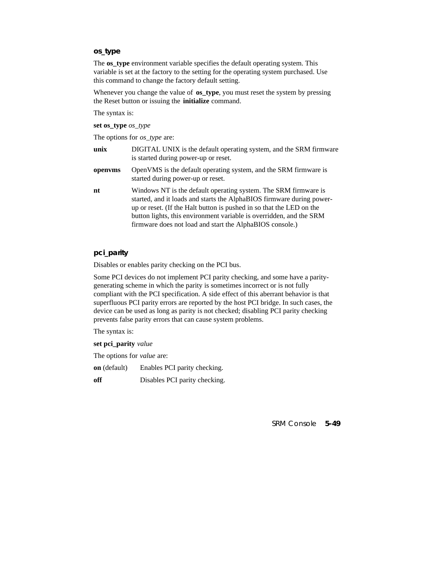#### **os\_type**

The **os** type environment variable specifies the default operating system. This variable is set at the factory to the setting for the operating system purchased. Use this command to change the factory default setting.

Whenever you change the value of **os\_type**, you must reset the system by pressing the Reset button or issuing the **initialize** command.

The syntax is:

**set os\_type** *os\_type*

The options for *os\_type* are:

| unix    | DIGITAL UNIX is the default operating system, and the SRM firmware<br>is started during power-up or reset.                                                                                                                                                                                                                                          |
|---------|-----------------------------------------------------------------------------------------------------------------------------------------------------------------------------------------------------------------------------------------------------------------------------------------------------------------------------------------------------|
| openvms | OpenVMS is the default operating system, and the SRM firmware is<br>started during power-up or reset.                                                                                                                                                                                                                                               |
| nt      | Windows NT is the default operating system. The SRM firmware is<br>started, and it loads and starts the AlphaBIOS firmware during power-<br>up or reset. (If the Halt button is pushed in so that the LED on the<br>button lights, this environment variable is overridden, and the SRM<br>firmware does not load and start the AlphaBIOS console.) |

### **pci\_parity**

Disables or enables parity checking on the PCI bus.

Some PCI devices do not implement PCI parity checking, and some have a paritygenerating scheme in which the parity is sometimes incorrect or is not fully compliant with the PCI specification. A side effect of this aberrant behavior is that superfluous PCI parity errors are reported by the host PCI bridge. In such cases, the device can be used as long as parity is not checked; disabling PCI parity checking prevents false parity errors that can cause system problems.

The syntax is:

**set pci\_parity** *value*

The options for *value* are:

**on** (default) Enables PCI parity checking.

**off** Disables PCI parity checking.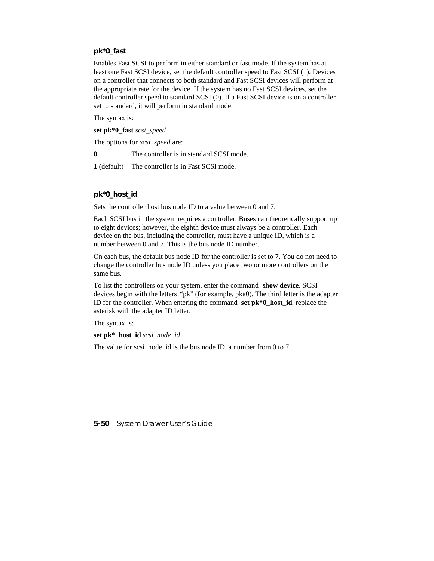### **pk\*0\_fast**

Enables Fast SCSI to perform in either standard or fast mode. If the system has at least one Fast SCSI device, set the default controller speed to Fast SCSI (1). Devices on a controller that connects to both standard and Fast SCSI devices will perform at the appropriate rate for the device. If the system has no Fast SCSI devices, set the default controller speed to standard SCSI (0). If a Fast SCSI device is on a controller set to standard, it will perform in standard mode.

The syntax is:

**set pk\*0\_fast** *scsi\_speed*

The options for *scsi\_speed* are:

**0** The controller is in standard SCSI mode.

**1** (default) The controller is in Fast SCSI mode.

### **pk\*0\_host\_id**

Sets the controller host bus node ID to a value between 0 and 7.

Each SCSI bus in the system requires a controller. Buses can theoretically support up to eight devices; however, the eighth device must always be a controller. Each device on the bus, including the controller, must have a unique ID, which is a number between 0 and 7. This is the bus node ID number.

On each bus, the default bus node ID for the controller is set to 7. You do not need to change the controller bus node ID unless you place two or more controllers on the same bus.

To list the controllers on your system, enter the command **show device**. SCSI devices begin with the letters "pk" (for example, pka0). The third letter is the adapter ID for the controller. When entering the command **set pk\*0\_host\_id**, replace the asterisk with the adapter ID letter.

The syntax is:

**set pk\*\_host\_id** *scsi\_node\_id*

The value for scsi node id is the bus node ID, a number from 0 to 7.

**5-50** System Drawer User's Guide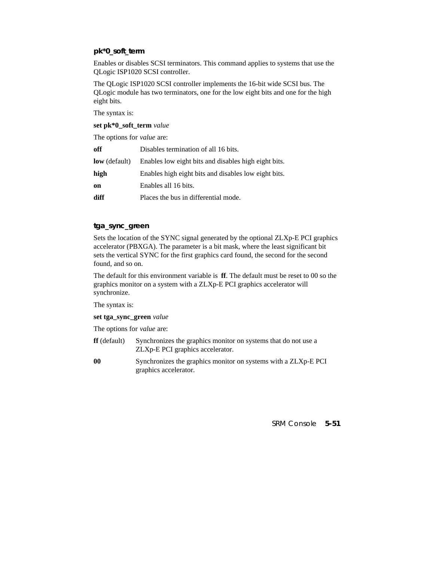### **pk\*0\_soft\_term**

Enables or disables SCSI terminators. This command applies to systems that use the QLogic ISP1020 SCSI controller.

The QLogic ISP1020 SCSI controller implements the 16-bit wide SCSI bus. The QLogic module has two terminators, one for the low eight bits and one for the high eight bits.

The syntax is:

**set pk\*0\_soft\_term** *value*

The options for *value* are:

| off                  | Disables termination of all 16 bits.                 |
|----------------------|------------------------------------------------------|
| <b>low</b> (default) | Enables low eight bits and disables high eight bits. |
| high                 | Enables high eight bits and disables low eight bits. |
| on                   | Enables all 16 bits.                                 |
| diff                 | Places the bus in differential mode.                 |

### **tga\_sync\_green**

Sets the location of the SYNC signal generated by the optional ZLXp-E PCI graphics accelerator (PBXGA). The parameter is a bit mask, where the least significant bit sets the vertical SYNC for the first graphics card found, the second for the second found, and so on.

The default for this environment variable is **ff**. The default must be reset to 00 so the graphics monitor on a system with a ZLXp-E PCI graphics accelerator will synchronize.

The syntax is:

#### **set tga\_sync\_green** *value*

The options for *value* are:

| $\mathbf{f}$ (default) | Synchronizes the graphics monitor on systems that do not use a |
|------------------------|----------------------------------------------------------------|
|                        | ZLXp-E PCI graphics accelerator.                               |

**00** Synchronizes the graphics monitor on systems with a ZLXp-E PCI graphics accelerator.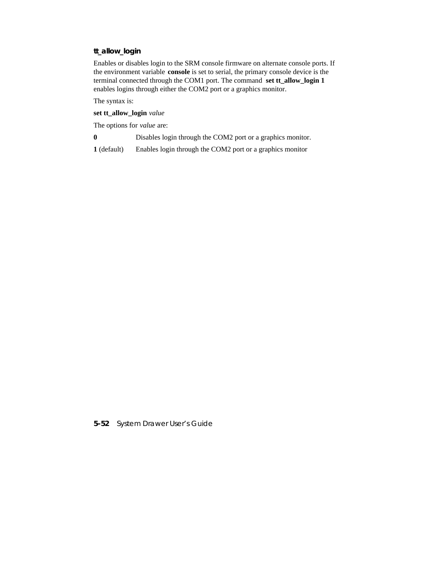### **tt\_allow\_login**

Enables or disables login to the SRM console firmware on alternate console ports. If the environment variable **console** is set to serial, the primary console device is the terminal connected through the COM1 port. The command **set tt\_allow\_login 1** enables logins through either the COM2 port or a graphics monitor.

The syntax is:

**set tt\_allow\_login** *value*

The options for *value* are:

**0** Disables login through the COM2 port or a graphics monitor.

**1** (default) Enables login through the COM2 port or a graphics monitor

**5-52** System Drawer User's Guide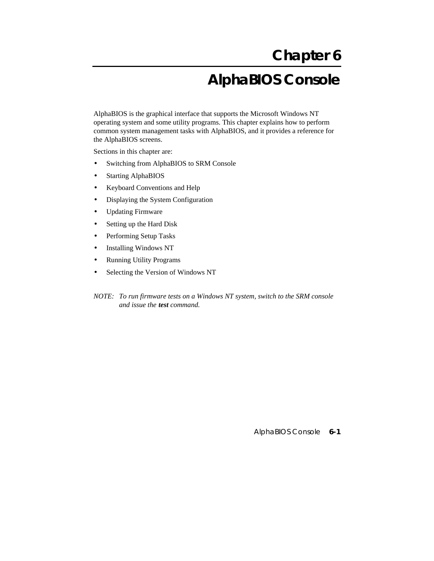# **Chapter 6 AlphaBIOS Console**

AlphaBIOS is the graphical interface that supports the Microsoft Windows NT operating system and some utility programs. This chapter explains how to perform common system management tasks with AlphaBIOS, and it provides a reference for the AlphaBIOS screens.

Sections in this chapter are:

- Switching from AlphaBIOS to SRM Console
- Starting AlphaBIOS
- Keyboard Conventions and Help
- Displaying the System Configuration
- Updating Firmware
- Setting up the Hard Disk
- Performing Setup Tasks
- Installing Windows NT
- Running Utility Programs
- Selecting the Version of Windows NT
- *NOTE: To run firmware tests on a Windows NT system, switch to the SRM console and issue the test command.*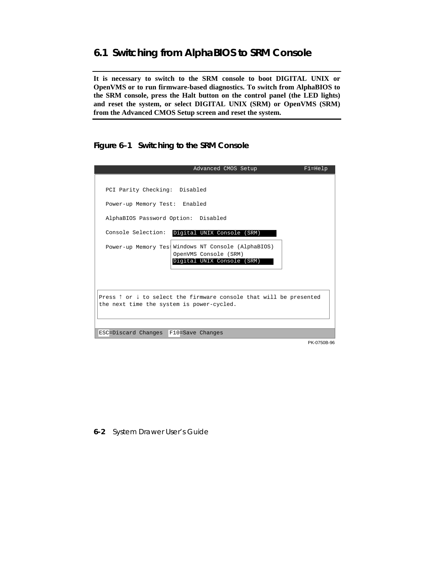# **6.1 Switching from AlphaBIOS to SRM Console**

**It is necessary to switch to the SRM console to boot DIGITAL UNIX or OpenVMS or to run firmware-based diagnostics. To switch from AlphaBIOS to the SRM console, press the Halt button on the control panel (the LED lights) and reset the system, or select DIGITAL UNIX (SRM) or OpenVMS (SRM) from the Advanced CMOS Setup screen and reset the system.**

**Figure 6–1 Switching to the SRM Console**

| Advanced CMOS Setup                                                                    | $F1 = He1p$ |
|----------------------------------------------------------------------------------------|-------------|
|                                                                                        |             |
| PCI Parity Checking: Disabled                                                          |             |
| Power-up Memory Test: Enabled                                                          |             |
| AlphaBIOS Password Option: Disabled                                                    |             |
| Console Selection:<br>Digital UNIX Console (SRM)                                       |             |
| Power-up Memory Test Windows NT Console (AlphaBIOS)<br>OpenVMS Console (SRM)           |             |
| Digital UNIX Console (SRM)                                                             |             |
|                                                                                        |             |
|                                                                                        |             |
| Press $\uparrow$ or $\downarrow$ to select the firmware console that will be presented |             |
| the next time the system is power-cycled.                                              |             |
|                                                                                        |             |
| ESC=Discard Changes F10=Save Changes                                                   |             |
|                                                                                        | PK-0750B-96 |

### **6-2** System Drawer User's Guide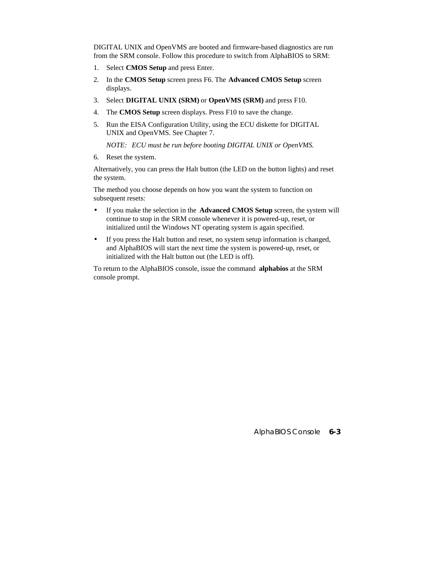DIGITAL UNIX and OpenVMS are booted and firmware-based diagnostics are run from the SRM console. Follow this procedure to switch from AlphaBIOS to SRM:

- 1. Select **CMOS Setup** and press Enter.
- 2. In the **CMOS Setup** screen press F6. The **Advanced CMOS Setup** screen displays.
- 3. Select **DIGITAL UNIX (SRM)** or **OpenVMS (SRM)** and press F10.
- 4. The **CMOS Setup** screen displays. Press F10 to save the change.
- 5. Run the EISA Configuration Utility, using the ECU diskette for DIGITAL UNIX and OpenVMS. See Chapter 7.

 *NOTE: ECU must be run before booting DIGITAL UNIX or OpenVMS.*

6. Reset the system.

Alternatively, you can press the Halt button (the LED on the button lights) and reset the system.

The method you choose depends on how you want the system to function on subsequent resets:

- If you make the selection in the **Advanced CMOS Setup** screen, the system will continue to stop in the SRM console whenever it is powered-up, reset, or initialized until the Windows NT operating system is again specified.
- If you press the Halt button and reset, no system setup information is changed, and AlphaBIOS will start the next time the system is powered-up, reset, or initialized with the Halt button out (the LED is off).

To return to the AlphaBIOS console, issue the command **alphabios** at the SRM console prompt.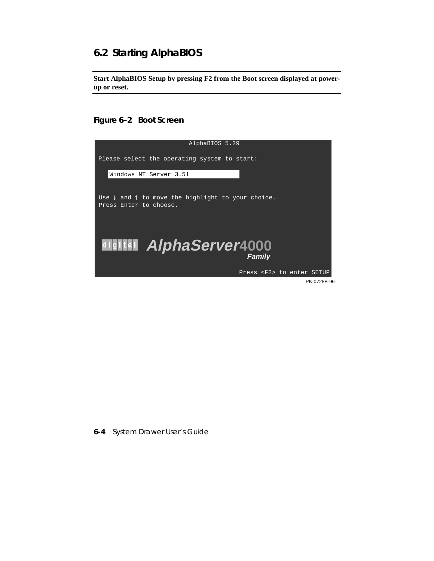# **6.2 Starting AlphaBIOS**

**Start AlphaBIOS Setup by pressing F2 from the Boot screen displayed at powerup or reset.**

**Figure 6–2 Boot Screen**



**6-4** System Drawer User's Guide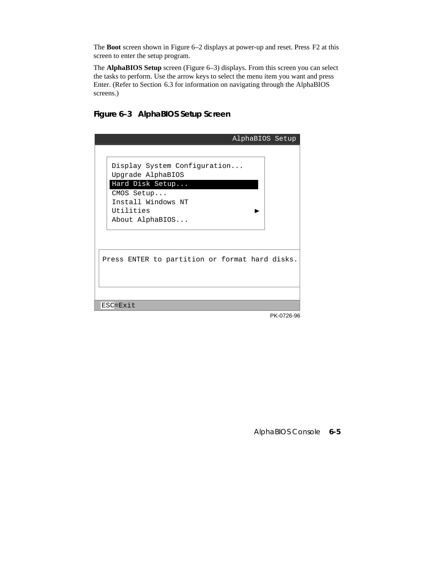The **Boot** screen shown in Figure 6–2 displays at power-up and reset. Press F2 at this screen to enter the setup program.

The **AlphaBIOS Setup** screen (Figure 6–3) displays. From this screen you can select the tasks to perform. Use the arrow keys to select the menu item you want and press Enter. (Refer to Section 6.3 for information on navigating through the AlphaBIOS screens.)

# **Figure 6–3 AlphaBIOS Setup Screen**

|                                                                                                                                          | AlphaBIOS Setup |
|------------------------------------------------------------------------------------------------------------------------------------------|-----------------|
| Display System Configuration<br>Upgrade AlphaBIOS<br>Hard Disk Setup<br>CMOS Setup<br>Install Windows NT<br>Utilities<br>About AlphaBIOS |                 |
| Press ENTER to partition or format hard disks.                                                                                           |                 |
| ESC=Exit                                                                                                                                 |                 |
|                                                                                                                                          | PK-0726-96      |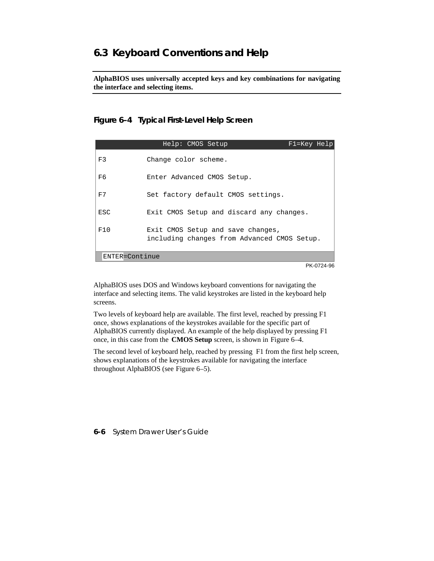# **6.3 Keyboard Conventions and Help**

**AlphaBIOS uses universally accepted keys and key combinations for navigating the interface and selecting items.**

### **Figure 6–4 Typical First-Level Help Screen**

|                | Help: CMOS Setup                                                                 | F1=Key Help |  |
|----------------|----------------------------------------------------------------------------------|-------------|--|
| F3             | Change color scheme.                                                             |             |  |
| F6             | Enter Advanced CMOS Setup.                                                       |             |  |
| F7             | Set factory default CMOS settings.                                               |             |  |
| ESC            | Exit CMOS Setup and discard any changes.                                         |             |  |
| F10            | Exit CMOS Setup and save changes,<br>including changes from Advanced CMOS Setup. |             |  |
| ENTER=Continue |                                                                                  |             |  |

PK-0724-96

AlphaBIOS uses DOS and Windows keyboard conventions for navigating the interface and selecting items. The valid keystrokes are listed in the keyboard help screens.

Two levels of keyboard help are available. The first level, reached by pressing F1 once, shows explanations of the keystrokes available for the specific part of AlphaBIOS currently displayed. An example of the help displayed by pressing F1 once, in this case from the **CMOS Setup** screen, is shown in Figure 6–4.

The second level of keyboard help, reached by pressing F1 from the first help screen, shows explanations of the keystrokes available for navigating the interface throughout AlphaBIOS (see Figure 6–5).

**6-6** System Drawer User's Guide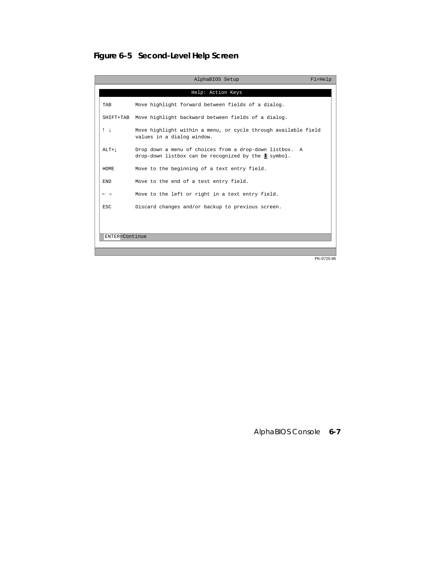# **Figure 6–5 Second-Level Help Screen**

I

I

|                            | AlphaBIOS Setup                                                                                                              | $F1 = He1p$          |
|----------------------------|------------------------------------------------------------------------------------------------------------------------------|----------------------|
|                            | Help: Action Keys                                                                                                            |                      |
| TAB                        | Move highlight forward between fields of a dialog.                                                                           |                      |
| SHIFT+TAB                  | Move highlight backward between fields of a dialog.                                                                          |                      |
| 1 <sup>1</sup>             | Move highlight within a menu, or cycle through available field<br>values in a dialog window.                                 |                      |
| $ALT+1$                    | Drop down a menu of choices from a drop-down listbox. A<br>drop-down listbox can be recognized by the $\blacksquare$ symbol. |                      |
| HOME                       | Move to the beginning of a text entry field.                                                                                 |                      |
| <b>END</b>                 | Move to the end of a test entry field.                                                                                       |                      |
| $\leftarrow$ $\rightarrow$ | Move to the left or right in a text entry field.                                                                             |                      |
| ESC.                       | Discard changes and/or backup to previous screen.                                                                            |                      |
|                            |                                                                                                                              |                      |
| ENTER=Continue             |                                                                                                                              |                      |
|                            |                                                                                                                              |                      |
|                            |                                                                                                                              | $ \cdot \cdot \cdot$ |

PK-0725-96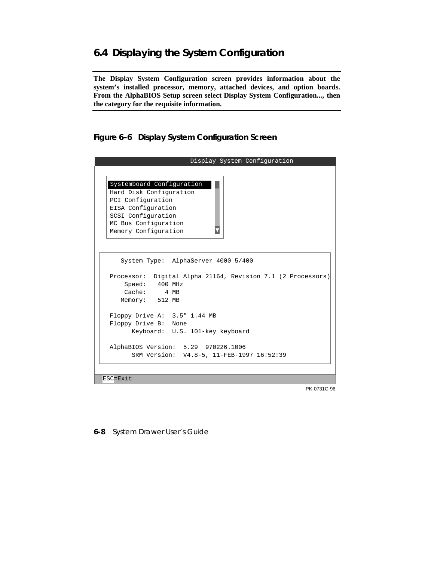# **6.4 Displaying the System Configuration**

**The Display System Configuration screen provides information about the system's installed processor, memory, attached devices, and option boards. From the AlphaBIOS Setup screen select Display System Configuration..., then the category for the requisite information.**

**Figure 6–6 Display System Configuration Screen**

| Display System Configuration                                                                 |
|----------------------------------------------------------------------------------------------|
|                                                                                              |
| Systemboard Configuration<br>Hard Disk Configuration                                         |
| PCI Configuration                                                                            |
| EISA Configuration                                                                           |
| SCSI Configuration                                                                           |
| MC Bus Configuration                                                                         |
| Memory Configuration                                                                         |
| System Type: AlphaServer 4000 5/400                                                          |
| Processor: Digital Alpha 21164, Revision 7.1 (2 Processors)<br>Speed: 400 MHz<br>Cache: 4 MB |
| Memory: 512 MB                                                                               |
| Floppy Drive A: 3.5" 1.44 MB<br>Floppy Drive B: None                                         |
| Keyboard: U.S. 101-key keyboard                                                              |
| AlphaBIOS Version: 5.29 970226.1006                                                          |
| SRM Version: V4.8-5, 11-FEB-1997 16:52:39                                                    |
|                                                                                              |
|                                                                                              |
| ESC=Exit                                                                                     |

PK-0731C-96

**6-8** System Drawer User's Guide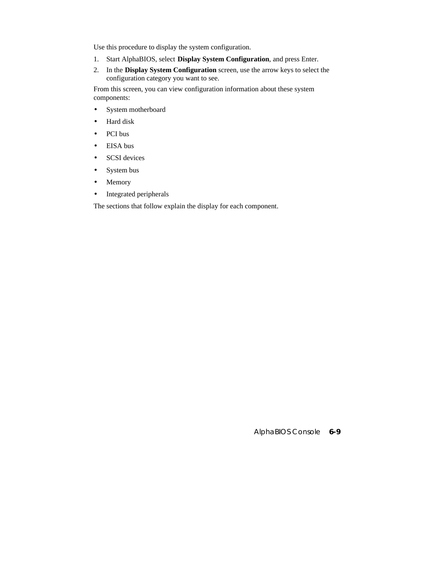Use this procedure to display the system configuration.

- 1. Start AlphaBIOS, select **Display System Configuration**, and press Enter.
- 2. In the **Display System Configuration** screen, use the arrow keys to select the configuration category you want to see.

From this screen, you can view configuration information about these system components:

- System motherboard
- Hard disk
- PCI bus
- EISA bus
- SCSI devices
- System bus
- Memory
- Integrated peripherals

The sections that follow explain the display for each component.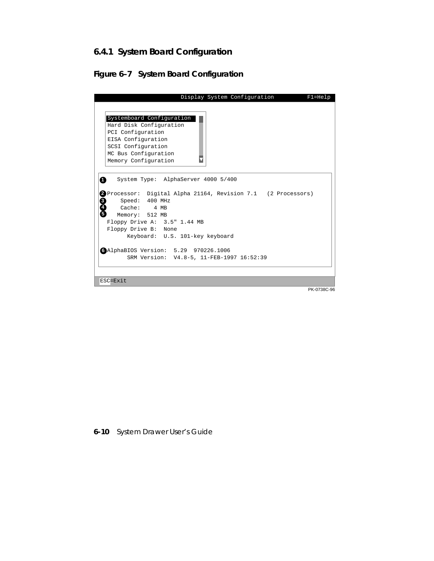# **6.4.1 System Board Configuration**

# **Figure 6–7 System Board Configuration**

|                                                                                                                                                                                                                       | Display System Configuration |  | $F1 = He1p$ |
|-----------------------------------------------------------------------------------------------------------------------------------------------------------------------------------------------------------------------|------------------------------|--|-------------|
|                                                                                                                                                                                                                       |                              |  |             |
| Systemboard Configuration<br>Hard Disk Configuration                                                                                                                                                                  |                              |  |             |
| PCI Configuration                                                                                                                                                                                                     |                              |  |             |
| EISA Configuration                                                                                                                                                                                                    |                              |  |             |
| SCSI Configuration                                                                                                                                                                                                    |                              |  |             |
| MC Bus Configuration                                                                                                                                                                                                  |                              |  |             |
| Memory Configuration                                                                                                                                                                                                  |                              |  |             |
|                                                                                                                                                                                                                       |                              |  |             |
| 2 Processor: Digital Alpha 21164, Revision 7.1 (2 Processors)<br>8<br>Speed: 400 MHz<br>Cache: 4 MB<br>Ō<br>Memory: 512 MB<br>Floppy Drive A: 3.5" 1.44 MB<br>Floppy Drive B: None<br>Keyboard: U.S. 101-key keyboard |                              |  |             |
| GAlphaBIOS Version: 5.29 970226.1006                                                                                                                                                                                  |                              |  |             |
| SRM Version: V4.8-5, 11-FEB-1997 16:52:39                                                                                                                                                                             |                              |  |             |
| ESC=Exit                                                                                                                                                                                                              |                              |  |             |
|                                                                                                                                                                                                                       |                              |  |             |
|                                                                                                                                                                                                                       |                              |  | PK-0738C-96 |

**6-10** System Drawer User's Guide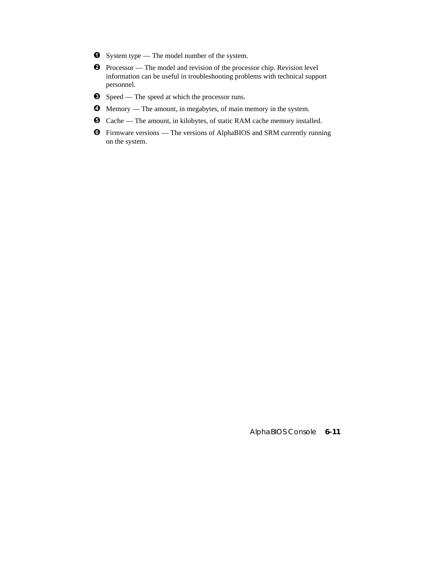- $\bullet$  System type The model number of the system.
- $\bullet$  Processor The model and revision of the processor chip. Revision level information can be useful in troubleshooting problems with technical support personnel.
- $\Theta$  Speed The speed at which the processor runs.
- µ Memory The amount, in megabytes, of main memory in the system.
- ¶ Cache The amount, in kilobytes, of static RAM cache memory installed.
- · Firmware versions The versions of AlphaBIOS and SRM currently running on the system.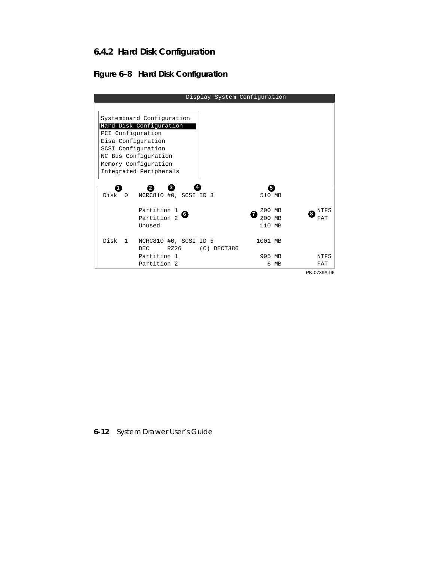# **6.4.2 Hard Disk Configuration**

# **Figure 6–8 Hard Disk Configuration**

|                                               |               | Display System Configuration |      |                  |
|-----------------------------------------------|---------------|------------------------------|------|------------------|
|                                               |               |                              |      |                  |
| Systemboard Configuration                     |               |                              |      |                  |
| Hard Disk Configuration                       |               |                              |      |                  |
| PCI Configuration                             |               |                              |      |                  |
| Eisa Configuration                            |               |                              |      |                  |
| SCSI Configuration                            |               |                              |      |                  |
| NC Bus Configuration                          |               |                              |      |                  |
| Memory Configuration                          |               |                              |      |                  |
| Integrated Peripherals                        |               |                              |      |                  |
|                                               |               |                              |      |                  |
| 3                                             |               | 5                            |      |                  |
| Disk<br>NCRC810 #0, SCSI ID 3<br>$\Omega$     |               | 510 MB                       |      |                  |
|                                               |               |                              |      |                  |
| Partition 1                                   |               | 200 MB                       |      | <b>NTFS</b><br>8 |
| Partition 2                                   |               | 200 MB                       |      | FAT              |
| Unused                                        |               | 110 MB                       |      |                  |
|                                               |               |                              |      |                  |
| Disk<br>NCRC810 #0, SCSI ID 5<br>$\mathbf{1}$ |               | 1001 MB                      |      |                  |
| RZ26<br>DEC.                                  | $(C)$ DECT386 |                              |      |                  |
| Partition 1                                   |               | 995 MB                       |      | <b>NTFS</b>      |
| Partition 2                                   |               |                              | 6 MB | FAT              |
|                                               |               |                              |      | PK-0739A-96      |

**6-12** System Drawer User's Guide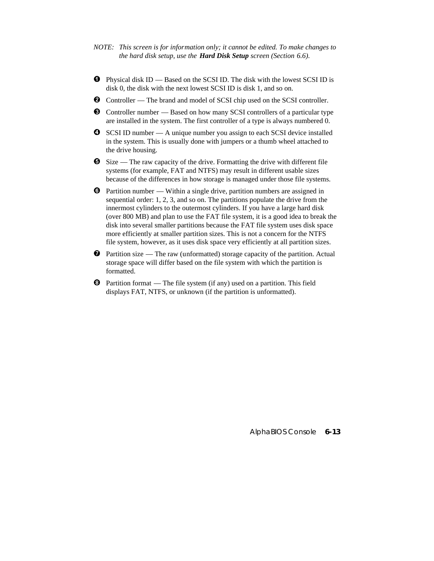- *NOTE: This screen is for information only; it cannot be edited. To make changes to the hard disk setup, use the Hard Disk Setup screen (Section 6.6).*
- $\bullet$  Physical disk ID Based on the SCSI ID. The disk with the lowest SCSI ID is disk 0, the disk with the next lowest SCSI ID is disk 1, and so on.
- ³ Controller The brand and model of SCSI chip used on the SCSI controller.
- $\bullet$  Controller number Based on how many SCSI controllers of a particular type are installed in the system. The first controller of a type is always numbered 0.
- $\bullet$  SCSI ID number A unique number you assign to each SCSI device installed in the system. This is usually done with jumpers or a thumb wheel attached to the drive housing.
- $\Theta$  Size The raw capacity of the drive. Formatting the drive with different file systems (for example, FAT and NTFS) may result in different usable sizes because of the differences in how storage is managed under those file systems.
- $\bullet$  Partition number Within a single drive, partition numbers are assigned in sequential order: 1, 2, 3, and so on. The partitions populate the drive from the innermost cylinders to the outermost cylinders. If you have a large hard disk (over 800 MB) and plan to use the FAT file system, it is a good idea to break the disk into several smaller partitions because the FAT file system uses disk space more efficiently at smaller partition sizes. This is not a concern for the NTFS file system, however, as it uses disk space very efficiently at all partition sizes.
- $\bullet$  Partition size The raw (unformatted) storage capacity of the partition. Actual storage space will differ based on the file system with which the partition is formatted.
- $\Theta$  Partition format The file system (if any) used on a partition. This field displays FAT, NTFS, or unknown (if the partition is unformatted).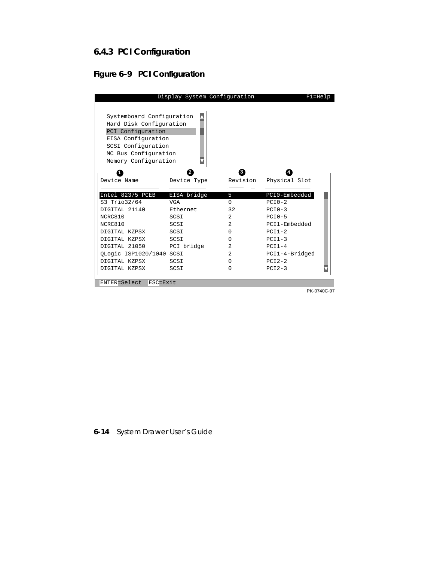# **6.4.3 PCI Configuration**

# **Figure 6–9 PCI Configuration**

| Display System Configuration |             |                | $F1 = He1p$    |
|------------------------------|-------------|----------------|----------------|
|                              |             |                |                |
| Systemboard Configuration    |             |                |                |
| Hard Disk Configuration      |             |                |                |
| PCI Configuration            |             |                |                |
| EISA Configuration           |             |                |                |
| SCSI Configuration           |             |                |                |
| MC Bus Configuration         |             |                |                |
| Memory Configuration         |             |                |                |
|                              | 2           | 3              |                |
| Device Name                  | Device Type | Revision       | Physical Slot  |
| Intel 82375 PCEB             | EISA bridge | 5              | PCI0-Embedded  |
| S3 Trio32/64                 | <b>VGA</b>  | $\Omega$       | $PCIO-2$       |
| DIGITAL 21140                | Ethernet    | 32             | $PCIO-3$       |
| NCRC810                      | SCSI        | $\mathfrak{D}$ | $PCI0-5$       |
| NCRC810                      | SCSI        | $\mathfrak{D}$ | PCT1-Embedded  |
| DIGITAL KZPSX                | SCSI        | $\Omega$       | $PCI1-2$       |
| DIGITAL KZPSX                | SCSI        | $\Omega$       | $PCI1-3$       |
| DIGITAL 21050                | PCI bridge  | 2              | $PCI1-4$       |
| OLogic ISP1020/1040 SCSI     |             | $\overline{a}$ | PCI1-4-Bridged |
| DIGITAL KZPSX                | SCSI        | $\cap$         | $PCI2-2$       |
| DIGITAL KZPSX                | SCSI        | 0              | $PCI2-3$       |
| ENTER=Select<br>ESC=Exit     |             |                |                |

PK-0740C-97

## **6-14** System Drawer User's Guide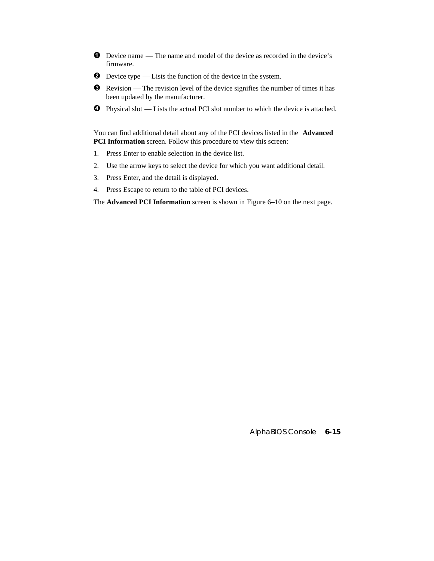- $\bullet$  Device name The name and model of the device as recorded in the device's firmware.
- $\bullet$  Device type Lists the function of the device in the system.
- $\bullet$  Revision The revision level of the device signifies the number of times it has been updated by the manufacturer.
- $\bullet$  Physical slot Lists the actual PCI slot number to which the device is attached.

You can find additional detail about any of the PCI devices listed in the **Advanced PCI Information** screen. Follow this procedure to view this screen:

- 1. Press Enter to enable selection in the device list.
- 2. Use the arrow keys to select the device for which you want additional detail.
- 3. Press Enter, and the detail is displayed.
- 4. Press Escape to return to the table of PCI devices.

The **Advanced PCI Information** screen is shown in Figure 6–10 on the next page.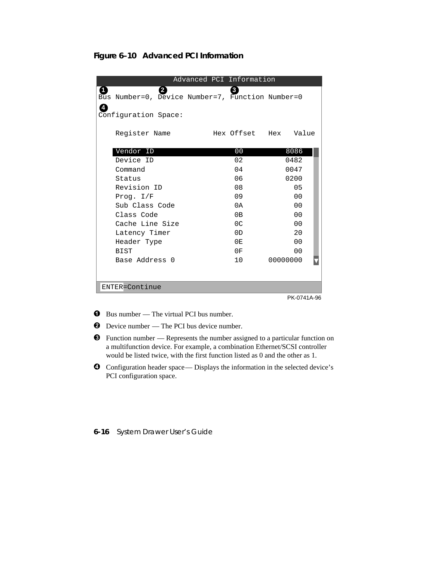**Figure 6–10 Advanced PCI Information**

|                                                                             | Advanced PCI Information |                      |
|-----------------------------------------------------------------------------|--------------------------|----------------------|
| $\mathbf{2}$<br>11<br>Bus Number=0, Device Number=7, Function Number=0<br>4 | 3                        |                      |
| Configuration Space:                                                        |                          |                      |
| Register Name                                                               |                          | Hex Offset Hex Value |
| Vendor ID                                                                   | 00                       | 8086                 |
| Device ID                                                                   | 02                       | 0482                 |
| Command                                                                     | 04                       | 0047                 |
| Status                                                                      | 06                       | 0200                 |
| Revision ID                                                                 | 08                       | 0 <sub>5</sub>       |
| Prog. $I/F$                                                                 | 09                       | 0 <sub>0</sub>       |
| Sub Class Code                                                              | 0A                       | 0 <sub>0</sub>       |
| Class Code                                                                  | 0B                       | 0 <sub>0</sub>       |
| Cache Line Size                                                             | 0 <sup>C</sup>           | 0 <sub>0</sub>       |
| Latency Timer                                                               | 0 <sub>D</sub>           | 2.0                  |
| Header Type                                                                 | 0E                       | $00 \,$              |
| BIST                                                                        | 0F                       | $00 \,$              |
| Base Address 0                                                              | 10                       | 00000000             |
|                                                                             |                          |                      |
| ENTER=Continue                                                              |                          |                      |

PK-0741A-96

- **O** Bus number The virtual PCI bus number.
- **2** Device number The PCI bus device number.
- $\odot$  Function number Represents the number assigned to a particular function on a multifunction device. For example, a combination Ethernet/SCSI controller would be listed twice, with the first function listed as 0 and the other as 1.
- $\bullet$  Configuration header space— Displays the information in the selected device's PCI configuration space.

**6-16** System Drawer User's Guide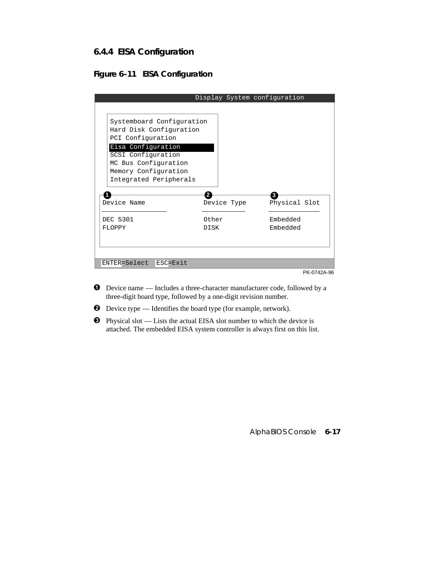# **6.4.4 EISA Configuration**

# **Figure 6–11 EISA Configuration**

|                                                                                                                                                                                                 | Display System configuration |                      |
|-------------------------------------------------------------------------------------------------------------------------------------------------------------------------------------------------|------------------------------|----------------------|
|                                                                                                                                                                                                 |                              |                      |
| Systemboard Configuration<br>Hard Disk Configuration<br>PCI Configuration<br>Eisa Configuration<br>SCSI Configuration<br>MC Bus Configuration<br>Memory Configuration<br>Integrated Peripherals |                              |                      |
| Device Name                                                                                                                                                                                     | Device Type                  | 3<br>Physical Slot   |
| DEC 5301<br>FLOPPY                                                                                                                                                                              | Other<br><b>DISK</b>         | Embedded<br>Embedded |
| $ENTER = Select$<br>ESC=Exit                                                                                                                                                                    |                              |                      |
|                                                                                                                                                                                                 |                              | PK-0742A-96          |

- ² Device name Includes a three-character manufacturer code, followed by a three-digit board type, followed by a one-digit revision number.
- ³ Device type Identifies the board type (for example, network).
- $\bullet$  Physical slot Lists the actual EISA slot number to which the device is attached. The embedded EISA system controller is always first on this list.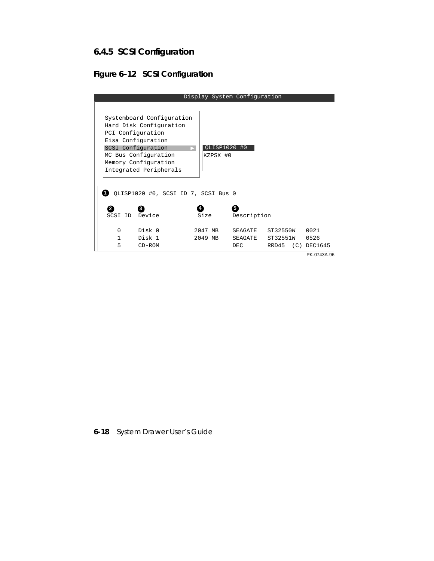# **6.4.5 SCSI Configuration**

# **Figure 6–12 SCSI Configuration**

|                               |                                                                                                                                                                                                 |                            | Display System Configuration           |                      |                              |
|-------------------------------|-------------------------------------------------------------------------------------------------------------------------------------------------------------------------------------------------|----------------------------|----------------------------------------|----------------------|------------------------------|
|                               | Systemboard Configuration<br>Hard Disk Configuration<br>PCI Configuration<br>Eisa Configuration<br>SCSI Configuration<br>MC Bus Configuration<br>Memory Configuration<br>Integrated Peripherals | KZPSX #0                   | QLISP1020 #0                           |                      |                              |
| 2<br>SCSI ID<br>$\Omega$<br>1 | QLISP1020 #0, SCSI ID 7, SCSI Bus 0<br>3<br>Device<br>Disk 0<br>Disk 1                                                                                                                          | Size<br>2047 MB<br>2049 MB | 5<br>Description<br>SEAGATE<br>SEAGATE | ST32550W<br>ST32551W | 0021<br>0526                 |
| 5                             | $CD-ROM$                                                                                                                                                                                        |                            | DEC.                                   | RRD45                | $(C)$ DEC1645<br>PK-0743A-96 |

# **6-18** System Drawer User's Guide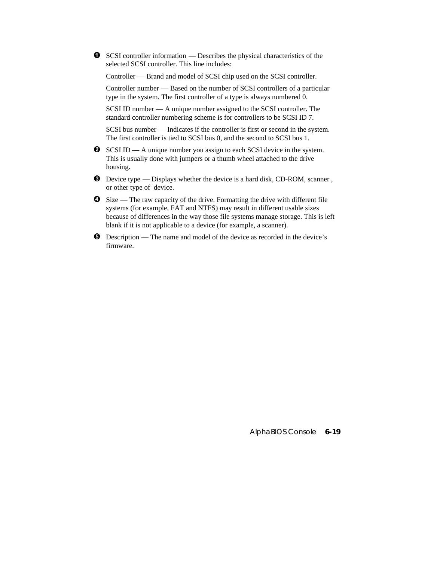$\bullet$  SCSI controller information — Describes the physical characteristics of the selected SCSI controller. This line includes:

Controller — Brand and model of SCSI chip used on the SCSI controller.

Controller number — Based on the number of SCSI controllers of a particular type in the system. The first controller of a type is always numbered 0.

SCSI ID number — A unique number assigned to the SCSI controller. The standard controller numbering scheme is for controllers to be SCSI ID 7.

SCSI bus number — Indicates if the controller is first or second in the system. The first controller is tied to SCSI bus 0, and the second to SCSI bus 1.

- $\bullet$  SCSI ID A unique number you assign to each SCSI device in the system. This is usually done with jumpers or a thumb wheel attached to the drive housing.
- $\bullet$  Device type Displays whether the device is a hard disk, CD-ROM, scanner, or other type of device.
- $\bullet$  Size The raw capacity of the drive. Formatting the drive with different file systems (for example, FAT and NTFS) may result in different usable sizes because of differences in the way those file systems manage storage. This is left blank if it is not applicable to a device (for example, a scanner).
- ¶ Description The name and model of the device as recorded in the device's firmware.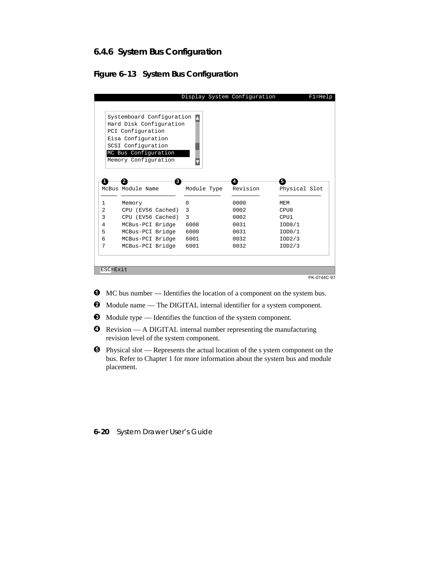# **6.4.6 System Bus Configuration**

## **Figure 6–13 System Bus Configuration**

|                   | Systemboard Configuration                    |             |          |               |
|-------------------|----------------------------------------------|-------------|----------|---------------|
|                   | Hard Disk Configuration<br>PCI Configuration |             |          |               |
|                   | Eisa Configuration                           |             |          |               |
|                   | SCSI Configuration                           |             |          |               |
|                   | MC Bus Configuration                         |             |          |               |
|                   | Memory Configuration                         |             |          |               |
|                   |                                              |             |          |               |
|                   |                                              | Module Type | Revision | Physical Slot |
|                   | McBus Module Name                            |             |          |               |
|                   |                                              |             |          |               |
|                   | Memory                                       | $\Omega$    | 0000     | <b>MEM</b>    |
| $\mathbf{1}$<br>2 | CPU (EV56 Cached)                            | 3           | 0002     | CPU0          |
|                   | CPU (EV56 Cached)                            | 3           | 0002     | CPU1          |
|                   | MCBus-PCI Bridge                             | 6008        | 0031     | IOD0/1        |
|                   | MCBus-PCI Bridge                             | 6000        | 0031     | IOD0/1        |
|                   | MCBus-PCI Bridge                             | 6001        | 0032     | IOD2/3        |
|                   | MCBus-PCI Bridge                             | 6001        | 0032     | IOD2/3        |
|                   |                                              |             |          |               |

- $\bullet$  MC bus number Identifies the location of a component on the system bus.
- ³ Module name The DIGITAL internal identifier for a system component.
- $\bullet$  Module type Identifies the function of the system component.
- **O** Revision A DIGITAL internal number representing the manufacturing revision level of the system component.
- $\Theta$  Physical slot Represents the actual location of the s ystem component on the bus. Refer to Chapter 1 for more information about the system bus and module placement.

**6-20** System Drawer User's Guide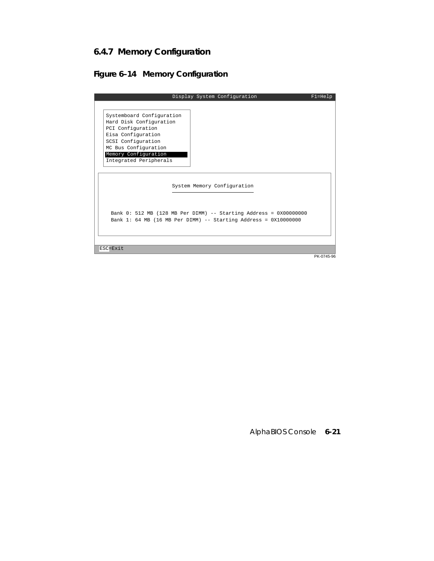# **6.4.7 Memory Configuration**

## **Figure 6–14 Memory Configuration**

| Display System Configuration                                                                                                                                                                    | $F1 = He1p$ |
|-------------------------------------------------------------------------------------------------------------------------------------------------------------------------------------------------|-------------|
|                                                                                                                                                                                                 |             |
| Systemboard Configuration<br>Hard Disk Configuration<br>PCI Configuration<br>Eisa Configuration<br>SCSI Configuration<br>MC Bus Configuration<br>Memory Configuration<br>Integrated Peripherals |             |
| System Memory Configuration                                                                                                                                                                     |             |
| Bank 0: 512 MB (128 MB Per DIMM) -- Starting Address = 0X00000000<br>Bank 1: 64 MB (16 MB Per DIMM) -- Starting Address = $0X10000000$                                                          |             |
| $\text{RSC} = \text{Rxit}$                                                                                                                                                                      |             |

PK-0745-96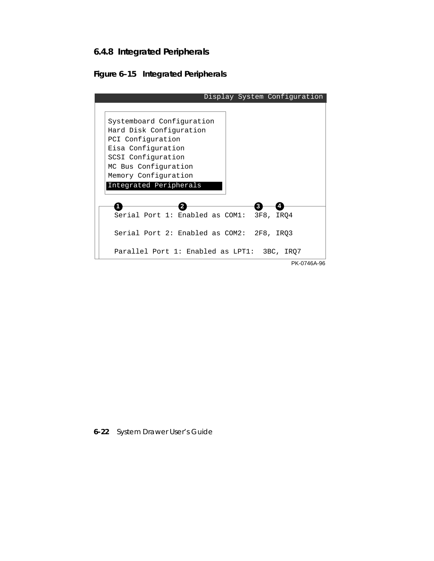## **6.4.8 Integrated Peripherals**



| Display System Configuration                                                                                          |
|-----------------------------------------------------------------------------------------------------------------------|
|                                                                                                                       |
| Systemboard Configuration<br>Hard Disk Configuration<br>PCI Configuration<br>Eisa Configuration<br>SCSI Configuration |
| MC Bus Configuration                                                                                                  |
| Memory Configuration                                                                                                  |
| Integrated Peripherals                                                                                                |
|                                                                                                                       |
| Serial Port 1: Enabled as COM1:<br>3F8,<br>IRO4                                                                       |
| Serial Port 2: Enabled as COM2: 2F8, IRO3                                                                             |
| Parallel Port 1: Enabled as LPT1: 3BC, IRO7                                                                           |
| PK-0746A-96                                                                                                           |

**6-22** System Drawer User's Guide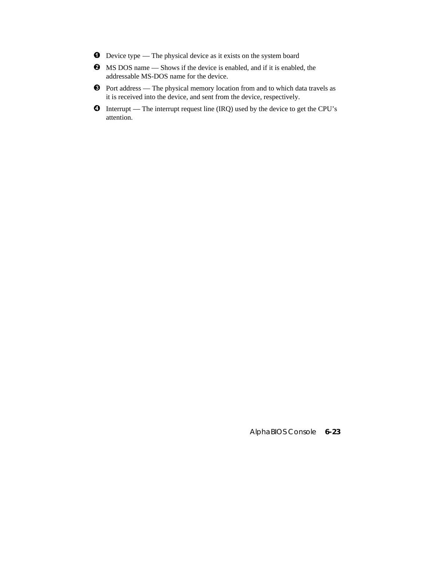- $\bullet$  Device type The physical device as it exists on the system board
- ³ MS DOS name Shows if the device is enabled, and if it is enabled, the addressable MS-DOS name for the device.
- $\bullet$  Port address The physical memory location from and to which data travels as it is received into the device, and sent from the device, respectively.
- $\bullet$  Interrupt The interrupt request line (IRQ) used by the device to get the CPU's attention.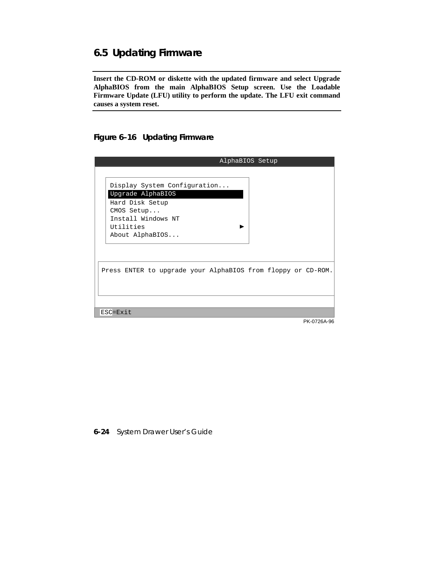# **6.5 Updating Firmware**

**Insert the CD-ROM or diskette with the updated firmware and select Upgrade AlphaBIOS from the main AlphaBIOS Setup screen. Use the Loadable Firmware Update (LFU) utility to perform the update. The LFU exit command causes a system reset.**

**Figure 6–16 Updating Firmware**

| AlphaBIOS Setup                                                                                                                          |
|------------------------------------------------------------------------------------------------------------------------------------------|
| Display System Configuration<br>Upgrade AlphaBIOS<br>Hard Disk Setup<br>CMOS Setup<br>Install Windows NT<br>Utilities<br>About AlphaBIOS |
| Press ENTER to upgrade your AlphaBIOS from floppy or CD-ROM.                                                                             |
| ESC=Exit                                                                                                                                 |
| PK-0726A-96                                                                                                                              |

**6-24** System Drawer User's Guide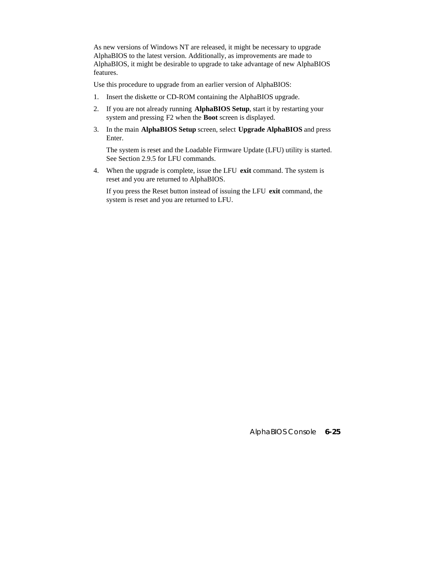As new versions of Windows NT are released, it might be necessary to upgrade AlphaBIOS to the latest version. Additionally, as improvements are made to AlphaBIOS, it might be desirable to upgrade to take advantage of new AlphaBIOS features.

Use this procedure to upgrade from an earlier version of AlphaBIOS:

- 1. Insert the diskette or CD-ROM containing the AlphaBIOS upgrade.
- 2. If you are not already running **AlphaBIOS Setup**, start it by restarting your system and pressing F2 when the **Boot** screen is displayed.
- 3. In the main **AlphaBIOS Setup** screen, select **Upgrade AlphaBIOS** and press Enter.

 The system is reset and the Loadable Firmware Update (LFU) utility is started. See Section 2.9.5 for LFU commands.

4. When the upgrade is complete, issue the LFU **exit** command. The system is reset and you are returned to AlphaBIOS.

 If you press the Reset button instead of issuing the LFU **exit** command, the system is reset and you are returned to LFU.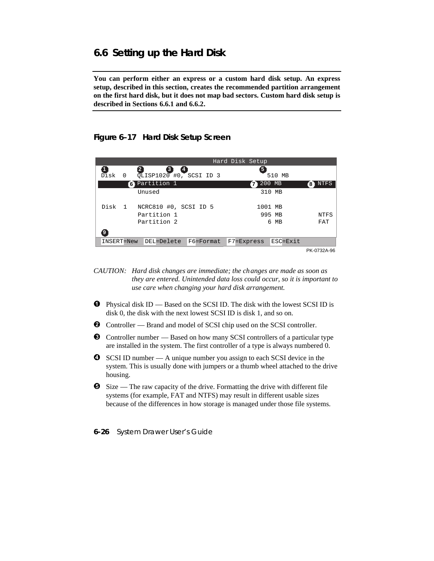## **6.6 Setting up the Hard Disk**

**You can perform either an express or a custom hard disk setup. An express setup, described in this section, creates the recommended partition arrangement on the first hard disk, but it does not map bad sectors. Custom hard disk setup is described in Sections 6.6.1 and 6.6.2.**

#### **Figure 6–17 Hard Disk Setup Screen**

|                  |                         | Hard Disk Setup |             |
|------------------|-------------------------|-----------------|-------------|
| Disk<br>$\Omega$ | QLISP1020 #0, SCSI ID 3 | 5               | 510 MB      |
|                  | <b>6</b> Partition 1    | 200 MB<br>7)    | NTFS<br>'8' |
|                  | Unused                  | 310 MB          |             |
| Disk<br>$\sim$ 1 | NCRC810 #0, SCSI ID 5   | 1001 MB         |             |
|                  | Partition 1             | 995 MB          | NTFS        |
|                  | Partition 2             | 6               | FAT<br>МB   |
|                  |                         |                 |             |
| INSERT=New       | DEL=Delete<br>F6=Format | F7=Express      | ESC=Exit    |
|                  |                         |                 | PK-0732A-96 |

- *CAUTION: Hard disk changes are immediate; the ch anges are made as soon as they are entered. Unintended data loss could occur, so it is important to use care when changing your hard disk arrangement.*
- $\bullet$  Physical disk ID Based on the SCSI ID. The disk with the lowest SCSI ID is disk 0, the disk with the next lowest SCSI ID is disk 1, and so on.
- **2** Controller Brand and model of SCSI chip used on the SCSI controller.
- $\bullet$  Controller number Based on how many SCSI controllers of a particular type are installed in the system. The first controller of a type is always numbered 0.
- **O** SCSI ID number A unique number you assign to each SCSI device in the system. This is usually done with jumpers or a thumb wheel attached to the drive housing.
- $\bullet$  Size The raw capacity of the drive. Formatting the drive with different file systems (for example, FAT and NTFS) may result in different usable sizes because of the differences in how storage is managed under those file systems.
- **6-26** System Drawer User's Guide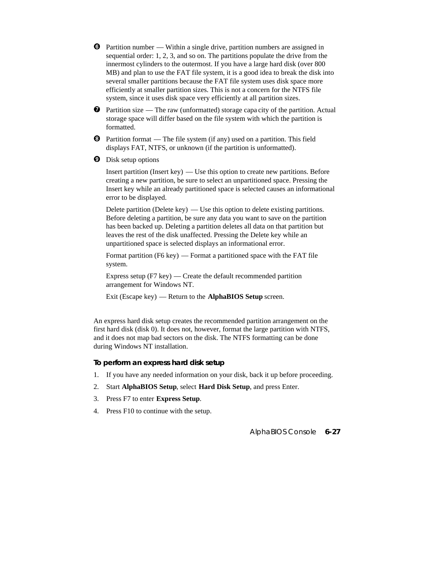- $\bullet$  Partition number Within a single drive, partition numbers are assigned in sequential order: 1, 2, 3, and so on. The partitions populate the drive from the innermost cylinders to the outermost. If you have a large hard disk (over 800 MB) and plan to use the FAT file system, it is a good idea to break the disk into several smaller partitions because the FAT file system uses disk space more efficiently at smaller partition sizes. This is not a concern for the NTFS file system, since it uses disk space very efficiently at all partition sizes.
- $\bullet$  Partition size The raw (unformatted) storage capa city of the partition. Actual storage space will differ based on the file system with which the partition is formatted.
- $\Theta$  Partition format The file system (if any) used on a partition. This field displays FAT, NTFS, or unknown (if the partition is unformatted).
- **O** Disk setup options

Insert partition (Insert key) — Use this option to create new partitions. Before creating a new partition, be sure to select an unpartitioned space. Pressing the Insert key while an already partitioned space is selected causes an informational error to be displayed.

Delete partition (Delete key)  $-$  Use this option to delete existing partitions. Before deleting a partition, be sure any data you want to save on the partition has been backed up. Deleting a partition deletes all data on that partition but leaves the rest of the disk unaffected. Pressing the Delete key while an unpartitioned space is selected displays an informational error.

Format partition (F6 key) — Format a partitioned space with the FAT file system.

Express setup  $(F7 \text{ key})$  — Create the default recommended partition arrangement for Windows NT.

Exit (Escape key) — Return to the **AlphaBIOS Setup** screen.

An express hard disk setup creates the recommended partition arrangement on the first hard disk (disk 0). It does not, however, format the large partition with NTFS, and it does not map bad sectors on the disk. The NTFS formatting can be done during Windows NT installation.

#### **To perform an express hard disk setup**

- 1. If you have any needed information on your disk, back it up before proceeding.
- 2. Start **AlphaBIOS Setup**, select **Hard Disk Setup**, and press Enter.
- 3. Press F7 to enter **Express Setup**.
- 4. Press F10 to continue with the setup.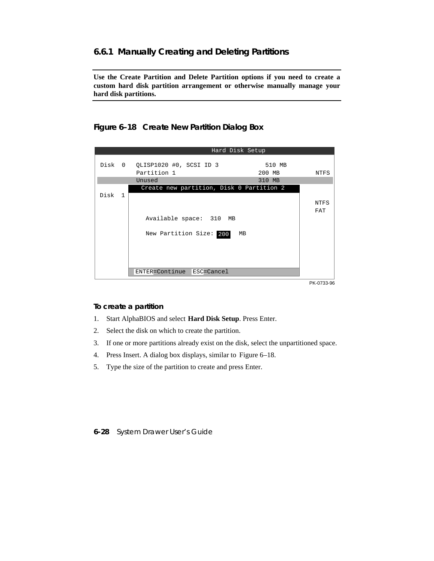#### **6.6.1 Manually Creating and Deleting Partitions**

**Use the Create Partition and Delete Partition options if you need to create a custom hard disk partition arrangement or otherwise manually manage your hard disk partitions.**



**Figure 6–18 Create New Partition Dialog Box**

PK-0733-96

#### **To create a partition**

- 1. Start AlphaBIOS and select **Hard Disk Setup**. Press Enter.
- 2. Select the disk on which to create the partition.
- 3. If one or more partitions already exist on the disk, select the unpartitioned space.
- 4. Press Insert. A dialog box displays, similar to Figure 6–18.
- 5. Type the size of the partition to create and press Enter.

**<sup>6-28</sup>** System Drawer User's Guide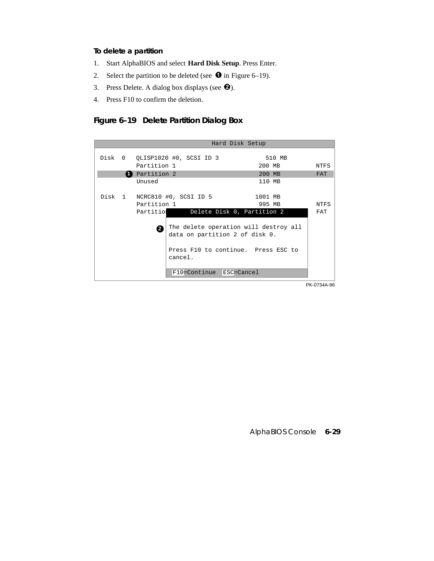#### **To delete a partition**

- 1. Start AlphaBIOS and select **Hard Disk Setup**. Press Enter.
- 2. Select the partition to be deleted (see  $\bullet$  in Figure 6–19).
- 3. Press Delete. A dialog box displays (see  $\bullet$ ).
- 4. Press F10 to confirm the deletion.

#### **Figure 6–19 Delete Partition Dialog Box**

| Hard Disk Setup |                      |                                |                                                                                                                |        |             |
|-----------------|----------------------|--------------------------------|----------------------------------------------------------------------------------------------------------------|--------|-------------|
|                 |                      | Disk 0 QLISP1020 #0, SCSI ID 3 |                                                                                                                | 510 MB |             |
|                 | Partition 1          |                                | 200 MB                                                                                                         |        | NTFS        |
|                 | <b>1</b> Partition 2 |                                | 200 MB                                                                                                         |        | <b>FAT</b>  |
|                 | Unused               |                                | 110 MB                                                                                                         |        |             |
|                 |                      | Disk 1 NCRC810 #0, SCSI ID 5   | 1001 MB                                                                                                        |        |             |
|                 | Partition 1          |                                | 995 MB                                                                                                         |        | <b>NTFS</b> |
|                 | Partitio             |                                | Delete Disk 0, Partition 2                                                                                     |        | FAT         |
|                 | А                    | cancel.                        | The delete operation will destroy all<br>data on partition 2 of disk 0.<br>Press F10 to continue. Press ESC to |        |             |
|                 |                      | F10=Continue                   | ESC=Cancel                                                                                                     |        |             |

PK-0734A-96

AlphaBIOS Console **6-29**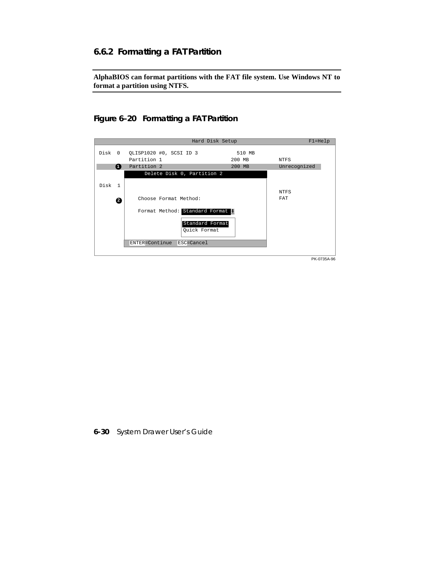#### **6.6.2 Formatting a FAT Partition**

**AlphaBIOS can format partitions with the FAT file system. Use Windows NT to format a partition using NTFS.**

#### **Figure 6–20 Formatting a FAT Partition**



**6-30** System Drawer User's Guide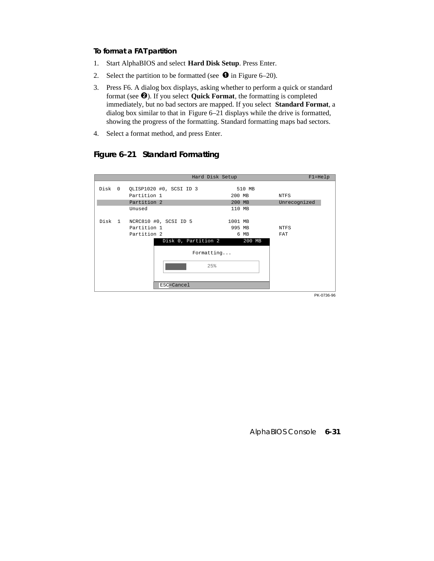#### **To format a FAT partition**

- 1. Start AlphaBIOS and select **Hard Disk Setup**. Press Enter.
- 2. Select the partition to be formatted (see  $\bullet$  in Figure 6–20).
- 3. Press F6. A dialog box displays, asking whether to perform a quick or standard format (see <sup> $\odot$ </sup>). If you select **Quick Format**, the formatting is completed immediately, but no bad sectors are mapped. If you select **Standard Format**, a dialog box similar to that in Figure 6–21 displays while the drive is formatted, showing the progress of the formatting. Standard formatting maps bad sectors.
- 4. Select a format method, and press Enter.

## **Figure 6–21 Standard Formatting**

|             |                                | Hard Disk Setup       |         |          | $F1 = He1p$  |
|-------------|--------------------------------|-----------------------|---------|----------|--------------|
|             | Disk 0 QLISP1020 #0, SCSI ID 3 |                       |         | 510 MB   |              |
| Partition 1 |                                |                       | 200 MB  |          | NTFS         |
| Partition 2 |                                |                       | 200 MB  |          | Unrecognized |
| Unused      |                                |                       | 110 MB  |          |              |
|             | Disk 1 NCRC810 #0, SCSI ID 5   |                       | 1001 MB |          |              |
| Partition 1 |                                |                       | 995 MB  |          | NTFS         |
| Partition 2 |                                |                       |         | 6 MB     | FAT          |
|             | Disk 0, Partition 2            |                       |         | $200$ MB |              |
|             |                                | $\texttt{Formatting}$ |         |          |              |
|             |                                | 25%                   |         |          |              |
|             | ESC=Cancel                     |                       |         |          |              |
|             |                                |                       |         |          | PK-0736-96   |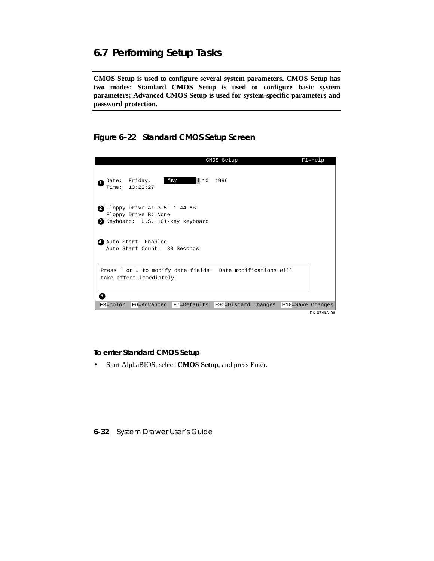## **6.7 Performing Setup Tasks**

**CMOS Setup is used to configure several system parameters. CMOS Setup has two modes: Standard CMOS Setup is used to configure basic system parameters; Advanced CMOS Setup is used for system-specific parameters and password protection.**

**Figure 6–22 Standard CMOS Setup Screen**



**To enter Standard CMOS Setup**

• Start AlphaBIOS, select **CMOS Setup**, and press Enter.

**6-32** System Drawer User's Guide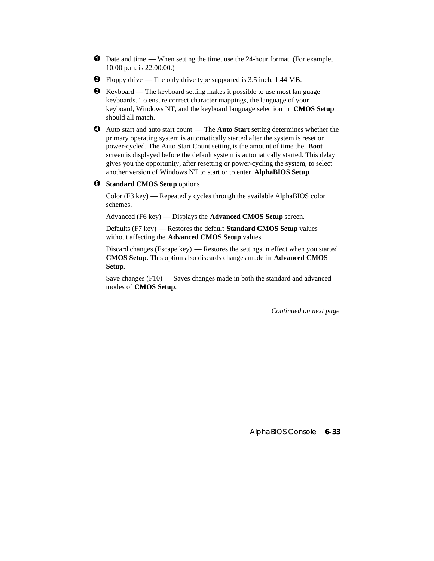- ² Date and time When setting the time, use the 24-hour format. (For example, 10:00 p.m. is 22:00:00.)
- $\bullet$  Floppy drive The only drive type supported is 3.5 inch, 1.44 MB.
- $\bullet$  Keyboard The keyboard setting makes it possible to use most lan guage keyboards. To ensure correct character mappings, the language of your keyboard, Windows NT, and the keyboard language selection in **CMOS Setup** should all match.
- µ Auto start and auto start count The **Auto Start** setting determines whether the primary operating system is automatically started after the system is reset or power-cycled. The Auto Start Count setting is the amount of time the **Boot** screen is displayed before the default system is automatically started. This delay gives you the opportunity, after resetting or power-cycling the system, to select another version of Windows NT to start or to enter **AlphaBIOS Setup**.

#### $\Theta$  Standard CMOS Setup options

Color (F3 key) — Repeatedly cycles through the available AlphaBIOS color schemes.

Advanced (F6 key) — Displays the **Advanced CMOS Setup** screen.

Defaults (F7 key) — Restores the default **Standard CMOS Setup** values without affecting the **Advanced CMOS Setup** values.

Discard changes (Escape key) — Restores the settings in effect when you started **CMOS Setup**. This option also discards changes made in **Advanced CMOS Setup**.

Save changes (F10) — Saves changes made in both the standard and advanced modes of **CMOS Setup**.

*Continued on next page*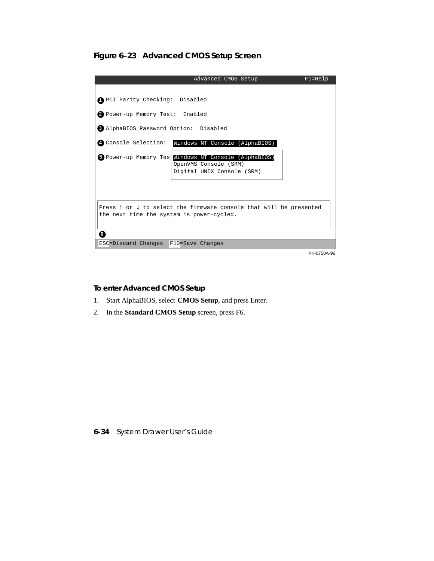**Figure 6–23 Advanced CMOS Setup Screen**



**To enter Advanced CMOS Setup**

- 1. Start AlphaBIOS, select **CMOS Setup**, and press Enter.
- 2. In the **Standard CMOS Setup** screen, press F6.

**6-34** System Drawer User's Guide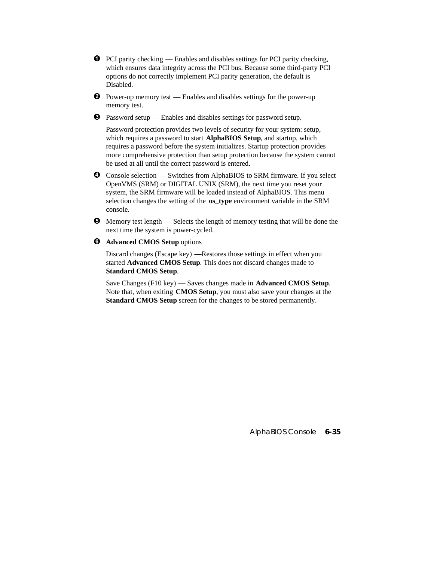- $\bullet$  PCI parity checking Enables and disables settings for PCI parity checking, which ensures data integrity across the PCI bus. Because some third-party PCI options do not correctly implement PCI parity generation, the default is Disabled.
- $\bullet$  Power-up memory test Enables and disables settings for the power-up memory test.
- $\bullet$  Password setup Enables and disables settings for password setup.

Password protection provides two levels of security for your system: setup, which requires a password to start **AlphaBIOS Setup**, and startup, which requires a password before the system initializes. Startup protection provides more comprehensive protection than setup protection because the system cannot be used at all until the correct password is entered.

- **O** Console selection Switches from AlphaBIOS to SRM firmware. If you select OpenVMS (SRM) or DIGITAL UNIX (SRM), the next time you reset your system, the SRM firmware will be loaded instead of AlphaBIOS. This menu selection changes the setting of the **os\_type** environment variable in the SRM console.
- $\Theta$  Memory test length Selects the length of memory testing that will be done the next time the system is power-cycled.
- $\odot$  Advanced CMOS Setup options

Discard changes (Escape key) —Restores those settings in effect when you started **Advanced CMOS Setup**. This does not discard changes made to **Standard CMOS Setup**.

Save Changes (F10 key) — Saves changes made in **Advanced CMOS Setup**. Note that, when exiting **CMOS Setup**, you must also save your changes at the **Standard CMOS Setup** screen for the changes to be stored permanently.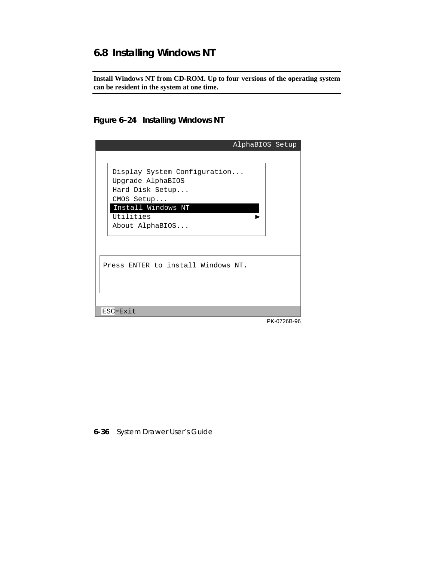# **6.8 Installing Windows NT**

**Install Windows NT from CD-ROM. Up to four versions of the operating system can be resident in the system at one time.**

### **Figure 6–24 Installing Windows NT**

|                                                                                                                                          | AlphaBIOS Setup |
|------------------------------------------------------------------------------------------------------------------------------------------|-----------------|
|                                                                                                                                          |                 |
| Display System Configuration<br>Upgrade AlphaBIOS<br>Hard Disk Setup<br>CMOS Setup<br>Install Windows NT<br>Utilities<br>About AlphaBIOS |                 |
| Press ENTER to install Windows NT.                                                                                                       |                 |
|                                                                                                                                          |                 |
| ESC=Exit                                                                                                                                 |                 |
|                                                                                                                                          | PK-0726B-96     |

**6-36** System Drawer User's Guide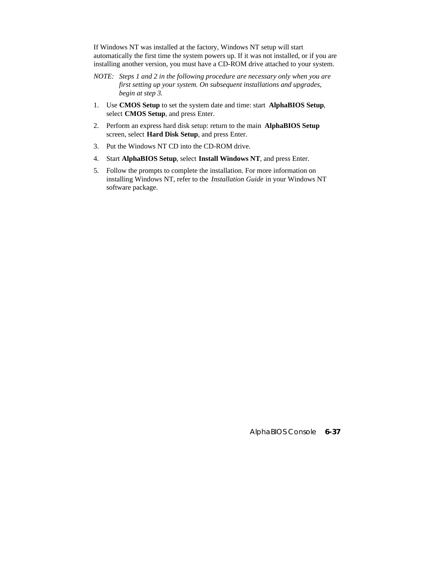If Windows NT was installed at the factory, Windows NT setup will start automatically the first time the system powers up. If it was not installed, or if you are installing another version, you must have a CD-ROM drive attached to your system.

- *NOTE: Steps 1 and 2 in the following procedure are necessary only when you are first setting up your system. On subsequent installations and upgrades, begin at step 3.*
- 1. Use **CMOS Setup** to set the system date and time: start **AlphaBIOS Setup**, select **CMOS Setup**, and press Enter.
- 2. Perform an express hard disk setup: return to the main **AlphaBIOS Setup** screen, select **Hard Disk Setup**, and press Enter.
- 3. Put the Windows NT CD into the CD-ROM drive.
- 4. Start **AlphaBIOS Setup**, select **Install Windows NT**, and press Enter.
- 5. Follow the prompts to complete the installation. For more information on installing Windows NT, refer to the *Installation Guide* in your Windows NT software package.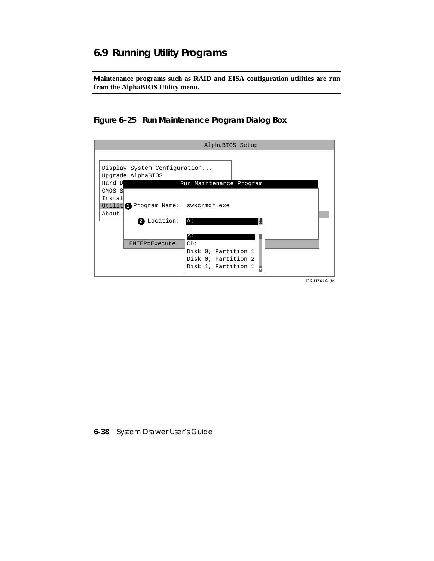# **6.9 Running Utility Programs**

**Maintenance programs such as RAID and EISA configuration utilities are run from the AlphaBIOS Utility menu.**

### **Figure 6–25 Run Maintenance Program Dialog Box**

|                                                                                                                                                          | AlphaBIOS Setup                                                          |  |
|----------------------------------------------------------------------------------------------------------------------------------------------------------|--------------------------------------------------------------------------|--|
| Display System Configuration<br>Upgrade AlphaBIOS<br>Hard D<br>Run Maintenance Program<br>CMOS S<br>Instal<br>Utilit Program Name: swxcrmgr.exe<br>About |                                                                          |  |
| <b>2</b> Location:<br>A:<br>A:<br>ENTER=Execute                                                                                                          | CD:<br>Disk 0, Partition 1<br>Disk 0, Partition 2<br>Disk 1, Partition 1 |  |
|                                                                                                                                                          | PK-0747A-96                                                              |  |

**6-38** System Drawer User's Guide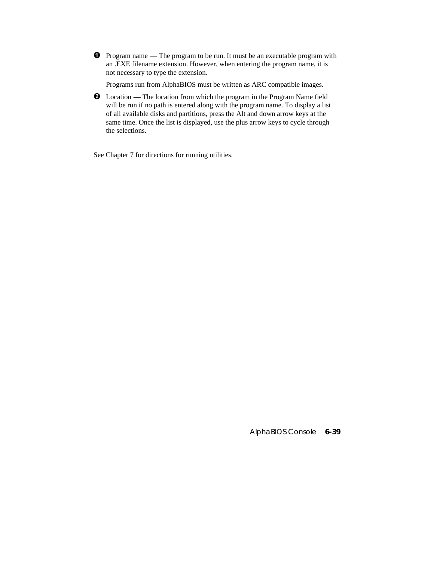$\bullet$  Program name — The program to be run. It must be an executable program with an .EXE filename extension. However, when entering the program name, it is not necessary to type the extension.

Programs run from AlphaBIOS must be written as ARC compatible images.

 $\bullet$  Location — The location from which the program in the Program Name field will be run if no path is entered along with the program name. To display a list of all available disks and partitions, press the Alt and down arrow keys at the same time. Once the list is displayed, use the plus arrow keys to cycle through the selections.

See Chapter 7 for directions for running utilities.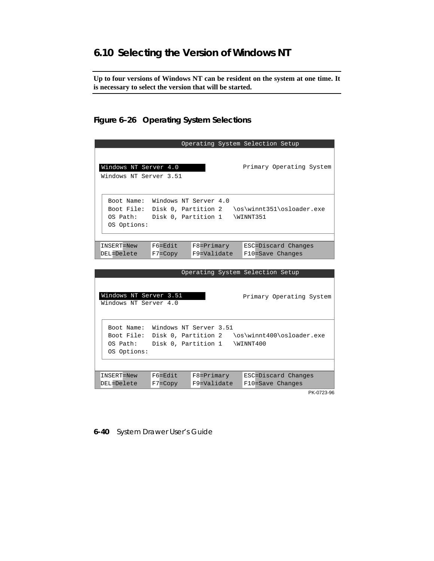# **6.10 Selecting the Version of Windows NT**

**Up to four versions of Windows NT can be resident on the system at one time. It is necessary to select the version that will be started.**

### **Figure 6–26 Operating System Selections**

|                                                                         |                                              | Operating System Selection Setup |                          |                                                    |               |  |
|-------------------------------------------------------------------------|----------------------------------------------|----------------------------------|--------------------------|----------------------------------------------------|---------------|--|
| Windows NT Server 4.0<br>Windows NT Server 3.51                         |                                              |                                  |                          | Primary Operating System                           |               |  |
| Boot Name:<br>Boot File: Disk 0, Partition 2<br>OS Path:<br>OS Options: | Windows NT Server 4.0<br>Disk 0, Partition 1 |                                  |                          | \os\winnt351\osloader.exe<br>\WINNT351             |               |  |
|                                                                         |                                              |                                  |                          |                                                    |               |  |
| INSERT=New<br>DEL=Delete                                                | $F6 = Fdi$<br>$F7 = Copy$                    | $F8 = Primary$<br>F9=Validate    |                          | ESC=Discard Changes<br>F10=Save Changes            |               |  |
|                                                                         |                                              | <b>State Street</b><br>$\sim$    | <b>Contract Contract</b> | $\sim$ $\sim$<br><b>Contract Contract Contract</b> | $\sim$ $\sim$ |  |

| Operating System Selection Setup                                                                                                                                  |
|-------------------------------------------------------------------------------------------------------------------------------------------------------------------|
| Windows NT Server 3.51<br>Primary Operating System<br>Windows NT Server 4.0                                                                                       |
| Windows NT Server 3.51<br>Boot Name:<br>\os\winnt400\osloader.exe<br>Boot File: Disk 0, Partition 2<br>Disk 0, Partition 1<br>WINNT400<br>OS Path:<br>OS Options: |
|                                                                                                                                                                   |
| $F6 = Edit$<br>$F8 = Primary$<br>ESC=Discard Changes<br>INSERT=New<br>DEL=Delete<br>F9=Validate<br>F10=Save Changes<br>$F7 = Copy$                                |

PK-0723-96

**6-40** System Drawer User's Guide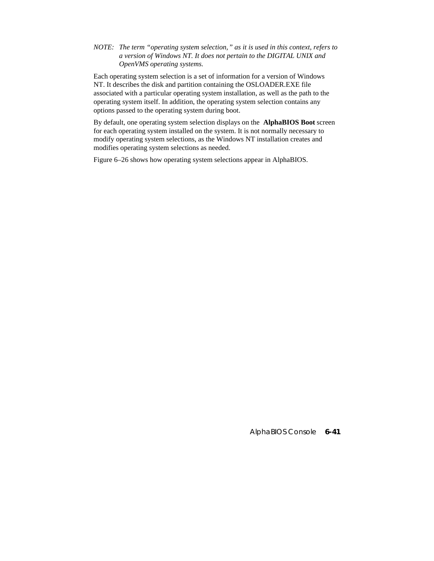*NOTE: The term "operating system selection," as it is used in this context, refers to a version of Windows NT. It does not pertain to the DIGITAL UNIX and OpenVMS operating systems.*

Each operating system selection is a set of information for a version of Windows NT. It describes the disk and partition containing the OSLOADER.EXE file associated with a particular operating system installation, as well as the path to the operating system itself. In addition, the operating system selection contains any options passed to the operating system during boot.

By default, one operating system selection displays on the **AlphaBIOS Boot** screen for each operating system installed on the system. It is not normally necessary to modify operating system selections, as the Windows NT installation creates and modifies operating system selections as needed.

Figure 6–26 shows how operating system selections appear in AlphaBIOS.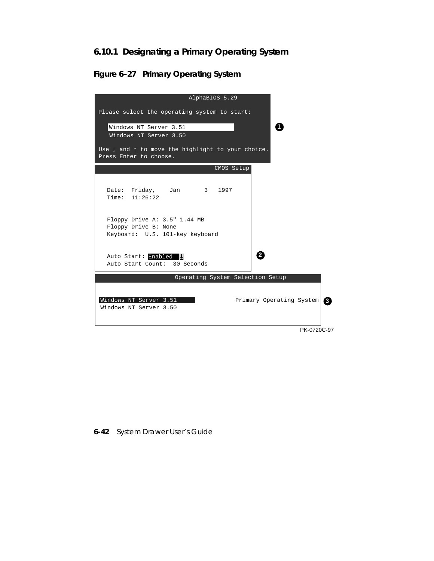## **6.10.1 Designating a Primary Operating System**

**Figure 6–27 Primary Operating System**



**6-42** System Drawer User's Guide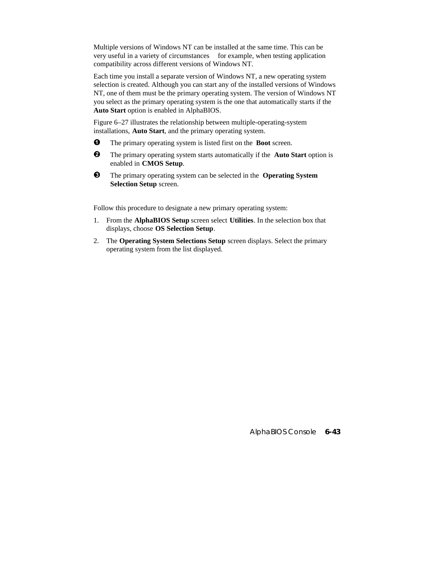Multiple versions of Windows NT can be installed at the same time. This can be very useful in a variety of circumstances—for example, when testing application compatibility across different versions of Windows NT.

Each time you install a separate version of Windows NT, a new operating system selection is created. Although you can start any of the installed versions of Windows NT, one of them must be the primary operating system. The version of Windows NT you select as the primary operating system is the one that automatically starts if the **Auto Start** option is enabled in AlphaBIOS.

Figure 6–27 illustrates the relationship between multiple-operating-system installations, **Auto Start**, and the primary operating system.

- $\bullet$  The primary operating system is listed first on the **Boot** screen.
- **2** The primary operating system starts automatically if the **Auto Start** option is enabled in **CMOS Setup**.
- ´ The primary operating system can be selected in the **Operating System Selection Setup** screen.

Follow this procedure to designate a new primary operating system:

- 1. From the **AlphaBIOS Setup** screen select **Utilities**. In the selection box that displays, choose **OS Selection Setup**.
- 2. The **Operating System Selections Setup** screen displays. Select the primary operating system from the list displayed.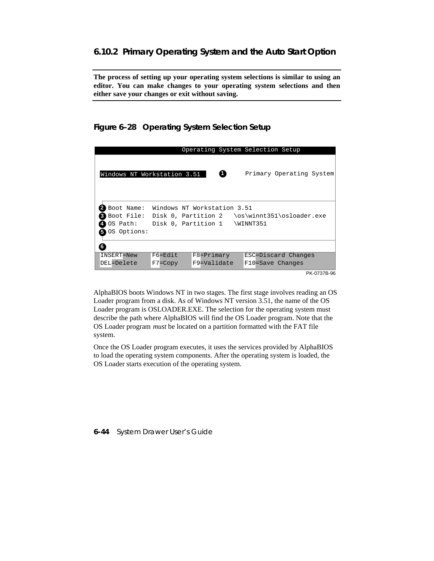**The process of setting up your operating system selections is similar to using an editor. You can make changes to your operating system selections and then either save your changes or exit without saving.**

**Figure 6–28 Operating System Selection Setup**

|                                                     |             | Operating System Selection Setup                                                                    |           |                          |             |
|-----------------------------------------------------|-------------|-----------------------------------------------------------------------------------------------------|-----------|--------------------------|-------------|
| Windows NT Workstation 3.51                         |             | o                                                                                                   |           | Primary Operating System |             |
| Boot Name:<br>Boot File:<br>OS Path:<br>OS Options: |             | Windows NT Workstation 3.51<br>Disk 0, Partition 2 \os\winnt351\osloader.exe<br>Disk 0, Partition 1 | \WINNT351 |                          |             |
| 6                                                   |             |                                                                                                     |           |                          |             |
| INSERT=New                                          | $F6 = Edit$ | $F8 = Primary$                                                                                      |           | ESC=Discard Changes      |             |
| DEL=Delete                                          | $F7 = Copy$ | F9=Validate                                                                                         |           | F10=Save Changes         |             |
|                                                     |             |                                                                                                     |           |                          | PK-0737B-96 |

AlphaBIOS boots Windows NT in two stages. The first stage involves reading an OS Loader program from a disk. As of Windows NT version 3.51, the name of the OS Loader program is OSLOADER.EXE. The selection for the operating system must describe the path where AlphaBIOS will find the OS Loader program. Note that the OS Loader program *must* be located on a partition formatted with the FAT file system.

Once the OS Loader program executes, it uses the services provided by AlphaBIOS to load the operating system components. After the operating system is loaded, the OS Loader starts execution of the operating system.

**6-44** System Drawer User's Guide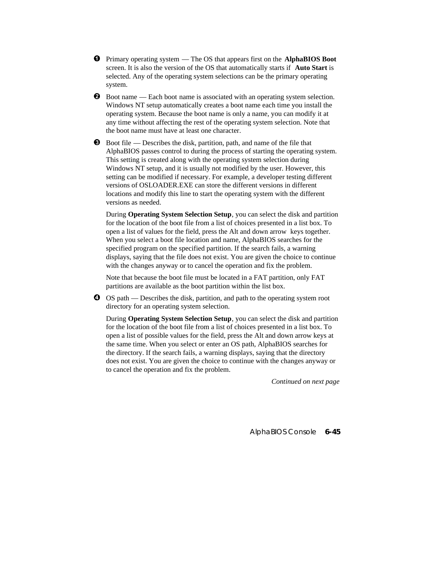- $\bullet$  Primary operating system The OS that appears first on the **AlphaBIOS Boot** screen. It is also the version of the OS that automatically starts if **Auto Start** is selected. Any of the operating system selections can be the primary operating system.
- **2** Boot name Each boot name is associated with an operating system selection. Windows NT setup automatically creates a boot name each time you install the operating system. Because the boot name is only a name, you can modify it at any time without affecting the rest of the operating system selection. Note that the boot name must have at least one character.
- $\bullet$  Boot file Describes the disk, partition, path, and name of the file that AlphaBIOS passes control to during the process of starting the operating system. This setting is created along with the operating system selection during Windows NT setup, and it is usually not modified by the user. However, this setting can be modified if necessary. For example, a developer testing different versions of OSLOADER.EXE can store the different versions in different locations and modify this line to start the operating system with the different versions as needed.

During **Operating System Selection Setup**, you can select the disk and partition for the location of the boot file from a list of choices presented in a list box. To open a list of values for the field, press the Alt and down arrow keys together. When you select a boot file location and name, AlphaBIOS searches for the specified program on the specified partition. If the search fails, a warning displays, saying that the file does not exist. You are given the choice to continue with the changes anyway or to cancel the operation and fix the problem.

Note that because the boot file must be located in a FAT partition, only FAT partitions are available as the boot partition within the list box.

 $\bullet$  OS path — Describes the disk, partition, and path to the operating system root directory for an operating system selection.

During **Operating System Selection Setup**, you can select the disk and partition for the location of the boot file from a list of choices presented in a list box. To open a list of possible values for the field, press the Alt and down arrow keys at the same time. When you select or enter an OS path, AlphaBIOS searches for the directory. If the search fails, a warning displays, saying that the directory does not exist. You are given the choice to continue with the changes anyway or to cancel the operation and fix the problem.

*Continued on next page*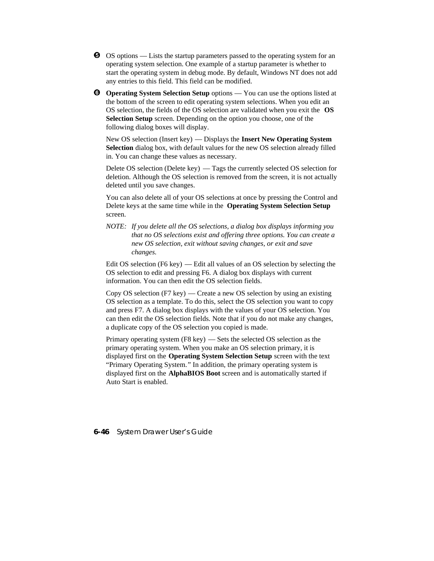- $\Theta$  OS options Lists the startup parameters passed to the operating system for an operating system selection. One example of a startup parameter is whether to start the operating system in debug mode. By default, Windows NT does not add any entries to this field. This field can be modified.
- **O** Operating System Selection Setup options You can use the options listed at the bottom of the screen to edit operating system selections. When you edit an OS selection, the fields of the OS selection are validated when you exit the **OS Selection Setup** screen. Depending on the option you choose, one of the following dialog boxes will display.

New OS selection (Insert key) — Displays the **Insert New Operating System Selection** dialog box, with default values for the new OS selection already filled in. You can change these values as necessary.

Delete OS selection (Delete key) — Tags the currently selected OS selection for deletion. Although the OS selection is removed from the screen, it is not actually deleted until you save changes.

You can also delete all of your OS selections at once by pressing the Control and Delete keys at the same time while in the **Operating System Selection Setup** screen.

*NOTE: If you delete all the OS selections, a dialog box displays informing you that no OS selections exist and offering three options. You can create a new OS selection, exit without saving changes, or exit and save changes.*

Edit OS selection (F6 key) — Edit all values of an OS selection by selecting the OS selection to edit and pressing F6. A dialog box displays with current information. You can then edit the OS selection fields.

Copy OS selection (F7 key) — Create a new OS selection by using an existing OS selection as a template. To do this, select the OS selection you want to copy and press F7. A dialog box displays with the values of your OS selection. You can then edit the OS selection fields. Note that if you do not make any changes, a duplicate copy of the OS selection you copied is made.

Primary operating system (F8 key) — Sets the selected OS selection as the primary operating system. When you make an OS selection primary, it is displayed first on the **Operating System Selection Setup** screen with the text "Primary Operating System." In addition, the primary operating system is displayed first on the **AlphaBIOS Boot** screen and is automatically started if Auto Start is enabled.

**6-46** System Drawer User's Guide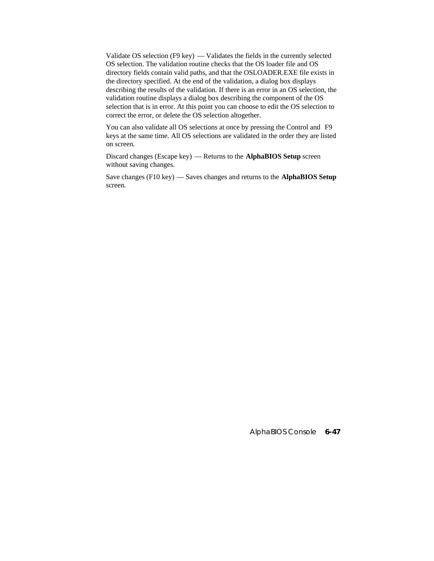Validate OS selection (F9 key) — Validates the fields in the currently selected OS selection. The validation routine checks that the OS loader file and OS directory fields contain valid paths, and that the OSLOADER.EXE file exists in the directory specified. At the end of the validation, a dialog box displays describing the results of the validation. If there is an error in an OS selection, the validation routine displays a dialog box describing the component of the OS selection that is in error. At this point you can choose to edit the OS selection to correct the error, or delete the OS selection altogether.

You can also validate all OS selections at once by pressing the Control and F9 keys at the same time. All OS selections are validated in the order they are listed on screen.

Discard changes (Escape key) — Returns to the **AlphaBIOS Setup** screen without saving changes.

Save changes (F10 key) — Saves changes and returns to the **AlphaBIOS Setup** screen.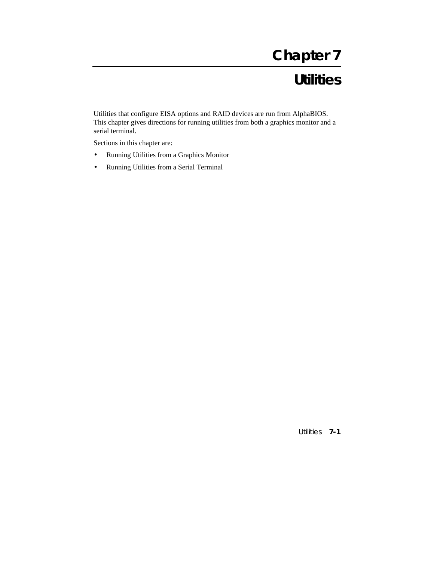# **Chapter 7**

# **Utilities**

Utilities that configure EISA options and RAID devices are run from AlphaBIOS. This chapter gives directions for running utilities from both a graphics monitor and a serial terminal.

Sections in this chapter are:

- Running Utilities from a Graphics Monitor
- Running Utilities from a Serial Terminal

Utilities **7-1**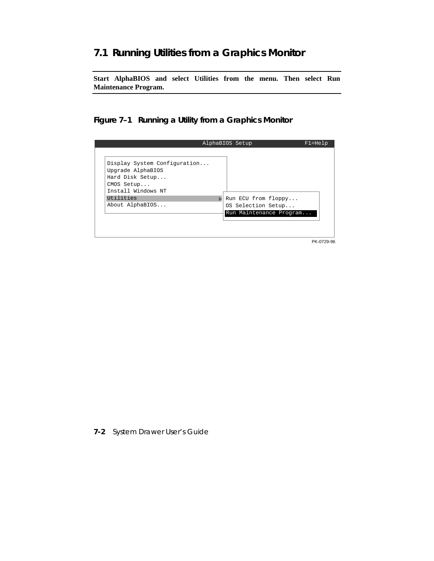## **7.1 Running Utilities from a Graphics Monitor**

**Start AlphaBIOS and select Utilities from the menu. Then select Run Maintenance Program.**

**Figure 7–1 Running a Utility from a Graphics Monitor**



**7-2** System Drawer User's Guide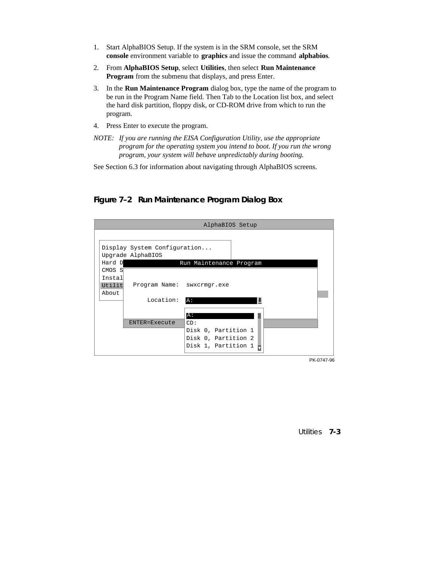- 1. Start AlphaBIOS Setup. If the system is in the SRM console, set the SRM **console** environment variable to **graphics** and issue the command **alphabios**.
- 2. From **AlphaBIOS Setup**, select **Utilities**, then select **Run Maintenance Program** from the submenu that displays, and press Enter.
- 3. In the **Run Maintenance Program** dialog box, type the name of the program to be run in the Program Name field. Then Tab to the Location list box, and select the hard disk partition, floppy disk, or CD-ROM drive from which to run the program.
- 4. Press Enter to execute the program.
- *NOTE: If you are running the EISA Configuration Utility, use the appropriate program for the operating system you intend to boot. If you run the wrong program, your system will behave unpredictably during booting.*
- See Section 6.3 for information about navigating through AlphaBIOS screens.

**Figure 7–2 Run Maintenance Program Dialog Box**



Utilities **7-3**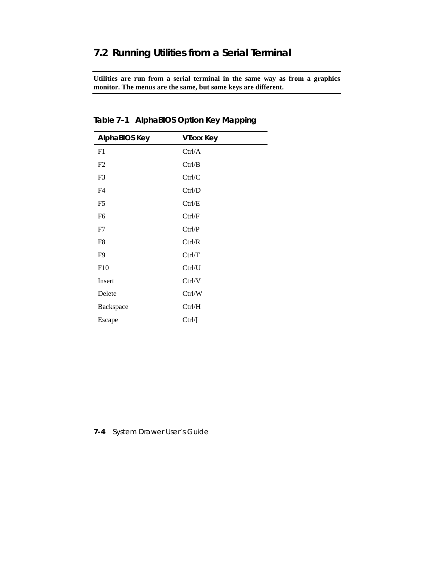# **7.2 Running Utilities from a Serial Terminal**

**Utilities are run from a serial terminal in the same way as from a graphics monitor. The menus are the same, but some keys are different.**

| <b>AlphaBIOS Key</b> | <b>VIxxx Key</b> |
|----------------------|------------------|
| F1                   | Ctrl/A           |
| F2                   | Ctrl/B           |
| F3                   | Ctrl/C           |
| F4                   | Ctrl/D           |
| F5                   | Ctrl/E           |
| F <sub>6</sub>       | Ctrl/F           |
| F7                   | Ctrl/P           |
| F8                   | Ctrl/R           |
| F9                   | Ctrl/T           |
| F10                  | Ctrl/U           |
| Insert               | Ctrl/V           |
| Delete               | Ctrl/W           |
| Backspace            | Ctrl/H           |
| Escape               | Ctrl/[           |

**Table 7–1 AlphaBIOS Option Key Mapping**

### **7-4** System Drawer User's Guide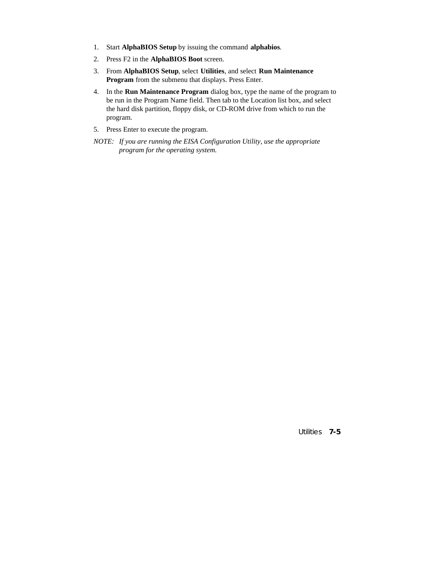- 1. Start **AlphaBIOS Setup** by issuing the command **alphabios**.
- 2. Press F2 in the **AlphaBIOS Boot** screen.
- 3. From **AlphaBIOS Setup**, select **Utilities**, and select **Run Maintenance Program** from the submenu that displays. Press Enter.
- 4. In the **Run Maintenance Program** dialog box, type the name of the program to be run in the Program Name field. Then tab to the Location list box, and select the hard disk partition, floppy disk, or CD-ROM drive from which to run the program.
- 5. Press Enter to execute the program.
- *NOTE: If you are running the EISA Configuration Utility, use the appropriate program for the operating system.*

Utilities **7-5**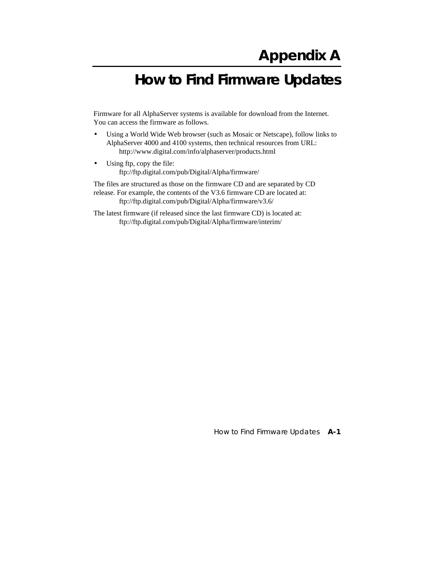# **How to Find Firmware Updates**

Firmware for all AlphaServer systems is available for download from the Internet. You can access the firmware as follows.

- Using a World Wide Web browser (such as Mosaic or Netscape), follow links to AlphaServer 4000 and 4100 systems, then technical resources from URL: http://www.digital.com/info/alphaserver/products.html
- Using ftp, copy the file: ftp://ftp.digital.com/pub/Digital/Alpha/firmware/

The files are structured as those on the firmware CD and are separated by CD release. For example, the contents of the V3.6 firmware CD are located at: ftp://ftp.digital.com/pub/Digital/Alpha/firmware/v3.6/

The latest firmware (if released since the last firmware CD) is located at: ftp://ftp.digital.com/pub/Digital/Alpha/firmware/interim/

How to Find Firmware Updates **A-1**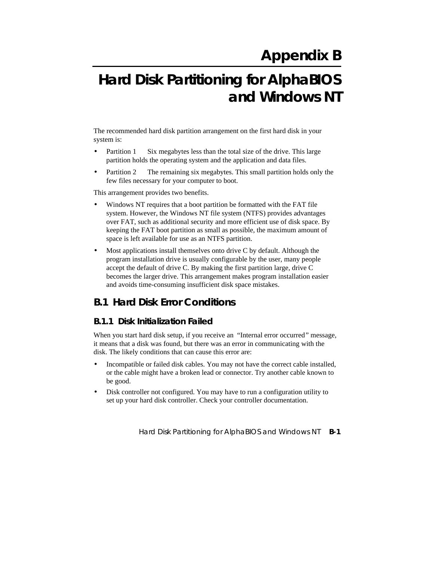# **Hard Disk Partitioning for AlphaBIOS and Windows NT**

The recommended hard disk partition arrangement on the first hard disk in your system is:

- Partition  $1 Six$  megabytes less than the total size of the drive. This large partition holds the operating system and the application and data files.
- Partition  $2$  The remaining six megabytes. This small partition holds only the few files necessary for your computer to boot.

This arrangement provides two benefits.

- Windows NT requires that a boot partition be formatted with the FAT file system. However, the Windows NT file system (NTFS) provides advantages over FAT, such as additional security and more efficient use of disk space. By keeping the FAT boot partition as small as possible, the maximum amount of space is left available for use as an NTFS partition.
- Most applications install themselves onto drive C by default. Although the program installation drive is usually configurable by the user, many people accept the default of drive C. By making the first partition large, drive C becomes the larger drive. This arrangement makes program installation easier and avoids time-consuming insufficient disk space mistakes.

# **B.1 Hard Disk Error Conditions**

#### **B.1.1 Disk Initialization Failed**

When you start hard disk setup, if you receive an "Internal error occurred" message, it means that a disk was found, but there was an error in communicating with the disk. The likely conditions that can cause this error are:

- Incompatible or failed disk cables. You may not have the correct cable installed, or the cable might have a broken lead or connector. Try another cable known to be good.
- Disk controller not configured. You may have to run a configuration utility to set up your hard disk controller. Check your controller documentation.

Hard Disk Partitioning for AlphaBIOS and Windows NT **B-1**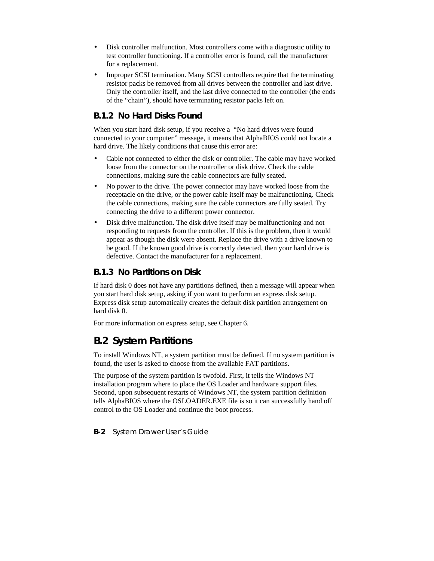- Disk controller malfunction. Most controllers come with a diagnostic utility to test controller functioning. If a controller error is found, call the manufacturer for a replacement.
- Improper SCSI termination. Many SCSI controllers require that the terminating resistor packs be removed from all drives between the controller and last drive. Only the controller itself, and the last drive connected to the controller (the ends of the "chain"), should have terminating resistor packs left on.

#### **B.1.2 No Hard Disks Found**

When you start hard disk setup, if you receive a "No hard drives were found connected to your computer" message, it means that AlphaBIOS could not locate a hard drive. The likely conditions that cause this error are:

- Cable not connected to either the disk or controller. The cable may have worked loose from the connector on the controller or disk drive. Check the cable connections, making sure the cable connectors are fully seated.
- No power to the drive. The power connector may have worked loose from the receptacle on the drive, or the power cable itself may be malfunctioning. Check the cable connections, making sure the cable connectors are fully seated. Try connecting the drive to a different power connector.
- Disk drive malfunction. The disk drive itself may be malfunctioning and not responding to requests from the controller. If this is the problem, then it would appear as though the disk were absent. Replace the drive with a drive known to be good. If the known good drive is correctly detected, then your hard drive is defective. Contact the manufacturer for a replacement.

#### **B.1.3 No Partitions on Disk**

If hard disk 0 does not have any partitions defined, then a message will appear when you start hard disk setup, asking if you want to perform an express disk setup. Express disk setup automatically creates the default disk partition arrangement on hard disk 0.

For more information on express setup, see Chapter 6.

# **B.2 System Partitions**

To install Windows NT, a system partition must be defined. If no system partition is found, the user is asked to choose from the available FAT partitions.

The purpose of the system partition is twofold. First, it tells the Windows NT installation program where to place the OS Loader and hardware support files. Second, upon subsequent restarts of Windows NT, the system partition definition tells AlphaBIOS where the OSLOADER.EXE file is so it can successfully hand off control to the OS Loader and continue the boot process.

**B-2** System Drawer User's Guide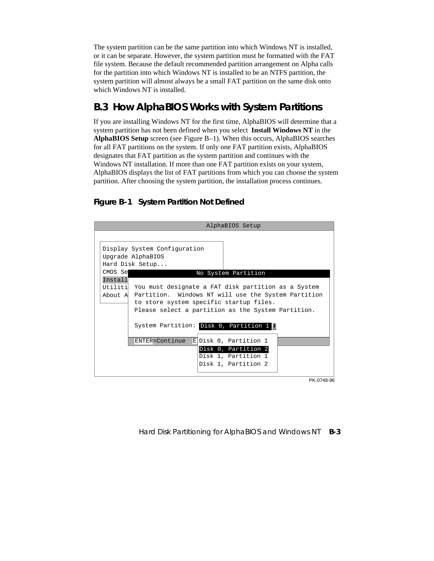The system partition can be the same partition into which Windows NT is installed, or it can be separate. However, the system partition must be formatted with the FAT file system. Because the default recommended partition arrangement on Alpha calls for the partition into which Windows NT is installed to be an NTFS partition, the system partition will almost always be a small FAT partition on the same disk onto which Windows NT is installed.

# **B.3 How AlphaBIOS Works with System Partitions**

If you are installing Windows NT for the first time, AlphaBIOS will determine that a system partition has not been defined when you select **Install Windows NT** in the **AlphaBIOS Setup** screen (see Figure B–1). When this occurs, AlphaBIOS searches for all FAT partitions on the system. If only one FAT partition exists, AlphaBIOS designates that FAT partition as the system partition and continues with the Windows NT installation. If more than one FAT partition exists on your system, AlphaBIOS displays the list of FAT partitions from which you can choose the system partition. After choosing the system partition, the installation process continues.

#### **Figure B–1 System Partition Not Defined**

| AlphaBIOS Setup |                                                                                                                                                                                                                                                                                   |  |  |  |
|-----------------|-----------------------------------------------------------------------------------------------------------------------------------------------------------------------------------------------------------------------------------------------------------------------------------|--|--|--|
|                 |                                                                                                                                                                                                                                                                                   |  |  |  |
|                 | Display System Configuration<br>Upgrade AlphaBIOS<br>Hard Disk Setup                                                                                                                                                                                                              |  |  |  |
| CMOS Se         | No System Partition                                                                                                                                                                                                                                                               |  |  |  |
| Install         | Utiliti You must designate a FAT disk partition as a System<br>About A Partition. Windows NT will use the System Partition<br>to store system specific startup files.<br>Please select a partition as the System Partition.<br>System Partition: Disk 0, Partition $1 \downarrow$ |  |  |  |
|                 | ENTER=Continue<br>E Disk 0, Partition 1                                                                                                                                                                                                                                           |  |  |  |
|                 | Disk 0, Partition 2<br>Disk 1, Partition 1<br>Disk 1, Partition 2                                                                                                                                                                                                                 |  |  |  |

PK-0748-96

#### Hard Disk Partitioning for AlphaBIOS and Windows NT **B-3**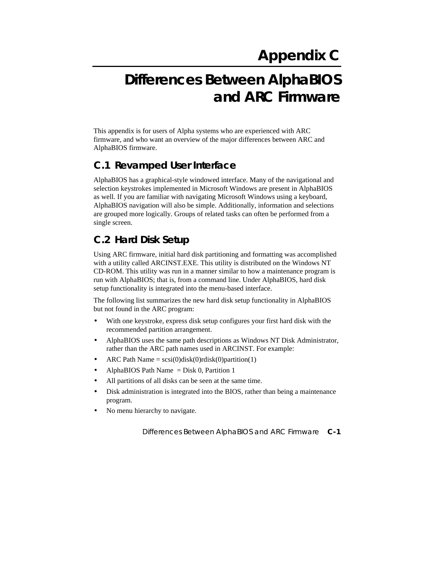# **Differences Between AlphaBIOS and ARC Firmware**

This appendix is for users of Alpha systems who are experienced with ARC firmware, and who want an overview of the major differences between ARC and AlphaBIOS firmware.

## **C.1 Revamped User Interface**

AlphaBIOS has a graphical-style windowed interface. Many of the navigational and selection keystrokes implemented in Microsoft Windows are present in AlphaBIOS as well. If you are familiar with navigating Microsoft Windows using a keyboard, AlphaBIOS navigation will also be simple. Additionally, information and selections are grouped more logically. Groups of related tasks can often be performed from a single screen.

# **C.2 Hard Disk Setup**

Using ARC firmware, initial hard disk partitioning and formatting was accomplished with a utility called ARCINST.EXE. This utility is distributed on the Windows NT CD-ROM. This utility was run in a manner similar to how a maintenance program is run with AlphaBIOS; that is, from a command line. Under AlphaBIOS, hard disk setup functionality is integrated into the menu-based interface.

The following list summarizes the new hard disk setup functionality in AlphaBIOS but not found in the ARC program:

- With one keystroke, express disk setup configures your first hard disk with the recommended partition arrangement.
- AlphaBIOS uses the same path descriptions as Windows NT Disk Administrator, rather than the ARC path names used in ARCINST. For example:
- ARC Path Name =  $scsi(0)disk(0)$ rdisk $(0)$ partition $(1)$
- AlphaBIOS Path Name = Disk 0, Partition 1
- All partitions of all disks can be seen at the same time.
- Disk administration is integrated into the BIOS, rather than being a maintenance program.
- No menu hierarchy to navigate.

Differences Between AlphaBIOS and ARC Firmware **C-1**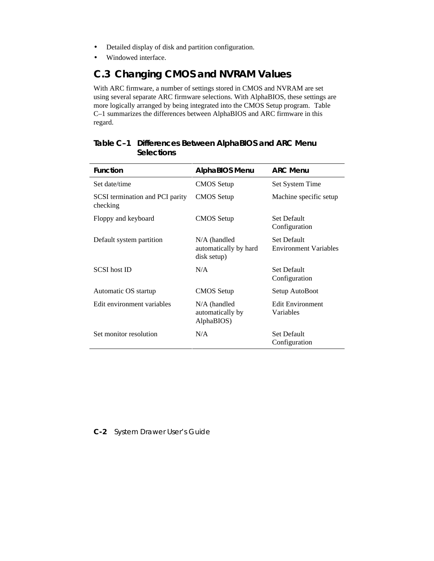- Detailed display of disk and partition configuration.
- Windowed interface.

## **C.3 Changing CMOS and NVRAM Values**

With ARC firmware, a number of settings stored in CMOS and NVRAM are set using several separate ARC firmware selections. With AlphaBIOS, these settings are more logically arranged by being integrated into the CMOS Setup program. Table C–1 summarizes the differences between AlphaBIOS and ARC firmware in this regard.

| <b>Function</b>                             | <b>AlphaBIOS Menu</b>                                  | <b>ARC Menu</b>                                    |  |
|---------------------------------------------|--------------------------------------------------------|----------------------------------------------------|--|
| Set date/time                               | <b>CMOS</b> Setup                                      | Set System Time                                    |  |
| SCSI termination and PCI parity<br>checking | <b>CMOS</b> Setup                                      | Machine specific setup                             |  |
| Floppy and keyboard                         | <b>CMOS</b> Setup                                      | <b>Set Default</b><br>Configuration                |  |
| Default system partition                    | $N/A$ (handled<br>automatically by hard<br>disk setup) | <b>Set Default</b><br><b>Environment Variables</b> |  |
| SCSI host ID                                | N/A                                                    | <b>Set Default</b><br>Configuration                |  |
| Automatic OS startup                        | <b>CMOS</b> Setup                                      | Setup AutoBoot                                     |  |
| Edit environment variables                  | $N/A$ (handled<br>automatically by<br>AlphaBIOS)       | <b>Edit Environment</b><br>Variables               |  |
| Set monitor resolution                      | N/A                                                    | <b>Set Default</b><br>Configuration                |  |

#### **Table C–1 Differences Between AlphaBIOS and ARC Menu Selections**

#### **C-2** System Drawer User's Guide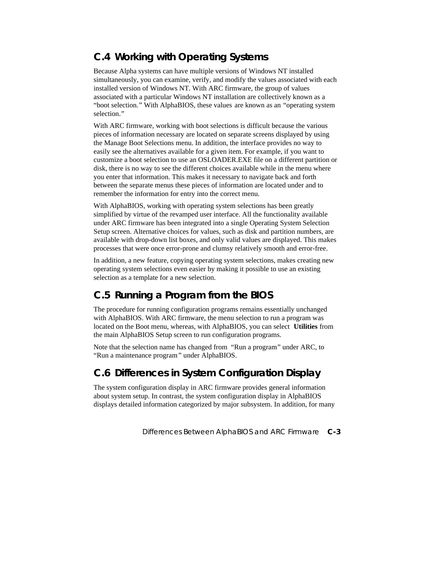# **C.4 Working with Operating Systems**

Because Alpha systems can have multiple versions of Windows NT installed simultaneously, you can examine, verify, and modify the values associated with each installed version of Windows NT. With ARC firmware, the group of values associated with a particular Windows NT installation are collectively known as a "boot selection." With AlphaBIOS, these values are known as an "operating system selection."

With ARC firmware, working with boot selections is difficult because the various pieces of information necessary are located on separate screens displayed by using the Manage Boot Selections menu. In addition, the interface provides no way to easily see the alternatives available for a given item. For example, if you want to customize a boot selection to use an OSLOADER.EXE file on a different partition or disk, there is no way to see the different choices available while in the menu where you enter that information. This makes it necessary to navigate back and forth between the separate menus these pieces of information are located under and to remember the information for entry into the correct menu.

With AlphaBIOS, working with operating system selections has been greatly simplified by virtue of the revamped user interface. All the functionality available under ARC firmware has been integrated into a single Operating System Selection Setup screen. Alternative choices for values, such as disk and partition numbers, are available with drop-down list boxes, and only valid values are displayed. This makes processes that were once error-prone and clumsy relatively smooth and error-free.

In addition, a new feature, copying operating system selections, makes creating new operating system selections even easier by making it possible to use an existing selection as a template for a new selection.

# **C.5 Running a Program from the BIOS**

The procedure for running configuration programs remains essentially unchanged with AlphaBIOS. With ARC firmware, the menu selection to run a program was located on the Boot menu, whereas, with AlphaBIOS, you can select **Utilities** from the main AlphaBIOS Setup screen to run configuration programs.

Note that the selection name has changed from "Run a program" under ARC, to "Run a maintenance program " under AlphaBIOS.

# **C.6 Differences in System Configuration Display**

The system configuration display in ARC firmware provides general information about system setup. In contrast, the system configuration display in AlphaBIOS displays detailed information categorized by major subsystem. In addition, for many

Differences Between AlphaBIOS and ARC Firmware **C-3**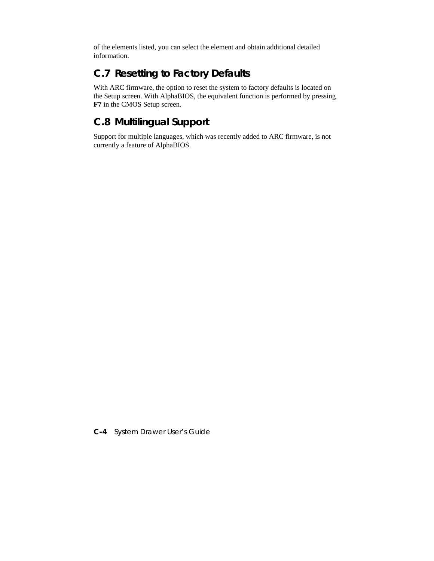of the elements listed, you can select the element and obtain additional detailed information.

# **C.7 Resetting to Factory Defaults**

With ARC firmware, the option to reset the system to factory defaults is located on the Setup screen. With AlphaBIOS, the equivalent function is performed by pressing **F7** in the CMOS Setup screen.

# **C.8 Multilingual Support**

Support for multiple languages, which was recently added to ARC firmware, is not currently a feature of AlphaBIOS.

**C-4** System Drawer User's Guide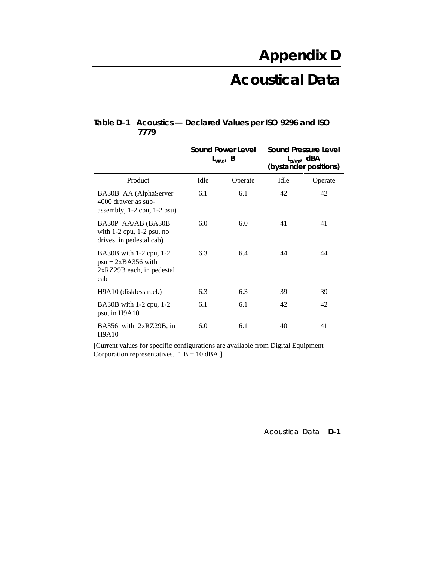# **Acoustical Data**

|                                                                                       | <b>Sound Power Level</b><br>$L_{WAd'}$ B |         | <b>Sound Pressure Level</b><br>$L_{pAm'}$ dBA<br>(bystander positions) |         |  |  |  |
|---------------------------------------------------------------------------------------|------------------------------------------|---------|------------------------------------------------------------------------|---------|--|--|--|
| Product                                                                               | Idle                                     | Operate | Idle                                                                   | Operate |  |  |  |
| BA30B-AA (AlphaServer<br>4000 drawer as sub-<br>assembly, $1-2$ cpu, $1-2$ psu)       | 6.1                                      | 6.1     | 42                                                                     | 42      |  |  |  |
| BA30P-AA/AB (BA30B<br>with $1-2$ cpu, $1-2$ psu, no<br>drives, in pedestal cab)       | 6.0                                      | 6.0     | 41                                                                     | 41      |  |  |  |
| BA30B with 1-2 cpu, 1-2<br>$psu + 2xBA356$ with<br>$2xRZ29B$ each, in pedestal<br>cab | 6.3                                      | 6.4     | 44                                                                     | 44      |  |  |  |
| H9A10 (diskless rack)                                                                 | 6.3                                      | 6.3     | 39                                                                     | 39      |  |  |  |
| BA30B with 1-2 cpu, 1-2<br>psu, in H9A10                                              | 6.1                                      | 6.1     | 42                                                                     | 42      |  |  |  |
| BA356 with 2xRZ29B, in<br><b>H9A10</b>                                                | 6.0                                      | 6.1     | 40                                                                     | 41      |  |  |  |

#### **Table D–1 Acoustics — Declared Values per ISO 9296 and ISO 7779**

[Current values for specific configurations are available from Digital Equipment Corporation representatives.  $1 B = 10$  dBA.]

Acoustical Data **D-1**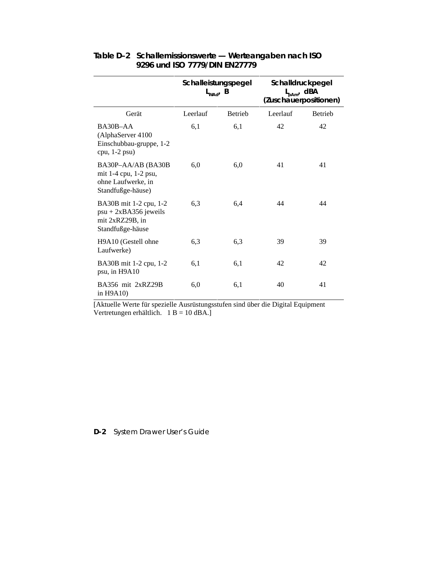|                                                                                          | Schalleistungspegel<br>$L_{WAd'}$ B |                | Schalldruckpegel<br>$L_{pAm'}$ dBA<br>(Zuschauerpositionen) |                |  |  |  |
|------------------------------------------------------------------------------------------|-------------------------------------|----------------|-------------------------------------------------------------|----------------|--|--|--|
| Gerät                                                                                    | Leerlauf                            | <b>Betrieb</b> | Leerlauf                                                    | <b>Betrieb</b> |  |  |  |
| BA30B-AA<br>(AlphaServer 4100<br>Einschubbau-gruppe, 1-2<br>cpu, $1-2$ psu)              | 6,1                                 | 6,1            | 42                                                          | 42             |  |  |  |
| BA30P-AA/AB (BA30B<br>mit 1-4 cpu, 1-2 psu,<br>ohne Laufwerke, in<br>Standfußge-häuse)   | 6,0                                 | 6,0            | 41                                                          | 41             |  |  |  |
| BA30B mit 1-2 cpu, 1-2<br>$psu + 2xBA356$ jeweils<br>mit 2xRZ29B, in<br>Standfußge-häuse | 6,3                                 | 6,4            | 44                                                          | 44             |  |  |  |
| H9A10 (Gestell ohne<br>Laufwerke)                                                        | 6,3                                 | 6,3            | 39                                                          | 39             |  |  |  |
| BA30B mit 1-2 cpu, 1-2<br>psu, in H9A10                                                  | 6,1                                 | 6,1            | 42                                                          | 42             |  |  |  |
| BA356 mit 2xRZ29B<br>in $H9A10$                                                          | 6,0                                 | 6,1            | 40                                                          | 41             |  |  |  |

#### **Table D–2 Schallemissionswerte — Werteangaben nach ISO 9296 und ISO 7779/DIN EN27779**

[Aktuelle Werte für spezielle Ausrüstungsstufen sind über die Digital Equipment Vertretungen erhältlich. 1 B = 10 dBA.]

#### **D-2** System Drawer User's Guide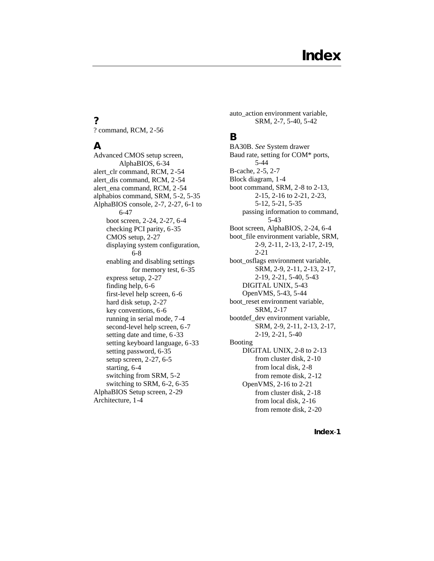#### **?**

? command, RCM, 2-56

### **A**

Advanced CMOS setup screen, AlphaBIOS, 6-34 alert\_clr command, RCM, 2 -54 alert\_dis command, RCM, 2-54 alert\_ena command, RCM, 2 -54 alphabios command, SRM, 5-2, 5-35 AlphaBIOS console, 2-7, 2-27, 6-1 to 6-47 boot screen, 2-24, 2-27, 6-4 checking PCI parity, 6-35 CMOS setup, 2-27 displaying system configuration, 6-8 enabling and disabling settings for memory test, 6-35 express setup, 2-27 finding help, 6-6 first-level help screen, 6-6 hard disk setup, 2-27 key conventions, 6-6 running in serial mode, 7-4 second-level help screen, 6-7 setting date and time, 6 -33 setting keyboard language, 6-33 setting password, 6-35 setup screen, 2-27, 6-5 starting, 6-4 switching from SRM, 5-2 switching to SRM, 6-2, 6-35 AlphaBIOS Setup screen, 2-29 Architecture, 1-4

auto\_action environment variable, SRM, 2-7, 5-40, 5-42

#### **B**

BA30B. *See* System drawer Baud rate, setting for COM\* ports, 5-44 B-cache, 2-5, 2-7 Block diagram, 1-4 boot command, SRM, 2-8 to 2-13, 2-15, 2-16 to 2-21, 2-23, 5-12, 5-21, 5-35 passing information to command, 5-43 Boot screen, AlphaBIOS, 2-24, 6-4 boot\_file environment variable, SRM, 2-9, 2-11, 2-13, 2-17, 2-19, 2-21 boot\_osflags environment variable, SRM, 2-9, 2-11, 2-13, 2-17, 2-19, 2-21, 5-40, 5-43 DIGITAL UNIX, 5-43 OpenVMS, 5-43, 5-44 boot\_reset environment variable, SRM, 2-17 bootdef\_dev environment variable, SRM, 2-9, 2-11, 2-13, 2-17, 2-19, 2-21, 5-40 Booting DIGITAL UNIX, 2-8 to 2-13 from cluster disk, 2-10 from local disk, 2-8 from remote disk, 2-12 OpenVMS, 2-16 to 2-21 from cluster disk, 2-18 from local disk, 2-16 from remote disk, 2-20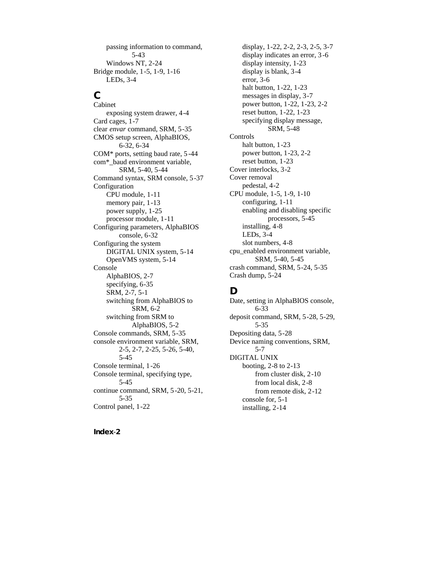passing information to command, 5-43 Windows NT, 2-24 Bridge module, 1-5, 1-9, 1-16 LEDs, 3-4

## **C**

Cabinet exposing system drawer, 4-4 Card cages, 1-7 clear *envar* command, SRM, 5-35 CMOS setup screen, AlphaBIOS, 6-32, 6-34 COM\* ports, setting baud rate, 5 -44 com\*\_baud environment variable, SRM, 5-40, 5-44 Command syntax, SRM console, 5-37 Configuration CPU module, 1-11 memory pair, 1-13 power supply, 1-25 processor module, 1-11 Configuring parameters, AlphaBIOS console, 6-32 Configuring the system DIGITAL UNIX system, 5-14 OpenVMS system, 5-14 Console AlphaBIOS, 2-7 specifying, 6-35 SRM, 2-7, 5-1 switching from AlphaBIOS to SRM, 6-2 switching from SRM to AlphaBIOS, 5-2 Console commands, SRM, 5-35 console environment variable, SRM, 2-5, 2-7, 2-25, 5-26, 5-40, 5-45 Console terminal, 1-26 Console terminal, specifying type, 5-45 continue command, SRM, 5-20, 5-21, 5-35 Control panel, 1-22

display, 1-22, 2-2, 2-3, 2-5, 3-7 display indicates an error, 3 -6 display intensity, 1-23 display is blank, 3-4 error, 3-6 halt button, 1-22, 1-23 messages in display, 3-7 power button, 1-22, 1-23, 2-2 reset button, 1-22, 1-23 specifying display message, SRM, 5-48 Controls halt button, 1-23 power button, 1-23, 2-2 reset button, 1-23 Cover interlocks, 3-2 Cover removal pedestal, 4-2 CPU module, 1-5, 1-9, 1-10 configuring, 1-11 enabling and disabling specific processors, 5-45 installing, 4-8 LEDs, 3-4 slot numbers, 4-8 cpu\_enabled environment variable, SRM, 5-40, 5-45 crash command, SRM, 5-24, 5-35 Crash dump, 5-24

## **D**

Date, setting in AlphaBIOS console, 6-33 deposit command, SRM, 5-28, 5-29, 5-35 Depositing data, 5-28 Device naming conventions, SRM, 5-7 DIGITAL UNIX booting, 2-8 to 2-13 from cluster disk, 2-10 from local disk, 2-8 from remote disk, 2-12 console for, 5-1 installing, 2-14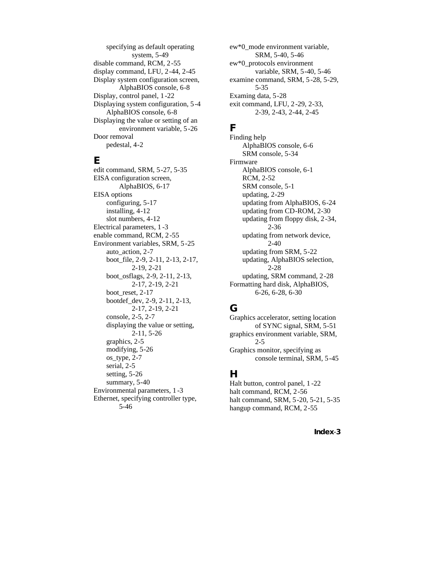specifying as default operating system, 5-49 disable command, RCM, 2-55 display command, LFU, 2-44, 2-45 Display system configuration screen, AlphaBIOS console, 6-8 Display, control panel, 1-22 Displaying system configuration, 5-4 AlphaBIOS console, 6-8 Displaying the value or setting of an environment variable, 5-26 Door removal pedestal, 4-2

#### **E**

edit command, SRM, 5-27, 5-35 EISA configuration screen, AlphaBIOS, 6-17 EISA options configuring, 5-17 installing, 4-12 slot numbers, 4-12 Electrical parameters, 1 -3 enable command, RCM, 2-55 Environment variables, SRM, 5-25 auto action, 2-7 boot\_file, 2-9, 2-11, 2-13, 2-17, 2-19, 2-21 boot\_osflags, 2-9, 2-11, 2-13, 2-17, 2-19, 2-21 boot\_reset, 2-17 bootdef\_dev, 2-9, 2-11, 2-13, 2-17, 2-19, 2-21 console, 2-5, 2-7 displaying the value or setting, 2-11, 5-26 graphics, 2-5 modifying, 5-26 os\_type, 2-7 serial, 2-5 setting, 5-26 summary, 5-40 Environmental parameters, 1 -3 Ethernet, specifying controller type, 5-46

ew\*0\_mode environment variable, SRM, 5-40, 5-46 ew\*0\_protocols environment variable, SRM, 5-40, 5-46 examine command, SRM, 5-28, 5-29, 5-35 Examing data, 5-28 exit command, LFU, 2-29, 2-33, 2-39, 2-43, 2-44, 2-45

#### **F**

Finding help AlphaBIOS console, 6-6 SRM console, 5-34 Firmware AlphaBIOS console, 6-1 RCM, 2-52 SRM console, 5-1 updating, 2-29 updating from AlphaBIOS, 6-24 updating from CD-ROM, 2-30 updating from floppy disk, 2-34, 2-36 updating from network device, 2-40 updating from SRM, 5-22 updating, AlphaBIOS selection, 2-28 updating, SRM command, 2-28 Formatting hard disk, AlphaBIOS, 6-26, 6-28, 6-30

## **G**

Graphics accelerator, setting location of SYNC signal, SRM, 5-51 graphics environment variable, SRM, 2-5 Graphics monitor, specifying as console terminal, SRM, 5-45

#### **H**

Halt button, control panel, 1 -22 halt command, RCM, 2-56 halt command, SRM, 5-20, 5-21, 5-35 hangup command, RCM, 2-55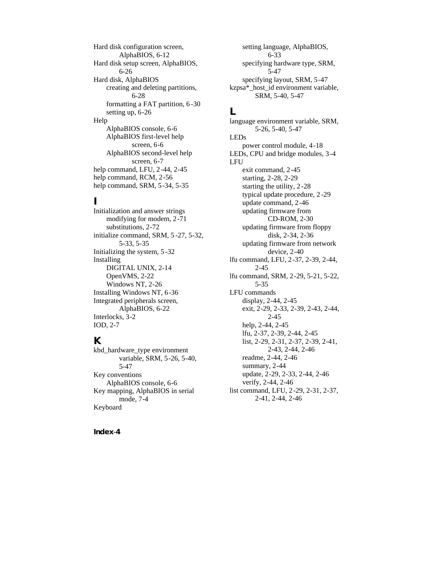Hard disk configuration screen, AlphaBIOS, 6-12 Hard disk setup screen, AlphaBIOS, 6-26 Hard disk, AlphaBIOS creating and deleting partitions, 6-28 formatting a FAT partition, 6 -30 setting up, 6-26 Help AlphaBIOS console, 6-6 AlphaBIOS first-level help screen, 6-6 AlphaBIOS second-level help screen, 6-7 help command, LFU, 2-44, 2-45 help command, RCM, 2-56 help command, SRM, 5-34, 5-35

#### **I**

Initialization and answer strings modifying for modem, 2-71 substitutions, 2-72 initialize command, SRM, 5 -27, 5-32, 5-33, 5-35 Initializing the system, 5 -32 Installing DIGITAL UNIX, 2-14 OpenVMS, 2-22 Windows NT, 2-26 Installing Windows NT, 6-36 Integrated peripherals screen, AlphaBIOS, 6-22 Interlocks, 3-2 IOD, 2-7

#### **K**

kbd\_hardware\_type environment variable, SRM, 5-26, 5-40, 5-47 Key conventions AlphaBIOS console, 6-6 Key mapping, AlphaBIOS in serial mode, 7-4 Keyboard

setting language, AlphaBIOS, 6-33 specifying hardware type, SRM, 5-47 specifying layout, SRM, 5-47 kzpsa\*\_host\_id environment variable, SRM, 5-40, 5-47

#### **L**

language environment variable, SRM, 5-26, 5-40, 5-47 LEDs power control module, 4-18 LEDs, CPU and bridge modules, 3-4 LFU exit command, 2-45 starting, 2-28, 2-29 starting the utility, 2 -28 typical update procedure, 2 -29 update command, 2-46 updating firmware from CD-ROM, 2-30 updating firmware from floppy disk, 2-34, 2-36 updating firmware from network device, 2-40 lfu command, LFU, 2-37, 2-39, 2-44, 2-45 lfu command, SRM, 2-29, 5-21, 5-22, 5-35 LFU commands display, 2-44, 2-45 exit, 2-29, 2-33, 2-39, 2-43, 2-44, 2-45 help, 2-44, 2-45 lfu, 2-37, 2-39, 2-44, 2-45 list, 2-29, 2-31, 2-37, 2-39, 2-41, 2-43, 2-44, 2-46 readme, 2-44, 2-46 summary, 2-44 update, 2-29, 2-33, 2-44, 2-46 verify, 2-44, 2-46 list command, LFU, 2-29, 2-31, 2-37, 2-41, 2-44, 2-46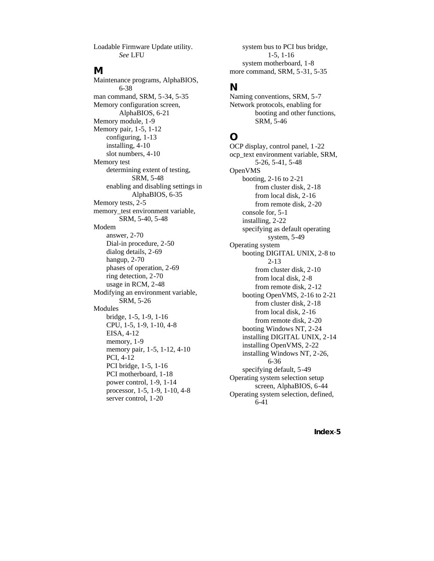Loadable Firmware Update utility. *See* LFU

#### **M**

Maintenance programs, AlphaBIOS, 6-38 man command, SRM, 5-34, 5-35 Memory configuration screen, AlphaBIOS, 6-21 Memory module, 1-9 Memory pair, 1-5, 1-12 configuring, 1-13 installing, 4-10 slot numbers, 4-10 Memory test determining extent of testing, SRM, 5-48 enabling and disabling settings in AlphaBIOS, 6-35 Memory tests, 2-5 memory\_test environment variable, SRM, 5-40, 5-48 Modem answer, 2-70 Dial-in procedure, 2-50 dialog details, 2-69 hangup, 2-70 phases of operation, 2-69 ring detection, 2-70 usage in RCM, 2-48 Modifying an environment variable, SRM, 5-26 Modules bridge, 1-5, 1-9, 1-16 CPU, 1-5, 1-9, 1-10, 4-8 EISA, 4-12 memory, 1-9 memory pair, 1-5, 1-12, 4-10 PCI, 4-12 PCI bridge, 1-5, 1-16 PCI motherboard, 1-18 power control, 1-9, 1-14 processor, 1-5, 1-9, 1-10, 4-8 server control, 1-20

system bus to PCI bus bridge, 1-5, 1-16 system motherboard, 1-8 more command, SRM, 5-31, 5-35

#### **N**

Naming conventions, SRM, 5-7 Network protocols, enabling for booting and other functions, SRM, 5-46

## **O**

OCP display, control panel, 1-22 ocp\_text environment variable, SRM, 5-26, 5-41, 5-48 OpenVMS booting, 2-16 to 2-21 from cluster disk, 2-18 from local disk, 2-16 from remote disk, 2-20 console for, 5-1 installing, 2-22 specifying as default operating system, 5-49 Operating system booting DIGITAL UNIX, 2-8 to 2-13 from cluster disk, 2-10 from local disk, 2-8 from remote disk, 2-12 booting OpenVMS, 2-16 to 2-21 from cluster disk, 2-18 from local disk, 2-16 from remote disk, 2-20 booting Windows NT, 2-24 installing DIGITAL UNIX, 2-14 installing OpenVMS, 2-22 installing Windows NT, 2-26, 6-36 specifying default, 5-49 Operating system selection setup screen, AlphaBIOS, 6-44 Operating system selection, defined, 6-41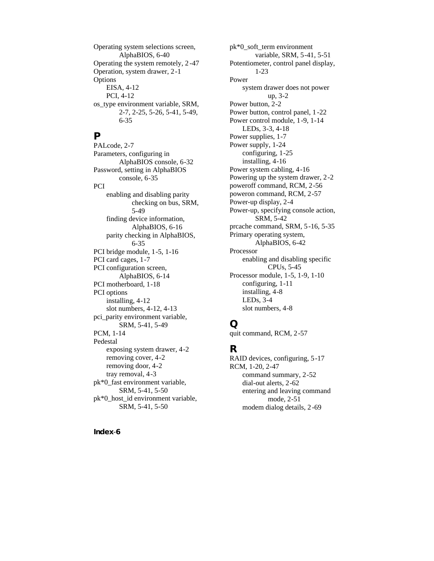Operating system selections screen, AlphaBIOS, 6-40 Operating the system remotely, 2 -47 Operation, system drawer, 2-1 **Options** EISA, 4-12 PCI, 4-12 os\_type environment variable, SRM, 2-7, 2-25, 5-26, 5-41, 5-49, 6-35

#### **P**

PALcode, 2-7 Parameters, configuring in AlphaBIOS console, 6-32 Password, setting in AlphaBIOS console, 6-35 **PCI** enabling and disabling parity checking on bus, SRM, 5-49 finding device information, AlphaBIOS, 6-16 parity checking in AlphaBIOS, 6-35 PCI bridge module, 1-5, 1-16 PCI card cages, 1-7 PCI configuration screen, AlphaBIOS, 6-14 PCI motherboard, 1-18 PCI options installing, 4-12 slot numbers, 4-12, 4-13 pci\_parity environment variable, SRM, 5-41, 5-49 PCM, 1-14 Pedestal exposing system drawer, 4-2 removing cover, 4-2 removing door, 4-2 tray removal, 4-3 pk\*0\_fast environment variable, SRM, 5-41, 5-50 pk\*0\_host\_id environment variable, SRM, 5-41, 5-50

**Index**-**6**

pk\*0\_soft\_term environment variable, SRM, 5-41, 5-51 Potentiometer, control panel display, 1-23 Power system drawer does not power up, 3-2 Power button, 2-2 Power button, control panel, 1 -22 Power control module, 1-9, 1-14 LEDs, 3-3, 4-18 Power supplies, 1-7 Power supply, 1-24 configuring, 1-25 installing, 4-16 Power system cabling, 4-16 Powering up the system drawer, 2-2 poweroff command, RCM, 2-56 poweron command, RCM, 2-57 Power-up display, 2-4 Power-up, specifying console action, SRM, 5-42 prcache command, SRM, 5-16, 5-35 Primary operating system, AlphaBIOS, 6-42 Processor enabling and disabling specific CPUs, 5-45 Processor module, 1-5, 1-9, 1-10 configuring, 1-11 installing, 4-8 LEDs, 3-4 slot numbers, 4-8

#### **Q**

quit command, RCM, 2-57

#### **R**

RAID devices, configuring, 5-17 RCM, 1-20, 2-47 command summary, 2-52 dial-out alerts, 2-62 entering and leaving command mode, 2-51 modem dialog details, 2 -69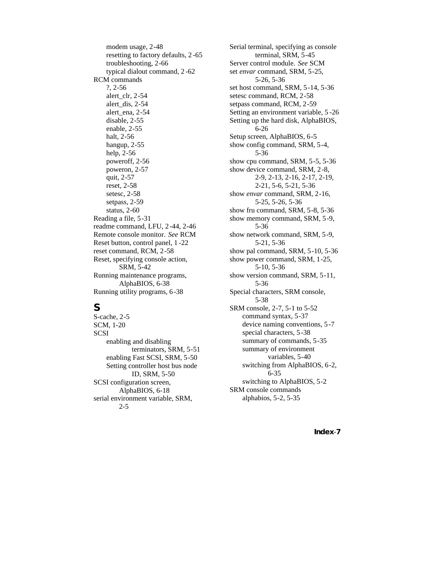modem usage, 2-48 resetting to factory defaults, 2 -65 troubleshooting, 2-66 typical dialout command, 2 -62 RCM commands ?, 2-56 alert\_clr, 2-54 alert\_dis, 2-54 alert\_ena, 2-54 disable, 2-55 enable, 2-55 halt, 2-56 hangup, 2-55 help, 2-56 poweroff, 2-56 poweron, 2-57 quit, 2-57 reset, 2-58 setesc, 2-58 setpass, 2-59 status, 2-60 Reading a file, 5-31 readme command, LFU, 2-44, 2-46 Remote console monitor. *See* RCM Reset button, control panel, 1 -22 reset command, RCM, 2-58 Reset, specifying console action, SRM, 5-42 Running maintenance programs, AlphaBIOS, 6-38 Running utility programs, 6-38

## **S**

S-cache, 2-5 SCM, 1-20 SCSI enabling and disabling terminators, SRM, 5-51 enabling Fast SCSI, SRM, 5-50 Setting controller host bus node ID, SRM, 5-50 SCSI configuration screen, AlphaBIOS, 6-18 serial environment variable, SRM, 2-5

Serial terminal, specifying as console terminal, SRM, 5-45 Server control module. *See* SCM set *envar* command, SRM, 5-25, 5-26, 5-36 set host command, SRM, 5-14, 5-36 setesc command, RCM, 2-58 setpass command, RCM, 2-59 Setting an environment variable, 5 -26 Setting up the hard disk, AlphaBIOS, 6-26 Setup screen, AlphaBIOS, 6-5 show config command, SRM, 5-4, 5-36 show cpu command, SRM, 5-5, 5-36 show device command, SRM, 2-8, 2-9, 2-13, 2-16, 2-17, 2-19, 2-21, 5-6, 5-21, 5-36 show *envar* command, SRM, 2-16, 5-25, 5-26, 5-36 show fru command, SRM, 5-8, 5-36 show memory command, SRM, 5-9, 5-36 show network command, SRM, 5-9, 5-21, 5-36 show pal command, SRM, 5-10, 5-36 show power command, SRM, 1-25, 5-10, 5-36 show version command, SRM, 5-11, 5-36 Special characters, SRM console, 5-38 SRM console, 2-7, 5-1 to 5-52 command syntax, 5-37 device naming conventions, 5 -7 special characters, 5-38 summary of commands, 5-35 summary of environment variables, 5-40 switching from AlphaBIOS, 6-2, 6-35 switching to AlphaBIOS, 5-2 SRM console commands alphabios, 5-2, 5-35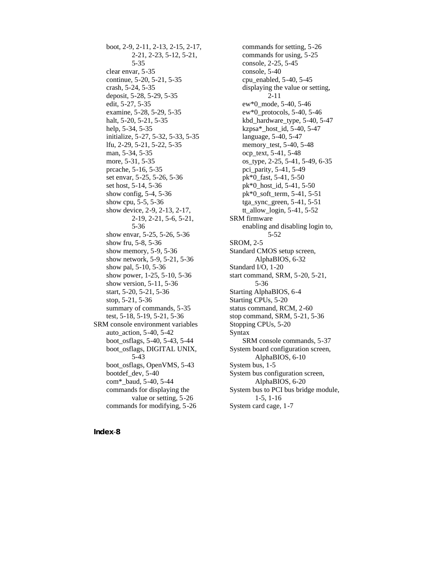boot, 2-9, 2-11, 2-13, 2-15, 2-17, 2-21, 2-23, 5-12, 5-21, 5-35 clear envar, 5-35 continue, 5-20, 5-21, 5-35 crash, 5-24, 5-35 deposit, 5-28, 5-29, 5-35 edit, 5-27, 5-35 examine, 5-28, 5-29, 5-35 halt, 5-20, 5-21, 5-35 help, 5-34, 5-35 initialize, 5-27, 5-32, 5-33, 5-35 lfu, 2-29, 5-21, 5-22, 5-35 man, 5-34, 5-35 more, 5-31, 5-35 prcache, 5-16, 5-35 set envar, 5-25, 5-26, 5-36 set host, 5-14, 5-36 show config, 5-4, 5-36 show cpu, 5-5, 5-36 show device, 2-9, 2-13, 2-17, 2-19, 2-21, 5-6, 5-21, 5-36 show envar, 5-25, 5-26, 5-36 show fru, 5-8, 5-36 show memory, 5-9, 5-36 show network, 5-9, 5-21, 5-36 show pal, 5-10, 5-36 show power, 1-25, 5-10, 5-36 show version, 5-11, 5-36 start, 5-20, 5-21, 5-36 stop, 5-21, 5-36 summary of commands, 5-35 test, 5-18, 5-19, 5-21, 5-36 SRM console environment variables auto\_action, 5-40, 5-42 boot\_osflags, 5-40, 5-43, 5-44 boot\_osflags, DIGITAL UNIX, 5-43 boot\_osflags, OpenVMS, 5-43 bootdef\_dev, 5-40 com\*\_baud, 5-40, 5-44 commands for displaying the value or setting, 5-26 commands for modifying, 5-26

commands for setting, 5-26 commands for using, 5-25 console, 2-25, 5-45 console, 5-40 cpu\_enabled, 5-40, 5-45 displaying the value or setting, 2-11 ew\*0\_mode, 5-40, 5-46 ew\*0\_protocols, 5-40, 5-46 kbd\_hardware\_type, 5-40, 5-47 kzpsa\*\_host\_id, 5-40, 5-47 language, 5-40, 5-47 memory test, 5-40, 5-48 ocp\_text, 5-41, 5-48 os\_type, 2-25, 5-41, 5-49, 6-35 pci\_parity, 5-41, 5-49 pk\*0\_fast, 5-41, 5-50 pk\*0\_host\_id, 5-41, 5-50 pk\*0\_soft\_term, 5-41, 5-51 tga\_sync\_green, 5-41, 5-51 tt\_allow\_login, 5-41, 5-52 SRM firmware enabling and disabling login to, 5-52 SROM, 2-5 Standard CMOS setup screen, AlphaBIOS, 6-32 Standard I/O, 1-20 start command, SRM, 5-20, 5-21, 5-36 Starting AlphaBIOS, 6-4 Starting CPUs, 5-20 status command, RCM, 2-60 stop command, SRM, 5-21, 5-36 Stopping CPUs, 5-20 Syntax SRM console commands, 5-37 System board configuration screen, AlphaBIOS, 6-10 System bus, 1-5 System bus configuration screen, AlphaBIOS, 6-20 System bus to PCI bus bridge module, 1-5, 1-16 System card cage, 1-7